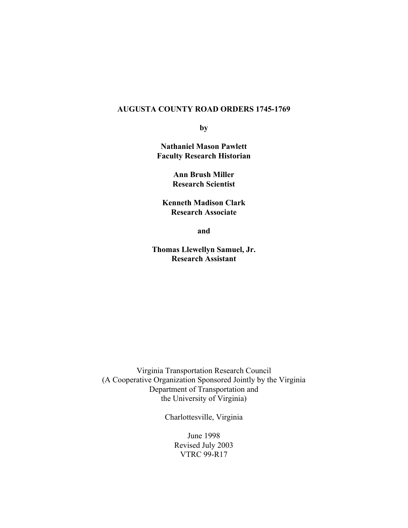### **AUGUSTA COUNTY ROAD ORDERS 1745-1769**

**by** 

**Nathaniel Mason Pawlett Faculty Research Historian** 

> **Ann Brush Miller Research Scientist**

**Kenneth Madison Clark Research Associate** 

**and** 

**Thomas Llewellyn Samuel, Jr. Research Assistant**

Virginia Transportation Research Council (A Cooperative Organization Sponsored Jointly by the Virginia Department of Transportation and the University of Virginia)

Charlottesville, Virginia

June 1998 Revised July 2003 VTRC 99-R17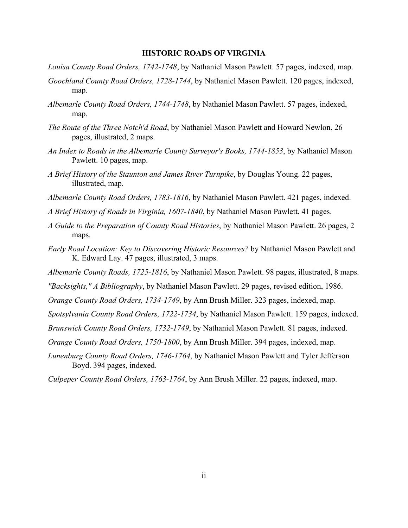#### **HISTORIC ROADS OF VIRGINIA**

- *Louisa County Road Orders, 1742-1748*, by Nathaniel Mason Pawlett. 57 pages, indexed, map.
- *Goochland County Road Orders, 1728-1744*, by Nathaniel Mason Pawlett. 120 pages, indexed, map.
- *Albemarle County Road Orders, 1744-1748*, by Nathaniel Mason Pawlett. 57 pages, indexed, map.
- *The Route of the Three Notch'd Road*, by Nathaniel Mason Pawlett and Howard Newlon. 26 pages, illustrated, 2 maps.
- *An Index to Roads in the Albemarle County Surveyor's Books, 1744-1853*, by Nathaniel Mason Pawlett. 10 pages, map.
- *A Brief History of the Staunton and James River Turnpike*, by Douglas Young. 22 pages, illustrated, map.
- *Albemarle County Road Orders, 1783-1816*, by Nathaniel Mason Pawlett. 421 pages, indexed.
- *A Brief History of Roads in Virginia, 1607-1840*, by Nathaniel Mason Pawlett. 41 pages.
- *A Guide to the Preparation of County Road Histories*, by Nathaniel Mason Pawlett. 26 pages, 2 maps.
- *Early Road Location: Key to Discovering Historic Resources?* by Nathaniel Mason Pawlett and K. Edward Lay. 47 pages, illustrated, 3 maps.
- *Albemarle County Roads, 1725-1816*, by Nathaniel Mason Pawlett. 98 pages, illustrated, 8 maps.
- *"Backsights," A Bibliography*, by Nathaniel Mason Pawlett. 29 pages, revised edition, 1986.
- *Orange County Road Orders, 1734-1749*, by Ann Brush Miller. 323 pages, indexed, map.
- *Spotsylvania County Road Orders, 1722-1734*, by Nathaniel Mason Pawlett. 159 pages, indexed.
- *Brunswick County Road Orders, 1732-1749*, by Nathaniel Mason Pawlett. 81 pages, indexed.
- *Orange County Road Orders, 1750-1800*, by Ann Brush Miller. 394 pages, indexed, map.
- *Lunenburg County Road Orders, 1746-1764*, by Nathaniel Mason Pawlett and Tyler Jefferson Boyd. 394 pages, indexed.
- *Culpeper County Road Orders, 1763-1764*, by Ann Brush Miller. 22 pages, indexed, map.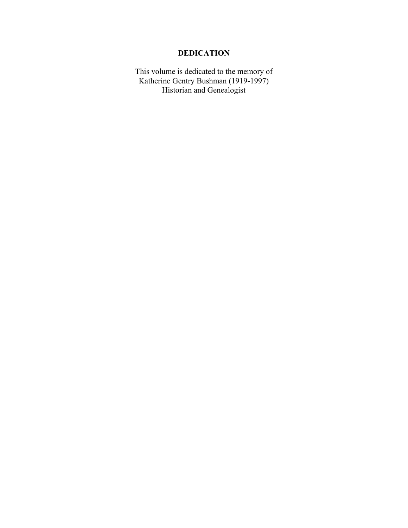# **DEDICATION**

This volume is dedicated to the memory of Katherine Gentry Bushman (1919-1997) Historian and Genealogist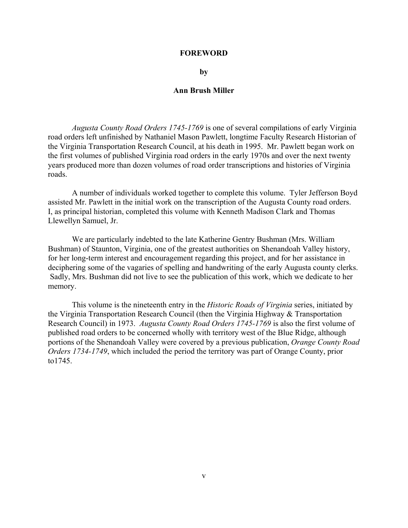#### **FOREWORD**

#### **by**

#### **Ann Brush Miller**

*Augusta County Road Orders 1745-1769* is one of several compilations of early Virginia road orders left unfinished by Nathaniel Mason Pawlett, longtime Faculty Research Historian of the Virginia Transportation Research Council, at his death in 1995. Mr. Pawlett began work on the first volumes of published Virginia road orders in the early 1970s and over the next twenty years produced more than dozen volumes of road order transcriptions and histories of Virginia roads.

A number of individuals worked together to complete this volume. Tyler Jefferson Boyd assisted Mr. Pawlett in the initial work on the transcription of the Augusta County road orders. I, as principal historian, completed this volume with Kenneth Madison Clark and Thomas Llewellyn Samuel, Jr.

We are particularly indebted to the late Katherine Gentry Bushman (Mrs. William Bushman) of Staunton, Virginia, one of the greatest authorities on Shenandoah Valley history, for her long-term interest and encouragement regarding this project, and for her assistance in deciphering some of the vagaries of spelling and handwriting of the early Augusta county clerks. Sadly, Mrs. Bushman did not live to see the publication of this work, which we dedicate to her memory.

This volume is the nineteenth entry in the *Historic Roads of Virginia* series, initiated by the Virginia Transportation Research Council (then the Virginia Highway & Transportation Research Council) in 1973. *Augusta County Road Orders 1745-1769* is also the first volume of published road orders to be concerned wholly with territory west of the Blue Ridge, although portions of the Shenandoah Valley were covered by a previous publication, *Orange County Road Orders 1734-1749*, which included the period the territory was part of Orange County, prior to1745.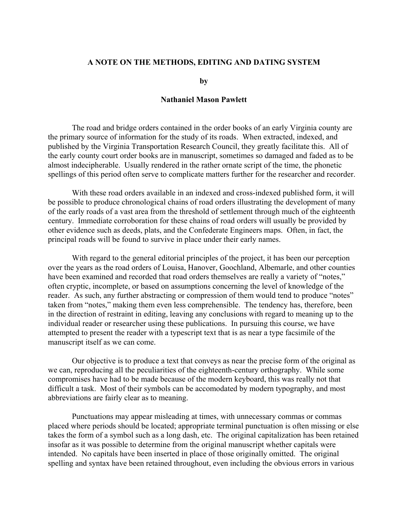### **A NOTE ON THE METHODS, EDITING AND DATING SYSTEM**

**by** 

## **Nathaniel Mason Pawlett**

The road and bridge orders contained in the order books of an early Virginia county are the primary source of information for the study of its roads. When extracted, indexed, and published by the Virginia Transportation Research Council, they greatly facilitate this. All of the early county court order books are in manuscript, sometimes so damaged and faded as to be almost indecipherable. Usually rendered in the rather ornate script of the time, the phonetic spellings of this period often serve to complicate matters further for the researcher and recorder.

With these road orders available in an indexed and cross-indexed published form, it will be possible to produce chronological chains of road orders illustrating the development of many of the early roads of a vast area from the threshold of settlement through much of the eighteenth century. Immediate corroboration for these chains of road orders will usually be provided by other evidence such as deeds, plats, and the Confederate Engineers maps. Often, in fact, the principal roads will be found to survive in place under their early names.

With regard to the general editorial principles of the project, it has been our perception over the years as the road orders of Louisa, Hanover, Goochland, Albemarle, and other counties have been examined and recorded that road orders themselves are really a variety of "notes," often cryptic, incomplete, or based on assumptions concerning the level of knowledge of the reader. As such, any further abstracting or compression of them would tend to produce "notes" taken from "notes," making them even less comprehensible. The tendency has, therefore, been in the direction of restraint in editing, leaving any conclusions with regard to meaning up to the individual reader or researcher using these publications. In pursuing this course, we have attempted to present the reader with a typescript text that is as near a type facsimile of the manuscript itself as we can come.

Our objective is to produce a text that conveys as near the precise form of the original as we can, reproducing all the peculiarities of the eighteenth-century orthography. While some compromises have had to be made because of the modern keyboard, this was really not that difficult a task. Most of their symbols can be accomodated by modern typography, and most abbreviations are fairly clear as to meaning.

Punctuations may appear misleading at times, with unnecessary commas or commas placed where periods should be located; appropriate terminal punctuation is often missing or else takes the form of a symbol such as a long dash, etc. The original capitalization has been retained insofar as it was possible to determine from the original manuscript whether capitals were intended. No capitals have been inserted in place of those originally omitted. The original spelling and syntax have been retained throughout, even including the obvious errors in various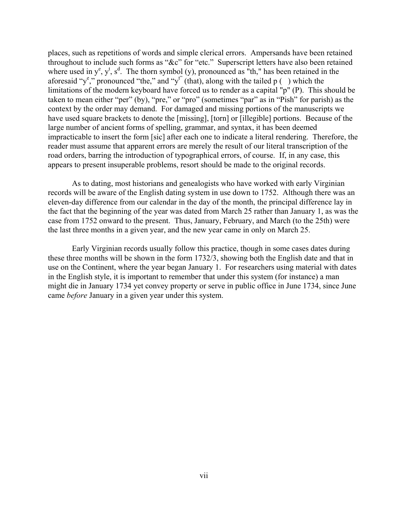places, such as repetitions of words and simple clerical errors. Ampersands have been retained throughout to include such forms as " $&c$ " for "etc." Superscript letters have also been retained where used in  $y^e$ ,  $y^t$ ,  $s^d$ . The thorn symbol (y), pronounced as "th," has been retained in the aforesaid "y<sup>e</sup>," pronounced "the," and "y<sup>t"</sup> (that), along with the tailed p () which the limitations of the modern keyboard have forced us to render as a capital "p" (P). This should be taken to mean either "per" (by), "pre," or "pro" (sometimes "par" as in "Pish" for parish) as the context by the order may demand. For damaged and missing portions of the manuscripts we have used square brackets to denote the [missing], [torn] or [illegible] portions. Because of the large number of ancient forms of spelling, grammar, and syntax, it has been deemed impracticable to insert the form [sic] after each one to indicate a literal rendering. Therefore, the reader must assume that apparent errors are merely the result of our literal transcription of the road orders, barring the introduction of typographical errors, of course. If, in any case, this appears to present insuperable problems, resort should be made to the original records.

As to dating, most historians and genealogists who have worked with early Virginian records will be aware of the English dating system in use down to 1752. Although there was an eleven-day difference from our calendar in the day of the month, the principal difference lay in the fact that the beginning of the year was dated from March 25 rather than January 1, as was the case from 1752 onward to the present. Thus, January, February, and March (to the 25th) were the last three months in a given year, and the new year came in only on March 25.

Early Virginian records usually follow this practice, though in some cases dates during these three months will be shown in the form 1732/3, showing both the English date and that in use on the Continent, where the year began January 1. For researchers using material with dates in the English style, it is important to remember that under this system (for instance) a man might die in January 1734 yet convey property or serve in public office in June 1734, since June came *before* January in a given year under this system.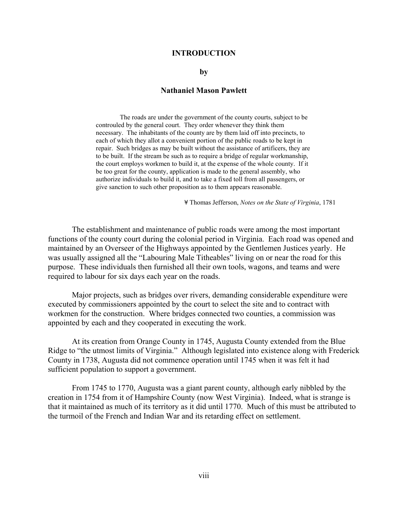#### **INTRODUCTION**

#### **by**

#### **Nathaniel Mason Pawlett**

The roads are under the government of the county courts, subject to be controuled by the general court. They order whenever they think them necessary. The inhabitants of the county are by them laid off into precincts, to each of which they allot a convenient portion of the public roads to be kept in repair. Such bridges as may be built without the assistance of artificers, they are to be built. If the stream be such as to require a bridge of regular workmanship, the court employs workmen to build it, at the expense of the whole county. If it be too great for the county, application is made to the general assembly, who authorize individuals to build it, and to take a fixed toll from all passengers, or give sanction to such other proposition as to them appears reasonable.

- Thomas Jefferson, *Notes on the State of Virginia*, 1781

The establishment and maintenance of public roads were among the most important functions of the county court during the colonial period in Virginia. Each road was opened and maintained by an Overseer of the Highways appointed by the Gentlemen Justices yearly. He was usually assigned all the "Labouring Male Titheables" living on or near the road for this purpose. These individuals then furnished all their own tools, wagons, and teams and were required to labour for six days each year on the roads.

Major projects, such as bridges over rivers, demanding considerable expenditure were executed by commissioners appointed by the court to select the site and to contract with workmen for the construction. Where bridges connected two counties, a commission was appointed by each and they cooperated in executing the work.

At its creation from Orange County in 1745, Augusta County extended from the Blue Ridge to "the utmost limits of Virginia." Although legislated into existence along with Frederick County in 1738, Augusta did not commence operation until 1745 when it was felt it had sufficient population to support a government.

From 1745 to 1770, Augusta was a giant parent county, although early nibbled by the creation in 1754 from it of Hampshire County (now West Virginia). Indeed, what is strange is that it maintained as much of its territory as it did until 1770. Much of this must be attributed to the turmoil of the French and Indian War and its retarding effect on settlement.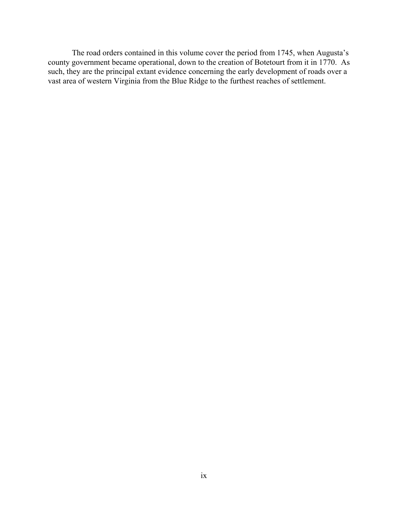The road orders contained in this volume cover the period from 1745, when Augusta's county government became operational, down to the creation of Botetourt from it in 1770. As such, they are the principal extant evidence concerning the early development of roads over a vast area of western Virginia from the Blue Ridge to the furthest reaches of settlement.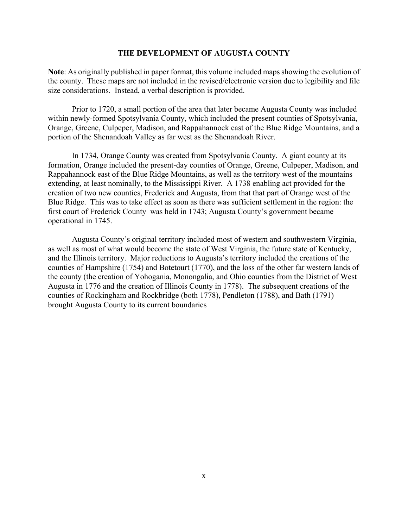#### **THE DEVELOPMENT OF AUGUSTA COUNTY**

**Note**: As originally published in paper format, this volume included maps showing the evolution of the county. These maps are not included in the revised/electronic version due to legibility and file size considerations. Instead, a verbal description is provided.

Prior to 1720, a small portion of the area that later became Augusta County was included within newly-formed Spotsylvania County, which included the present counties of Spotsylvania, Orange, Greene, Culpeper, Madison, and Rappahannock east of the Blue Ridge Mountains, and a portion of the Shenandoah Valley as far west as the Shenandoah River.

In 1734, Orange County was created from Spotsylvania County. A giant county at its formation, Orange included the present-day counties of Orange, Greene, Culpeper, Madison, and Rappahannock east of the Blue Ridge Mountains, as well as the territory west of the mountains extending, at least nominally, to the Mississippi River. A 1738 enabling act provided for the creation of two new counties, Frederick and Augusta, from that that part of Orange west of the Blue Ridge. This was to take effect as soon as there was sufficient settlement in the region: the first court of Frederick County was held in 1743; Augusta County's government became operational in 1745.

Augusta County's original territory included most of western and southwestern Virginia, as well as most of what would become the state of West Virginia, the future state of Kentucky, and the Illinois territory. Major reductions to Augusta's territory included the creations of the counties of Hampshire (1754) and Botetourt (1770), and the loss of the other far western lands of the county (the creation of Yohogania, Monongalia, and Ohio counties from the District of West Augusta in 1776 and the creation of Illinois County in 1778). The subsequent creations of the counties of Rockingham and Rockbridge (both 1778), Pendleton (1788), and Bath (1791) brought Augusta County to its current boundaries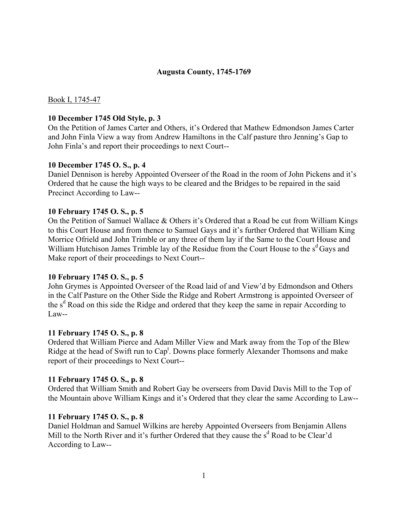### **Augusta County, 1745-1769**

Book I, 1745-47

#### **10 December 1745 Old Style, p. 3**

On the Petition of James Carter and Others, it's Ordered that Mathew Edmondson James Carter and John Finla View a way from Andrew Hamiltons in the Calf pasture thro Jenning's Gap to John Finla's and report their proceedings to next Court--

#### **10 December 1745 O. S., p. 4**

Daniel Dennison is hereby Appointed Overseer of the Road in the room of John Pickens and it's Ordered that he cause the high ways to be cleared and the Bridges to be repaired in the said Precinct According to Law--

#### **10 February 1745 O. S., p. 5**

On the Petition of Samuel Wallace  $&$  Others it's Ordered that a Road be cut from William Kings to this Court House and from thence to Samuel Gays and it's further Ordered that William King Morrice Ofrield and John Trimble or any three of them lay if the Same to the Court House and William Hutchison James Trimble lay of the Residue from the Court House to the  $s<sup>d</sup>$  Gays and Make report of their proceedings to Next Court--

### **10 February 1745 O. S., p. 5**

John Grymes is Appointed Overseer of the Road laid of and View'd by Edmondson and Others in the Calf Pasture on the Other Side the Ridge and Robert Armstrong is appointed Overseer of the s<sup>d</sup> Road on this side the Ridge and ordered that they keep the same in repair According to Law--

### **11 February 1745 O. S., p. 8**

Ordered that William Pierce and Adam Miller View and Mark away from the Top of the Blew Ridge at the head of Swift run to Cap<sup>t</sup>. Downs place formerly Alexander Thomsons and make report of their proceedings to Next Court--

#### **11 February 1745 O. S., p. 8**

Ordered that William Smith and Robert Gay be overseers from David Davis Mill to the Top of the Mountain above William Kings and it's Ordered that they clear the same According to Law--

#### **11 February 1745 O. S., p. 8**

Daniel Holdman and Samuel Wilkins are hereby Appointed Overseers from Benjamin Allens Mill to the North River and it's further Ordered that they cause the s<sup>d</sup> Road to be Clear'd According to Law--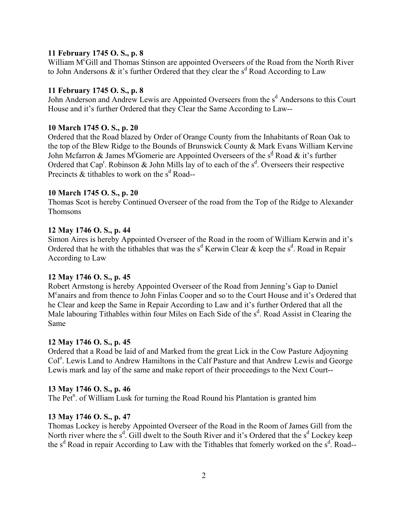### **11 February 1745 O. S., p. 8**

William M<sup>c</sup>Gill and Thomas Stinson are appointed Overseers of the Road from the North River to John Andersons  $\&$  it's further Ordered that they clear the s<sup>d</sup> Road According to Law

## **11 February 1745 O. S., p. 8**

John Anderson and Andrew Lewis are Appointed Overseers from the s<sup>d</sup> Andersons to this Court House and it's further Ordered that they Clear the Same According to Law--

### **10 March 1745 O. S., p. 20**

Ordered that the Road blazed by Order of Orange County from the Inhabitants of Roan Oak to the top of the Blew Ridge to the Bounds of Brunswick County & Mark Evans William Kervine John Mcfarron & James M<sup>t</sup>Gomerie are Appointed Overseers of the s<sup>d</sup> Road & it's further Ordered that Cap<sup>t</sup>. Robinson & John Mills lay of to each of the  $s<sup>d</sup>$ . Overseers their respective Precincts  $&$  tithables to work on the s<sup>d</sup> Road--

### **10 March 1745 O. S., p. 20**

Thomas Scot is hereby Continued Overseer of the road from the Top of the Ridge to Alexander Thomsons

### **12 May 1746 O. S., p. 44**

Simon Aires is hereby Appointed Overseer of the Road in the room of William Kerwin and it's Ordered that he with the tithables that was the  $s<sup>d</sup>$  Kerwin Clear & keep the  $s<sup>d</sup>$ . Road in Repair According to Law

### **12 May 1746 O. S., p. 45**

Robert Armstong is hereby Appointed Overseer of the Road from Jenning's Gap to Daniel M<sup>c</sup>anairs and from thence to John Finlas Cooper and so to the Court House and it's Ordered that he Clear and keep the Same in Repair According to Law and it's further Ordered that all the Male labouring Tithables within four Miles on Each Side of the  $s<sup>d</sup>$ . Road Assist in Clearing the Same

### **12 May 1746 O. S., p. 45**

Ordered that a Road be laid of and Marked from the great Lick in the Cow Pasture Adjoyning Col<sup>o</sup>. Lewis Land to Andrew Hamiltons in the Calf Pasture and that Andrew Lewis and George Lewis mark and lay of the same and make report of their proceedings to the Next Court--

### **13 May 1746 O. S., p. 46**

The Pet<sup>n</sup>. of William Lusk for turning the Road Round his Plantation is granted him

### **13 May 1746 O. S., p. 47**

Thomas Lockey is hereby Appointed Overseer of the Road in the Room of James Gill from the North river where the  $s^d$ . Gill dwelt to the South River and it's Ordered that the  $s^d$  Lockey keep the s<sup>d</sup> Road in repair According to Law with the Tithables that fomerly worked on the s<sup>d</sup>. Road--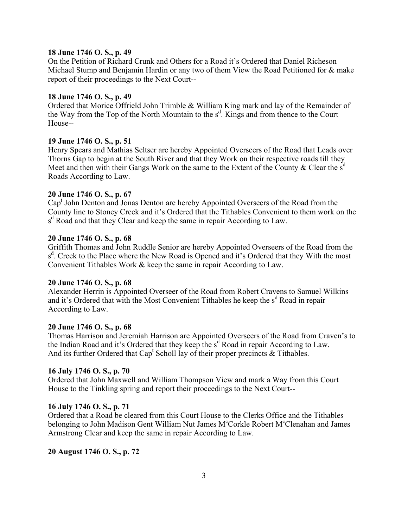### **18 June 1746 O. S., p. 49**

On the Petition of Richard Crunk and Others for a Road it's Ordered that Daniel Richeson Michael Stump and Benjamin Hardin or any two of them View the Road Petitioned for & make report of their proceedings to the Next Court--

#### **18 June 1746 O. S., p. 49**

Ordered that Morice Offrield John Trimble & William King mark and lay of the Remainder of the Way from the Top of the North Mountain to the s<sup>d</sup>. Kings and from thence to the Court House--

#### **19 June 1746 O. S., p. 51**

Henry Spears and Mathias Seltser are hereby Appointed Overseers of the Road that Leads over Thorns Gap to begin at the South River and that they Work on their respective roads till they Meet and then with their Gangs Work on the same to the Extent of the County & Clear the  $s<sup>d</sup>$ Roads According to Law.

### **20 June 1746 O. S., p. 67**

Cap<sup>t</sup> John Denton and Jonas Denton are hereby Appointed Overseers of the Road from the County line to Stoney Creek and it's Ordered that the Tithables Convenient to them work on the s<sup>d</sup> Road and that they Clear and keep the same in repair According to Law.

#### **20 June 1746 O. S., p. 68**

Griffith Thomas and John Ruddle Senior are hereby Appointed Overseers of the Road from the s<sup>d</sup>. Creek to the Place where the New Road is Opened and it's Ordered that they With the most Convenient Tithables Work & keep the same in repair According to Law.

#### **20 June 1746 O. S., p. 68**

Alexander Herrin is Appointed Overseer of the Road from Robert Cravens to Samuel Wilkins and it's Ordered that with the Most Convenient Tithables he keep the  $s<sup>d</sup>$  Road in repair According to Law.

#### **20 June 1746 O. S., p. 68**

Thomas Harrison and Jeremiah Harrison are Appointed Overseers of the Road from Craven's to the Indian Road and it's Ordered that they keep the s<sup>d</sup> Road in repair According to Law. And its further Ordered that Cap<sup>t</sup> Scholl lay of their proper precincts  $\&$  Tithables.

#### **16 July 1746 O. S., p. 70**

Ordered that John Maxwell and William Thompson View and mark a Way from this Court House to the Tinkling spring and report their proccedings to the Next Court--

#### **16 July 1746 O. S., p. 71**

Ordered that a Road be cleared from this Court House to the Clerks Office and the Tithables belonging to John Madison Gent William Nut James M<sup>c</sup>Corkle Robert M<sup>c</sup>Clenahan and James Armstrong Clear and keep the same in repair According to Law.

### **20 August 1746 O. S., p. 72**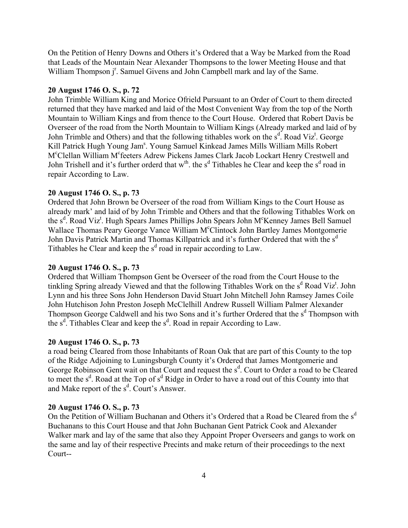On the Petition of Henry Downs and Others it's Ordered that a Way be Marked from the Road that Leads of the Mountain Near Alexander Thompsons to the lower Meeting House and that William Thompson j<sup>r</sup>. Samuel Givens and John Campbell mark and lay of the Same.

#### **20 August 1746 O. S., p. 72**

John Trimble William King and Morice Ofrield Pursuant to an Order of Court to them directed returned that they have marked and laid of the Most Convenient Way from the top of the North Mountain to William Kings and from thence to the Court House. Ordered that Robert Davis be Overseer of the road from the North Mountain to William Kings (Already marked and laid of by John Trimble and Others) and that the following tithables work on the s<sup>d</sup>. Road Viz<sup>t</sup>. George Kill Patrick Hugh Young Jam<sup>s</sup>. Young Samuel Kinkead James Mills William Mills Robert M°Clellan William M°feeters Adrew Pickens James Clark Jacob Lockart Henry Crestwell and John Trishell and it's further orderd that  $w^{th}$ . the s<sup>d</sup> Tithables he Clear and keep the s<sup>d</sup> road in repair According to Law.

#### **20 August 1746 O. S., p. 73**

Ordered that John Brown be Overseer of the road from William Kings to the Court House as already mark' and laid of by John Trimble and Others and that the following Tithables Work on the s<sup>d</sup>. Road Viz<sup>t</sup>. Hugh Spears James Phillips John Spears John M°Kenney James Bell Samuel Wallace Thomas Peary George Vance William M°Clintock John Bartley James Montgomerie John Davis Patrick Martin and Thomas Killpatrick and it's further Ordered that with the s<sup>d</sup> Tithables he Clear and keep the  $s<sup>d</sup>$  road in repair according to Law.

## **20 August 1746 O. S., p. 73**

Ordered that William Thompson Gent be Overseer of the road from the Court House to the tinkling Spring already Viewed and that the following Tithables Work on the  $s^d$  Road Viz<sup>t</sup>. John Lynn and his three Sons John Henderson David Stuart John Mitchell John Ramsey James Coile John Hutchison John Preston Joseph McClelhill Andrew Russell William Palmer Alexander Thompson George Caldwell and his two Sons and it's further Ordered that the s<sup>d</sup> Thompson with the  $s^d$ . Tithables Clear and keep the  $s^d$ . Road in repair According to Law.

#### **20 August 1746 O. S., p. 73**

a road being Cleared from those Inhabitants of Roan Oak that are part of this County to the top of the Ridge Adjoining to Luningsburgh County it's Ordered that James Montgomerie and George Robinson Gent wait on that Court and request the s<sup>d</sup>. Court to Order a road to be Cleared to meet the s<sup>d</sup>. Road at the Top of s<sup>d</sup> Ridge in Order to have a road out of this County into that and Make report of the  $s^d$ . Court's Answer.

### **20 August 1746 O. S., p. 73**

On the Petition of William Buchanan and Others it's Ordered that a Road be Cleared from the  $s<sup>d</sup>$ Buchanans to this Court House and that John Buchanan Gent Patrick Cook and Alexander Walker mark and lay of the same that also they Appoint Proper Overseers and gangs to work on the same and lay of their respective Precints and make return of their proceedings to the next Court--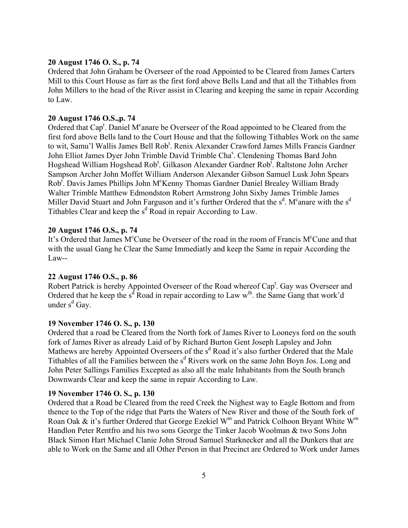## **20 August 1746 O. S., p. 74**

Ordered that John Graham be Overseer of the road Appointed to be Cleared from James Carters Mill to this Court House as farr as the first ford above Bells Land and that all the Tithables from John Millers to the head of the River assist in Clearing and keeping the same in repair According to Law.

#### **20 August 1746 O.S.,p. 74**

Ordered that Cap<sup>t</sup>. Daniel M<sup>c</sup>anare be Overseer of the Road appointed to be Cleared from the first ford above Bells land to the Court House and that the following Tithables Work on the same to wit, Samu'l Wallis James Bell Rob<sup>t</sup>. Renix Alexander Crawford James Mills Francis Gardner John Elliot James Dyer John Trimble David Trimble Cha<sup>s</sup>. Clendening Thomas Bard John Hogshead William Hogshead Rob<sup>t</sup>. Gilkason Alexander Gardner Rob<sup>t</sup>. Raltstone John Archer Sampson Archer John Moffet William Anderson Alexander Gibson Samuel Lusk John Spears Rob<sup>t</sup>. Davis James Phillips John M<sup>c</sup>Kenny Thomas Gardner Daniel Brealey William Brady Walter Trimble Matthew Edmondston Robert Armstrong John Sixby James Trimble James Miller David Stuart and John Farguson and it's further Ordered that the  $s^d$ . M<sup>c</sup>anare with the  $s^d$ Tithables Clear and keep the  $s<sup>d</sup>$  Road in repair According to Law.

### **20 August 1746 O.S., p. 74**

It's Ordered that James M<sup>c</sup>Cune be Overseer of the road in the room of Francis M<sup>c</sup>Cune and that with the usual Gang he Clear the Same Immediatly and keep the Same in repair According the Law--

#### **22 August 1746 O.S., p. 86**

Robert Patrick is hereby Appointed Overseer of the Road whereof Cap<sup>t</sup>. Gay was Overseer and Ordered that he keep the s<sup>d</sup> Road in repair according to Law  $w^{th}$ . the Same Gang that work'd under s<sup>d</sup> Gay.

#### **19 November 1746 O. S., p. 130**

Ordered that a road be Cleared from the North fork of James River to Looneys ford on the south fork of James River as already Laid of by Richard Burton Gent Joseph Lapsley and John Mathews are hereby Appointed Overseers of the s<sup>d</sup> Road it's also further Ordered that the Male Tithables of all the Families between the s<sup>d</sup> Rivers work on the same John Boyn Jos. Long and John Peter Sallings Families Excepted as also all the male Inhabitants from the South branch Downwards Clear and keep the same in repair According to Law.

#### **19 November 1746 O. S., p. 130**

Ordered that a Road be Cleared from the reed Creek the Nighest way to Eagle Bottom and from thence to the Top of the ridge that Parts the Waters of New River and those of the South fork of Roan Oak & it's further Ordered that George Ezekiel W<sup>m</sup> and Patrick Colhoon Bryant White W<sup>m</sup> Handlon Peter Rentfro and his two sons George the Tinker Jacob Woolman & two Sons John Black Simon Hart Michael Clanie John Stroud Samuel Starknecker and all the Dunkers that are able to Work on the Same and all Other Person in that Precinct are Ordered to Work under James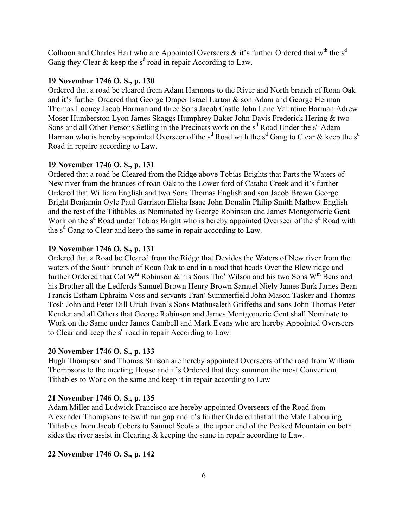Colhoon and Charles Hart who are Appointed Overseers  $\&$  it's further Ordered that w<sup>th</sup> the s<sup>d</sup> Gang they Clear & keep the  $s<sup>d</sup>$  road in repair According to Law.

### **19 November 1746 O. S., p. 130**

Ordered that a road be cleared from Adam Harmons to the River and North branch of Roan Oak and it's further Ordered that George Draper Israel Larton  $\&$  son Adam and George Herman Thomas Looney Jacob Harman and three Sons Jacob Castle John Lane Valintine Harman Adrew Moser Humberston Lyon James Skaggs Humphrey Baker John Davis Frederick Hering & two Sons and all Other Persons Setling in the Precincts work on the s<sup>d</sup> Road Under the s<sup>d</sup> Adam Harman who is hereby appointed Overseer of the s<sup>d</sup> Road with the s<sup>d</sup> Gang to Clear & keep the s<sup>d</sup> Road in repaire according to Law.

#### **19 November 1746 O. S., p. 131**

Ordered that a road be Cleared from the Ridge above Tobias Brights that Parts the Waters of New river from the brances of roan Oak to the Lower ford of Catabo Creek and it's further Ordered that William English and two Sons Thomas English and son Jacob Brown George Bright Benjamin Oyle Paul Garrison Elisha Isaac John Donalin Philip Smith Mathew English and the rest of the Tithables as Nominated by George Robinson and James Montgomerie Gent Work on the s<sup>d</sup> Road under Tobias Bright who is hereby appointed Overseer of the s<sup>d</sup> Road with the  $s<sup>d</sup>$  Gang to Clear and keep the same in repair according to Law.

#### **19 November 1746 O. S., p. 131**

Ordered that a Road be Cleared from the Ridge that Devides the Waters of New river from the waters of the South branch of Roan Oak to end in a road that heads Over the Blew ridge and further Ordered that Col W<sup>m</sup> Robinson & his Sons Tho<sup>s</sup> Wilson and his two Sons W<sup>m</sup> Bens and his Brother all the Ledfords Samuel Brown Henry Brown Samuel Niely James Burk James Bean Francis Estham Ephraim Voss and servants Fran<sup>s</sup> Summerfield John Mason Tasker and Thomas Tosh John and Peter Dill Uriah Evan's Sons Mathusaleth Griffeths and sons John Thomas Peter Kender and all Others that George Robinson and James Montgomerie Gent shall Nominate to Work on the Same under James Cambell and Mark Evans who are hereby Appointed Overseers to Clear and keep the  $s<sup>d</sup>$  road in repair According to Law.

### **20 November 1746 O. S., p. 133**

Hugh Thompson and Thomas Stinson are hereby appointed Overseers of the road from William Thompsons to the meeting House and it's Ordered that they summon the most Convenient Tithables to Work on the same and keep it in repair according to Law

### **21 November 1746 O. S., p. 135**

Adam Miller and Ludwick Francisco are hereby appointed Overseers of the Road from Alexander Thompsons to Swift run gap and it's further Ordered that all the Male Labouring Tithables from Jacob Cobers to Samuel Scots at the upper end of the Peaked Mountain on both sides the river assist in Clearing & keeping the same in repair according to Law.

#### **22 November 1746 O. S., p. 142**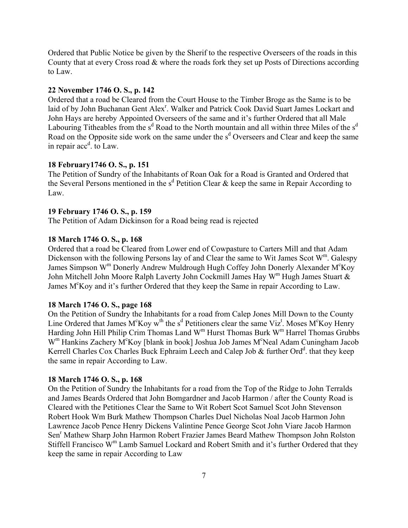Ordered that Public Notice be given by the Sherif to the respective Overseers of the roads in this County that at every Cross road & where the roads fork they set up Posts of Directions according to Law.

#### **22 November 1746 O. S., p. 142**

Ordered that a road be Cleared from the Court House to the Timber Broge as the Same is to be laid of by John Buchanan Gent Alex<sup>r</sup>. Walker and Patrick Cook David Suart James Lockart and John Hays are hereby Appointed Overseers of the same and it's further Ordered that all Male Labouring Titheables from the  $s<sup>d</sup>$  Road to the North mountain and all within three Miles of the  $s<sup>d</sup>$ Road on the Opposite side work on the same under the s<sup>d</sup> Overseers and Clear and keep the same in repair  $acc<sup>d</sup>$ . to Law.

#### **18 February1746 O. S., p. 151**

The Petition of Sundry of the Inhabitants of Roan Oak for a Road is Granted and Ordered that the Several Persons mentioned in the  $s<sup>d</sup>$  Petition Clear & keep the same in Repair According to Law.

#### **19 February 1746 O. S., p. 159**

The Petition of Adam Dickinson for a Road being read is rejected

### **18 March 1746 O. S., p. 168**

Ordered that a road be Cleared from Lower end of Cowpasture to Carters Mill and that Adam Dickenson with the following Persons lay of and Clear the same to Wit James Scot  $W^m$ . Galespy James Simpson W<sup>m</sup> Donerly Andrew Muldrough Hugh Coffey John Donerly Alexander M<sup>c</sup>Koy John Mitchell John Moore Ralph Laverty John Cockmill James Hay  $W^m$  Hugh James Stuart  $\&$ James M<sup>c</sup>Koy and it's further Ordered that they keep the Same in repair According to Law.

#### **18 March 1746 O. S., page 168**

On the Petition of Sundry the Inhabitants for a road from Calep Jones Mill Down to the County Line Ordered that James  $M^c$ Koy w<sup>th</sup> the s<sup>d</sup> Petitioners clear the same Viz<sup>t</sup>. Moses  $M^c$ Koy Henry Harding John Hill Philip Crim Thomas Land W<sup>m</sup> Hurst Thomas Burk W<sup>m</sup> Harrel Thomas Grubbs W<sup>m</sup> Hankins Zachery M<sup>c</sup>Koy [blank in book] Joshua Job James M<sup>c</sup>Neal Adam Cuningham Jacob Kerrell Charles Cox Charles Buck Ephraim Leech and Calep Job & further Ord<sup>d</sup>. that they keep the same in repair According to Law.

#### **18 March 1746 O. S., p. 168**

On the Petition of Sundry the Inhabitants for a road from the Top of the Ridge to John Terralds and James Beards Ordered that John Bomgardner and Jacob Harmon / after the County Road is Cleared with the Petitiones Clear the Same to Wit Robert Scot Samuel Scot John Stevenson Robert Hook Wm Burk Mathew Thompson Charles Duel Nicholas Noal Jacob Harmon John Lawrence Jacob Pence Henry Dickens Valintine Pence George Scot John Viare Jacob Harmon Sen<sup>r</sup> Mathew Sharp John Harmon Robert Frazier James Beard Mathew Thompson John Rolston Stiffell Francisco  $W<sup>m</sup>$  Lamb Samuel Lockard and Robert Smith and it's further Ordered that they keep the same in repair According to Law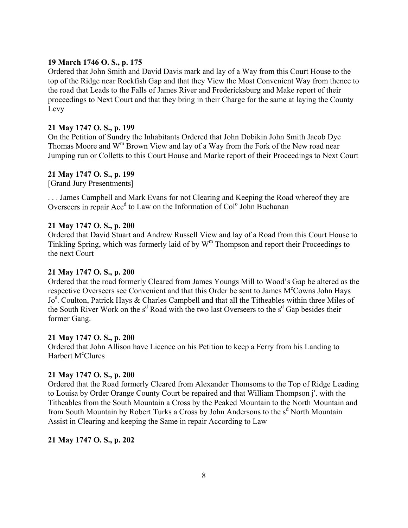## **19 March 1746 O. S., p. 175**

Ordered that John Smith and David Davis mark and lay of a Way from this Court House to the top of the Ridge near Rockfish Gap and that they View the Most Convenient Way from thence to the road that Leads to the Falls of James River and Fredericksburg and Make report of their proceedings to Next Court and that they bring in their Charge for the same at laying the County Levy

## **21 May 1747 O. S., p. 199**

On the Petition of Sundry the Inhabitants Ordered that John Dobikin John Smith Jacob Dye Thomas Moore and  $W^m$  Brown View and lay of a Way from the Fork of the New road near Jumping run or Colletts to this Court House and Marke report of their Proceedings to Next Court

### **21 May 1747 O. S., p. 199**

[Grand Jury Presentments]

. . . James Campbell and Mark Evans for not Clearing and Keeping the Road whereof they are Overseers in repair Acc<sup>d</sup> to Law on the Information of Col<sup>o</sup> John Buchanan

### **21 May 1747 O. S., p. 200**

Ordered that David Stuart and Andrew Russell View and lay of a Road from this Court House to Tinkling Spring, which was formerly laid of by  $W<sup>m</sup>$  Thompson and report their Proceedings to the next Court

## **21 May 1747 O. S., p. 200**

Ordered that the road formerly Cleared from James Youngs Mill to Woodís Gap be altered as the respective Overseers see Convenient and that this Order be sent to James M°Cowns John Hays Jo<sup>s</sup>. Coulton, Patrick Hays & Charles Campbell and that all the Titheables within three Miles of the South River Work on the  $s^d$  Road with the two last Overseers to the  $s^d$  Gap besides their former Gang.

### **21 May 1747 O. S., p. 200**

Ordered that John Allison have Licence on his Petition to keep a Ferry from his Landing to Harbert M<sup>c</sup>Clures

### **21 May 1747 O. S., p. 200**

Ordered that the Road formerly Cleared from Alexander Thomsoms to the Top of Ridge Leading to Louisa by Order Orange County Court be repaired and that William Thompson  $j<sup>r</sup>$ . with the Titheables from the South Mountain a Cross by the Peaked Mountain to the North Mountain and from South Mountain by Robert Turks a Cross by John Andersons to the s<sup>d</sup> North Mountain Assist in Clearing and keeping the Same in repair According to Law

### **21 May 1747 O. S., p. 202**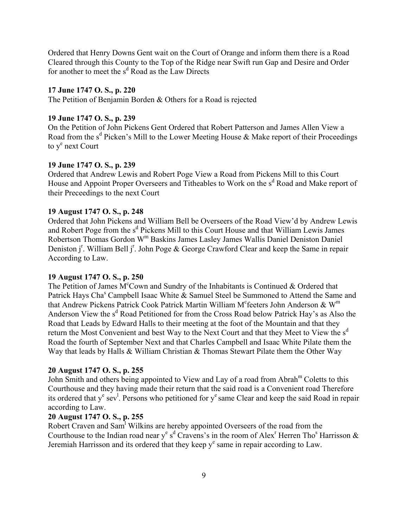Ordered that Henry Downs Gent wait on the Court of Orange and inform them there is a Road Cleared through this County to the Top of the Ridge near Swift run Gap and Desire and Order for another to meet the  $s<sup>d</sup>$  Road as the Law Directs

### **17 June 1747 O. S., p. 220**

The Petition of Benjamin Borden & Others for a Road is rejected

#### **19 June 1747 O. S., p. 239**

On the Petition of John Pickens Gent Ordered that Robert Patterson and James Allen View a Road from the  $s^d$  Picken's Mill to the Lower Meeting House & Make report of their Proceedings to y<sup>e</sup> next Court

### **19 June 1747 O. S., p. 239**

Ordered that Andrew Lewis and Robert Poge View a Road from Pickens Mill to this Court House and Appoint Proper Overseers and Titheables to Work on the s<sup>d</sup> Road and Make report of their Preceedings to the next Court

#### **19 August 1747 O. S., p. 248**

Ordered that John Pickens and William Bell be Overseers of the Road View'd by Andrew Lewis and Robert Poge from the s<sup>d</sup> Pickens Mill to this Court House and that William Lewis James Robertson Thomas Gordon Wm Baskins James Lasley James Wallis Daniel Deniston Daniel Deniston j<sup>r</sup>. William Bell j<sup>r</sup>. John Poge & George Crawford Clear and keep the Same in repair According to Law.

#### **19 August 1747 O. S., p. 250**

The Petition of James  $M^c$ Cown and Sundry of the Inhabitants is Continued & Ordered that Patrick Hays Cha<sup>s</sup> Campbell Isaac White & Samuel Steel be Summoned to Attend the Same and that Andrew Pickens Patrick Cook Patrick Martin William M<sup>c</sup>feeters John Anderson & W<sup>m</sup> Anderson View the s<sup>d</sup> Road Petitioned for from the Cross Road below Patrick Hay's as Also the Road that Leads by Edward Halls to their meeting at the foot of the Mountain and that they return the Most Convenient and best Way to the Next Court and that they Meet to View the s<sup>d</sup> Road the fourth of September Next and that Charles Campbell and Isaac White Pilate them the Way that leads by Halls & William Christian & Thomas Stewart Pilate them the Other Way

### **20 August 1747 O. S., p. 255**

John Smith and others being appointed to View and Lay of a road from Abrah<sup>m</sup> Coletts to this Courthouse and they having made their return that the said road is a Convenient road Therefore its ordered that  $y^e$  sev<sup>1</sup>. Persons who petitioned for  $y^e$  same Clear and keep the said Road in repair according to Law.

# **20 August 1747 O. S., p. 255**

Robert Craven and Sam<sup>1</sup> Wilkins are hereby appointed Overseers of the road from the Courthouse to the Indian road near y<sup>e</sup> s<sup>d</sup> Cravens's in the room of Alex<sup>r</sup> Herren Tho<sup>s</sup> Harrisson & Jeremiah Harrisson and its ordered that they keep  $y<sup>e</sup>$  same in repair according to Law.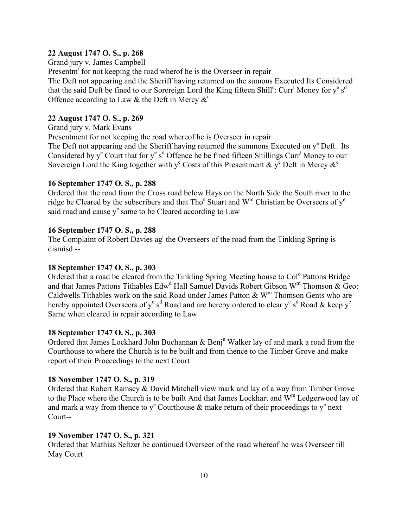### **22 August 1747 O. S., p. 268**

Grand jury v. James Campbell

Presentm<sup>t</sup> for not keeping the road wherof he is the Overseer in repair The Deft not appearing and the Sheriff having returned on the sumons Executed Its Considered that the said Deft be fined to our Sorereign Lord the King fifteen Shill<sup>s</sup>: Curr<sup>t</sup> Money for y<sup>e</sup> s<sup>d</sup> Offence according to Law & the Deft in Mercy  $\&^c$ 

## **22 August 1747 O. S., p. 269**

Grand jury v. Mark Evans

Presentment for not keeping the road whereof he is Overseer in repair The Deft not appearing and the Sheriff having returned the summons Executed on y<sup>e</sup> Deft. Its Considered by  $y^e$  Court that for  $y^e s^d$  Offence he be fined fifteen Shillings Curr<sup>t</sup> Money to our Sovereign Lord the King together with y<sup>e</sup> Costs of this Presentment & y<sup>e</sup> Deft in Mercy  $\&^c$ 

## **16 September 1747 O. S., p. 288**

Ordered that the road from the Cross road below Hays on the North Side the South river to the ridge be Cleared by the subscribers and that Tho<sup>s</sup> Stuart and W<sup>m</sup> Christian be Overseers of y<sup>e</sup> said road and cause y<sup>e</sup> same to be Cleared according to Law

## **16 September 1747 O. S., p. 288**

The Complaint of Robert Davies ag<sup>t</sup> the Overseers of the road from the Tinkling Spring is dismisd --

## **18 September 1747 O. S., p. 303**

Ordered that a road be cleared from the Tinkling Spring Meeting house to Col<sup>o</sup> Pattons Bridge and that James Pattons Tithables Edw<sup>d</sup> Hall Samuel Davids Robert Gibson W<sup>m</sup> Thomson & Geo: Caldwells Tithables work on the said Road under James Patton  $\&$  W<sup>m</sup> Thomson Gents who are hereby appointed Overseers of y<sup>e</sup> s<sup>d</sup> Road and are hereby ordered to clear y<sup>e</sup> s<sup>d</sup> Road & keep y<sup>e</sup> Same when cleared in repair according to Law.

## **18 September 1747 O. S., p. 303**

Ordered that James Lockhard John Buchannan & Benj<sup>n</sup> Walker lay of and mark a road from the Courthouse to where the Church is to be built and from thence to the Timber Grove and make report of their Proceedings to the next Court

## **18 November 1747 O. S., p. 319**

Ordered that Robert Ramsey & David Mitchell view mark and lay of a way from Timber Grove to the Place where the Church is to be built And that James Lockhart and  $W<sup>m</sup>$  Ledgerwood lay of and mark a way from thence to  $y^e$  Courthouse & make return of their proceedings to  $y^e$  next Court--

## **19 November 1747 O. S., p. 321**

Ordered that Mathias Seltzer be continued Overseer of the road whereof he was Overseer till May Court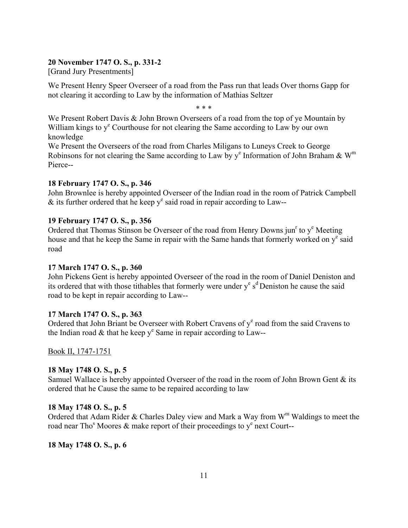## **20 November 1747 O. S., p. 331-2**

[Grand Jury Presentments]

We Present Henry Speer Overseer of a road from the Pass run that leads Over thorns Gapp for not clearing it according to Law by the information of Mathias Seltzer

\* \* \*

We Present Robert Davis & John Brown Overseers of a road from the top of ye Mountain by William kings to y<sup>e</sup> Courthouse for not clearing the Same according to Law by our own knowledge

We Present the Overseers of the road from Charles Miligans to Luneys Creek to George Robinsons for not clearing the Same according to Law by  $y^e$  Information of John Braham &  $W^m$ Pierce--

## **18 February 1747 O. S., p. 346**

John Brownlee is hereby appointed Overseer of the Indian road in the room of Patrick Campbell  $\&$  its further ordered that he keep y<sup>e</sup> said road in repair according to Law--

### **19 February 1747 O. S., p. 356**

Ordered that Thomas Stinson be Overseer of the road from Henry Downs jun<sup>r</sup> to  $y^e$  Meeting house and that he keep the Same in repair with the Same hands that formerly worked on y<sup>e</sup> said road

### **17 March 1747 O. S., p. 360**

John Pickens Gent is hereby appointed Overseer of the road in the room of Daniel Deniston and its ordered that with those tithables that formerly were under  $y^e s^d$  Deniston he cause the said road to be kept in repair according to Law--

### **17 March 1747 O. S., p. 363**

Ordered that John Briant be Overseer with Robert Cravens of  $y<sup>e</sup>$  road from the said Cravens to the Indian road  $\&$  that he keep y<sup>e</sup> Same in repair according to Law--

Book II, 1747-1751

## **18 May 1748 O. S., p. 5**

Samuel Wallace is hereby appointed Overseer of the road in the room of John Brown Gent  $\&$  its ordered that he Cause the same to be repaired according to law

### **18 May 1748 O. S., p. 5**

Ordered that Adam Rider & Charles Daley view and Mark a Way from  $W<sup>m</sup>$  Waldings to meet the road near Tho<sup>s</sup> Moores & make report of their proceedings to  $y^e$  next Court--

**18 May 1748 O. S., p. 6**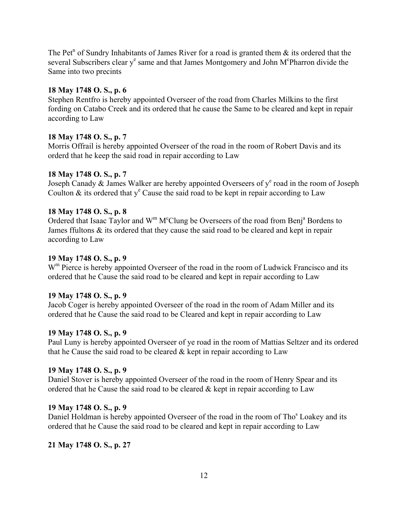The Pet<sup>n</sup> of Sundry Inhabitants of James River for a road is granted them  $\&$  its ordered that the several Subscribers clear y<sup>e</sup> same and that James Montgomery and John M<sup>c</sup>Pharron divide the Same into two precints

## **18 May 1748 O. S., p. 6**

Stephen Rentfro is hereby appointed Overseer of the road from Charles Milkins to the first fording on Catabo Creek and its ordered that he cause the Same to be cleared and kept in repair according to Law

# **18 May 1748 O. S., p. 7**

Morris Offrail is hereby appointed Overseer of the road in the room of Robert Davis and its orderd that he keep the said road in repair according to Law

# **18 May 1748 O. S., p. 7**

Joseph Canady & James Walker are hereby appointed Overseers of  $y^e$  road in the room of Joseph Coulton  $\&$  its ordered that  $y^e$  Cause the said road to be kept in repair according to Law

# **18 May 1748 O. S., p. 8**

Ordered that Isaac Taylor and  $W^m M^c$ Clung be Overseers of the road from Benj<sup>a</sup> Bordens to James ffultons & its ordered that they cause the said road to be cleared and kept in repair according to Law

# **19 May 1748 O. S., p. 9**

W<sup>m</sup> Pierce is hereby appointed Overseer of the road in the room of Ludwick Francisco and its ordered that he Cause the said road to be cleared and kept in repair according to Law

## **19 May 1748 O. S., p. 9**

Jacob Coger is hereby appointed Overseer of the road in the room of Adam Miller and its ordered that he Cause the said road to be Cleared and kept in repair according to Law

# **19 May 1748 O. S., p. 9**

Paul Luny is hereby appointed Overseer of ye road in the room of Mattias Seltzer and its ordered that he Cause the said road to be cleared  $&$  kept in repair according to Law

## **19 May 1748 O. S., p. 9**

Daniel Stover is hereby appointed Overseer of the road in the room of Henry Spear and its ordered that he Cause the said road to be cleared  $\&$  kept in repair according to Law

# **19 May 1748 O. S., p. 9**

Daniel Holdman is hereby appointed Overseer of the road in the room of Tho<sup>s</sup> Loakey and its ordered that he Cause the said road to be cleared and kept in repair according to Law

# **21 May 1748 O. S., p. 27**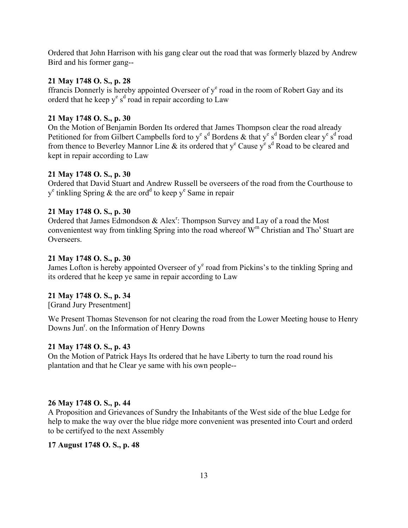Ordered that John Harrison with his gang clear out the road that was formerly blazed by Andrew Bird and his former gang--

## **21 May 1748 O. S., p. 28**

ffrancis Donnerly is hereby appointed Overseer of  $y^e$  road in the room of Robert Gay and its orderd that he keep  $y^e$  s<sup>d</sup> road in repair according to Law

# **21 May 1748 O. S., p. 30**

On the Motion of Benjamin Borden Its ordered that James Thompson clear the road already Petitioned for from Gilbert Campbells ford to  $y^e s^d$  Bordens & that  $y^e s^d$  Borden clear  $y^e s^d$  road from thence to Beverley Mannor Line & its ordered that  $y^e$  Cause  $y^e$  s<sup>d</sup> Road to be cleared and kept in repair according to Law

## **21 May 1748 O. S., p. 30**

Ordered that David Stuart and Andrew Russell be overseers of the road from the Courthouse to  $y^e$  tinkling Spring & the are ord<sup>d</sup> to keep  $y^e$  Same in repair

# **21 May 1748 O. S., p. 30**

Ordered that James Edmondson & Alex<sup>r</sup>: Thompson Survey and Lay of a road the Most convenientest way from tinkling Spring into the road whereof  $W^m$  Christian and Tho<sup>s</sup> Stuart are Overseers.

# **21 May 1748 O. S., p. 30**

James Lofton is hereby appointed Overseer of y<sup>e</sup> road from Pickins's to the tinkling Spring and its ordered that he keep ye same in repair according to Law

# **21 May 1748 O. S., p. 34**

[Grand Jury Presentment]

We Present Thomas Stevenson for not clearing the road from the Lower Meeting house to Henry Downs Jun<sup>r</sup>. on the Information of Henry Downs

## **21 May 1748 O. S., p. 43**

On the Motion of Patrick Hays Its ordered that he have Liberty to turn the road round his plantation and that he Clear ye same with his own people--

## **26 May 1748 O. S., p. 44**

A Proposition and Grievances of Sundry the Inhabitants of the West side of the blue Ledge for help to make the way over the blue ridge more convenient was presented into Court and orderd to be certifyed to the next Assembly

# **17 August 1748 O. S., p. 48**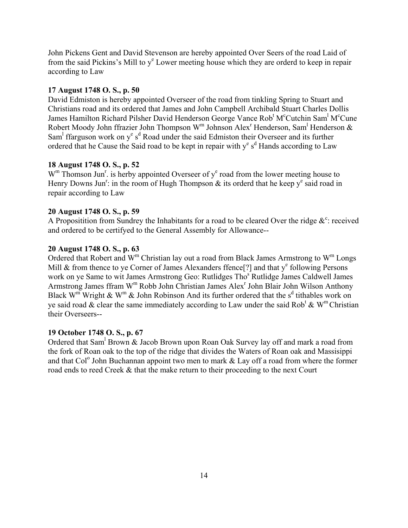John Pickens Gent and David Stevenson are hereby appointed Over Seers of the road Laid of from the said Pickins's Mill to y<sup>e</sup> Lower meeting house which they are orderd to keep in repair according to Law

#### **17 August 1748 O. S., p. 50**

David Edmiston is hereby appointed Overseer of the road from tinkling Spring to Stuart and Christians road and its ordered that James and John Campbell Archibald Stuart Charles Dollis James Hamilton Richard Pilsher David Henderson George Vance Rob<sup>t</sup> M<sup>c</sup>Cutchin Sam<sup>1</sup> M<sup>c</sup>Cune Robert Moody John ffrazier John Thompson W<sup>m</sup> Johnson Alex<sup>r</sup> Henderson, Sam<sup>1</sup> Henderson & Sam<sup>1</sup> ffarguson work on y<sup>e</sup> s<sup>d</sup> Road under the said Edmiston their Overseer and its further ordered that he Cause the Said road to be kept in repair with  $y^e s^d$  Hands according to Law

## **18 August 1748 O. S., p. 52**

 $W<sup>m</sup>$  Thomson Jun<sup>r</sup>. is herby appointed Overseer of  $y<sup>e</sup>$  road from the lower meeting house to Henry Downs Jun<sup>r</sup>: in the room of Hugh Thompson  $\&$  its orderd that he keep y<sup>e</sup> said road in repair according to Law

#### **20 August 1748 O. S., p. 59**

A Propositition from Sundrey the Inhabitants for a road to be cleared Over the ridge  $\&^c$ : received and ordered to be certifyed to the General Assembly for Allowance--

### **20 August 1748 O. S., p. 63**

Ordered that Robert and  $W^m$  Christian lay out a road from Black James Armstrong to  $W^m$  Longs Mill & from thence to ye Corner of James Alexanders ffence<sup>[?]</sup> and that  $y^e$  following Persons work on ye Same to wit James Armstrong Geo: Rutlidges Tho<sup>s</sup> Rutlidge James Caldwell James Armstrong James ffram W<sup>m</sup> Robb John Christian James Alex<sup>r</sup> John Blair John Wilson Anthony Black W<sup>m</sup> Wright & W<sup>m</sup> & John Robinson And its further ordered that the s<sup>d</sup> tithables work on ye said road  $\&$  clear the same immediately according to Law under the said Rob<sup>t</sup>  $\&$  W<sup>m</sup> Christian their Overseers--

#### **19 October 1748 O. S., p. 67**

Ordered that Sam<sup>1</sup> Brown & Jacob Brown upon Roan Oak Survey lay off and mark a road from the fork of Roan oak to the top of the ridge that divides the Waters of Roan oak and Massisippi and that Col<sup>o</sup> John Buchannan appoint two men to mark  $&$  Lay off a road from where the former road ends to reed Creek & that the make return to their proceeding to the next Court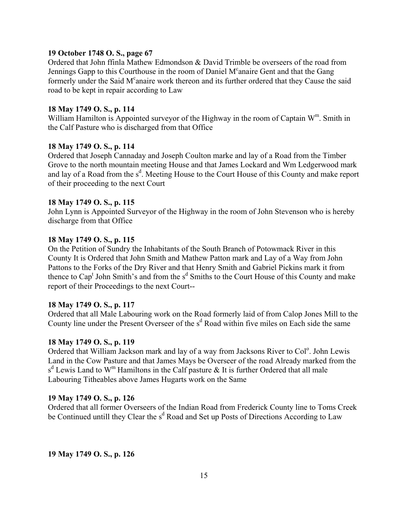### **19 October 1748 O. S., page 67**

Ordered that John ffinla Mathew Edmondson & David Trimble be overseers of the road from Jennings Gapp to this Courthouse in the room of Daniel M<sup>c</sup>anaire Gent and that the Gang formerly under the Said M<sup>c</sup>anaire work thereon and its further ordered that they Cause the said road to be kept in repair according to Law

### **18 May 1749 O. S., p. 114**

William Hamilton is Appointed surveyor of the Highway in the room of Captain  $W^m$ . Smith in the Calf Pasture who is discharged from that Office

### **18 May 1749 O. S., p. 114**

Ordered that Joseph Cannaday and Joseph Coulton marke and lay of a Road from the Timber Grove to the north mountain meeting House and that James Lockard and Wm Ledgerwood mark and lay of a Road from the s<sup>d</sup>. Meeting House to the Court House of this County and make report of their proceeding to the next Court

#### **18 May 1749 O. S., p. 115**

John Lynn is Appointed Surveyor of the Highway in the room of John Stevenson who is hereby discharge from that Office

### **18 May 1749 O. S., p. 115**

On the Petition of Sundry the Inhabitants of the South Branch of Potowmack River in this County It is Ordered that John Smith and Mathew Patton mark and Lay of a Way from John Pattons to the Forks of the Dry River and that Henry Smith and Gabriel Pickins mark it from thence to Cap<sup>t</sup> John Smith's and from the s<sup>d</sup> Smiths to the Court House of this County and make report of their Proceedings to the next Court--

#### **18 May 1749 O. S., p. 117**

Ordered that all Male Labouring work on the Road formerly laid of from Calop Jones Mill to the County line under the Present Overseer of the s<sup>d</sup> Road within five miles on Each side the same

#### **18 May 1749 O. S., p. 119**

Ordered that William Jackson mark and lay of a way from Jacksons River to Col<sup>o</sup>. John Lewis Land in the Cow Pasture and that James Mays be Overseer of the road Already marked from the  $s<sup>d</sup>$  Lewis Land to W<sup>m</sup> Hamiltons in the Calf pasture & It is further Ordered that all male Labouring Titheables above James Hugarts work on the Same

#### **19 May 1749 O. S., p. 126**

Ordered that all former Overseers of the Indian Road from Frederick County line to Toms Creek be Continued untill they Clear the s<sup>d</sup> Road and Set up Posts of Directions According to Law

**19 May 1749 O. S., p. 126**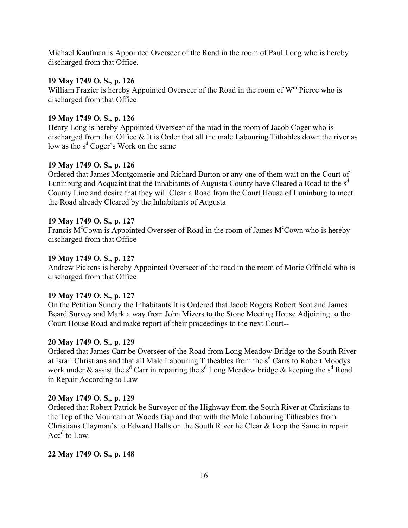Michael Kaufman is Appointed Overseer of the Road in the room of Paul Long who is hereby discharged from that Office.

### **19 May 1749 O. S., p. 126**

William Frazier is hereby Appointed Overseer of the Road in the room of  $W<sup>m</sup>$  Pierce who is discharged from that Office

#### **19 May 1749 O. S., p. 126**

Henry Long is hereby Appointed Overseer of the road in the room of Jacob Coger who is discharged from that Office & It is Order that all the male Labouring Tithables down the river as low as the s<sup>d</sup> Coger's Work on the same

### **19 May 1749 O. S., p. 126**

Ordered that James Montgomerie and Richard Burton or any one of them wait on the Court of Luninburg and Acquaint that the Inhabitants of Augusta County have Cleared a Road to the  $s<sup>d</sup>$ County Line and desire that they will Clear a Road from the Court House of Luninburg to meet the Road already Cleared by the Inhabitants of Augusta

### **19 May 1749 O. S., p. 127**

Francis M<sup>c</sup>Cown is Appointed Overseer of Road in the room of James M<sup>c</sup>Cown who is hereby discharged from that Office

### **19 May 1749 O. S., p. 127**

Andrew Pickens is hereby Appointed Overseer of the road in the room of Moric Offrield who is discharged from that Office

#### **19 May 1749 O. S., p. 127**

On the Petition Sundry the Inhabitants It is Ordered that Jacob Rogers Robert Scot and James Beard Survey and Mark a way from John Mizers to the Stone Meeting House Adjoining to the Court House Road and make report of their proceedings to the next Court--

## **20 May 1749 O. S., p. 129**

Ordered that James Carr be Overseer of the Road from Long Meadow Bridge to the South River at Israil Christians and that all Male Labouring Titheables from the s<sup>d</sup> Carrs to Robert Moodys work under & assist the s<sup>d</sup> Carr in repairing the s<sup>d</sup> Long Meadow bridge & keeping the s<sup>d</sup> Road in Repair According to Law

#### **20 May 1749 O. S., p. 129**

Ordered that Robert Patrick be Surveyor of the Highway from the South River at Christians to the Top of the Mountain at Woods Gap and that with the Male Labouring Titheables from Christians Clayman's to Edward Halls on the South River he Clear  $\&$  keep the Same in repair  $Acc<sup>d</sup>$  to Law.

## **22 May 1749 O. S., p. 148**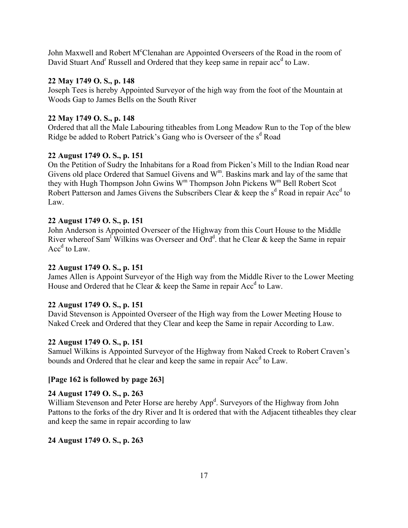John Maxwell and Robert M°Clenahan are Appointed Overseers of the Road in the room of David Stuart And<sup>r</sup> Russell and Ordered that they keep same in repair acc<sup>d</sup> to Law.

# **22 May 1749 O. S., p. 148**

Joseph Tees is hereby Appointed Surveyor of the high way from the foot of the Mountain at Woods Gap to James Bells on the South River

# **22 May 1749 O. S., p. 148**

Ordered that all the Male Labouring titheables from Long Meadow Run to the Top of the blew Ridge be added to Robert Patrick's Gang who is Overseer of the s<sup>d</sup> Road

# **22 August 1749 O. S., p. 151**

On the Petition of Sudry the Inhabitans for a Road from Picken's Mill to the Indian Road near Givens old place Ordered that Samuel Givens and  $W^m$ . Baskins mark and lay of the same that they with Hugh Thompson John Gwins W<sup>m</sup> Thompson John Pickens W<sup>m</sup> Bell Robert Scot Robert Patterson and James Givens the Subscribers Clear & keep the  $s^d$  Road in repair Acc<sup>d</sup> to Law.

# **22 August 1749 O. S., p. 151**

John Anderson is Appointed Overseer of the Highway from this Court House to the Middle River whereof Sam<sup>1</sup> Wilkins was Overseer and Ord<sup>d</sup>. that he Clear & keep the Same in repair  $Acc<sup>d</sup>$  to Law.

# **22 August 1749 O. S., p. 151**

James Allen is Appoint Surveyor of the High way from the Middle River to the Lower Meeting House and Ordered that he Clear  $\&$  keep the Same in repair Acc<sup>d</sup> to Law.

# **22 August 1749 O. S., p. 151**

David Stevenson is Appointed Overseer of the High way from the Lower Meeting House to Naked Creek and Ordered that they Clear and keep the Same in repair According to Law.

## **22 August 1749 O. S., p. 151**

Samuel Wilkins is Appointed Surveyor of the Highway from Naked Creek to Robert Craven's bounds and Ordered that he clear and keep the same in repair Acc<sup>d</sup> to Law.

## **[Page 162 is followed by page 263]**

## **24 August 1749 O. S., p. 263**

William Stevenson and Peter Horse are hereby App<sup>d</sup>. Surveyors of the Highway from John Pattons to the forks of the dry River and It is ordered that with the Adjacent titheables they clear and keep the same in repair according to law

## **24 August 1749 O. S., p. 263**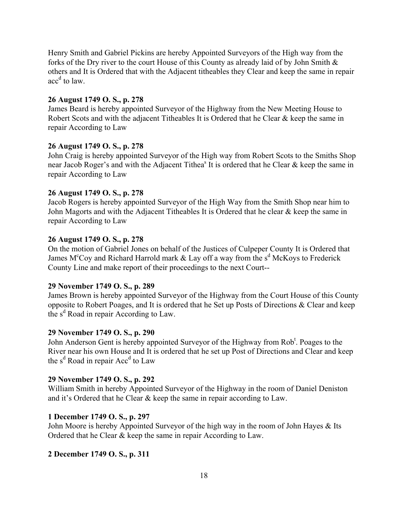Henry Smith and Gabriel Pickins are hereby Appointed Surveyors of the High way from the forks of the Dry river to the court House of this County as already laid of by John Smith & others and It is Ordered that with the Adjacent titheables they Clear and keep the same in repair acc<sup>d</sup> to law.

### **26 August 1749 O. S., p. 278**

James Beard is hereby appointed Surveyor of the Highway from the New Meeting House to Robert Scots and with the adjacent Titheables It is Ordered that he Clear & keep the same in repair According to Law

## **26 August 1749 O. S., p. 278**

John Craig is hereby appointed Surveyor of the High way from Robert Scots to the Smiths Shop near Jacob Roger's and with the Adjacent Tithea<sup>s</sup> It is ordered that he Clear & keep the same in repair According to Law

#### **26 August 1749 O. S., p. 278**

Jacob Rogers is hereby appointed Surveyor of the High Way from the Smith Shop near him to John Magorts and with the Adjacent Titheables It is Ordered that he clear & keep the same in repair According to Law

### **26 August 1749 O. S., p. 278**

On the motion of Gabriel Jones on behalf of the Justices of Culpeper County It is Ordered that James M<sup>c</sup>Coy and Richard Harrold mark  $&$  Lay off a way from the s<sup>d</sup> McKoys to Frederick County Line and make report of their proceedings to the next Court--

### **29 November 1749 O. S., p. 289**

James Brown is hereby appointed Surveyor of the Highway from the Court House of this County opposite to Robert Poages, and It is ordered that he Set up Posts of Directions & Clear and keep the  $s<sup>d</sup>$  Road in repair According to Law.

#### **29 November 1749 O. S., p. 290**

John Anderson Gent is hereby appointed Surveyor of the Highway from Rob<sup>t</sup>. Poages to the River near his own House and It is ordered that he set up Post of Directions and Clear and keep the  $s^d$  Road in repair  $Acc^d$  to Law

#### **29 November 1749 O. S., p. 292**

William Smith in hereby Appointed Surveyor of the Highway in the room of Daniel Deniston and it's Ordered that he Clear  $&$  keep the same in repair according to Law.

#### **1 December 1749 O. S., p. 297**

John Moore is hereby Appointed Surveyor of the high way in the room of John Hayes & Its Ordered that he Clear & keep the same in repair According to Law.

#### **2 December 1749 O. S., p. 311**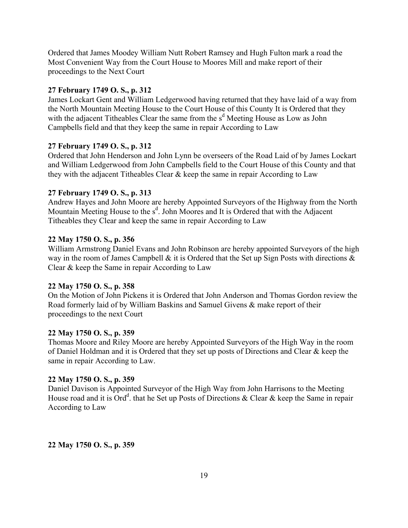Ordered that James Moodey William Nutt Robert Ramsey and Hugh Fulton mark a road the Most Convenient Way from the Court House to Moores Mill and make report of their proceedings to the Next Court

### **27 February 1749 O. S., p. 312**

James Lockart Gent and William Ledgerwood having returned that they have laid of a way from the North Mountain Meeting House to the Court House of this County It is Ordered that they with the adjacent Titheables Clear the same from the  $s<sup>d</sup>$  Meeting House as Low as John Campbells field and that they keep the same in repair According to Law

### **27 February 1749 O. S., p. 312**

Ordered that John Henderson and John Lynn be overseers of the Road Laid of by James Lockart and William Ledgerwood from John Campbells field to the Court House of this County and that they with the adjacent Titheables Clear & keep the same in repair According to Law

### **27 February 1749 O. S., p. 313**

Andrew Hayes and John Moore are hereby Appointed Surveyors of the Highway from the North Mountain Meeting House to the s<sup>d</sup>. John Moores and It is Ordered that with the Adjacent Titheables they Clear and keep the same in repair According to Law

### **22 May 1750 O. S., p. 356**

William Armstrong Daniel Evans and John Robinson are hereby appointed Surveyors of the high way in the room of James Campbell & it is Ordered that the Set up Sign Posts with directions & Clear & keep the Same in repair According to Law

## **22 May 1750 O. S., p. 358**

On the Motion of John Pickens it is Ordered that John Anderson and Thomas Gordon review the Road formerly laid of by William Baskins and Samuel Givens & make report of their proceedings to the next Court

### **22 May 1750 O. S., p. 359**

Thomas Moore and Riley Moore are hereby Appointed Surveyors of the High Way in the room of Daniel Holdman and it is Ordered that they set up posts of Directions and Clear & keep the same in repair According to Law.

### **22 May 1750 O. S., p. 359**

Daniel Davison is Appointed Surveyor of the High Way from John Harrisons to the Meeting House road and it is Ord<sup>d</sup>. that he Set up Posts of Directions & Clear & keep the Same in repair According to Law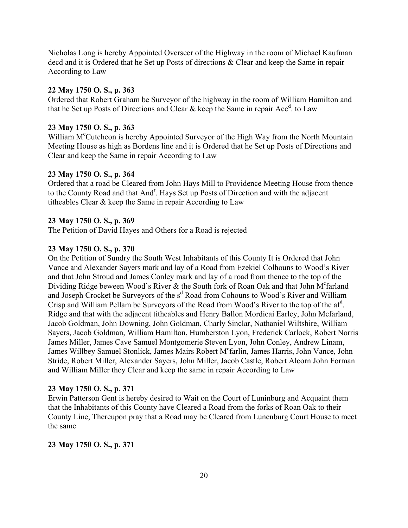Nicholas Long is hereby Appointed Overseer of the Highway in the room of Michael Kaufman decd and it is Ordered that he Set up Posts of directions & Clear and keep the Same in repair According to Law

#### **22 May 1750 O. S., p. 363**

Ordered that Robert Graham be Surveyor of the highway in the room of William Hamilton and that he Set up Posts of Directions and Clear  $\&$  keep the Same in repair Acc<sup>d</sup>. to Law

#### **23 May 1750 O. S., p. 363**

William M<sup>c</sup>Cutcheon is hereby Appointed Surveyor of the High Way from the North Mountain Meeting House as high as Bordens line and it is Ordered that he Set up Posts of Directions and Clear and keep the Same in repair According to Law

#### **23 May 1750 O. S., p. 364**

Ordered that a road be Cleared from John Hays Mill to Providence Meeting House from thence to the County Road and that And<sup>r</sup>. Hays Set up Posts of Direction and with the adjacent titheables Clear & keep the Same in repair According to Law

### **23 May 1750 O. S., p. 369**

The Petition of David Hayes and Others for a Road is rejected

### **23 May 1750 O. S., p. 370**

On the Petition of Sundry the South West Inhabitants of this County It is Ordered that John Vance and Alexander Sayers mark and lay of a Road from Ezekiel Colhouns to Wood's River and that John Stroud and James Conley mark and lay of a road from thence to the top of the Dividing Ridge beween Wood's River & the South fork of Roan Oak and that John  $M^c$  farland and Joseph Crocket be Surveyors of the s<sup>d</sup> Road from Cohouns to Wood's River and William Crisp and William Pellam be Surveyors of the Road from Wood's River to the top of the af<sup>d</sup>. Ridge and that with the adjacent titheables and Henry Ballon Mordicai Earley, John Mcfarland, Jacob Goldman, John Downing, John Goldman, Charly Sinclar, Nathaniel Wiltshire, William Sayers, Jacob Goldman, William Hamilton, Humberston Lyon, Frederick Carlock, Robert Norris James Miller, James Cave Samuel Montgomerie Steven Lyon, John Conley, Andrew Linam, James Willbey Samuel Stonlick, James Mairs Robert M<sup>c</sup>farlin, James Harris, John Vance, John Stride, Robert Miller, Alexander Sayers, John Miller, Jacob Castle, Robert Alcorn John Forman and William Miller they Clear and keep the same in repair According to Law

#### **23 May 1750 O. S., p. 371**

Erwin Patterson Gent is hereby desired to Wait on the Court of Luninburg and Acquaint them that the Inhabitants of this County have Cleared a Road from the forks of Roan Oak to their County Line, Thereupon pray that a Road may be Cleared from Lunenburg Court House to meet the same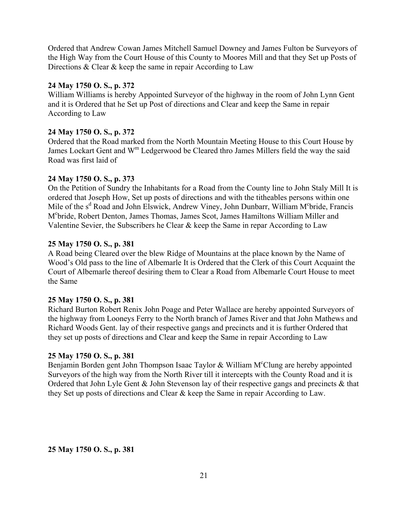Ordered that Andrew Cowan James Mitchell Samuel Downey and James Fulton be Surveyors of the High Way from the Court House of this County to Moores Mill and that they Set up Posts of Directions & Clear & keep the same in repair According to Law

## **24 May 1750 O. S., p. 372**

William Williams is hereby Appointed Surveyor of the highway in the room of John Lynn Gent and it is Ordered that he Set up Post of directions and Clear and keep the Same in repair According to Law

# **24 May 1750 O. S., p. 372**

Ordered that the Road marked from the North Mountain Meeting House to this Court House by James Lockart Gent and W<sup>m</sup> Ledgerwood be Cleared thro James Millers field the way the said Road was first laid of

## **24 May 1750 O. S., p. 373**

On the Petition of Sundry the Inhabitants for a Road from the County line to John Staly Mill It is ordered that Joseph How, Set up posts of directions and with the titheables persons within one Mile of the s<sup>d</sup> Road and John Elswick, Andrew Viney, John Dunbarr, William M<sup>c</sup>bride, Francis Mc bride, Robert Denton, James Thomas, James Scot, James Hamiltons William Miller and Valentine Sevier, the Subscribers he Clear & keep the Same in repar According to Law

### **25 May 1750 O. S., p. 381**

A Road being Cleared over the blew Ridge of Mountains at the place known by the Name of Wood's Old pass to the line of Albemarle It is Ordered that the Clerk of this Court Acquaint the Court of Albemarle thereof desiring them to Clear a Road from Albemarle Court House to meet the Same

### **25 May 1750 O. S., p. 381**

Richard Burton Robert Renix John Poage and Peter Wallace are hereby appointed Surveyors of the highway from Looneys Ferry to the North branch of James River and that John Mathews and Richard Woods Gent. lay of their respective gangs and precincts and it is further Ordered that they set up posts of directions and Clear and keep the Same in repair According to Law

## **25 May 1750 O. S., p. 381**

Benjamin Borden gent John Thompson Isaac Taylor & William M°Clung are hereby appointed Surveyors of the high way from the North River till it intercepts with the County Road and it is Ordered that John Lyle Gent & John Stevenson lay of their respective gangs and precincts & that they Set up posts of directions and Clear & keep the Same in repair According to Law.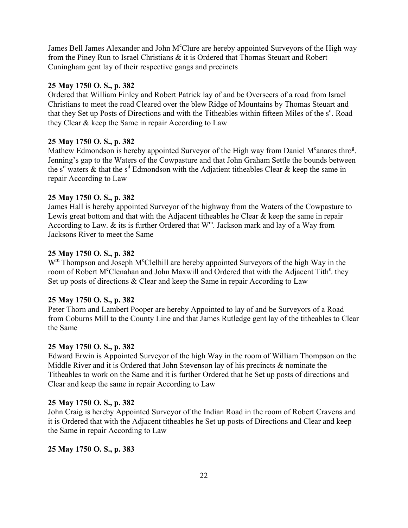James Bell James Alexander and John M°Clure are hereby appointed Surveyors of the High way from the Piney Run to Israel Christians & it is Ordered that Thomas Steuart and Robert Cuningham gent lay of their respective gangs and precincts

# **25 May 1750 O. S., p. 382**

Ordered that William Finley and Robert Patrick lay of and be Overseers of a road from Israel Christians to meet the road Cleared over the blew Ridge of Mountains by Thomas Steuart and that they Set up Posts of Directions and with the Titheables within fifteen Miles of the s<sup>d</sup>. Road they Clear & keep the Same in repair According to Law

# **25 May 1750 O. S., p. 382**

Mathew Edmondson is hereby appointed Surveyor of the High way from Daniel M°anares thro<sup>g</sup>. Jenning's gap to the Waters of the Cowpasture and that John Graham Settle the bounds between the s<sup>d</sup> waters & that the s<sup>d</sup> Edmondson with the Adjatient titheables Clear & keep the same in repair According to Law

# **25 May 1750 O. S., p. 382**

James Hall is hereby appointed Surveyor of the highway from the Waters of the Cowpasture to Lewis great bottom and that with the Adjacent titheables he Clear & keep the same in repair According to Law.  $\&$  its is further Ordered that  $W^m$ . Jackson mark and lay of a Way from Jacksons River to meet the Same

## **25 May 1750 O. S., p. 382**

W<sup>m</sup> Thompson and Joseph M<sup>c</sup>Clelhill are hereby appointed Surveyors of the high Way in the room of Robert M°Clenahan and John Maxwill and Ordered that with the Adjacent Tith<sup>s</sup>. they Set up posts of directions & Clear and keep the Same in repair According to Law

## **25 May 1750 O. S., p. 382**

Peter Thorn and Lambert Pooper are hereby Appointed to lay of and be Surveyors of a Road from Coburns Mill to the County Line and that James Rutledge gent lay of the titheables to Clear the Same

## **25 May 1750 O. S., p. 382**

Edward Erwin is Appointed Surveyor of the high Way in the room of William Thompson on the Middle River and it is Ordered that John Stevenson lay of his precincts & nominate the Titheables to work on the Same and it is further Ordered that he Set up posts of directions and Clear and keep the same in repair According to Law

## **25 May 1750 O. S., p. 382**

John Craig is hereby Appointed Surveyor of the Indian Road in the room of Robert Cravens and it is Ordered that with the Adjacent titheables he Set up posts of Directions and Clear and keep the Same in repair According to Law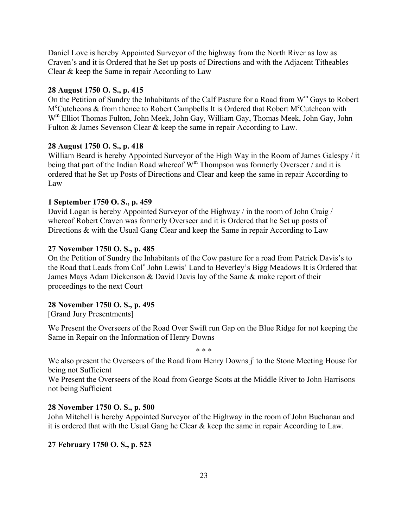Daniel Love is hereby Appointed Surveyor of the highway from the North River as low as Craven's and it is Ordered that he Set up posts of Directions and with the Adjacent Titheables Clear & keep the Same in repair According to Law

#### **28 August 1750 O. S., p. 415**

On the Petition of Sundry the Inhabitants of the Calf Pasture for a Road from  $W^m$  Gays to Robert M<sup>c</sup>Cutcheons & from thence to Robert Campbells It is Ordered that Robert M<sup>c</sup>Cutcheon with Wm Elliot Thomas Fulton, John Meek, John Gay, William Gay, Thomas Meek, John Gay, John Fulton & James Sevenson Clear & keep the same in repair According to Law.

#### **28 August 1750 O. S., p. 418**

William Beard is hereby Appointed Surveyor of the High Way in the Room of James Galespy / it being that part of the Indian Road whereof  $W^m$  Thompson was formerly Overseer / and it is ordered that he Set up Posts of Directions and Clear and keep the same in repair According to Law

### **1 September 1750 O. S., p. 459**

David Logan is hereby Appointed Surveyor of the Highway / in the room of John Craig / whereof Robert Craven was formerly Overseer and it is Ordered that he Set up posts of Directions & with the Usual Gang Clear and keep the Same in repair According to Law

#### **27 November 1750 O. S., p. 485**

On the Petition of Sundry the Inhabitants of the Cow pasture for a road from Patrick Davis's to the Road that Leads from Col<sup>o</sup> John Lewis' Land to Beverley's Bigg Meadows It is Ordered that James Mays Adam Dickenson & David Davis lay of the Same & make report of their proceedings to the next Court

#### **28 November 1750 O. S., p. 495**

[Grand Jury Presentments]

We Present the Overseers of the Road Over Swift run Gap on the Blue Ridge for not keeping the Same in Repair on the Information of Henry Downs

\* \* \*

We also present the Overseers of the Road from Henry Downs j<sup>r</sup> to the Stone Meeting House for being not Sufficient

We Present the Overseers of the Road from George Scots at the Middle River to John Harrisons not being Sufficient

#### **28 November 1750 O. S., p. 500**

John Mitchell is hereby Appointed Surveyor of the Highway in the room of John Buchanan and it is ordered that with the Usual Gang he Clear & keep the same in repair According to Law.

#### **27 February 1750 O. S., p. 523**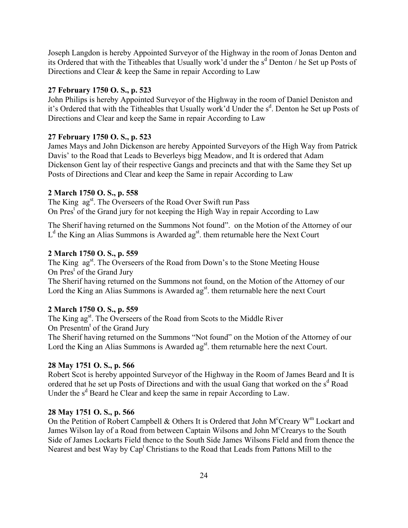Joseph Langdon is hereby Appointed Surveyor of the Highway in the room of Jonas Denton and its Ordered that with the Titheables that Usually work'd under the s<sup>d</sup> Denton / he Set up Posts of Directions and Clear & keep the Same in repair According to Law

## **27 February 1750 O. S., p. 523**

John Philips is hereby Appointed Surveyor of the Highway in the room of Daniel Deniston and it's Ordered that with the Titheables that Usually work'd Under the s<sup>d</sup>. Denton he Set up Posts of Directions and Clear and keep the Same in repair According to Law

### **27 February 1750 O. S., p. 523**

James Mays and John Dickenson are hereby Appointed Surveyors of the High Way from Patrick Davis' to the Road that Leads to Beverleys bigg Meadow, and It is ordered that Adam Dickenson Gent lay of their respective Gangs and precincts and that with the Same they Set up Posts of Directions and Clear and keep the Same in repair According to Law

### **2 March 1750 O. S., p. 558**

The King ag<sup>st</sup>. The Overseers of the Road Over Swift run Pass On Pres<sup>t</sup> of the Grand jury for not keeping the High Way in repair According to Law

The Sherif having returned on the Summons Not found". on the Motion of the Attorney of our  $L<sup>d</sup>$  the King an Alias Summons is Awarded ag<sup>st</sup>. them returnable here the Next Court

# **2 March 1750 O. S., p. 559**

The King ag<sup>st</sup>. The Overseers of the Road from Down's to the Stone Meeting House On Pres<sup>t</sup> of the Grand Jury

The Sherif having returned on the Summons not found, on the Motion of the Attorney of our Lord the King an Alias Summons is Awarded ag<sup>st</sup>, them returnable here the next Court

# **2 March 1750 O. S., p. 559**

The King ag<sup>st</sup>. The Overseers of the Road from Scots to the Middle River On Presentm<sup>t</sup> of the Grand Jury The Sherif having returned on the Summons "Not found" on the Motion of the Attorney of our Lord the King an Alias Summons is Awarded ag<sup>st</sup>. them returnable here the next Court.

### **28 May 1751 O. S., p. 566**

Robert Scot is hereby appointed Surveyor of the Highway in the Room of James Beard and It is ordered that he set up Posts of Directions and with the usual Gang that worked on the  $s<sup>d</sup>$  Road Under the s<sup>d</sup> Beard he Clear and keep the same in repair According to Law.

### **28 May 1751 O. S., p. 566**

On the Petition of Robert Campbell & Others It is Ordered that John M<sup>c</sup>Creary W<sup>m</sup> Lockart and James Wilson lay of a Road from between Captain Wilsons and John M<sup>c</sup>Crearys to the South Side of James Lockarts Field thence to the South Side James Wilsons Field and from thence the Nearest and best Way by Cap<sup>t</sup> Christians to the Road that Leads from Pattons Mill to the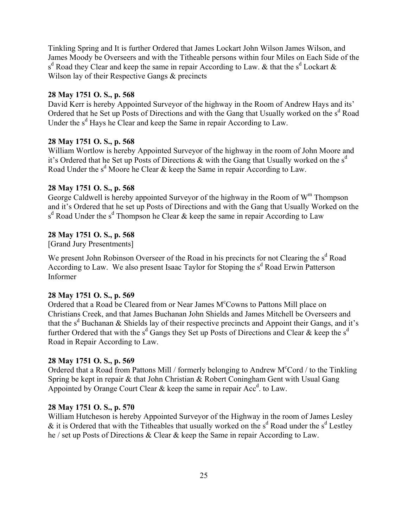Tinkling Spring and It is further Ordered that James Lockart John Wilson James Wilson, and James Moody be Overseers and with the Titheable persons within four Miles on Each Side of the s<sup>d</sup> Road they Clear and keep the same in repair According to Law. & that the s<sup>d</sup> Lockart & Wilson lay of their Respective Gangs & precincts

### **28 May 1751 O. S., p. 568**

David Kerr is hereby Appointed Surveyor of the highway in the Room of Andrew Hays and its<sup>7</sup> Ordered that he Set up Posts of Directions and with the Gang that Usually worked on the  $s<sup>d</sup>$  Road Under the s<sup>d</sup> Hays he Clear and keep the Same in repair According to Law.

### **28 May 1751 O. S., p. 568**

William Wortlow is hereby Appointed Surveyor of the highway in the room of John Moore and it's Ordered that he Set up Posts of Directions  $\&$  with the Gang that Usually worked on the s<sup>d</sup> Road Under the  $s^d$  Moore he Clear & keep the Same in repair According to Law.

## **28 May 1751 O. S., p. 568**

George Caldwell is hereby appointed Surveyor of the highway in the Room of  $W<sup>m</sup>$  Thompson and it's Ordered that he set up Posts of Directions and with the Gang that Usually Worked on the  $s<sup>d</sup>$  Road Under the  $s<sup>d</sup>$  Thompson he Clear & keep the same in repair According to Law

## **28 May 1751 O. S., p. 568**

[Grand Jury Presentments]

We present John Robinson Overseer of the Road in his precincts for not Clearing the  $s<sup>d</sup>$  Road According to Law. We also present Isaac Taylor for Stoping the s<sup>d</sup> Road Erwin Patterson Informer

### **28 May 1751 O. S., p. 569**

Ordered that a Road be Cleared from or Near James M°Cowns to Pattons Mill place on Christians Creek, and that James Buchanan John Shields and James Mitchell be Overseers and that the s<sup>d</sup> Buchanan & Shields lay of their respective precincts and Appoint their Gangs, and it's further Ordered that with the s<sup>d</sup> Gangs they Set up Posts of Directions and Clear & keep the s<sup>d</sup> Road in Repair According to Law.

# **28 May 1751 O. S., p. 569**

Ordered that a Road from Pattons Mill / formerly belonging to Andrew M<sup>c</sup>Cord / to the Tinkling Spring be kept in repair & that John Christian & Robert Coningham Gent with Usual Gang Appointed by Orange Court Clear  $\&$  keep the same in repair Acc<sup>d</sup>. to Law.

## **28 May 1751 O. S., p. 570**

William Hutcheson is hereby Appointed Surveyor of the Highway in the room of James Lesley  $\&$  it is Ordered that with the Titheables that usually worked on the s<sup>d</sup> Road under the s<sup>d</sup> Lestley he / set up Posts of Directions & Clear & keep the Same in repair According to Law.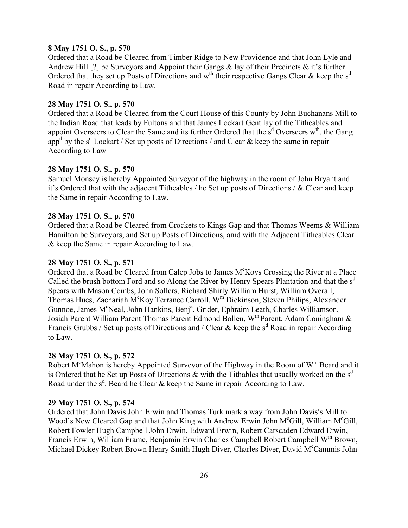## **8 May 1751 O. S., p. 570**

Ordered that a Road be Cleared from Timber Ridge to New Providence and that John Lyle and Andrew Hill [?] be Surveyors and Appoint their Gangs  $\&$  lay of their Precincts  $\&$  it's further Ordered that they set up Posts of Directions and  $w^{\underline{th}}$  their respective Gangs Clear & keep the s<sup>d</sup> Road in repair According to Law.

### **28 May 1751 O. S., p. 570**

Ordered that a Road be Cleared from the Court House of this County by John Buchanans Mill to the Indian Road that leads by Fultons and that James Lockart Gent lay of the Titheables and appoint Overseers to Clear the Same and its further Ordered that the  $s<sup>d</sup>$  Overseers w<sup>th</sup>. the Gang app<sup>d</sup> by the s<sup>d</sup> Lockart / Set up posts of Directions / and Clear & keep the same in repair According to Law

### **28 May 1751 O. S., p. 570**

Samuel Monsey is hereby Appointed Surveyor of the highway in the room of John Bryant and it's Ordered that with the adjacent Titheables / he Set up posts of Directions /  $\&$  Clear and keep the Same in repair According to Law.

### **28 May 1751 O. S., p. 570**

Ordered that a Road be Cleared from Crockets to Kings Gap and that Thomas Weems & William Hamilton be Surveyors, and Set up Posts of Directions, amd with the Adjacent Titheables Clear & keep the Same in repair According to Law.

### **28 May 1751 O. S., p. 571**

Ordered that a Road be Cleared from Calep Jobs to James M°Koys Crossing the River at a Place Called the brush bottom Ford and so Along the River by Henry Spears Plantation and that the  $s<sup>d</sup>$ Spears with Mason Combs, John Sollers, Richard Shirly William Hurst, William Overall, Thomas Hues, Zachariah M°Koy Terrance Carroll, W<sup>m</sup> Dickinson, Steven Philips, Alexander Gunnoe, James M°Neal, John Hankins, Benj<sup>a</sup>, Grider, Ephraim Leath, Charles Williamson, Josiah Parent William Parent Thomas Parent Edmond Bollen, Wm Parent, Adam Coningham & Francis Grubbs / Set up posts of Directions and / Clear & keep the s<sup>d</sup> Road in repair According to Law.

### **28 May 1751 O. S., p. 572**

Robert M<sup>c</sup>Mahon is hereby Appointed Surveyor of the Highway in the Room of W<sup>m</sup> Beard and it is Ordered that he Set up Posts of Directions  $\&$  with the Tithables that usually worked on the s<sup>d</sup> Road under the  $s^d$ . Beard he Clear & keep the Same in repair According to Law.

### **29 May 1751 O. S., p. 574**

Ordered that John Davis John Erwin and Thomas Turk mark a way from John Davis's Mill to Wood's New Cleared Gap and that John King with Andrew Erwin John M°Gill, William M°Gill, Robert Fowler Hugh Campbell John Erwin, Edward Erwin, Robert Carscaden Edward Erwin, Francis Erwin, William Frame, Benjamin Erwin Charles Campbell Robert Campbell W<sup>m</sup> Brown, Michael Dickey Robert Brown Henry Smith Hugh Diver, Charles Diver, David M<sup>c</sup>Cammis John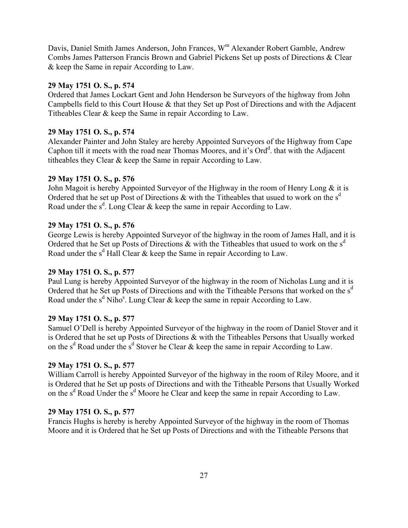Davis, Daniel Smith James Anderson, John Frances, W<sup>m</sup> Alexander Robert Gamble, Andrew Combs James Patterson Francis Brown and Gabriel Pickens Set up posts of Directions & Clear & keep the Same in repair According to Law.

## **29 May 1751 O. S., p. 574**

Ordered that James Lockart Gent and John Henderson be Surveyors of the highway from John Campbells field to this Court House & that they Set up Post of Directions and with the Adjacent Titheables Clear & keep the Same in repair According to Law.

## **29 May 1751 O. S., p. 574**

Alexander Painter and John Staley are hereby Appointed Surveyors of the Highway from Cape Caphon till it meets with the road near Thomas Moores, and it's Ord<sup>d</sup>. that with the Adjacent titheables they Clear & keep the Same in repair According to Law.

## **29 May 1751 O. S., p. 576**

John Magoit is hereby Appointed Surveyor of the Highway in the room of Henry Long & it is Ordered that he set up Post of Directions  $\&$  with the Titheables that usued to work on the s<sup>d</sup> Road under the  $s^d$ . Long Clear & keep the same in repair According to Law.

## **29 May 1751 O. S., p. 576**

George Lewis is hereby Appointed Surveyor of the highway in the room of James Hall, and it is Ordered that he Set up Posts of Directions  $\&$  with the Titheables that usued to work on the s<sup>d</sup> Road under the  $s^d$  Hall Clear & keep the Same in repair According to Law.

# **29 May 1751 O. S., p. 577**

Paul Lung is hereby Appointed Surveyor of the highway in the room of Nicholas Lung and it is Ordered that he Set up Posts of Directions and with the Titheable Persons that worked on the s<sup>d</sup> Road under the  $s^d$  Niho<sup>s</sup>. Lung Clear & keep the same in repair According to Law.

## **29 May 1751 O. S., p. 577**

Samuel O'Dell is hereby Appointed Surveyor of the highway in the room of Daniel Stover and it is Ordered that he set up Posts of Directions & with the Titheables Persons that Usually worked on the s<sup>d</sup> Road under the s<sup>d</sup> Stover he Clear & keep the same in repair According to Law.

# **29 May 1751 O. S., p. 577**

William Carroll is hereby Appointed Surveyor of the highway in the room of Riley Moore, and it is Ordered that he Set up posts of Directions and with the Titheable Persons that Usually Worked on the  $s^d$  Road Under the  $s^d$  Moore he Clear and keep the same in repair According to Law.

## **29 May 1751 O. S., p. 577**

Francis Hughs is hereby is hereby Appointed Surveyor of the highway in the room of Thomas Moore and it is Ordered that he Set up Posts of Directions and with the Titheable Persons that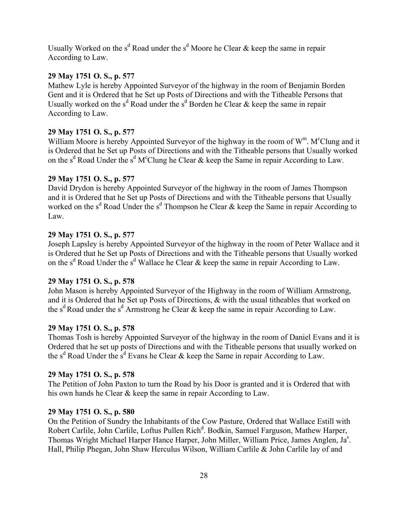Usually Worked on the s<sup>d</sup> Road under the s<sup>d</sup> Moore he Clear & keep the same in repair According to Law.

## **29 May 1751 O. S., p. 577**

Mathew Lyle is hereby Appointed Surveyor of the highway in the room of Benjamin Borden Gent and it is Ordered that he Set up Posts of Directions and with the Titheable Persons that Usually worked on the s<sup>d</sup> Road under the s<sup>d</sup> Borden he Clear & keep the same in repair According to Law.

## **29 May 1751 O. S., p. 577**

William Moore is hereby Appointed Surveyor of the highway in the room of W<sup>m</sup>. M<sup>c</sup>Clung and it is Ordered that he Set up Posts of Directions and with the Titheable persons that Usually worked on the s<sup>d</sup> Road Under the s<sup>d</sup> M<sup>c</sup>Clung he Clear & keep the Same in repair According to Law.

### **29 May 1751 O. S., p. 577**

David Drydon is hereby Appointed Surveyor of the highway in the room of James Thompson and it is Ordered that he Set up Posts of Directions and with the Titheable persons that Usually worked on the s<sup>d</sup> Road Under the s<sup>d</sup> Thompson he Clear & keep the Same in repair According to Law.

## **29 May 1751 O. S., p. 577**

Joseph Lapsley is hereby Appointed Surveyor of the highway in the room of Peter Wallace and it is Ordered that he Set up Posts of Directions and with the Titheable persons that Usually worked on the s<sup>d</sup> Road Under the s<sup>d</sup> Wallace he Clear & keep the same in repair According to Law.

### **29 May 1751 O. S., p. 578**

John Mason is hereby Appointed Surveyor of the Highway in the room of William Armstrong, and it is Ordered that he Set up Posts of Directions, & with the usual titheables that worked on the s<sup>d</sup> Road under the s<sup>d</sup> Armstrong he Clear & keep the same in repair According to Law.

### **29 May 1751 O. S., p. 578**

Thomas Tosh is hereby Appointed Surveyor of the highway in the room of Daniel Evans and it is Ordered that he set up posts of Directions and with the Titheable persons that usually worked on the s<sup>d</sup> Road Under the s<sup>d</sup> Evans he Clear & keep the Same in repair According to Law.

### **29 May 1751 O. S., p. 578**

The Petition of John Paxton to turn the Road by his Door is granted and it is Ordered that with his own hands he Clear & keep the same in repair According to Law.

### **29 May 1751 O. S., p. 580**

On the Petition of Sundry the Inhabitants of the Cow Pasture, Ordered that Wallace Estill with Robert Carlile, John Carlile, Loftus Pullen Rich<sup>d</sup>. Bodkin, Samuel Farguson, Mathew Harper, Thomas Wright Michael Harper Hance Harper, John Miller, William Price, James Anglen, Ja<sup>s</sup>. Hall, Philip Phegan, John Shaw Herculus Wilson, William Carlile & John Carlile lay of and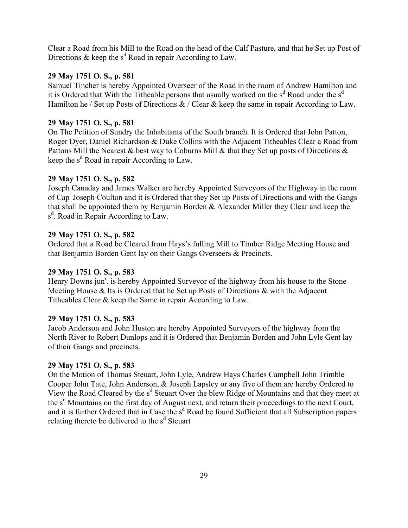Clear a Road from his Mill to the Road on the head of the Calf Pasture, and that he Set up Post of Directions & keep the  $s^d$  Road in repair According to Law.

## **29 May 1751 O. S., p. 581**

Samuel Tincher is hereby Appointed Overseer of the Road in the room of Andrew Hamilton and it is Ordered that With the Titheable persons that usually worked on the  $s<sup>d</sup>$  Road under the  $s<sup>d</sup>$ Hamilton he / Set up Posts of Directions  $\&$  / Clear  $\&$  keep the same in repair According to Law.

## **29 May 1751 O. S., p. 581**

On The Petition of Sundry the Inhabitants of the South branch. It is Ordered that John Patton, Roger Dyer, Daniel Richardson & Duke Collins with the Adjacent Titheables Clear a Road from Pattons Mill the Nearest  $\&$  best way to Coburns Mill  $\&$  that they Set up posts of Directions  $\&$ keep the  $s^d$  Road in repair According to Law.

## **29 May 1751 O. S., p. 582**

Joseph Canaday and James Walker are hereby Appointed Surveyors of the Highway in the room of Cap<sup>t</sup> Joseph Coulton and it is Ordered that they Set up Posts of Directions and with the Gangs that shall be appointed them by Benjamin Borden & Alexander Miller they Clear and keep the s<sup>d</sup>. Road in Repair According to Law.

## **29 May 1751 O. S., p. 582**

Ordered that a Road be Cleared from Hays's fulling Mill to Timber Ridge Meeting House and that Benjamin Borden Gent lay on their Gangs Overseers & Precincts.

# **29 May 1751 O. S., p. 583**

Henry Downs jun<sup>r</sup>. is hereby Appointed Surveyor of the highway from his house to the Stone Meeting House & Its is Ordered that he Set up Posts of Directions & with the Adjacent Titheables Clear & keep the Same in repair According to Law.

## **29 May 1751 O. S., p. 583**

Jacob Anderson and John Huston are hereby Appointed Surveyors of the highway from the North River to Robert Dunlops and it is Ordered that Benjamin Borden and John Lyle Gent lay of their Gangs and precincts.

## **29 May 1751 O. S., p. 583**

On the Motion of Thomas Steuart, John Lyle, Andrew Hays Charles Campbell John Trimble Cooper John Tate, John Anderson, & Joseph Lapsley or any five of them are hereby Ordered to View the Road Cleared by the s<sup>d</sup> Steuart Over the blew Ridge of Mountains and that they meet at the s<sup>d</sup> Mountains on the first day of August next, and return their proceedings to the next Court, and it is further Ordered that in Case the s<sup>d</sup> Road be found Sufficient that all Subscription papers relating thereto be delivered to the s<sup>d</sup> Steuart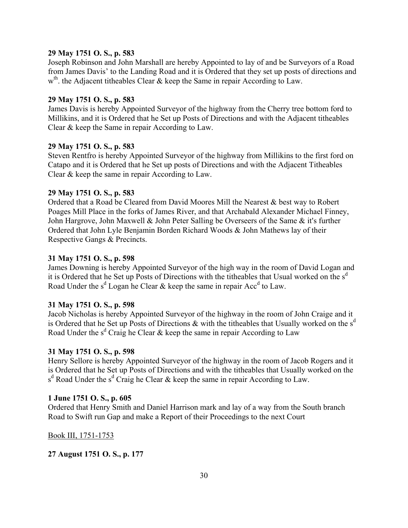## **29 May 1751 O. S., p. 583**

Joseph Robinson and John Marshall are hereby Appointed to lay of and be Surveyors of a Road from James Davis' to the Landing Road and it is Ordered that they set up posts of directions and w<sup>th</sup>. the Adjacent titheables Clear & keep the Same in repair According to Law.

## **29 May 1751 O. S., p. 583**

James Davis is hereby Appointed Surveyor of the highway from the Cherry tree bottom ford to Millikins, and it is Ordered that he Set up Posts of Directions and with the Adjacent titheables Clear & keep the Same in repair According to Law.

## **29 May 1751 O. S., p. 583**

Steven Rentfro is hereby Appointed Surveyor of the highway from Millikins to the first ford on Catapo and it is Ordered that he Set up posts of Directions and with the Adjacent Titheables Clear & keep the same in repair According to Law.

### **29 May 1751 O. S., p. 583**

Ordered that a Road be Cleared from David Moores Mill the Nearest & best way to Robert Poages Mill Place in the forks of James River, and that Archabald Alexander Michael Finney, John Hargrove, John Maxwell & John Peter Salling be Overseers of the Same  $\&$  it's further Ordered that John Lyle Benjamin Borden Richard Woods & John Mathews lay of their Respective Gangs & Precincts.

### **31 May 1751 O. S., p. 598**

James Downing is hereby Appointed Surveyor of the high way in the room of David Logan and it is Ordered that he Set up Posts of Directions with the titheables that Usual worked on the  $s<sup>d</sup>$ Road Under the s<sup>d</sup> Logan he Clear & keep the same in repair Acc<sup>d</sup> to Law.

### **31 May 1751 O. S., p. 598**

Jacob Nicholas is hereby Appointed Surveyor of the highway in the room of John Craige and it is Ordered that he Set up Posts of Directions  $\&$  with the titheables that Usually worked on the s<sup>d</sup> Road Under the s<sup>d</sup> Craig he Clear & keep the same in repair According to Law

### **31 May 1751 O. S., p. 598**

Henry Sellore is hereby Appointed Surveyor of the highway in the room of Jacob Rogers and it is Ordered that he Set up Posts of Directions and with the titheables that Usually worked on the  $s<sup>d</sup>$  Road Under the  $s<sup>d</sup>$  Craig he Clear & keep the same in repair According to Law.

### **1 June 1751 O. S., p. 605**

Ordered that Henry Smith and Daniel Harrison mark and lay of a way from the South branch Road to Swift run Gap and make a Report of their Proceedings to the next Court

Book III, 1751-1753

## **27 August 1751 O. S., p. 177**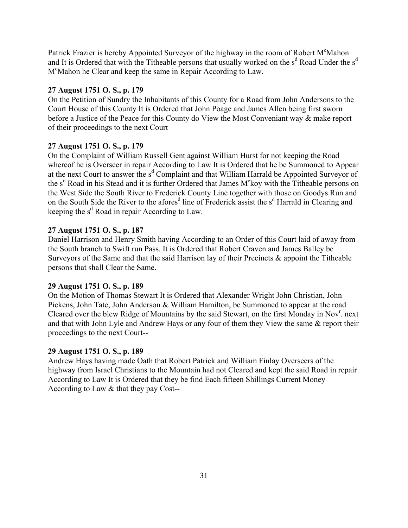Patrick Frazier is hereby Appointed Surveyor of the highway in the room of Robert M°Mahon and It is Ordered that with the Titheable persons that usually worked on the  $s<sup>d</sup>$  Road Under the  $s<sup>d</sup>$ M<sup>c</sup>Mahon he Clear and keep the same in Repair According to Law.

### **27 August 1751 O. S., p. 179**

On the Petition of Sundry the Inhabitants of this County for a Road from John Andersons to the Court House of this County It is Ordered that John Poage and James Allen being first sworn before a Justice of the Peace for this County do View the Most Conveniant way & make report of their proceedings to the next Court

## **27 August 1751 O. S., p. 179**

On the Complaint of William Russell Gent against William Hurst for not keeping the Road whereof he is Overseer in repair According to Law It is Ordered that he be Summoned to Appear at the next Court to answer the s<sup>d</sup> Complaint and that William Harrald be Appointed Surveyor of the s<sup>d</sup> Road in his Stead and it is further Ordered that James M°koy with the Titheable persons on the West Side the South River to Frederick County Line together with those on Goodys Run and on the South Side the River to the afores<sup>d</sup> line of Frederick assist the s<sup>d</sup> Harrald in Clearing and keeping the  $s^d$  Road in repair According to Law.

### **27 August 1751 O. S., p. 187**

Daniel Harrison and Henry Smith having According to an Order of this Court laid of away from the South branch to Swift run Pass. It is Ordered that Robert Craven and James Balley be Surveyors of the Same and that the said Harrison lay of their Precincts & appoint the Titheable persons that shall Clear the Same.

### **29 August 1751 O. S., p. 189**

On the Motion of Thomas Stewart It is Ordered that Alexander Wright John Christian, John Pickens, John Tate, John Anderson & William Hamilton, be Summoned to appear at the road Cleared over the blew Ridge of Mountains by the said Stewart, on the first Monday in Nov<sup>r</sup>. next and that with John Lyle and Andrew Hays or any four of them they View the same & report their proceedings to the next Court--

#### **29 August 1751 O. S., p. 189**

Andrew Hays having made Oath that Robert Patrick and William Finlay Overseers of the highway from Israel Christians to the Mountain had not Cleared and kept the said Road in repair According to Law It is Ordered that they be find Each fifteen Shillings Current Money According to Law & that they pay Cost--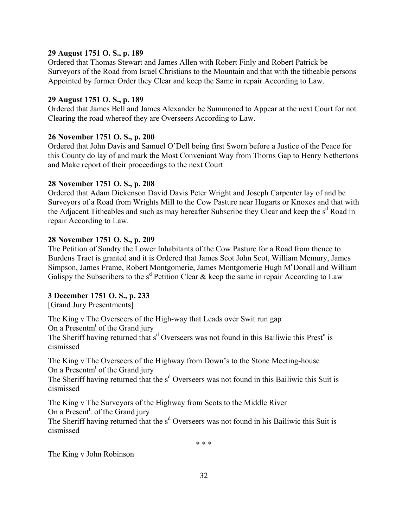## **29 August 1751 O. S., p. 189**

Ordered that Thomas Stewart and James Allen with Robert Finly and Robert Patrick be Surveyors of the Road from Israel Christians to the Mountain and that with the titheable persons Appointed by former Order they Clear and keep the Same in repair According to Law.

## **29 August 1751 O. S., p. 189**

Ordered that James Bell and James Alexander be Summoned to Appear at the next Court for not Clearing the road whereof they are Overseers According to Law.

## **26 November 1751 O. S., p. 200**

Ordered that John Davis and Samuel O'Dell being first Sworn before a Justice of the Peace for this County do lay of and mark the Most Conveniant Way from Thorns Gap to Henry Nethertons and Make report of their proceedings to the next Court

## **28 November 1751 O. S., p. 208**

Ordered that Adam Dickenson David Davis Peter Wright and Joseph Carpenter lay of and be Surveyors of a Road from Wrights Mill to the Cow Pasture near Hugarts or Knoxes and that with the Adjacent Titheables and such as may hereafter Subscribe they Clear and keep the s<sup>d</sup> Road in repair According to Law.

## **28 November 1751 O. S., p. 209**

The Petition of Sundry the Lower Inhabitants of the Cow Pasture for a Road from thence to Burdens Tract is granted and it is Ordered that James Scot John Scot, William Memury, James Simpson, James Frame, Robert Montgomerie, James Montgomerie Hugh M°Donall and William Galispy the Subscribers to the  $s^d$  Petition Clear & keep the same in repair According to Law

# **3 December 1751 O. S., p. 233**

[Grand Jury Presentments]

The King v The Overseers of the High-way that Leads over Swit run gap On a Presentm<sup>t</sup> of the Grand jury

The Sheriff having returned that  $s<sup>d</sup>$  Overseers was not found in this Bailiwic this Prest<sup>n</sup> is dismissed

The King v The Overseers of the Highway from Down's to the Stone Meeting-house On a Presentm<sup>t</sup> of the Grand jury

The Sheriff having returned that the s<sup>d</sup> Overseers was not found in this Bailiwic this Suit is dismissed

The King v The Surveyors of the Highway from Scots to the Middle River On a Present<sup>t</sup>. of the Grand jury

The Sheriff having returned that the s<sup>d</sup> Overseers was not found in his Bailiwic this Suit is dismissed

\* \* \*

The King v John Robinson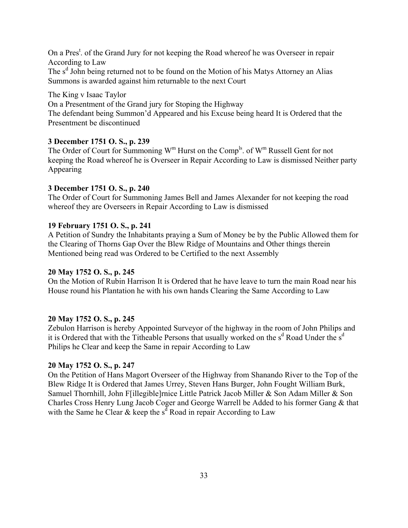On a Pres<sup>t</sup>. of the Grand Jury for not keeping the Road whereof he was Overseer in repair According to Law

The s<sup>d</sup> John being returned not to be found on the Motion of his Matys Attorney an Alias Summons is awarded against him returnable to the next Court

The King v Isaac Taylor On a Presentment of the Grand jury for Stoping the Highway The defendant being Summon'd Appeared and his Excuse being heard It is Ordered that the Presentment be discontinued

## **3 December 1751 O. S., p. 239**

The Order of Court for Summoning  $W^m$  Hurst on the Comp<sup>ls</sup>. of  $W^m$  Russell Gent for not keeping the Road whereof he is Overseer in Repair According to Law is dismissed Neither party Appearing

## **3 December 1751 O. S., p. 240**

The Order of Court for Summoning James Bell and James Alexander for not keeping the road whereof they are Overseers in Repair According to Law is dismissed

### **19 February 1751 O. S., p. 241**

A Petition of Sundry the Inhabitants praying a Sum of Money be by the Public Allowed them for the Clearing of Thorns Gap Over the Blew Ridge of Mountains and Other things therein Mentioned being read was Ordered to be Certified to the next Assembly

## **20 May 1752 O. S., p. 245**

On the Motion of Rubin Harrison It is Ordered that he have leave to turn the main Road near his House round his Plantation he with his own hands Clearing the Same According to Law

## **20 May 1752 O. S., p. 245**

Zebulon Harrison is hereby Appointed Surveyor of the highway in the room of John Philips and it is Ordered that with the Titheable Persons that usually worked on the s<sup>d</sup> Road Under the s<sup>d</sup> Philips he Clear and keep the Same in repair According to Law

### **20 May 1752 O. S., p. 247**

On the Petition of Hans Magort Overseer of the Highway from Shanando River to the Top of the Blew Ridge It is Ordered that James Urrey, Steven Hans Burger, John Fought William Burk, Samuel Thornhill, John F[illegible]rnice Little Patrick Jacob Miller & Son Adam Miller & Son Charles Cross Henry Lung Jacob Coger and George Warrell be Added to his former Gang & that with the Same he Clear  $\&$  keep the s<sup>d</sup> Road in repair According to Law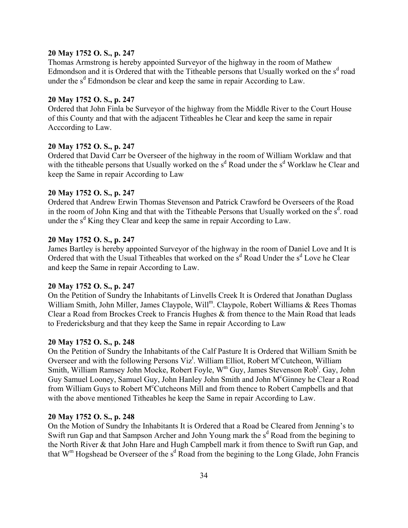### **20 May 1752 O. S., p. 247**

Thomas Armstrong is hereby appointed Surveyor of the highway in the room of Mathew Edmondson and it is Ordered that with the Titheable persons that Usually worked on the  $s<sup>d</sup>$  road under the  $s<sup>d</sup>$  Edmondson be clear and keep the same in repair According to Law.

## **20 May 1752 O. S., p. 247**

Ordered that John Finla be Surveyor of the highway from the Middle River to the Court House of this County and that with the adjacent Titheables he Clear and keep the same in repair Acccording to Law.

### **20 May 1752 O. S., p. 247**

Ordered that David Carr be Overseer of the highway in the room of William Worklaw and that with the titheable persons that Usually worked on the  $s<sup>d</sup>$  Road under the  $s<sup>d</sup>$  Worklaw he Clear and keep the Same in repair According to Law

#### **20 May 1752 O. S., p. 247**

Ordered that Andrew Erwin Thomas Stevenson and Patrick Crawford be Overseers of the Road in the room of John King and that with the Titheable Persons that Usually worked on the  $s<sup>d</sup>$ . road under the  $s<sup>d</sup>$  King they Clear and keep the same in repair According to Law.

#### **20 May 1752 O. S., p. 247**

James Bartley is hereby appointed Surveyor of the highway in the room of Daniel Love and It is Ordered that with the Usual Titheables that worked on the  $s<sup>d</sup>$  Road Under the  $s<sup>d</sup>$  Love he Clear and keep the Same in repair According to Law.

### **20 May 1752 O. S., p. 247**

On the Petition of Sundry the Inhabitants of Linvells Creek It is Ordered that Jonathan Duglass William Smith, John Miller, James Claypole, Will<sup>m</sup>. Claypole, Robert Williams & Rees Thomas Clear a Road from Brockes Creek to Francis Hughes & from thence to the Main Road that leads to Fredericksburg and that they keep the Same in repair According to Law

### **20 May 1752 O. S., p. 248**

On the Petition of Sundry the Inhabitants of the Calf Pasture It is Ordered that William Smith be Overseer and with the following Persons Viz<sup>t</sup>. William Elliot, Robert M°Cutcheon, William Smith, William Ramsey John Mocke, Robert Foyle, W<sup>m</sup> Guy, James Stevenson Rob<sup>t</sup>. Gay, John Guy Samuel Looney, Samuel Guy, John Hanley John Smith and John M<sup>c</sup>Ginney he Clear a Road from William Guys to Robert M<sup>c</sup>Cutcheons Mill and from thence to Robert Campbells and that with the above mentioned Titheables he keep the Same in repair According to Law.

#### **20 May 1752 O. S., p. 248**

On the Motion of Sundry the Inhabitants It is Ordered that a Road be Cleared from Jenning's to Swift run Gap and that Sampson Archer and John Young mark the  $s<sup>d</sup>$  Road from the begining to the North River & that John Hare and Hugh Campbell mark it from thence to Swift run Gap, and that  $W^m$  Hogshead be Overseer of the  $s^d$  Road from the begining to the Long Glade, John Francis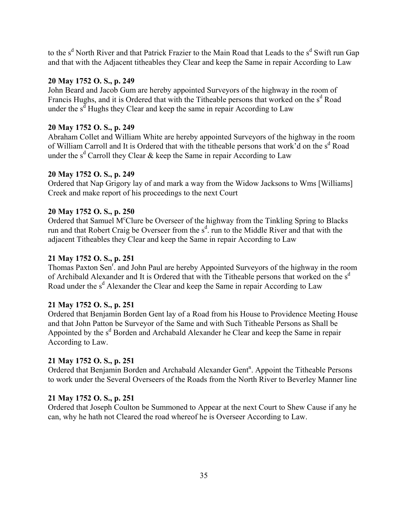to the s<sup>d</sup> North River and that Patrick Frazier to the Main Road that Leads to the s<sup>d</sup> Swift run Gap and that with the Adjacent titheables they Clear and keep the Same in repair According to Law

## **20 May 1752 O. S., p. 249**

John Beard and Jacob Gum are hereby appointed Surveyors of the highway in the room of Francis Hughs, and it is Ordered that with the Titheable persons that worked on the  $s<sup>d</sup>$  Road under the  $s^d$  Hughs they Clear and keep the same in repair According to Law

## **20 May 1752 O. S., p. 249**

Abraham Collet and William White are hereby appointed Surveyors of the highway in the room of William Carroll and It is Ordered that with the titheable persons that work'd on the s<sup>d</sup> Road under the  $s^d$  Carroll they Clear & keep the Same in repair According to Law

## **20 May 1752 O. S., p. 249**

Ordered that Nap Grigory lay of and mark a way from the Widow Jacksons to Wms [Williams] Creek and make report of his proceedings to the next Court

## **20 May 1752 O. S., p. 250**

Ordered that Samuel M<sup>c</sup>Clure be Overseer of the highway from the Tinkling Spring to Blacks run and that Robert Craig be Overseer from the  $s^d$ . run to the Middle River and that with the adjacent Titheables they Clear and keep the Same in repair According to Law

## **21 May 1752 O. S., p. 251**

Thomas Paxton Sen<sup>r</sup>. and John Paul are hereby Appointed Surveyors of the highway in the room of Archibald Alexander and It is Ordered that with the Titheable persons that worked on the  $s<sup>d</sup>$ Road under the s<sup>d</sup> Alexander the Clear and keep the Same in repair According to Law

## **21 May 1752 O. S., p. 251**

Ordered that Benjamin Borden Gent lay of a Road from his House to Providence Meeting House and that John Patton be Surveyor of the Same and with Such Titheable Persons as Shall be Appointed by the s<sup>d</sup> Borden and Archabald Alexander he Clear and keep the Same in repair According to Law.

## **21 May 1752 O. S., p. 251**

Ordered that Benjamin Borden and Archabald Alexander Gent<sup>n</sup>. Appoint the Titheable Persons to work under the Several Overseers of the Roads from the North River to Beverley Manner line

## **21 May 1752 O. S., p. 251**

Ordered that Joseph Coulton be Summoned to Appear at the next Court to Shew Cause if any he can, why he hath not Cleared the road whereof he is Overseer According to Law.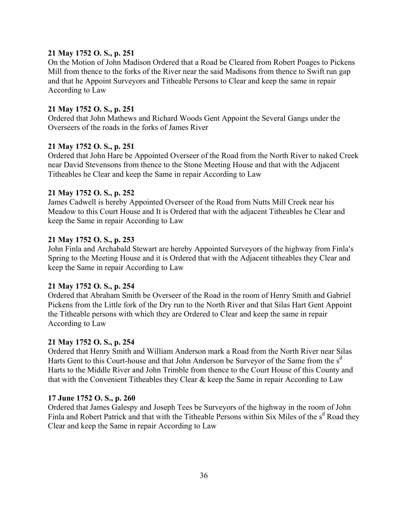## **21 May 1752 O. S., p. 251**

On the Motion of John Madison Ordered that a Road be Cleared from Robert Poages to Pickens Mill from thence to the forks of the River near the said Madisons from thence to Swift run gap and that he Appoint Surveyors and Titheable Persons to Clear and keep the same in repair According to Law

### **21 May 1752 O. S., p. 251**

Ordered that John Mathews and Richard Woods Gent Appoint the Several Gangs under the Overseers of the roads in the forks of James River

### **21 May 1752 O. S., p. 251**

Ordered that John Hare be Appointed Overseer of the Road from the North River to naked Creek near David Stevensons from thence to the Stone Meeting House and that with the Adjacent Titheables he Clear and keep the Same in repair According to Law

### **21 May 1752 O. S., p. 252**

James Cadwell is hereby Appointed Overseer of the Road from Nutts Mill Creek near his Meadow to this Court House and It is Ordered that with the adjacent Titheables he Clear and keep the Same in repair According to Law

### **21 May 1752 O. S., p. 253**

John Finla and Archabald Stewart are hereby Appointed Surveyors of the highway from Finla's Spring to the Meeting House and it is Ordered that with the Adjacent titheables they Clear and keep the Same in repair According to Law

## **21 May 1752 O. S., p. 254**

Ordered that Abraham Smith be Overseer of the Road in the room of Henry Smith and Gabriel Pickens from the Little fork of the Dry run to the North River and that Silas Hart Gent Appoint the Titheable persons with which they are Ordered to Clear and keep the same in repair According to Law

### **21 May 1752 O. S., p. 254**

Ordered that Henry Smith and William Anderson mark a Road from the North River near Silas Harts Gent to this Court-house and that John Anderson be Surveyor of the Same from the s<sup>d</sup> Harts to the Middle River and John Trimble from thence to the Court House of this County and that with the Convenient Titheables they Clear & keep the Same in repair According to Law

### **17 June 1752 O. S., p. 260**

Ordered that James Galespy and Joseph Tees be Surveyors of the highway in the room of John Finla and Robert Patrick and that with the Titheable Persons within Six Miles of the s<sup>d</sup> Road they Clear and keep the Same in repair According to Law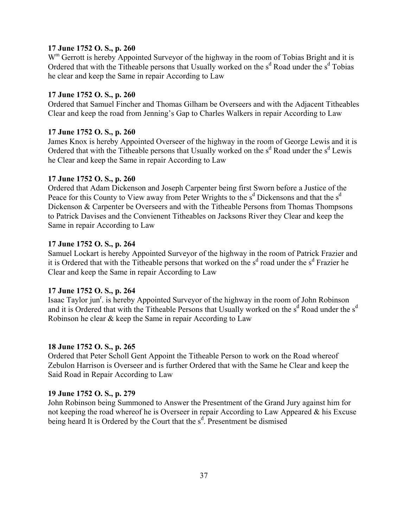## **17 June 1752 O. S., p. 260**

W<sup>m</sup> Gerrott is hereby Appointed Surveyor of the highway in the room of Tobias Bright and it is Ordered that with the Titheable persons that Usually worked on the  $s<sup>d</sup>$  Road under the  $s<sup>d</sup>$  Tobias he clear and keep the Same in repair According to Law

### **17 June 1752 O. S., p. 260**

Ordered that Samuel Fincher and Thomas Gilham be Overseers and with the Adjacent Titheables Clear and keep the road from Jenning's Gap to Charles Walkers in repair According to Law

# **17 June 1752 O. S., p. 260**

James Knox is hereby Appointed Overseer of the highway in the room of George Lewis and it is Ordered that with the Titheable persons that Usually worked on the s<sup>d</sup> Road under the s<sup>d</sup> Lewis he Clear and keep the Same in repair According to Law

### **17 June 1752 O. S., p. 260**

Ordered that Adam Dickenson and Joseph Carpenter being first Sworn before a Justice of the Peace for this County to View away from Peter Wrights to the  $s<sup>d</sup>$  Dickensons and that the  $s<sup>d</sup>$ Dickenson & Carpenter be Overseers and with the Titheable Persons from Thomas Thompsons to Patrick Davises and the Convienent Titheables on Jacksons River they Clear and keep the Same in repair According to Law

### **17 June 1752 O. S., p. 264**

Samuel Lockart is hereby Appointed Surveyor of the highway in the room of Patrick Frazier and it is Ordered that with the Titheable persons that worked on the s<sup>d</sup> road under the s<sup>d</sup> Frazier he Clear and keep the Same in repair According to Law

### **17 June 1752 O. S., p. 264**

Isaac Taylor jun<sup>r</sup>. is hereby Appointed Surveyor of the highway in the room of John Robinson and it is Ordered that with the Titheable Persons that Usually worked on the  $s<sup>d</sup>$  Road under the  $s<sup>d</sup>$ Robinson he clear & keep the Same in repair According to Law

## **18 June 1752 O. S., p. 265**

Ordered that Peter Scholl Gent Appoint the Titheable Person to work on the Road whereof Zebulon Harrison is Overseer and is further Ordered that with the Same he Clear and keep the Said Road in Repair According to Law

### **19 June 1752 O. S., p. 279**

John Robinson being Summoned to Answer the Presentment of the Grand Jury against him for not keeping the road whereof he is Overseer in repair According to Law Appeared & his Excuse being heard It is Ordered by the Court that the s<sup>d</sup>. Presentment be dismised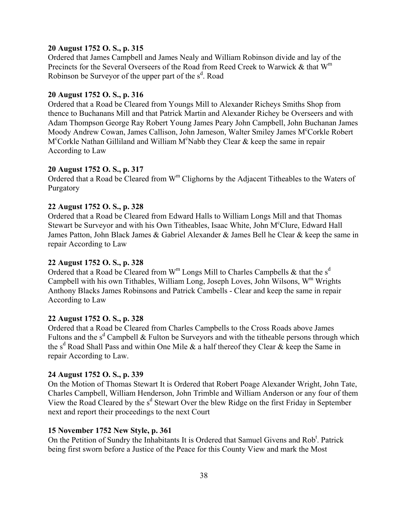### **20 August 1752 O. S., p. 315**

Ordered that James Campbell and James Nealy and William Robinson divide and lay of the Precincts for the Several Overseers of the Road from Reed Creek to Warwick & that W<sup>m</sup> Robinson be Surveyor of the upper part of the s<sup>d</sup>. Road

### **20 August 1752 O. S., p. 316**

Ordered that a Road be Cleared from Youngs Mill to Alexander Richeys Smiths Shop from thence to Buchanans Mill and that Patrick Martin and Alexander Richey be Overseers and with Adam Thompson George Ray Robert Young James Peary John Campbell, John Buchanan James Moody Andrew Cowan, James Callison, John Jameson, Walter Smiley James M°Corkle Robert M<sup>c</sup>Corkle Nathan Gilliland and William M<sup>c</sup>Nabb they Clear & keep the same in repair According to Law

### **20 August 1752 O. S., p. 317**

Ordered that a Road be Cleared from W<sup>m</sup> Clighorns by the Adjacent Titheables to the Waters of Purgatory

#### **22 August 1752 O. S., p. 328**

Ordered that a Road be Cleared from Edward Halls to William Longs Mill and that Thomas Stewart be Surveyor and with his Own Titheables, Isaac White, John M°Clure, Edward Hall James Patton, John Black James & Gabriel Alexander & James Bell he Clear & keep the same in repair According to Law

#### **22 August 1752 O. S., p. 328**

Ordered that a Road be Cleared from  $W^m$  Longs Mill to Charles Campbells & that the  $s^d$ Campbell with his own Tithables, William Long, Joseph Loves, John Wilsons,  $W<sup>m</sup>$  Wrights Anthony Blacks James Robinsons and Patrick Cambells - Clear and keep the same in repair According to Law

### **22 August 1752 O. S., p. 328**

Ordered that a Road be Cleared from Charles Campbells to the Cross Roads above James Fultons and the  $s<sup>d</sup>$  Campbell & Fulton be Surveyors and with the titheable persons through which the s<sup>d</sup> Road Shall Pass and within One Mile & a half thereof they Clear & keep the Same in repair According to Law.

#### **24 August 1752 O. S., p. 339**

On the Motion of Thomas Stewart It is Ordered that Robert Poage Alexander Wright, John Tate, Charles Campbell, William Henderson, John Trimble and William Anderson or any four of them View the Road Cleared by the s<sup>d</sup> Stewart Over the blew Ridge on the first Friday in September next and report their proceedings to the next Court

### **15 November 1752 New Style, p. 361**

On the Petition of Sundry the Inhabitants It is Ordered that Samuel Givens and Rob<sup>t</sup>. Patrick being first sworn before a Justice of the Peace for this County View and mark the Most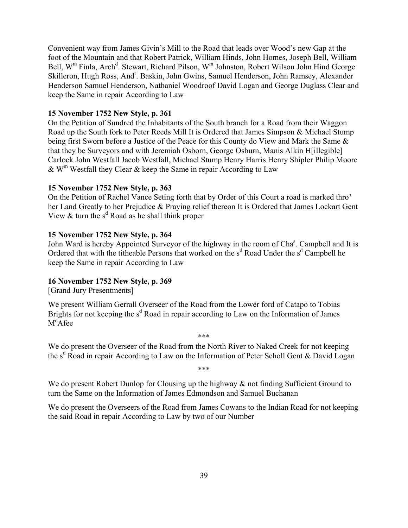Convenient way from James Givin's Mill to the Road that leads over Wood's new Gap at the foot of the Mountain and that Robert Patrick, William Hinds, John Homes, Joseph Bell, William Bell, W<sup>m</sup> Finla, Arch<sup>d</sup>. Stewart, Richard Pilson, W<sup>m</sup> Johnston, Robert Wilson John Hind George Skilleron, Hugh Ross, And<sup>r</sup>. Baskin, John Gwins, Samuel Henderson, John Ramsey, Alexander Henderson Samuel Henderson, Nathaniel Woodroof David Logan and George Duglass Clear and keep the Same in repair According to Law

### **15 November 1752 New Style, p. 361**

On the Petition of Sundred the Inhabitants of the South branch for a Road from their Waggon Road up the South fork to Peter Reeds Mill It is Ordered that James Simpson & Michael Stump being first Sworn before a Justice of the Peace for this County do View and Mark the Same & that they be Surveyors and with Jeremiah Osborn, George Osburn, Manis Alkin H[illegible] Carlock John Westfall Jacob Westfall, Michael Stump Henry Harris Henry Shipler Philip Moore  $\&$  W<sup>m</sup> Westfall they Clear  $\&$  keep the Same in repair According to Law

## **15 November 1752 New Style, p. 363**

On the Petition of Rachel Vance Seting forth that by Order of this Court a road is marked thro her Land Greatly to her Prejudice & Praying relief thereon It is Ordered that James Lockart Gent View  $&$  turn the s<sup>d</sup> Road as he shall think proper

## **15 November 1752 New Style, p. 364**

John Ward is hereby Appointed Surveyor of the highway in the room of Cha<sup>s</sup>. Campbell and It is Ordered that with the titheable Persons that worked on the  $s<sup>d</sup>$  Road Under the  $s<sup>d</sup>$  Campbell he keep the Same in repair According to Law

### **16 November 1752 New Style, p. 369**

[Grand Jury Presentments]

We present William Gerrall Overseer of the Road from the Lower ford of Catapo to Tobias Brights for not keeping the  $s<sup>d</sup>$  Road in repair according to Law on the Information of James M<sup>c</sup>Afee

We do present the Overseer of the Road from the North River to Naked Creek for not keeping the s<sup>d</sup> Road in repair According to Law on the Information of Peter Scholl Gent & David Logan

\*\*\*

\*\*\*

We do present Robert Dunlop for Clousing up the highway  $\&$  not finding Sufficient Ground to turn the Same on the Information of James Edmondson and Samuel Buchanan

We do present the Overseers of the Road from James Cowans to the Indian Road for not keeping the said Road in repair According to Law by two of our Number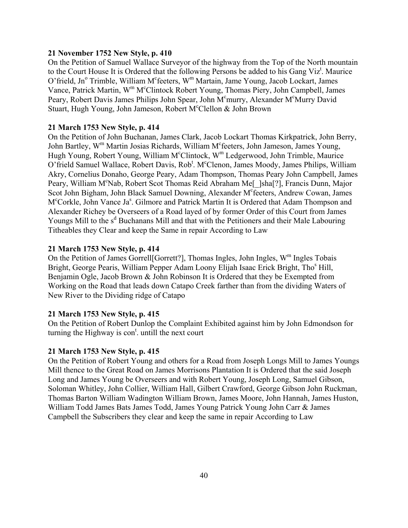### **21 November 1752 New Style, p. 410**

On the Petition of Samuel Wallace Surveyor of the highway from the Top of the North mountain to the Court House It is Ordered that the following Persons be added to his Gang Viz<sup>t</sup>. Maurice O'frield, Jn<sup>o</sup> Trimble, William M<sup>c</sup>feeters, W<sup>m</sup> Martain, Jame Young, Jacob Lockart, James Vance, Patrick Martin, W<sup>m</sup> M<sup>c</sup>Clintock Robert Young, Thomas Piery, John Campbell, James Peary, Robert Davis James Philips John Spear, John M<sup>c</sup>murry, Alexander M<sup>c</sup>Murry David Stuart, Hugh Young, John Jameson, Robert McClellon & John Brown

#### **21 March 1753 New Style, p. 414**

On the Petition of John Buchanan, James Clark, Jacob Lockart Thomas Kirkpatrick, John Berry, John Bartley, W<sup>m</sup> Martin Josias Richards, William M<sup>c</sup>feeters, John Jameson, James Young, Hugh Young, Robert Young, William McClintock, W<sup>m</sup> Ledgerwood, John Trimble, Maurice O'frield Samuel Wallace, Robert Davis, Rob<sup>t</sup>. M<sup>c</sup>Clenon, James Moody, James Philips, William Akry, Cornelius Donaho, George Peary, Adam Thompson, Thomas Peary John Campbell, James Peary, William M°Nab, Robert Scot Thomas Reid Abraham Me[ ]sha[?], Francis Dunn, Major Scot John Bigham, John Black Samuel Downing, Alexander M<sup>c</sup>feeters, Andrew Cowan, James M<sup>c</sup>Corkle, John Vance Ja<sup>s</sup>. Gilmore and Patrick Martin It is Ordered that Adam Thompson and Alexander Richey be Overseers of a Road layed of by former Order of this Court from James Youngs Mill to the s<sup>d</sup> Buchanans Mill and that with the Petitioners and their Male Labouring Titheables they Clear and keep the Same in repair According to Law

#### **21 March 1753 New Style, p. 414**

On the Petition of James Gorrell [Gorrett?], Thomas Ingles, John Ingles,  $W<sup>m</sup>$  Ingles Tobais Bright, George Pearis, William Pepper Adam Loony Elijah Isaac Erick Bright, Tho<sup>s</sup> Hill, Benjamin Ogle, Jacob Brown & John Robinson It is Ordered that they be Exempted from Working on the Road that leads down Catapo Creek farther than from the dividing Waters of New River to the Dividing ridge of Catapo

#### **21 March 1753 New Style, p. 415**

On the Petition of Robert Dunlop the Complaint Exhibited against him by John Edmondson for turning the Highway is  $\text{con}^{\text{t}}$  untill the next court

#### **21 March 1753 New Style, p. 415**

On the Petition of Robert Young and others for a Road from Joseph Longs Mill to James Youngs Mill thence to the Great Road on James Morrisons Plantation It is Ordered that the said Joseph Long and James Young be Overseers and with Robert Young, Joseph Long, Samuel Gibson, Soloman Whitley, John Collier, William Hall, Gilbert Crawford, George Gibson John Ruckman, Thomas Barton William Wadington William Brown, James Moore, John Hannah, James Huston, William Todd James Bats James Todd, James Young Patrick Young John Carr & James Campbell the Subscribers they clear and keep the same in repair According to Law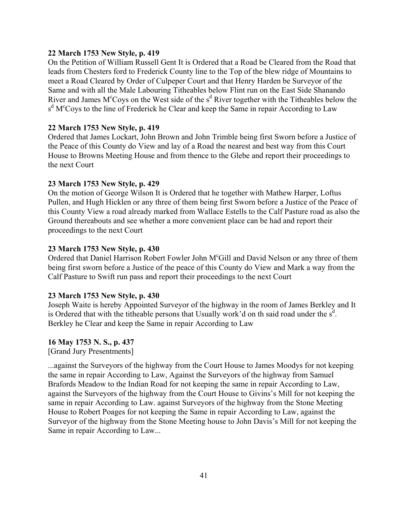### **22 March 1753 New Style, p. 419**

On the Petition of William Russell Gent It is Ordered that a Road be Cleared from the Road that leads from Chesters ford to Frederick County line to the Top of the blew ridge of Mountains to meet a Road Cleared by Order of Culpeper Court and that Henry Harden be Surveyor of the Same and with all the Male Labouring Titheables below Flint run on the East Side Shanando River and James  $M^c$ Coys on the West side of the s<sup>d</sup> River together with the Titheables below the s<sup>d</sup> M<sup>c</sup>Coys to the line of Frederick he Clear and keep the Same in repair According to Law

## **22 March 1753 New Style, p. 419**

Ordered that James Lockart, John Brown and John Trimble being first Sworn before a Justice of the Peace of this County do View and lay of a Road the nearest and best way from this Court House to Browns Meeting House and from thence to the Glebe and report their proceedings to the next Court

### **23 March 1753 New Style, p. 429**

On the motion of George Wilson It is Ordered that he together with Mathew Harper, Loftus Pullen, and Hugh Hicklen or any three of them being first Sworn before a Justice of the Peace of this County View a road already marked from Wallace Estells to the Calf Pasture road as also the Ground thereabouts and see whether a more convenient place can be had and report their proceedings to the next Court

### **23 March 1753 New Style, p. 430**

Ordered that Daniel Harrison Robert Fowler John M<sup>c</sup>Gill and David Nelson or any three of them being first sworn before a Justice of the peace of this County do View and Mark a way from the Calf Pasture to Swift run pass and report their proceedings to the next Court

### **23 March 1753 New Style, p. 430**

Joseph Waite is hereby Appointed Surveyor of the highway in the room of James Berkley and It is Ordered that with the titheable persons that Usually work'd on th said road under the  $s<sup>d</sup>$ . Berkley he Clear and keep the Same in repair According to Law

### **16 May 1753 N. S., p. 437**

[Grand Jury Presentments]

...against the Surveyors of the highway from the Court House to James Moodys for not keeping the same in repair According to Law, Against the Surveyors of the highway from Samuel Brafords Meadow to the Indian Road for not keeping the same in repair According to Law, against the Surveyors of the highway from the Court House to Givins's Mill for not keeping the same in repair According to Law. against Surveyors of the highway from the Stone Meeting House to Robert Poages for not keeping the Same in repair According to Law, against the Surveyor of the highway from the Stone Meeting house to John Davis's Mill for not keeping the Same in repair According to Law...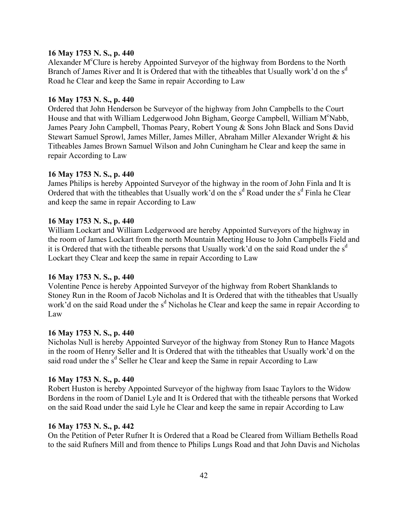### **16 May 1753 N. S., p. 440**

Alexander M<sup>c</sup>Clure is hereby Appointed Surveyor of the highway from Bordens to the North Branch of James River and It is Ordered that with the titheables that Usually work'd on the  $s<sup>d</sup>$ Road he Clear and keep the Same in repair According to Law

### **16 May 1753 N. S., p. 440**

Ordered that John Henderson be Surveyor of the highway from John Campbells to the Court House and that with William Ledgerwood John Bigham, George Campbell, William M°Nabb, James Peary John Campbell, Thomas Peary, Robert Young & Sons John Black and Sons David Stewart Samuel Sprowl, James Miller, James Miller, Abraham Miller Alexander Wright & his Titheables James Brown Samuel Wilson and John Cuningham he Clear and keep the same in repair According to Law

#### **16 May 1753 N. S., p. 440**

James Philips is hereby Appointed Surveyor of the highway in the room of John Finla and It is Ordered that with the titheables that Usually work'd on the  $s<sup>d</sup>$  Road under the  $s<sup>d</sup>$  Finla he Clear and keep the same in repair According to Law

### **16 May 1753 N. S., p. 440**

William Lockart and William Ledgerwood are hereby Appointed Surveyors of the highway in the room of James Lockart from the north Mountain Meeting House to John Campbells Field and it is Ordered that with the titheable persons that Usually work'd on the said Road under the  $s<sup>d</sup>$ Lockart they Clear and keep the same in repair According to Law

### **16 May 1753 N. S., p. 440**

Volentine Pence is hereby Appointed Surveyor of the highway from Robert Shanklands to Stoney Run in the Room of Jacob Nicholas and It is Ordered that with the titheables that Usually work'd on the said Road under the  $s<sup>d</sup>$  Nicholas he Clear and keep the same in repair According to Law

#### **16 May 1753 N. S., p. 440**

Nicholas Null is hereby Appointed Surveyor of the highway from Stoney Run to Hance Magots in the room of Henry Seller and It is Ordered that with the titheables that Usually work'd on the said road under the s<sup>d</sup> Seller he Clear and keep the Same in repair According to Law

#### **16 May 1753 N. S., p. 440**

Robert Huston is hereby Appointed Surveyor of the highway from Isaac Taylors to the Widow Bordens in the room of Daniel Lyle and It is Ordered that with the titheable persons that Worked on the said Road under the said Lyle he Clear and keep the same in repair According to Law

#### **16 May 1753 N. S., p. 442**

On the Petition of Peter Rufner It is Ordered that a Road be Cleared from William Bethells Road to the said Rufners Mill and from thence to Philips Lungs Road and that John Davis and Nicholas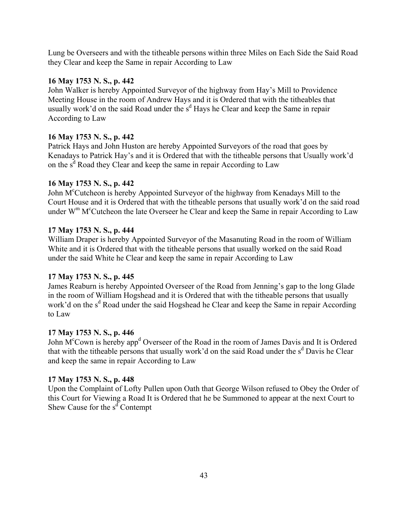Lung be Overseers and with the titheable persons within three Miles on Each Side the Said Road they Clear and keep the Same in repair According to Law

## **16 May 1753 N. S., p. 442**

John Walker is hereby Appointed Surveyor of the highway from Hay's Mill to Providence Meeting House in the room of Andrew Hays and it is Ordered that with the titheables that usually work'd on the said Road under the  $s<sup>d</sup>$  Hays he Clear and keep the Same in repair According to Law

## **16 May 1753 N. S., p. 442**

Patrick Hays and John Huston are hereby Appointed Surveyors of the road that goes by Kenadays to Patrick Hay's and it is Ordered that with the titheable persons that Usually work'd on the  $s^d$  Road they Clear and keep the same in repair According to Law

## **16 May 1753 N. S., p. 442**

John M<sup>c</sup>Cutcheon is hereby Appointed Surveyor of the highway from Kenadays Mill to the Court House and it is Ordered that with the titheable persons that usually work'd on the said road under W<sup>m</sup> M<sup>c</sup>Cutcheon the late Overseer he Clear and keep the Same in repair According to Law

## **17 May 1753 N. S., p. 444**

William Draper is hereby Appointed Surveyor of the Masanuting Road in the room of William White and it is Ordered that with the titheable persons that usually worked on the said Road under the said White he Clear and keep the same in repair According to Law

## **17 May 1753 N. S., p. 445**

James Reaburn is hereby Appointed Overseer of the Road from Jenning's gap to the long Glade in the room of William Hogshead and it is Ordered that with the titheable persons that usually work'd on the s<sup>d</sup> Road under the said Hogshead he Clear and keep the Same in repair According to Law

## **17 May 1753 N. S., p. 446**

John M<sup>c</sup>Cown is hereby app<sup>d</sup> Overseer of the Road in the room of James Davis and It is Ordered that with the titheable persons that usually work'd on the said Road under the s<sup>d</sup> Davis he Clear and keep the same in repair According to Law

# **17 May 1753 N. S., p. 448**

Upon the Complaint of Lofty Pullen upon Oath that George Wilson refused to Obey the Order of this Court for Viewing a Road It is Ordered that he be Summoned to appear at the next Court to Shew Cause for the  $s^d$  Contempt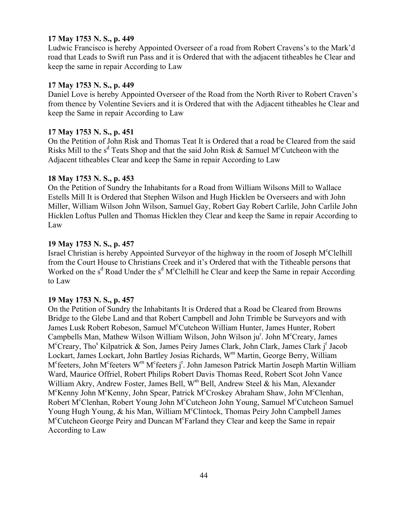## **17 May 1753 N. S., p. 449**

Ludwic Francisco is hereby Appointed Overseer of a road from Robert Cravens's to the Mark'd road that Leads to Swift run Pass and it is Ordered that with the adjacent titheables he Clear and keep the same in repair According to Law

# **17 May 1753 N. S., p. 449**

Daniel Love is hereby Appointed Overseer of the Road from the North River to Robert Craven's from thence by Volentine Seviers and it is Ordered that with the Adjacent titheables he Clear and keep the Same in repair According to Law

### **17 May 1753 N. S., p. 451**

On the Petition of John Risk and Thomas Teat It is Ordered that a road be Cleared from the said Risks Mill to the  $s^d$  Teats Shop and that the said John Risk & Samuel M<sup>c</sup>Cutcheon with the Adjacent titheables Clear and keep the Same in repair According to Law

### **18 May 1753 N. S., p. 453**

On the Petition of Sundry the Inhabitants for a Road from William Wilsons Mill to Wallace Estells Mill It is Ordered that Stephen Wilson and Hugh Hicklen be Overseers and with John Miller, William Wilson John Wilson, Samuel Gay, Robert Gay Robert Carlile, John Carlile John Hicklen Loftus Pullen and Thomas Hicklen they Clear and keep the Same in repair According to Law

## **19 May 1753 N. S., p. 457**

Israel Christian is hereby Appointed Surveyor of the highway in the room of Joseph M<sup>c</sup>Clelhill from the Court House to Christians Creek and it's Ordered that with the Titheable persons that Worked on the s<sup>d</sup> Road Under the s<sup>d</sup> M<sup>c</sup>Clelhill he Clear and keep the Same in repair According to Law

### **19 May 1753 N. S., p. 457**

On the Petition of Sundry the Inhabitants It is Ordered that a Road be Cleared from Browns Bridge to the Glebe Land and that Robert Campbell and John Trimble be Surveyors and with James Lusk Robert Robeson, Samuel M<sup>c</sup>Cutcheon William Hunter, James Hunter, Robert Campbells Man, Mathew Wilson William Wilson, John Wilson ju<sup>r</sup>. John M<sup>c</sup>Creary, James M<sup>c</sup>Creary, Tho<sup>s</sup> Kilpatrick & Son, James Peiry James Clark, John Clark, James Clark j<sup>r</sup> Jacob Lockart, James Lockart, John Bartley Josias Richards, W<sup>m</sup> Martin, George Berry, William M<sup>c</sup>feeters, John M<sup>c</sup>feeters W<sup>m</sup> M<sup>c</sup>feeters j<sup>r</sup>. John Jameson Patrick Martin Joseph Martin William Ward, Maurice Offriel, Robert Philips Robert Davis Thomas Reed, Robert Scot John Vance William Akry, Andrew Foster, James Bell,  $W^m$  Bell, Andrew Steel & his Man, Alexander M°Kenny John M°Kenny, John Spear, Patrick M°Croskey Abraham Shaw, John M°Clenhan, Robert M<sup>c</sup>Clenhan, Robert Young John M<sup>c</sup>Cutcheon John Young, Samuel M<sup>c</sup>Cutcheon Samuel Young Hugh Young, & his Man, William M<sup>c</sup>Clintock, Thomas Peiry John Campbell James M<sup>c</sup>Cutcheon George Peiry and Duncan M<sup>c</sup>Farland they Clear and keep the Same in repair According to Law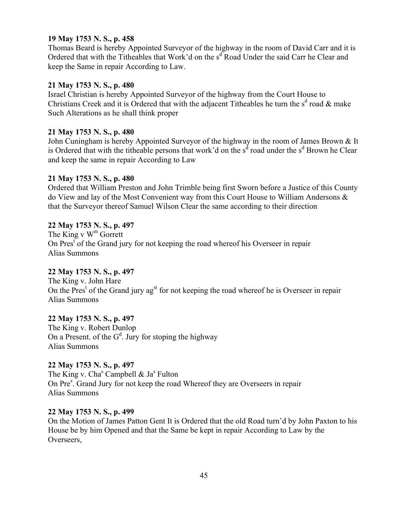## **19 May 1753 N. S., p. 458**

Thomas Beard is hereby Appointed Surveyor of the highway in the room of David Carr and it is Ordered that with the Titheables that Work'd on the s<sup>d</sup> Road Under the said Carr he Clear and keep the Same in repair According to Law.

## **21 May 1753 N. S., p. 480**

Israel Christian is hereby Appointed Surveyor of the highway from the Court House to Christians Creek and it is Ordered that with the adjacent Titheables he turn the  $s<sup>d</sup>$  road & make Such Alterations as he shall think proper

## **21 May 1753 N. S., p. 480**

John Cuningham is hereby Appointed Surveyor of the highway in the room of James Brown & It is Ordered that with the titheable persons that work'd on the  $s^d$  road under the  $s^d$  Brown he Clear and keep the same in repair According to Law

## **21 May 1753 N. S., p. 480**

Ordered that William Preston and John Trimble being first Sworn before a Justice of this County do View and lay of the Most Convenient way from this Court House to William Andersons & that the Surveyor thereof Samuel Wilson Clear the same according to their direction

## **22 May 1753 N. S., p. 497**

The King v  $W^m$  Gorrett On Pres<sup>t</sup> of the Grand jury for not keeping the road whereof his Overseer in repair Alias Summons

# **22 May 1753 N. S., p. 497**

The King v. John Hare On the Pres<sup>t</sup> of the Grand jury ag<sup>st</sup> for not keeping the road whereof he is Overseer in repair Alias Summons

# **22 May 1753 N. S., p. 497**

The King v. Robert Dunlop On a Present. of the  $G^d$ . Jury for stoping the highway Alias Summons

# **22 May 1753 N. S., p. 497**

The King v. Cha<sup>s</sup> Campbell & Ja<sup>s</sup> Fulton On Pre<sup>s</sup>. Grand Jury for not keep the road Whereof they are Overseers in repair Alias Summons

## **22 May 1753 N. S., p. 499**

On the Motion of James Patton Gent It is Ordered that the old Road turn'd by John Paxton to his House be by him Opened and that the Same be kept in repair According to Law by the Overseers,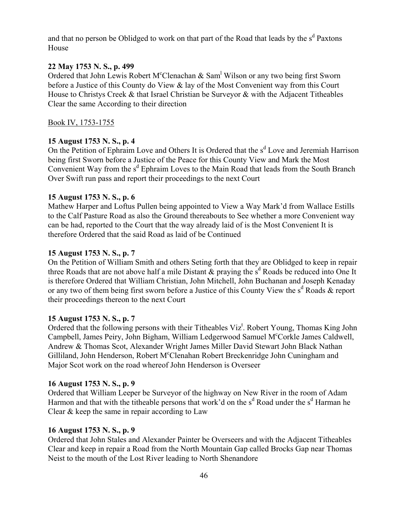and that no person be Oblidged to work on that part of the Road that leads by the  $s<sup>d</sup>$  Paxtons House

## **22 May 1753 N. S., p. 499**

Ordered that John Lewis Robert M°Clenachan & Sam<sup>1</sup> Wilson or any two being first Sworn before a Justice of this County do View & lay of the Most Convenient way from this Court House to Christys Creek & that Israel Christian be Surveyor & with the Adjacent Titheables Clear the same According to their direction

### Book IV, 1753-1755

### **15 August 1753 N. S., p. 4**

On the Petition of Ephraim Love and Others It is Ordered that the s<sup>d</sup> Love and Jeremiah Harrison being first Sworn before a Justice of the Peace for this County View and Mark the Most Convenient Way from the s<sup>d</sup> Ephraim Loves to the Main Road that leads from the South Branch Over Swift run pass and report their proceedings to the next Court

### **15 August 1753 N. S., p. 6**

Mathew Harper and Loftus Pullen being appointed to View a Way Mark'd from Wallace Estills to the Calf Pasture Road as also the Ground thereabouts to See whether a more Convenient way can be had, reported to the Court that the way already laid of is the Most Convenient It is therefore Ordered that the said Road as laid of be Continued

### **15 August 1753 N. S., p. 7**

On the Petition of William Smith and others Seting forth that they are Oblidged to keep in repair three Roads that are not above half a mile Distant  $\&$  praying the s<sup>d</sup> Roads be reduced into One It is therefore Ordered that William Christian, John Mitchell, John Buchanan and Joseph Kenaday or any two of them being first sworn before a Justice of this County View the  $s<sup>d</sup>$  Roads  $\&$  report their proceedings thereon to the next Court

### **15 August 1753 N. S., p. 7**

Ordered that the following persons with their Titheables Viz<sup>t</sup>. Robert Young, Thomas King John Campbell, James Peiry, John Bigham, William Ledgerwood Samuel M°Corkle James Caldwell, Andrew & Thomas Scot, Alexander Wright James Miller David Stewart John Black Nathan Gilliland, John Henderson, Robert M<sup>c</sup>Clenahan Robert Breckenridge John Cuningham and Major Scot work on the road whereof John Henderson is Overseer

### **16 August 1753 N. S., p. 9**

Ordered that William Leeper be Surveyor of the highway on New River in the room of Adam Harmon and that with the titheable persons that work'd on the  $s<sup>d</sup>$  Road under the  $s<sup>d</sup>$  Harman he Clear & keep the same in repair according to Law

### **16 August 1753 N. S., p. 9**

Ordered that John Stales and Alexander Painter be Overseers and with the Adjacent Titheables Clear and keep in repair a Road from the North Mountain Gap called Brocks Gap near Thomas Neist to the mouth of the Lost River leading to North Shenandore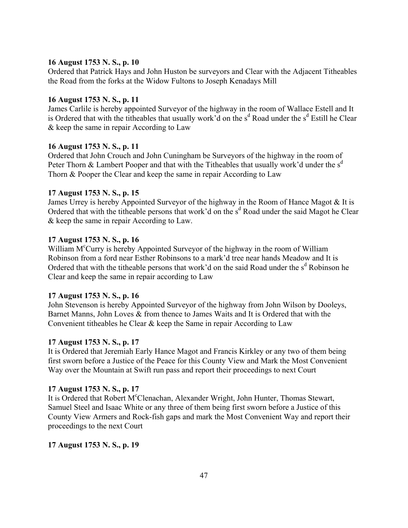# **16 August 1753 N. S., p. 10**

Ordered that Patrick Hays and John Huston be surveyors and Clear with the Adjacent Titheables the Road from the forks at the Widow Fultons to Joseph Kenadays Mill

## **16 August 1753 N. S., p. 11**

James Carlile is hereby appointed Surveyor of the highway in the room of Wallace Estell and It is Ordered that with the titheables that usually work'd on the s<sup>d</sup> Road under the s<sup>d</sup> Estill he Clear & keep the same in repair According to Law

### **16 August 1753 N. S., p. 11**

Ordered that John Crouch and John Cuningham be Surveyors of the highway in the room of Peter Thorn & Lambert Pooper and that with the Titheables that usually work'd under the  $s<sup>d</sup>$ Thorn & Pooper the Clear and keep the same in repair According to Law

### **17 August 1753 N. S., p. 15**

James Urrey is hereby Appointed Surveyor of the highway in the Room of Hance Magot & It is Ordered that with the titheable persons that work'd on the s<sup>d</sup> Road under the said Magot he Clear & keep the same in repair According to Law.

## **17 August 1753 N. S., p. 16**

William M<sup>c</sup>Curry is hereby Appointed Surveyor of the highway in the room of William Robinson from a ford near Esther Robinsons to a mark'd tree near hands Meadow and It is Ordered that with the titheable persons that work'd on the said Road under the s<sup>d</sup> Robinson he Clear and keep the same in repair according to Law

### **17 August 1753 N. S., p. 16**

John Stevenson is hereby Appointed Surveyor of the highway from John Wilson by Dooleys, Barnet Manns, John Loves & from thence to James Waits and It is Ordered that with the Convenient titheables he Clear & keep the Same in repair According to Law

### **17 August 1753 N. S., p. 17**

It is Ordered that Jeremiah Early Hance Magot and Francis Kirkley or any two of them being first sworn before a Justice of the Peace for this County View and Mark the Most Convenient Way over the Mountain at Swift run pass and report their proceedings to next Court

### **17 August 1753 N. S., p. 17**

It is Ordered that Robert M°Clenachan, Alexander Wright, John Hunter, Thomas Stewart, Samuel Steel and Isaac White or any three of them being first sworn before a Justice of this County View Armers and Rock-fish gaps and mark the Most Convenient Way and report their proceedings to the next Court

### **17 August 1753 N. S., p. 19**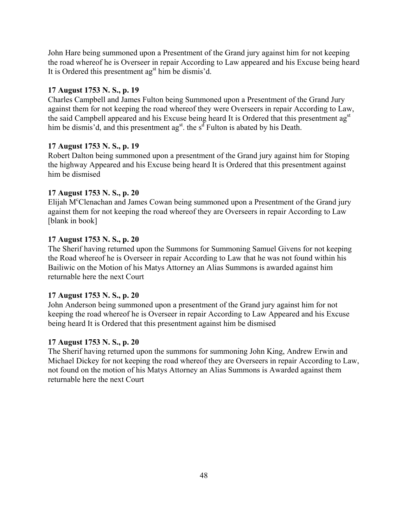John Hare being summoned upon a Presentment of the Grand jury against him for not keeping the road whereof he is Overseer in repair According to Law appeared and his Excuse being heard It is Ordered this presentment  $a\mathbf{g}^{\text{st}}$  him be dismis'd.

## **17 August 1753 N. S., p. 19**

Charles Campbell and James Fulton being Summoned upon a Presentment of the Grand Jury against them for not keeping the road whereof they were Overseers in repair According to Law, the said Campbell appeared and his Excuse being heard It is Ordered that this presentment ag<sup>st</sup> him be dismis'd, and this presentment ag<sup>st</sup>. the s<sup>d</sup> Fulton is abated by his Death.

## **17 August 1753 N. S., p. 19**

Robert Dalton being summoned upon a presentment of the Grand jury against him for Stoping the highway Appeared and his Excuse being heard It is Ordered that this presentment against him be dismised

## **17 August 1753 N. S., p. 20**

Elijah M<sup>c</sup>Clenachan and James Cowan being summoned upon a Presentment of the Grand jury against them for not keeping the road whereof they are Overseers in repair According to Law [blank in book]

## **17 August 1753 N. S., p. 20**

The Sherif having returned upon the Summons for Summoning Samuel Givens for not keeping the Road whereof he is Overseer in repair According to Law that he was not found within his Bailiwic on the Motion of his Matys Attorney an Alias Summons is awarded against him returnable here the next Court

## **17 August 1753 N. S., p. 20**

John Anderson being summoned upon a presentment of the Grand jury against him for not keeping the road whereof he is Overseer in repair According to Law Appeared and his Excuse being heard It is Ordered that this presentment against him be dismised

## **17 August 1753 N. S., p. 20**

The Sherif having returned upon the summons for summoning John King, Andrew Erwin and Michael Dickey for not keeping the road whereof they are Overseers in repair According to Law, not found on the motion of his Matys Attorney an Alias Summons is Awarded against them returnable here the next Court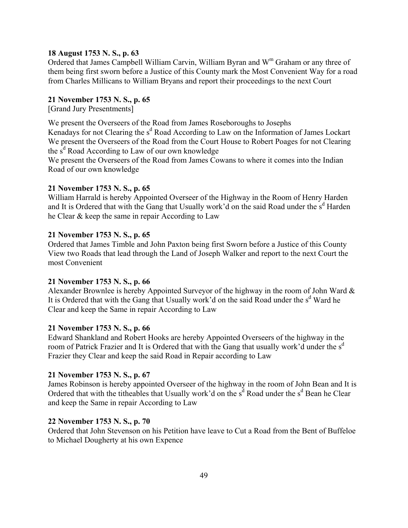### **18 August 1753 N. S., p. 63**

Ordered that James Campbell William Carvin, William Byran and W<sup>m</sup> Graham or any three of them being first sworn before a Justice of this County mark the Most Convenient Way for a road from Charles Millicans to William Bryans and report their proceedings to the next Court

### **21 November 1753 N. S., p. 65**

[Grand Jury Presentments]

We present the Overseers of the Road from James Roseboroughs to Josephs

Kenadays for not Clearing the s<sup>d</sup> Road According to Law on the Information of James Lockart We present the Overseers of the Road from the Court House to Robert Poages for not Clearing the  $\tilde{s}^d$  Road According to Law of our own knowledge

We present the Overseers of the Road from James Cowans to where it comes into the Indian Road of our own knowledge

### **21 November 1753 N. S., p. 65**

William Harrald is hereby Appointed Overseer of the Highway in the Room of Henry Harden and It is Ordered that with the Gang that Usually work'd on the said Road under the  $s<sup>d</sup>$  Harden he Clear & keep the same in repair According to Law

### **21 November 1753 N. S., p. 65**

Ordered that James Timble and John Paxton being first Sworn before a Justice of this County View two Roads that lead through the Land of Joseph Walker and report to the next Court the most Convenient

### **21 November 1753 N. S., p. 66**

Alexander Brownlee is hereby Appointed Surveyor of the highway in the room of John Ward & It is Ordered that with the Gang that Usually work'd on the said Road under the s<sup>d</sup> Ward he Clear and keep the Same in repair According to Law

### **21 November 1753 N. S., p. 66**

Edward Shankland and Robert Hooks are hereby Appointed Overseers of the highway in the room of Patrick Frazier and It is Ordered that with the Gang that usually work'd under the  $s<sup>d</sup>$ Frazier they Clear and keep the said Road in Repair according to Law

### **21 November 1753 N. S., p. 67**

James Robinson is hereby appointed Overseer of the highway in the room of John Bean and It is Ordered that with the titheables that Usually work'd on the  $s<sup>d</sup>$  Road under the  $s<sup>d</sup>$  Bean he Clear and keep the Same in repair According to Law

### **22 November 1753 N. S., p. 70**

Ordered that John Stevenson on his Petition have leave to Cut a Road from the Bent of Buffeloe to Michael Dougherty at his own Expence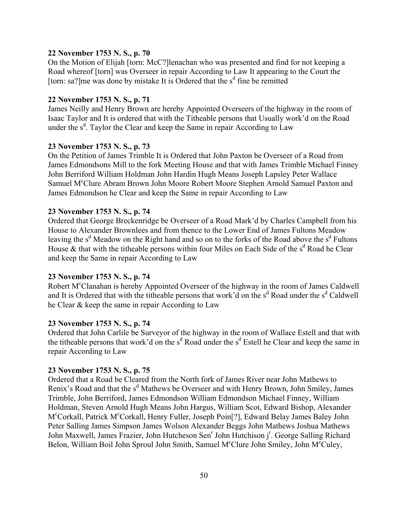### **22 November 1753 N. S., p. 70**

On the Motion of Elijah [torn: McC?]lenachan who was presented and find for not keeping a Road whereof [torn] was Overseer in repair According to Law It appearing to the Court the [torn: sa?] me was done by mistake It is Ordered that the  $s<sup>d</sup>$  fine be remitted

## **22 November 1753 N. S., p. 71**

James Neilly and Henry Brown are hereby Appointed Overseers of the highway in the room of Isaac Taylor and It is ordered that with the Titheable persons that Usually work'd on the Road under the  $s<sup>d</sup>$ . Taylor the Clear and keep the Same in repair According to Law

#### **23 November 1753 N. S., p. 73**

On the Petition of James Trimble It is Ordered that John Paxton be Overseer of a Road from James Edmondsons Mill to the fork Meeting House and that with James Trimble Michael Finney John Berriford William Holdman John Hardin Hugh Means Joseph Lapsley Peter Wallace Samuel M<sup>c</sup>Clure Abram Brown John Moore Robert Moore Stephen Arnold Samuel Paxton and James Edmondson he Clear and keep the Same in repair According to Law

#### **23 November 1753 N. S., p. 74**

Ordered that George Breckenridge be Overseer of a Road Mark'd by Charles Campbell from his House to Alexander Brownlees and from thence to the Lower End of James Fultons Meadow leaving the s<sup>d</sup> Meadow on the Right hand and so on to the forks of the Road above the s<sup>d</sup> Fultons House  $\&$  that with the titheable persons within four Miles on Each Side of the s<sup>d</sup> Road he Clear and keep the Same in repair According to Law

#### **23 November 1753 N. S., p. 74**

Robert M<sup>c</sup>Clanahan is hereby Appointed Overseer of the highway in the room of James Caldwell and It is Ordered that with the titheable persons that work'd on the  $s<sup>d</sup>$  Road under the  $s<sup>d</sup>$  Caldwell he Clear & keep the same in repair According to Law

### **23 November 1753 N. S., p. 74**

Ordered that John Carlile be Surveyor of the highway in the room of Wallace Estell and that with the titheable persons that work'd on the  $s<sup>d</sup>$  Road under the  $s<sup>d</sup>$  Estell he Clear and keep the same in repair According to Law

#### **23 November 1753 N. S., p. 75**

Ordered that a Road be Cleared from the North fork of James River near John Mathews to Renix's Road and that the s<sup>d</sup> Mathews be Overseer and with Henry Brown, John Smiley, James Trimble, John Berriford, James Edmondson William Edmondson Michael Finney, William Holdman, Steven Arnold Hugh Means John Hargus, William Scot, Edward Bishop, Alexander M<sup>c</sup>Corkall, Patrick M<sup>c</sup>Corkall, Henry Fuller, Joseph Poin<sup>[?]</sup>, Edward Belay James Baley John Peter Salling James Simpson James Wolson Alexander Beggs John Mathews Joshua Mathews John Maxwell, James Frazier, John Hutcheson Sen<sup>r</sup> John Hutchison j<sup>r</sup>. George Salling Richard Belon, William Boil John Sproul John Smith, Samuel M<sup>c</sup>Clure John Smiley, John M<sup>c</sup>Culey,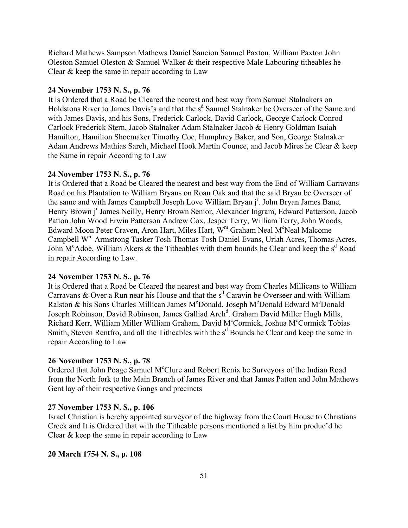Richard Mathews Sampson Mathews Daniel Sancion Samuel Paxton, William Paxton John Oleston Samuel Oleston & Samuel Walker & their respective Male Labouring titheables he Clear & keep the same in repair according to Law

#### **24 November 1753 N. S., p. 76**

It is Ordered that a Road be Cleared the nearest and best way from Samuel Stalnakers on Holdstons River to James Davis's and that the s<sup>d</sup> Samuel Stalnaker be Overseer of the Same and with James Davis, and his Sons, Frederick Carlock, David Carlock, George Carlock Conrod Carlock Frederick Stern, Jacob Stalnaker Adam Stalnaker Jacob & Henry Goldman Isaiah Hamilton, Hamilton Shoemaker Timothy Coe, Humphrey Baker, and Son, George Stalnaker Adam Andrews Mathias Sareh, Michael Hook Martin Counce, and Jacob Mires he Clear & keep the Same in repair According to Law

#### **24 November 1753 N. S., p. 76**

It is Ordered that a Road be Cleared the nearest and best way from the End of William Carravans Road on his Plantation to William Bryans on Roan Oak and that the said Bryan be Overseer of the same and with James Campbell Joseph Love William Bryan j<sup>r</sup>. John Bryan James Bane, Henry Brown j<sup>r</sup> James Neilly, Henry Brown Senior, Alexander Ingram, Edward Patterson, Jacob Patton John Wood Erwin Patterson Andrew Cox, Jesper Terry, William Terry, John Woods, Edward Moon Peter Craven, Aron Hart, Miles Hart, W<sup>m</sup> Graham Neal M°Neal Malcome Campbell Wm Armstrong Tasker Tosh Thomas Tosh Daniel Evans, Uriah Acres, Thomas Acres, John M<sup>c</sup>Adoe, William Akers & the Titheables with them bounds he Clear and keep the s<sup>d</sup> Road in repair According to Law.

#### **24 November 1753 N. S., p. 76**

It is Ordered that a Road be Cleared the nearest and best way from Charles Millicans to William Carravans & Over a Run near his House and that the  $s<sup>d</sup>$  Caravin be Overseer and with William Ralston & his Sons Charles Millican James M°Donald, Joseph M°Donald Edward M°Donald Joseph Robinson, David Robinson, James Galliad Arch<sup>d</sup>. Graham David Miller Hugh Mills, Richard Kerr, William Miller William Graham, David M°Cormick, Joshua M°Cormick Tobias Smith, Steven Rentfro, and all the Titheables with the  $s<sup>d</sup>$  Bounds he Clear and keep the same in repair According to Law

#### **26 November 1753 N. S., p. 78**

Ordered that John Poage Samuel M°Clure and Robert Renix be Surveyors of the Indian Road from the North fork to the Main Branch of James River and that James Patton and John Mathews Gent lay of their respective Gangs and precincts

#### **27 November 1753 N. S., p. 106**

Israel Christian is hereby appointed surveyor of the highway from the Court House to Christians Creek and It is Ordered that with the Titheable persons mentioned a list by him produc'd he Clear & keep the same in repair according to Law

#### **20 March 1754 N. S., p. 108**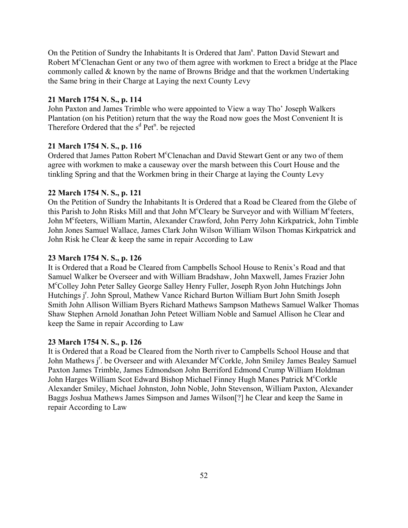On the Petition of Sundry the Inhabitants It is Ordered that Jam<sup>s</sup>. Patton David Stewart and Robert M<sup>c</sup>Clenachan Gent or any two of them agree with workmen to Erect a bridge at the Place commonly called & known by the name of Browns Bridge and that the workmen Undertaking the Same bring in their Charge at Laying the next County Levy

### **21 March 1754 N. S., p. 114**

John Paxton and James Trimble who were appointed to View a way Tho' Joseph Walkers Plantation (on his Petition) return that the way the Road now goes the Most Convenient It is Therefore Ordered that the  $s<sup>d</sup>$  Pet<sup>n</sup>. be rejected

### **21 March 1754 N. S., p. 116**

Ordered that James Patton Robert M°Clenachan and David Stewart Gent or any two of them agree with workmen to make a causeway over the marsh between this Court House and the tinkling Spring and that the Workmen bring in their Charge at laying the County Levy

### **22 March 1754 N. S., p. 121**

On the Petition of Sundry the Inhabitants It is Ordered that a Road be Cleared from the Glebe of this Parish to John Risks Mill and that John M°Cleary be Surveyor and with William M°feeters, John M<sup>c</sup>feeters, William Martin, Alexander Crawford, John Perry John Kirkpatrick, John Timble John Jones Samuel Wallace, James Clark John Wilson William Wilson Thomas Kirkpatrick and John Risk he Clear & keep the same in repair According to Law

### **23 March 1754 N. S., p. 126**

It is Ordered that a Road be Cleared from Campbells School House to Renix's Road and that Samuel Walker be Overseer and with William Bradshaw, John Maxwell, James Frazier John M<sup>c</sup>Colley John Peter Salley George Salley Henry Fuller, Joseph Ryon John Hutchings John Hutchings j<sup>r</sup>. John Sproul, Mathew Vance Richard Burton William Burt John Smith Joseph Smith John Allison William Byers Richard Mathews Sampson Mathews Samuel Walker Thomas Shaw Stephen Arnold Jonathan John Peteet William Noble and Samuel Allison he Clear and keep the Same in repair According to Law

### **23 March 1754 N. S., p. 126**

It is Ordered that a Road be Cleared from the North river to Campbells School House and that John Mathews j<sup>r</sup>. be Overseer and with Alexander M°Corkle, John Smiley James Bealey Samuel Paxton James Trimble, James Edmondson John Berriford Edmond Crump William Holdman John Harges William Scot Edward Bishop Michael Finney Hugh Manes Patrick M<sup>c</sup>Corkle Alexander Smiley, Michael Johnston, John Noble, John Stevenson, William Paxton, Alexander Baggs Joshua Mathews James Simpson and James Wilson[?] he Clear and keep the Same in repair According to Law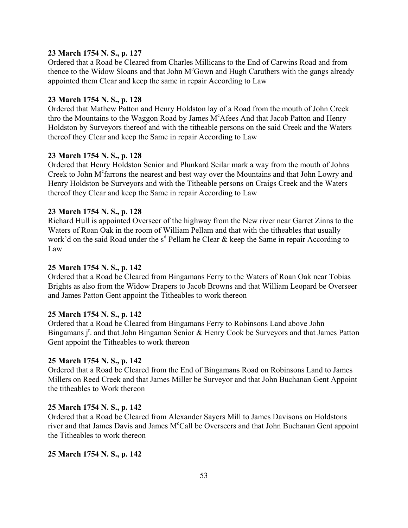## **23 March 1754 N. S., p. 127**

Ordered that a Road be Cleared from Charles Millicans to the End of Carwins Road and from thence to the Widow Sloans and that John M<sup>c</sup>Gown and Hugh Caruthers with the gangs already appointed them Clear and keep the same in repair According to Law

### **23 March 1754 N. S., p. 128**

Ordered that Mathew Patton and Henry Holdston lay of a Road from the mouth of John Creek thro the Mountains to the Waggon Road by James M<sup>c</sup>Afees And that Jacob Patton and Henry Holdston by Surveyors thereof and with the titheable persons on the said Creek and the Waters thereof they Clear and keep the Same in repair According to Law

### **23 March 1754 N. S., p. 128**

Ordered that Henry Holdston Senior and Plunkard Seilar mark a way from the mouth of Johns Creek to John M<sup>c</sup>farrons the nearest and best way over the Mountains and that John Lowry and Henry Holdston be Surveyors and with the Titheable persons on Craigs Creek and the Waters thereof they Clear and keep the Same in repair According to Law

### **23 March 1754 N. S., p. 128**

Richard Hull is appointed Overseer of the highway from the New river near Garret Zinns to the Waters of Roan Oak in the room of William Pellam and that with the titheables that usually work'd on the said Road under the  $s<sup>d</sup>$  Pellam he Clear & keep the Same in repair According to Law

### **25 March 1754 N. S., p. 142**

Ordered that a Road be Cleared from Bingamans Ferry to the Waters of Roan Oak near Tobias Brights as also from the Widow Drapers to Jacob Browns and that William Leopard be Overseer and James Patton Gent appoint the Titheables to work thereon

### **25 March 1754 N. S., p. 142**

Ordered that a Road be Cleared from Bingamans Ferry to Robinsons Land above John Bingamans j<sup>r</sup>. and that John Bingaman Senior & Henry Cook be Surveyors and that James Patton Gent appoint the Titheables to work thereon

### **25 March 1754 N. S., p. 142**

Ordered that a Road be Cleared from the End of Bingamans Road on Robinsons Land to James Millers on Reed Creek and that James Miller be Surveyor and that John Buchanan Gent Appoint the titheables to Work thereon

### **25 March 1754 N. S., p. 142**

Ordered that a Road be Cleared from Alexander Sayers Mill to James Davisons on Holdstons river and that James Davis and James M°Call be Overseers and that John Buchanan Gent appoint the Titheables to work thereon

### **25 March 1754 N. S., p. 142**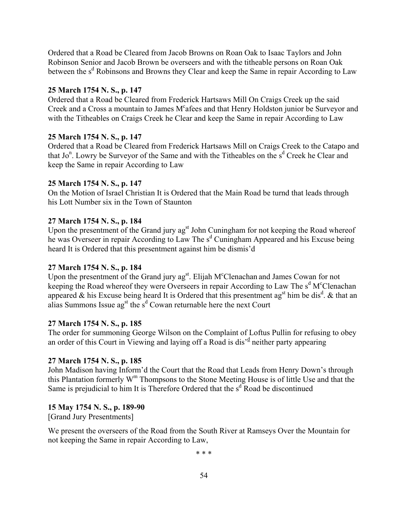Ordered that a Road be Cleared from Jacob Browns on Roan Oak to Isaac Taylors and John Robinson Senior and Jacob Brown be overseers and with the titheable persons on Roan Oak between the s<sup>d</sup> Robinsons and Browns they Clear and keep the Same in repair According to Law

## **25 March 1754 N. S., p. 147**

Ordered that a Road be Cleared from Frederick Hartsaws Mill On Craigs Creek up the said Creek and a Cross a mountain to James M°afees and that Henry Holdston junior be Surveyor and with the Titheables on Craigs Creek he Clear and keep the Same in repair According to Law

## **25 March 1754 N. S., p. 147**

Ordered that a Road be Cleared from Frederick Hartsaws Mill on Craigs Creek to the Catapo and that Jo<sup>n</sup>. Lowry be Surveyor of the Same and with the Titheables on the s<sup>d</sup> Creek he Clear and keep the Same in repair According to Law

## **25 March 1754 N. S., p. 147**

On the Motion of Israel Christian It is Ordered that the Main Road be turnd that leads through his Lott Number six in the Town of Staunton

## **27 March 1754 N. S., p. 184**

Upon the presentment of the Grand jury  $ag<sup>st</sup>$  John Cuningham for not keeping the Road whereof he was Overseer in repair According to Law The s<sup>d</sup> Cuningham Appeared and his Excuse being heard It is Ordered that this presentment against him be dismis'd

## **27 March 1754 N. S., p. 184**

Upon the presentment of the Grand jury ag<sup>st</sup>. Elijah M<sup>c</sup>Clenachan and James Cowan for not keeping the Road whereof they were Overseers in repair According to Law The s<sup>d</sup> M<sup>c</sup>Clenachan appeared & his Excuse being heard It is Ordered that this presentment  $\mathbf{a}^{\mathrm{st}}$  him be dis<sup>d</sup>. & that an alias Summons Issue ag<sup>st</sup> the s<sup>d</sup> Cowan returnable here the next Court

# **27 March 1754 N. S., p. 185**

The order for summoning George Wilson on the Complaint of Loftus Pullin for refusing to obey an order of this Court in Viewing and laying off a Road is dis<sup> $d$ </sup> neither party appearing

# **27 March 1754 N. S., p. 185**

John Madison having Inform'd the Court that the Road that Leads from Henry Down's through this Plantation formerly  $W^m$  Thompsons to the Stone Meeting House is of little Use and that the Same is prejudicial to him It is Therefore Ordered that the s<sup>d</sup> Road be discontinued

# **15 May 1754 N. S., p. 189-90**

[Grand Jury Presentments]

We present the overseers of the Road from the South River at Ramseys Over the Mountain for not keeping the Same in repair According to Law,

\* \* \*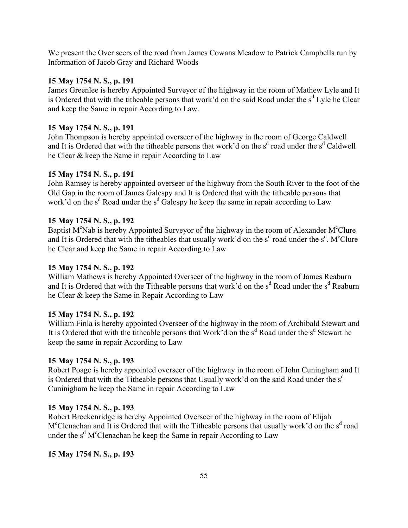We present the Over seers of the road from James Cowans Meadow to Patrick Campbells run by Information of Jacob Gray and Richard Woods

### **15 May 1754 N. S., p. 191**

James Greenlee is hereby Appointed Surveyor of the highway in the room of Mathew Lyle and It is Ordered that with the titheable persons that work'd on the said Road under the  $s<sup>d</sup>$  Lyle he Clear and keep the Same in repair According to Law.

### **15 May 1754 N. S., p. 191**

John Thompson is hereby appointed overseer of the highway in the room of George Caldwell and It is Ordered that with the titheable persons that work'd on the  $s<sup>d</sup>$  road under the  $s<sup>d</sup>$  Caldwell he Clear & keep the Same in repair According to Law

### **15 May 1754 N. S., p. 191**

John Ramsey is hereby appointed overseer of the highway from the South River to the foot of the Old Gap in the room of James Galespy and It is Ordered that with the titheable persons that work'd on the  $s^d$  Road under the  $s^d$  Galespy he keep the same in repair according to Law

### **15 May 1754 N. S., p. 192**

Baptist M°Nab is hereby Appointed Surveyor of the highway in the room of Alexander M°Clure and It is Ordered that with the titheables that usually work'd on the s<sup>d</sup> road under the s<sup>d</sup>. M<sup>c</sup>Clure he Clear and keep the Same in repair According to Law

### **15 May 1754 N. S., p. 192**

William Mathews is hereby Appointed Overseer of the highway in the room of James Reaburn and It is Ordered that with the Titheable persons that work'd on the  $s<sup>d</sup>$  Road under the  $s<sup>d</sup>$  Reaburn he Clear & keep the Same in Repair According to Law

### **15 May 1754 N. S., p. 192**

William Finla is hereby appointed Overseer of the highway in the room of Archibald Stewart and It is Ordered that with the titheable persons that Work'd on the s<sup>d</sup> Road under the s<sup>d</sup> Stewart he keep the same in repair According to Law

### **15 May 1754 N. S., p. 193**

Robert Poage is hereby appointed overseer of the highway in the room of John Cuningham and It is Ordered that with the Titheable persons that Usually work'd on the said Road under the  $s<sup>d</sup>$ Cuninigham he keep the Same in repair According to Law

## **15 May 1754 N. S., p. 193**

Robert Breckenridge is hereby Appointed Overseer of the highway in the room of Elijah M<sup>c</sup>Clenachan and It is Ordered that with the Titheable persons that usually work'd on the s<sup>d</sup> road under the  $s^d$  M<sup>c</sup>Clenachan he keep the Same in repair According to Law

### **15 May 1754 N. S., p. 193**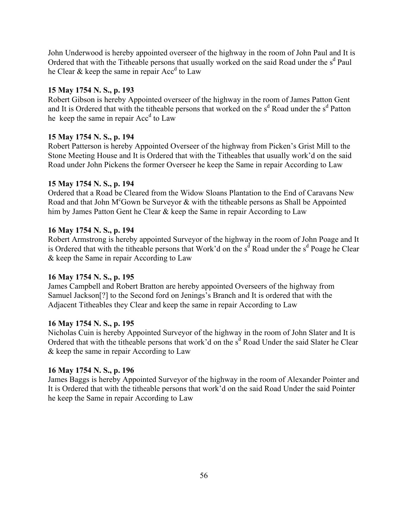John Underwood is hereby appointed overseer of the highway in the room of John Paul and It is Ordered that with the Titheable persons that usually worked on the said Road under the s<sup>d</sup> Paul he Clear  $\&$  keep the same in repair Acc<sup>d</sup> to Law

### **15 May 1754 N. S., p. 193**

Robert Gibson is hereby Appointed overseer of the highway in the room of James Patton Gent and It is Ordered that with the titheable persons that worked on the  $s<sup>d</sup>$  Road under the  $s<sup>d</sup>$  Patton he keep the same in repair  $Acc<sup>d</sup>$  to Law

### **15 May 1754 N. S., p. 194**

Robert Patterson is hereby Appointed Overseer of the highway from Picken's Grist Mill to the Stone Meeting House and It is Ordered that with the Titheables that usually work'd on the said Road under John Pickens the former Overseer he keep the Same in repair According to Law

### **15 May 1754 N. S., p. 194**

Ordered that a Road be Cleared from the Widow Sloans Plantation to the End of Caravans New Road and that John M<sup>c</sup>Gown be Surveyor  $\&$  with the titheable persons as Shall be Appointed him by James Patton Gent he Clear & keep the Same in repair According to Law

### **16 May 1754 N. S., p. 194**

Robert Armstrong is hereby appointed Surveyor of the highway in the room of John Poage and It is Ordered that with the titheable persons that Work'd on the  $s^{\dot{d}}$  Road under the  $s^{\dot{d}}$  Poage he Clear & keep the Same in repair According to Law

### **16 May 1754 N. S., p. 195**

James Campbell and Robert Bratton are hereby appointed Overseers of the highway from Samuel Jackson<sup>[?]</sup> to the Second ford on Jenings's Branch and It is ordered that with the Adjacent Titheables they Clear and keep the same in repair According to Law

### **16 May 1754 N. S., p. 195**

Nicholas Cuin is hereby Appointed Surveyor of the highway in the room of John Slater and It is Ordered that with the titheable persons that work'd on the s<sup>d</sup> Road Under the said Slater he Clear & keep the same in repair According to Law

## **16 May 1754 N. S., p. 196**

James Baggs is hereby Appointed Surveyor of the highway in the room of Alexander Pointer and It is Ordered that with the titheable persons that work'd on the said Road Under the said Pointer he keep the Same in repair According to Law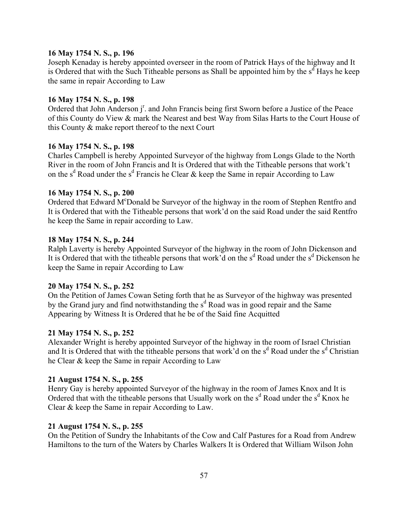### **16 May 1754 N. S., p. 196**

Joseph Kenaday is hereby appointed overseer in the room of Patrick Hays of the highway and It is Ordered that with the Such Titheable persons as Shall be appointed him by the  $s<sup>d</sup>$  Hays he keep the same in repair According to Law

## **16 May 1754 N. S., p. 198**

Ordered that John Anderson j<sup>r</sup>. and John Francis being first Sworn before a Justice of the Peace of this County do View & mark the Nearest and best Way from Silas Harts to the Court House of this County & make report thereof to the next Court

## **16 May 1754 N. S., p. 198**

Charles Campbell is hereby Appointed Surveyor of the highway from Longs Glade to the North River in the room of John Francis and It is Ordered that with the Titheable persons that work't on the s<sup>d</sup> Road under the s<sup>d</sup> Francis he Clear & keep the Same in repair According to Law

### **16 May 1754 N. S., p. 200**

Ordered that Edward M°Donald be Surveyor of the highway in the room of Stephen Rentfro and It is Ordered that with the Titheable persons that work'd on the said Road under the said Rentfro he keep the Same in repair according to Law.

### **18 May 1754 N. S., p. 244**

Ralph Laverty is hereby Appointed Surveyor of the highway in the room of John Dickenson and It is Ordered that with the titheable persons that work'd on the s<sup>d</sup> Road under the s<sup>d</sup> Dickenson he keep the Same in repair According to Law

### **20 May 1754 N. S., p. 252**

On the Petition of James Cowan Seting forth that he as Surveyor of the highway was presented by the Grand jury and find notwithstanding the s<sup>d</sup> Road was in good repair and the Same Appearing by Witness It is Ordered that he be of the Said fine Acquitted

## **21 May 1754 N. S., p. 252**

Alexander Wright is hereby appointed Surveyor of the highway in the room of Israel Christian and It is Ordered that with the titheable persons that work'd on the s<sup>d</sup> Road under the s<sup>d</sup> Christian he Clear & keep the Same in repair According to Law

### **21 August 1754 N. S., p. 255**

Henry Gay is hereby appointed Surveyor of the highway in the room of James Knox and It is Ordered that with the titheable persons that Usually work on the  $s<sup>d</sup>$  Road under the  $s<sup>d</sup>$  Knox he Clear & keep the Same in repair According to Law.

### **21 August 1754 N. S., p. 255**

On the Petition of Sundry the Inhabitants of the Cow and Calf Pastures for a Road from Andrew Hamiltons to the turn of the Waters by Charles Walkers It is Ordered that William Wilson John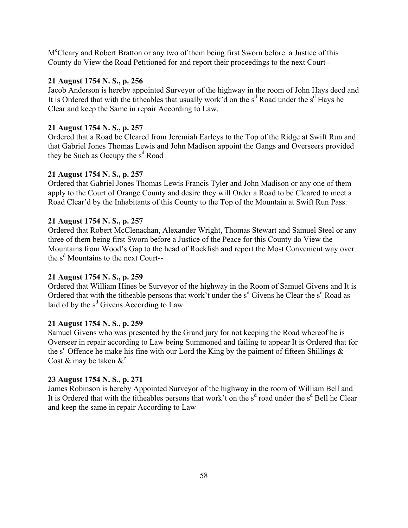M<sup>c</sup>Cleary and Robert Bratton or any two of them being first Sworn before a Justice of this County do View the Road Petitioned for and report their proceedings to the next Court--

## **21 August 1754 N. S., p. 256**

Jacob Anderson is hereby appointed Surveyor of the highway in the room of John Hays decd and It is Ordered that with the titheables that usually work'd on the  $s<sup>d</sup>$  Road under the  $s<sup>d</sup>$  Hays he Clear and keep the Same in repair According to Law.

## **21 August 1754 N. S., p. 257**

Ordered that a Road be Cleared from Jeremiah Earleys to the Top of the Ridge at Swift Run and that Gabriel Jones Thomas Lewis and John Madison appoint the Gangs and Overseers provided they be Such as Occupy the s<sup>d</sup> Road

## **21 August 1754 N. S., p. 257**

Ordered that Gabriel Jones Thomas Lewis Francis Tyler and John Madison or any one of them apply to the Court of Orange County and desire they will Order a Road to be Cleared to meet a Road Clear'd by the Inhabitants of this County to the Top of the Mountain at Swift Run Pass.

## **21 August 1754 N. S., p. 257**

Ordered that Robert McClenachan, Alexander Wright, Thomas Stewart and Samuel Steel or any three of them being first Sworn before a Justice of the Peace for this County do View the Mountains from Wood's Gap to the head of Rockfish and report the Most Convenient way over the  $s^d$  Mountains to the next Court--

# **21 August 1754 N. S., p. 259**

Ordered that William Hines be Surveyor of the highway in the Room of Samuel Givens and It is Ordered that with the titheable persons that work't under the  $s<sup>d</sup>$  Givens he Clear the  $s<sup>d</sup>$  Road as laid of by the  $s<sup>d</sup>$  Givens According to Law

## **21 August 1754 N. S., p. 259**

Samuel Givens who was presented by the Grand jury for not keeping the Road whereof he is Overseer in repair according to Law being Summoned and failing to appear It is Ordered that for the s<sup>d</sup> Offence he make his fine with our Lord the King by the paiment of fifteen Shillings  $\&$ Cost  $\&$  may be taken  $\&^{\circ}$ 

# **23 August 1754 N. S., p. 271**

James Robinson is hereby Appointed Surveyor of the highway in the room of William Bell and It is Ordered that with the titheables persons that work't on the  $s<sup>d</sup>$  road under the  $s<sup>d</sup>$  Bell he Clear and keep the same in repair According to Law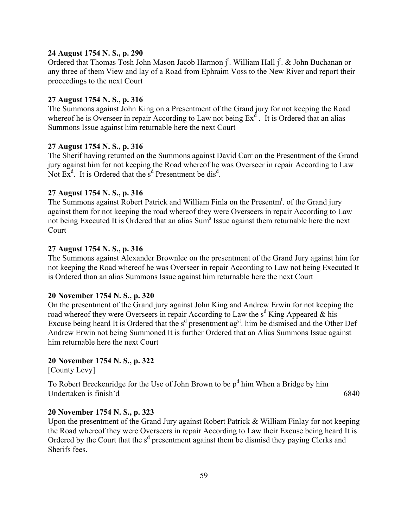#### **24 August 1754 N. S., p. 290**

Ordered that Thomas Tosh John Mason Jacob Harmon j<sup>r</sup>. William Hall j<sup>r</sup>. & John Buchanan or any three of them View and lay of a Road from Ephraim Voss to the New River and report their proceedings to the next Court

### **27 August 1754 N. S., p. 316**

The Summons against John King on a Presentment of the Grand jury for not keeping the Road whereof he is Overseer in repair According to Law not being  $Ex^d$ . It is Ordered that an alias Summons Issue against him returnable here the next Court

### **27 August 1754 N. S., p. 316**

The Sherif having returned on the Summons against David Carr on the Presentment of the Grand jury against him for not keeping the Road whereof he was Overseer in repair According to Law Not  $Ex<sup>d</sup>$ . It is Ordered that the  $s<sup>d</sup>$  Presentment be dis<sup>d</sup>.

#### **27 August 1754 N. S., p. 316**

The Summons against Robert Patrick and William Finla on the Presentm<sup>t</sup>. of the Grand jury against them for not keeping the road whereof they were Overseers in repair According to Law not being Executed It is Ordered that an alias Sum<sup>s</sup> Issue against them returnable here the next Court

### **27 August 1754 N. S., p. 316**

The Summons against Alexander Brownlee on the presentment of the Grand Jury against him for not keeping the Road whereof he was Overseer in repair According to Law not being Executed It is Ordered than an alias Summons Issue against him returnable here the next Court

#### **20 November 1754 N. S., p. 320**

On the presentment of the Grand jury against John King and Andrew Erwin for not keeping the road whereof they were Overseers in repair According to Law the  $s<sup>d</sup>$  King Appeared & his Excuse being heard It is Ordered that the  $s<sup>d</sup>$  presentment ag<sup>st</sup>. him be dismised and the Other Def Andrew Erwin not being Summoned It is further Ordered that an Alias Summons Issue against him returnable here the next Court

#### **20 November 1754 N. S., p. 322**

[County Levy]

To Robert Breckenridge for the Use of John Brown to be  $p<sup>d</sup>$  him When a Bridge by him Undertaken is finish'd 6840

#### **20 November 1754 N. S., p. 323**

Upon the presentment of the Grand Jury against Robert Patrick & William Finlay for not keeping the Road whereof they were Overseers in repair According to Law their Excuse being heard It is Ordered by the Court that the s<sup>d</sup> presentment against them be dismisd they paying Clerks and Sherifs fees.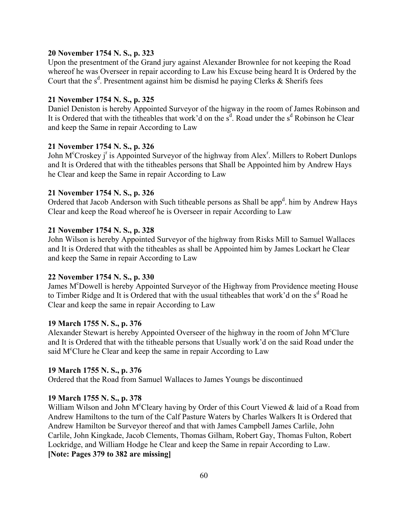### **20 November 1754 N. S., p. 323**

Upon the presentment of the Grand jury against Alexander Brownlee for not keeping the Road whereof he was Overseer in repair according to Law his Excuse being heard It is Ordered by the Court that the  $s^d$ . Presentment against him be dismisd he paying Clerks & Sherifs fees

## **21 November 1754 N. S., p. 325**

Daniel Deniston is hereby Appointed Surveyor of the higway in the room of James Robinson and It is Ordered that with the titheables that work'd on the  $s<sup>d</sup>$ . Road under the  $s<sup>d</sup>$  Robinson he Clear and keep the Same in repair According to Law

### **21 November 1754 N. S., p. 326**

John M<sup>c</sup>Croskey j<sup>r</sup> is Appointed Surveyor of the highway from Alex<sup>r</sup>. Millers to Robert Dunlops and It is Ordered that with the titheables persons that Shall be Appointed him by Andrew Hays he Clear and keep the Same in repair According to Law

### **21 November 1754 N. S., p. 326**

Ordered that Jacob Anderson with Such titheable persons as Shall be app<sup>d</sup>. him by Andrew Hays Clear and keep the Road whereof he is Overseer in repair According to Law

### **21 November 1754 N. S., p. 328**

John Wilson is hereby Appointed Surveyor of the highway from Risks Mill to Samuel Wallaces and It is Ordered that with the titheables as shall be Appointed him by James Lockart he Clear and keep the Same in repair According to Law

### **22 November 1754 N. S., p. 330**

James M<sup>c</sup>Dowell is hereby Appointed Surveyor of the Highway from Providence meeting House to Timber Ridge and It is Ordered that with the usual titheables that work'd on the s<sup>d</sup> Road he Clear and keep the same in repair According to Law

### **19 March 1755 N. S., p. 376**

Alexander Stewart is hereby Appointed Overseer of the highway in the room of John M<sup>c</sup>Clure and It is Ordered that with the titheable persons that Usually work'd on the said Road under the said M<sup>c</sup>Clure he Clear and keep the same in repair According to Law

### **19 March 1755 N. S., p. 376**

Ordered that the Road from Samuel Wallaces to James Youngs be discontinued

### **19 March 1755 N. S., p. 378**

William Wilson and John M°Cleary having by Order of this Court Viewed  $&$  laid of a Road from Andrew Hamiltons to the turn of the Calf Pasture Waters by Charles Walkers It is Ordered that Andrew Hamilton be Surveyor thereof and that with James Campbell James Carlile, John Carlile, John Kingkade, Jacob Clements, Thomas Gilham, Robert Gay, Thomas Fulton, Robert Lockridge, and William Hodge he Clear and keep the Same in repair According to Law. **[Note: Pages 379 to 382 are missing]**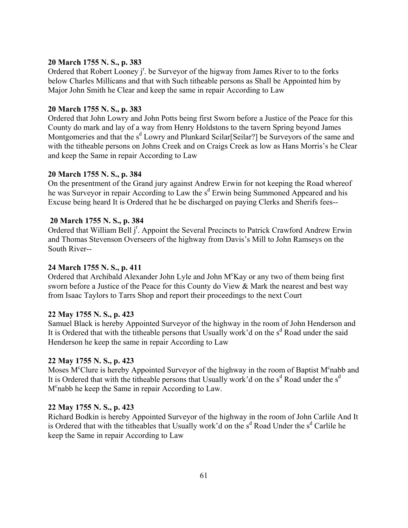## **20 March 1755 N. S., p. 383**

Ordered that Robert Looney  $j^r$ . be Surveyor of the higway from James River to to the forks below Charles Millicans and that with Such titheable persons as Shall be Appointed him by Major John Smith he Clear and keep the same in repair According to Law

### **20 March 1755 N. S., p. 383**

Ordered that John Lowry and John Potts being first Sworn before a Justice of the Peace for this County do mark and lay of a way from Henry Holdstons to the tavern Spring beyond James Montgomeries and that the s<sup>d</sup> Lowry and Plunkard Scilar[Seilar?] be Surveyors of the same and with the titheable persons on Johns Creek and on Craigs Creek as low as Hans Morris's he Clear and keep the Same in repair According to Law

### **20 March 1755 N. S., p. 384**

On the presentment of the Grand jury against Andrew Erwin for not keeping the Road whereof he was Surveyor in repair According to Law the s<sup>d</sup> Erwin being Summoned Appeared and his Excuse being heard It is Ordered that he be discharged on paying Clerks and Sherifs fees--

### **20 March 1755 N. S., p. 384**

Ordered that William Bell j<sup>r</sup>. Appoint the Several Precincts to Patrick Crawford Andrew Erwin and Thomas Stevenson Overseers of the highway from Davis's Mill to John Ramseys on the South River--

### **24 March 1755 N. S., p. 411**

Ordered that Archibald Alexander John Lyle and John M°Kay or any two of them being first sworn before a Justice of the Peace for this County do View & Mark the nearest and best way from Isaac Taylors to Tarrs Shop and report their proceedings to the next Court

### **22 May 1755 N. S., p. 423**

Samuel Black is hereby Appointed Surveyor of the highway in the room of John Henderson and It is Ordered that with the titheable persons that Usually work'd on the s<sup>d</sup> Road under the said Henderson he keep the same in repair According to Law

## **22 May 1755 N. S., p. 423**

Moses M<sup>c</sup>Clure is hereby Appointed Surveyor of the highway in the room of Baptist M<sup>c</sup>nabb and It is Ordered that with the titheable persons that Usually work'd on the  $s<sup>d</sup>$  Road under the  $s<sup>d</sup>$ M<sup>c</sup>nabb he keep the Same in repair According to Law.

### **22 May 1755 N. S., p. 423**

Richard Bodkin is hereby Appointed Surveyor of the highway in the room of John Carlile And It is Ordered that with the titheables that Usually work'd on the  $s<sup>d</sup>$  Road Under the  $s<sup>d</sup>$  Carlile he keep the Same in repair According to Law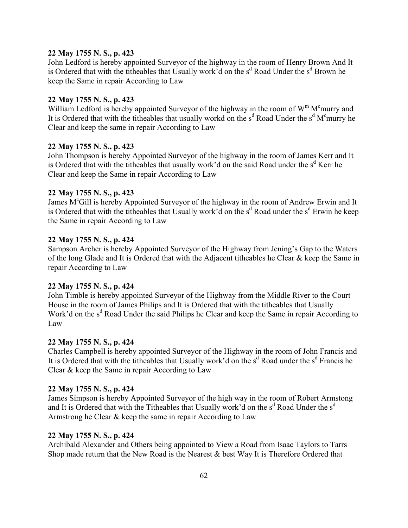### **22 May 1755 N. S., p. 423**

John Ledford is hereby appointed Surveyor of the highway in the room of Henry Brown And It is Ordered that with the titheables that Usually work'd on the  $s<sup>d</sup>$  Road Under the  $s<sup>d</sup>$  Brown he keep the Same in repair According to Law

## **22 May 1755 N. S., p. 423**

William Ledford is hereby appointed Surveyor of the highway in the room of  $W^m M^c$ murry and It is Ordered that with the titheables that usually workd on the  $s<sup>d</sup>$  Road Under the  $s<sup>d</sup>$  M<sup>c</sup>murry he Clear and keep the same in repair According to Law

## **22 May 1755 N. S., p. 423**

John Thompson is hereby Appointed Surveyor of the highway in the room of James Kerr and It is Ordered that with the titheables that usually work'd on the said Road under the s<sup>d</sup> Kerr he Clear and keep the Same in repair According to Law

### **22 May 1755 N. S., p. 423**

James M<sup>c</sup>Gill is hereby Appointed Surveyor of the highway in the room of Andrew Erwin and It is Ordered that with the titheables that Usually work'd on the  $s<sup>d</sup>$  Road under the  $s<sup>d</sup>$  Erwin he keep the Same in repair According to Law

### **22 May 1755 N. S., p. 424**

Sampson Archer is hereby Appointed Surveyor of the Highway from Jening's Gap to the Waters of the long Glade and It is Ordered that with the Adjacent titheables he Clear & keep the Same in repair According to Law

### **22 May 1755 N. S., p. 424**

John Timble is hereby appointed Surveyor of the Highway from the Middle River to the Court House in the room of James Philips and It is Ordered that with the titheables that Usually Work'd on the s<sup>d</sup> Road Under the said Philips he Clear and keep the Same in repair According to Law

## **22 May 1755 N. S., p. 424**

Charles Campbell is hereby appointed Surveyor of the Highway in the room of John Francis and It is Ordered that with the titheables that Usually work'd on the s<sup>d</sup> Road under the s<sup>d</sup> Francis he Clear & keep the Same in repair According to Law

### **22 May 1755 N. S., p. 424**

James Simpson is hereby Appointed Surveyor of the high way in the room of Robert Armstong and It is Ordered that with the Titheables that Usually work'd on the  $s<sup>d</sup>$  Road Under the  $s<sup>d</sup>$ Armstrong he Clear & keep the same in repair According to Law

### **22 May 1755 N. S., p. 424**

Archibald Alexander and Others being appointed to View a Road from Isaac Taylors to Tarrs Shop made return that the New Road is the Nearest & best Way It is Therefore Ordered that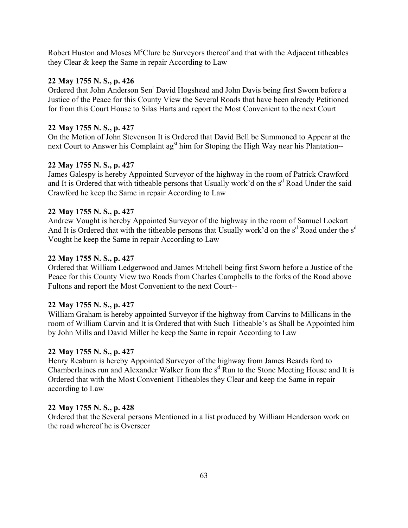Robert Huston and Moses M<sup>c</sup>Clure be Surveyors thereof and that with the Adjacent titheables they Clear & keep the Same in repair According to Law

# **22 May 1755 N. S., p. 426**

Ordered that John Anderson Sen<sup>r</sup> David Hogshead and John Davis being first Sworn before a Justice of the Peace for this County View the Several Roads that have been already Petitioned for from this Court House to Silas Harts and report the Most Convenient to the next Court

# **22 May 1755 N. S., p. 427**

On the Motion of John Stevenson It is Ordered that David Bell be Summoned to Appear at the next Court to Answer his Complaint ag<sup>st</sup> him for Stoping the High Way near his Plantation--

# **22 May 1755 N. S., p. 427**

James Galespy is hereby Appointed Surveyor of the highway in the room of Patrick Crawford and It is Ordered that with titheable persons that Usually work'd on the s<sup>d</sup> Road Under the said Crawford he keep the Same in repair According to Law

# **22 May 1755 N. S., p. 427**

Andrew Vought is hereby Appointed Surveyor of the highway in the room of Samuel Lockart And It is Ordered that with the titheable persons that Usually work'd on the  $s<sup>d</sup>$  Road under the  $s<sup>d</sup>$ Vought he keep the Same in repair According to Law

# **22 May 1755 N. S., p. 427**

Ordered that William Ledgerwood and James Mitchell being first Sworn before a Justice of the Peace for this County View two Roads from Charles Campbells to the forks of the Road above Fultons and report the Most Convenient to the next Court--

# **22 May 1755 N. S., p. 427**

William Graham is hereby appointed Surveyor if the highway from Carvins to Millicans in the room of William Carvin and It is Ordered that with Such Titheable's as Shall be Appointed him by John Mills and David Miller he keep the Same in repair According to Law

# **22 May 1755 N. S., p. 427**

Henry Reaburn is hereby Appointed Surveyor of the highway from James Beards ford to Chamberlaines run and Alexander Walker from the s<sup>d</sup> Run to the Stone Meeting House and It is Ordered that with the Most Convenient Titheables they Clear and keep the Same in repair according to Law

# **22 May 1755 N. S., p. 428**

Ordered that the Several persons Mentioned in a list produced by William Henderson work on the road whereof he is Overseer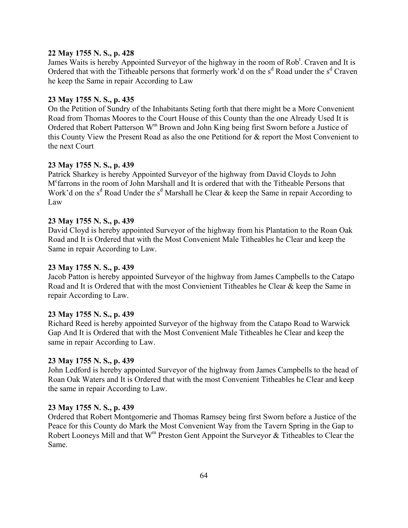# **22 May 1755 N. S., p. 428**

James Waits is hereby Appointed Surveyor of the highway in the room of Rob<sup>t</sup>. Craven and It is Ordered that with the Titheable persons that formerly work'd on the  $s<sup>d</sup>$  Road under the  $s<sup>d</sup>$  Craven he keep the Same in repair According to Law

# **23 May 1755 N. S., p. 435**

On the Petition of Sundry of the Inhabitants Seting forth that there might be a More Convenient Road from Thomas Moores to the Court House of this County than the one Already Used It is Ordered that Robert Patterson W<sup>m</sup> Brown and John King being first Sworn before a Justice of this County View the Present Road as also the one Petitiond for & report the Most Convenient to the next Court

## **23 May 1755 N. S., p. 439**

Patrick Sharkey is hereby Appointed Surveyor of the highway from David Cloyds to John Mc farrons in the room of John Marshall and It is ordered that with the Titheable Persons that Work'd on the s<sup>d</sup> Road Under the s<sup>d</sup> Marshall he Clear & keep the Same in repair According to Law

#### **23 May 1755 N. S., p. 439**

David Cloyd is hereby appointed Surveyor of the highway from his Plantation to the Roan Oak Road and It is Ordered that with the Most Convenient Male Titheables he Clear and keep the Same in repair According to Law.

#### **23 May 1755 N. S., p. 439**

Jacob Patton is hereby appointed Surveyor of the highway from James Campbells to the Catapo Road and It is Ordered that with the most Convienient Titheables he Clear & keep the Same in repair According to Law.

#### **23 May 1755 N. S., p. 439**

Richard Reed is hereby appointed Surveyor of the highway from the Catapo Road to Warwick Gap And It is Ordered that with the Most Convenient Male Titheables he Clear and keep the same in repair According to Law.

#### **23 May 1755 N. S., p. 439**

John Ledford is hereby appointed Surveyor of the highway from James Campbells to the head of Roan Oak Waters and It is Ordered that with the most Convenient Titheables he Clear and keep the same in repair According to Law.

#### **23 May 1755 N. S., p. 439**

Ordered that Robert Montgomerie and Thomas Ramsey being first Sworn before a Justice of the Peace for this County do Mark the Most Convenient Way from the Tavern Spring in the Gap to Robert Looneys Mill and that  $W^m$  Preston Gent Appoint the Surveyor & Titheables to Clear the Same.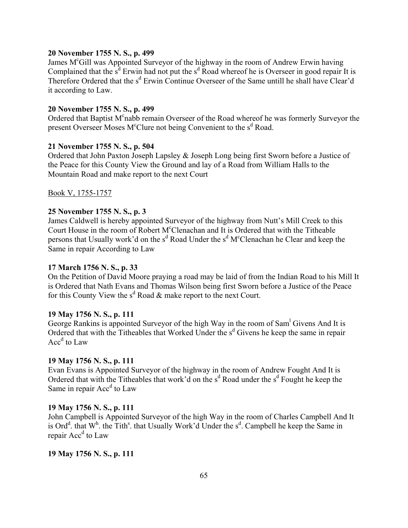#### **20 November 1755 N. S., p. 499**

James M<sup>c</sup>Gill was Appointed Surveyor of the highway in the room of Andrew Erwin having Complained that the  $s^d$  Erwin had not put the  $s^d$  Road whereof he is Overseer in good repair It is Therefore Ordered that the s<sup>d</sup> Erwin Continue Overseer of the Same untill he shall have Clear'd it according to Law.

#### **20 November 1755 N. S., p. 499**

Ordered that Baptist M°nabb remain Overseer of the Road whereof he was formerly Surveyor the present Overseer Moses M°Clure not being Convenient to the s<sup>d</sup> Road.

#### **21 November 1755 N. S., p. 504**

Ordered that John Paxton Joseph Lapsley & Joseph Long being first Sworn before a Justice of the Peace for this County View the Ground and lay of a Road from William Halls to the Mountain Road and make report to the next Court

Book V, 1755-1757

#### **25 November 1755 N. S., p. 3**

James Caldwell is hereby appointed Surveyor of the highway from Nutt's Mill Creek to this Court House in the room of Robert M°Clenachan and It is Ordered that with the Titheable persons that Usually work'd on the s<sup>d</sup> Road Under the s<sup>d</sup> M<sup>c</sup>Clenachan he Clear and keep the Same in repair According to Law

#### **17 March 1756 N. S., p. 33**

On the Petition of David Moore praying a road may be laid of from the Indian Road to his Mill It is Ordered that Nath Evans and Thomas Wilson being first Sworn before a Justice of the Peace for this County View the  $s^d$  Road  $\&$  make report to the next Court.

#### **19 May 1756 N. S., p. 111**

George Rankins is appointed Surveyor of the high Way in the room of Sam<sup>1</sup> Givens And It is Ordered that with the Titheables that Worked Under the s<sup>d</sup> Givens he keep the same in repair Acc<sup>d</sup> to Law

#### **19 May 1756 N. S., p. 111**

Evan Evans is Appointed Surveyor of the highway in the room of Andrew Fought And It is Ordered that with the Titheables that work'd on the  $s<sup>d</sup>$  Road under the  $s<sup>d</sup>$  Fought he keep the Same in repair Acc<sup>d</sup> to Law

#### **19 May 1756 N. S., p. 111**

John Campbell is Appointed Surveyor of the high Way in the room of Charles Campbell And It is Ord<sup>d</sup>. that W<sup>h</sup>. the Tith<sup>s</sup>. that Usually Work'd Under the  $s^d$ . Campbell he keep the Same in repair Acc<sup>d</sup> to Law

#### **19 May 1756 N. S., p. 111**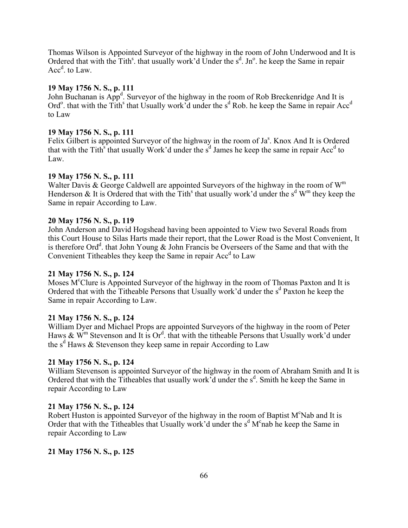Thomas Wilson is Appointed Surveyor of the highway in the room of John Underwood and It is Ordered that with the Tith<sup>s</sup>. that usually work'd Under the  $s<sup>d</sup>$ . Jn<sup>o</sup>. he keep the Same in repair Acc<sup>d</sup>. to Law.

# **19 May 1756 N. S., p. 111**

John Buchanan is App<sup>d</sup>. Surveyor of the highway in the room of Rob Breckenridge And It is Ord<sup>o</sup>. that with the Tith<sup>s</sup> that Usually work d under the s<sup>d</sup> Rob. he keep the Same in repair Acc<sup>d</sup> to Law

# **19 May 1756 N. S., p. 111**

Felix Gilbert is appointed Surveyor of the highway in the room of Ja<sup>s</sup>. Knox And It is Ordered that with the Tith<sup>s</sup> that usually Work'd under the s<sup>d</sup> James he keep the same in repair Acc<sup>d</sup> to Law.

# **19 May 1756 N. S., p. 111**

Walter Davis & George Caldwell are appointed Surveyors of the highway in the room of  $W<sup>m</sup>$ Henderson & It is Ordered that with the Tith<sup>s</sup> that usually work'd under the s<sup>d</sup> W<sup>m</sup> they keep the Same in repair According to Law.

# **20 May 1756 N. S., p. 119**

John Anderson and David Hogshead having been appointed to View two Several Roads from this Court House to Silas Harts made their report, that the Lower Road is the Most Convenient, It is therefore Ord<sup>d</sup>. that John Young & John Francis be Overseers of the Same and that with the Convenient Titheables they keep the Same in repair Acc<sup>d</sup> to Law

#### **21 May 1756 N. S., p. 124**

Moses M<sup>c</sup>Clure is Appointed Surveyor of the highway in the room of Thomas Paxton and It is Ordered that with the Titheable Persons that Usually work'd under the  $s<sup>d</sup>$  Paxton he keep the Same in repair According to Law.

#### **21 May 1756 N. S., p. 124**

William Dyer and Michael Props are appointed Surveyors of the highway in the room of Peter Haws  $\&$  W<sup>m</sup> Stevenson and It is Or<sup>d</sup>, that with the titheable Persons that Usually work'd under the s<sup>d</sup> Haws & Stevenson they keep same in repair According to Law

# **21 May 1756 N. S., p. 124**

William Stevenson is appointed Surveyor of the highway in the room of Abraham Smith and It is Ordered that with the Titheables that usually work  $\check{d}$  under the  $s^d$ . Smith he keep the Same in repair According to Law

#### **21 May 1756 N. S., p. 124**

Robert Huston is appointed Surveyor of the highway in the room of Baptist M°Nab and It is Order that with the Titheables that Usually work'd under the  $s<sup>d</sup> M<sup>c</sup>$ nab he keep the Same in repair According to Law

# **21 May 1756 N. S., p. 125**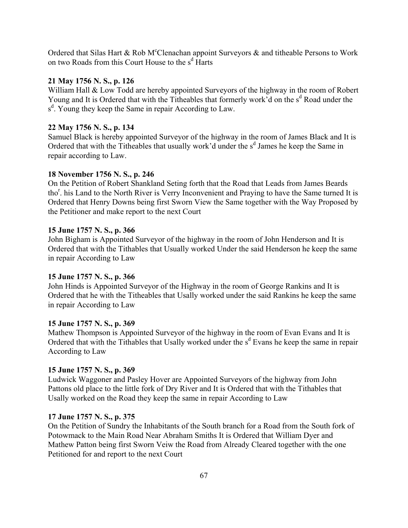Ordered that Silas Hart & Rob M°Clenachan appoint Surveyors  $\&$  and titheable Persons to Work on two Roads from this Court House to the  $s<sup>d</sup>$  Harts

## **21 May 1756 N. S., p. 126**

William Hall & Low Todd are hereby appointed Surveyors of the highway in the room of Robert Young and It is Ordered that with the Titheables that formerly work'd on the s<sup>d</sup> Road under the s<sup>d</sup>. Young they keep the Same in repair According to Law.

#### **22 May 1756 N. S., p. 134**

Samuel Black is hereby appointed Surveyor of the highway in the room of James Black and It is Ordered that with the Titheables that usually work'd under the s<sup>d</sup> James he keep the Same in repair according to Law.

#### **18 November 1756 N. S., p. 246**

On the Petition of Robert Shankland Seting forth that the Road that Leads from James Beards tho<sup>r</sup>. his Land to the North River is Verry Inconvenient and Praying to have the Same turned It is Ordered that Henry Downs being first Sworn View the Same together with the Way Proposed by the Petitioner and make report to the next Court

#### **15 June 1757 N. S., p. 366**

John Bigham is Appointed Surveyor of the highway in the room of John Henderson and It is Ordered that with the Tithables that Usually worked Under the said Henderson he keep the same in repair According to Law

#### **15 June 1757 N. S., p. 366**

John Hinds is Appointed Surveyor of the Highway in the room of George Rankins and It is Ordered that he with the Titheables that Usally worked under the said Rankins he keep the same in repair According to Law

# **15 June 1757 N. S., p. 369**

Mathew Thompson is Appointed Surveyor of the highway in the room of Evan Evans and It is Ordered that with the Tithables that Usally worked under the s<sup>d</sup> Evans he keep the same in repair According to Law

#### **15 June 1757 N. S., p. 369**

Ludwick Waggoner and Pasley Hover are Appointed Surveyors of the highway from John Pattons old place to the little fork of Dry River and It is Ordered that with the Tithables that Usally worked on the Road they keep the same in repair According to Law

#### **17 June 1757 N. S., p. 375**

On the Petition of Sundry the Inhabitants of the South branch for a Road from the South fork of Potowmack to the Main Road Near Abraham Smiths It is Ordered that William Dyer and Mathew Patton being first Sworn Veiw the Road from Already Cleared together with the one Petitioned for and report to the next Court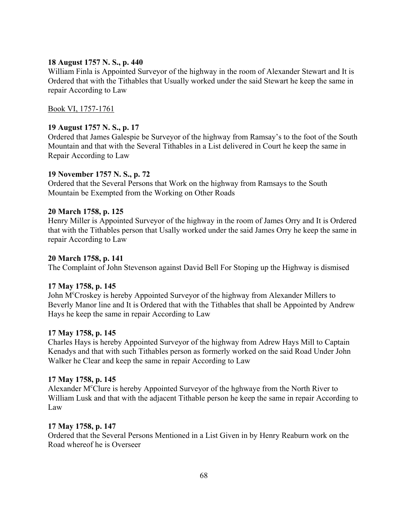## **18 August 1757 N. S., p. 440**

William Finla is Appointed Surveyor of the highway in the room of Alexander Stewart and It is Ordered that with the Tithables that Usually worked under the said Stewart he keep the same in repair According to Law

# Book VI, 1757-1761

# **19 August 1757 N. S., p. 17**

Ordered that James Galespie be Surveyor of the highway from Ramsay's to the foot of the South Mountain and that with the Several Tithables in a List delivered in Court he keep the same in Repair According to Law

## **19 November 1757 N. S., p. 72**

Ordered that the Several Persons that Work on the highway from Ramsays to the South Mountain be Exempted from the Working on Other Roads

## **20 March 1758, p. 125**

Henry Miller is Appointed Surveyor of the highway in the room of James Orry and It is Ordered that with the Tithables person that Usally worked under the said James Orry he keep the same in repair According to Law

## **20 March 1758, p. 141**

The Complaint of John Stevenson against David Bell For Stoping up the Highway is dismised

#### **17 May 1758, p. 145**

John M<sup>c</sup>Croskey is hereby Appointed Surveyor of the highway from Alexander Millers to Beverly Manor line and It is Ordered that with the Tithables that shall be Appointed by Andrew Hays he keep the same in repair According to Law

#### **17 May 1758, p. 145**

Charles Hays is hereby Appointed Surveyor of the highway from Adrew Hays Mill to Captain Kenadys and that with such Tithables person as formerly worked on the said Road Under John Walker he Clear and keep the same in repair According to Law

#### **17 May 1758, p. 145**

Alexander M<sup>c</sup>Clure is hereby Appointed Surveyor of the hghwaye from the North River to William Lusk and that with the adjacent Tithable person he keep the same in repair According to Law

#### **17 May 1758, p. 147**

Ordered that the Several Persons Mentioned in a List Given in by Henry Reaburn work on the Road whereof he is Overseer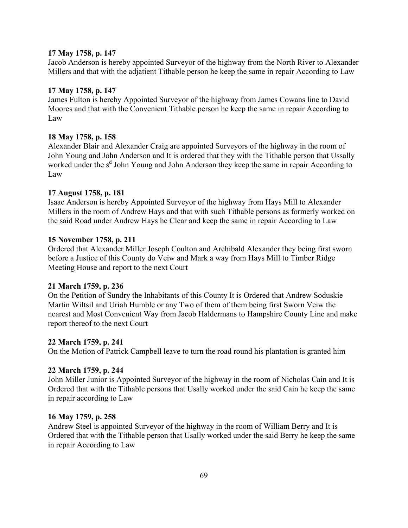#### **17 May 1758, p. 147**

Jacob Anderson is hereby appointed Surveyor of the highway from the North River to Alexander Millers and that with the adjatient Tithable person he keep the same in repair According to Law

#### **17 May 1758, p. 147**

James Fulton is hereby Appointed Surveyor of the highway from James Cowans line to David Moores and that with the Convenient Tithable person he keep the same in repair According to Law

#### **18 May 1758, p. 158**

Alexander Blair and Alexander Craig are appointed Surveyors of the highway in the room of John Young and John Anderson and It is ordered that they with the Tithable person that Ussally worked under the s<sup>d</sup> John Young and John Anderson they keep the same in repair According to Law

#### **17 August 1758, p. 181**

Isaac Anderson is hereby Appointed Surveyor of the highway from Hays Mill to Alexander Millers in the room of Andrew Hays and that with such Tithable persons as formerly worked on the said Road under Andrew Hays he Clear and keep the same in repair According to Law

#### **15 November 1758, p. 211**

Ordered that Alexander Miller Joseph Coulton and Archibald Alexander they being first sworn before a Justice of this County do Veiw and Mark a way from Hays Mill to Timber Ridge Meeting House and report to the next Court

# **21 March 1759, p. 236**

On the Petition of Sundry the Inhabitants of this County It is Ordered that Andrew Soduskie Martin Wiltsil and Uriah Humble or any Two of them of them being first Sworn Veiw the nearest and Most Convenient Way from Jacob Haldermans to Hampshire County Line and make report thereof to the next Court

#### **22 March 1759, p. 241**

On the Motion of Patrick Campbell leave to turn the road round his plantation is granted him

# **22 March 1759, p. 244**

John Miller Junior is Appointed Surveyor of the highway in the room of Nicholas Cain and It is Ordered that with the Tithable persons that Usally worked under the said Cain he keep the same in repair according to Law

#### **16 May 1759, p. 258**

Andrew Steel is appointed Surveyor of the highway in the room of William Berry and It is Ordered that with the Tithable person that Usally worked under the said Berry he keep the same in repair According to Law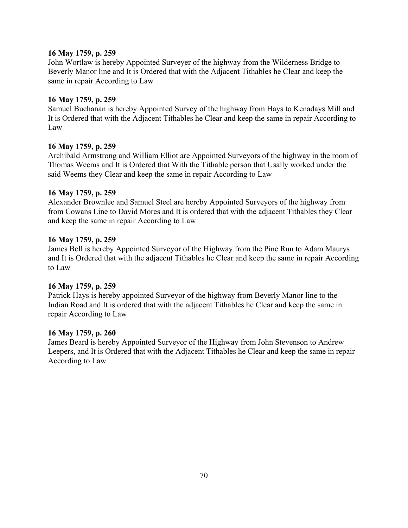# **16 May 1759, p. 259**

John Wortlaw is hereby Appointed Surveyer of the highway from the Wilderness Bridge to Beverly Manor line and It is Ordered that with the Adjacent Tithables he Clear and keep the same in repair According to Law

# **16 May 1759, p. 259**

Samuel Buchanan is hereby Appointed Survey of the highway from Hays to Kenadays Mill and It is Ordered that with the Adjacent Tithables he Clear and keep the same in repair According to Law

# **16 May 1759, p. 259**

Archibald Armstrong and William Elliot are Appointed Surveyors of the highway in the room of Thomas Weems and It is Ordered that With the Tithable person that Usally worked under the said Weems they Clear and keep the same in repair According to Law

## **16 May 1759, p. 259**

Alexander Brownlee and Samuel Steel are hereby Appointed Surveyors of the highway from from Cowans Line to David Mores and It is ordered that with the adjacent Tithables they Clear and keep the same in repair According to Law

## **16 May 1759, p. 259**

James Bell is hereby Appointed Surveyor of the Highway from the Pine Run to Adam Maurys and It is Ordered that with the adjacent Tithables he Clear and keep the same in repair According to Law

#### **16 May 1759, p. 259**

Patrick Hays is hereby appointed Surveyor of the highway from Beverly Manor line to the Indian Road and It is ordered that with the adjacent Tithables he Clear and keep the same in repair According to Law

#### **16 May 1759, p. 260**

James Beard is hereby Appointed Surveyor of the Highway from John Stevenson to Andrew Leepers, and It is Ordered that with the Adjacent Tithables he Clear and keep the same in repair According to Law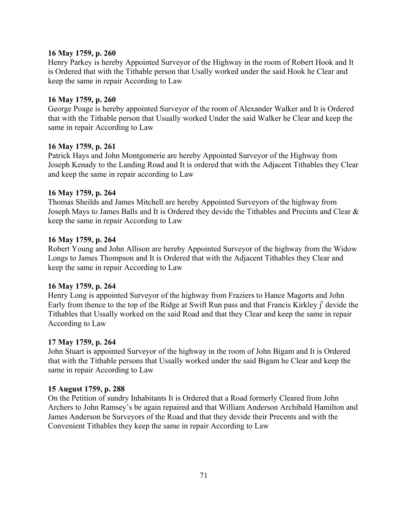#### **16 May 1759, p. 260**

Henry Parkey is hereby Appointed Surveyor of the Highway in the room of Robert Hook and It is Ordered that with the Tithable person that Usally worked under the said Hook he Clear and keep the same in repair According to Law

# **16 May 1759, p. 260**

George Poage is hereby appointed Surveyor of the room of Alexander Walker and It is Ordered that with the Tithable person that Usually worked Under the said Walker he Clear and keep the same in repair According to Law

## **16 May 1759, p. 261**

Patrick Hays and John Montgomerie are hereby Appointed Surveyor of the Highway from Joseph Kenady to the Landing Road and It is ordered that with the Adjacent Tithables they Clear and keep the same in repair according to Law

## **16 May 1759, p. 264**

Thomas Sheilds and James Mitchell are hereby Appointed Surveyors of the highway from Joseph Mays to James Balls and It is Ordered they devide the Tithables and Precints and Clear & keep the same in repair According to Law

## **16 May 1759, p. 264**

Robert Young and John Allison are hereby Appointed Surveyor of the highway from the Widow Longs to James Thompson and It is Ordered that with the Adjacent Tithables they Clear and keep the same in repair According to Law

#### **16 May 1759, p. 264**

Henry Long is appointed Surveyor of the highway from Fraziers to Hance Magorts and John Early from thence to the top of the Ridge at Swift Run pass and that Francis Kirkley j<sup>r</sup> devide the Tithables that Ussally worked on the said Road and that they Clear and keep the same in repair According to Law

#### **17 May 1759, p. 264**

John Stuart is appointed Surveyor of the highway in the room of John Bigam and It is Ordered that with the Tithable persons that Ussally worked under the said Bigam he Clear and keep the same in repair According to Law

#### **15 August 1759, p. 288**

On the Petition of sundry Inhabitants It is Ordered that a Road formerly Cleared from John Archers to John Ramsey's be again repaired and that William Anderson Archibald Hamilton and James Anderson be Surveyors of the Road and that they devide their Precents and with the Convenient Tithables they keep the same in repair According to Law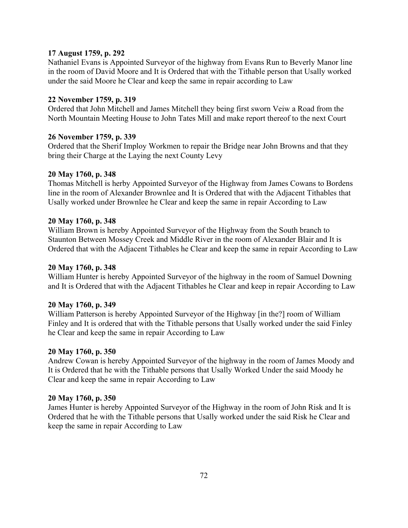# **17 August 1759, p. 292**

Nathaniel Evans is Appointed Surveyor of the highway from Evans Run to Beverly Manor line in the room of David Moore and It is Ordered that with the Tithable person that Usally worked under the said Moore he Clear and keep the same in repair according to Law

## **22 November 1759, p. 319**

Ordered that John Mitchell and James Mitchell they being first sworn Veiw a Road from the North Mountain Meeting House to John Tates Mill and make report thereof to the next Court

## **26 November 1759, p. 339**

Ordered that the Sherif Imploy Workmen to repair the Bridge near John Browns and that they bring their Charge at the Laying the next County Levy

## **20 May 1760, p. 348**

Thomas Mitchell is herby Appointed Surveyor of the Highway from James Cowans to Bordens line in the room of Alexander Brownlee and It is Ordered that with the Adjacent Tithables that Usally worked under Brownlee he Clear and keep the same in repair According to Law

## **20 May 1760, p. 348**

William Brown is hereby Appointed Surveyor of the Highway from the South branch to Staunton Between Mossey Creek and Middle River in the room of Alexander Blair and It is Ordered that with the Adjacent Tithables he Clear and keep the same in repair According to Law

# **20 May 1760, p. 348**

William Hunter is hereby Appointed Surveyor of the highway in the room of Samuel Downing and It is Ordered that with the Adjacent Tithables he Clear and keep in repair According to Law

# **20 May 1760, p. 349**

William Patterson is hereby Appointed Surveyor of the Highway [in the?] room of William Finley and It is ordered that with the Tithable persons that Usally worked under the said Finley he Clear and keep the same in repair According to Law

# **20 May 1760, p. 350**

Andrew Cowan is hereby Appointed Surveyor of the highway in the room of James Moody and It is Ordered that he with the Tithable persons that Usally Worked Under the said Moody he Clear and keep the same in repair According to Law

#### **20 May 1760, p. 350**

James Hunter is hereby Appointed Surveyor of the Highway in the room of John Risk and It is Ordered that he with the Tithable persons that Usally worked under the said Risk he Clear and keep the same in repair According to Law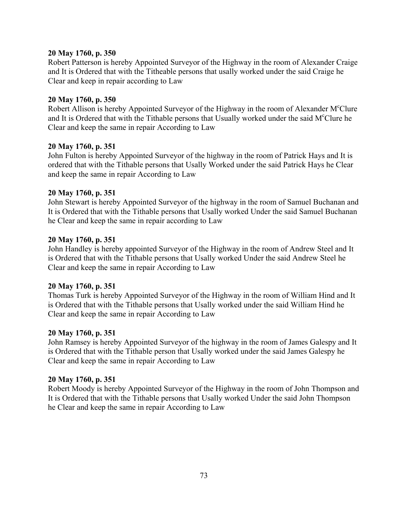Robert Patterson is hereby Appointed Surveyor of the Highway in the room of Alexander Craige and It is Ordered that with the Titheable persons that usally worked under the said Craige he Clear and keep in repair according to Law

# **20 May 1760, p. 350**

Robert Allison is hereby Appointed Surveyor of the Highway in the room of Alexander M<sup>c</sup>Clure and It is Ordered that with the Tithable persons that Usually worked under the said M°Clure he Clear and keep the same in repair According to Law

## **20 May 1760, p. 351**

John Fulton is hereby Appointed Surveyor of the highway in the room of Patrick Hays and It is ordered that with the Tithable persons that Usally Worked under the said Patrick Hays he Clear and keep the same in repair According to Law

## **20 May 1760, p. 351**

John Stewart is hereby Appointed Surveyor of the highway in the room of Samuel Buchanan and It is Ordered that with the Tithable persons that Usally worked Under the said Samuel Buchanan he Clear and keep the same in repair according to Law

## **20 May 1760, p. 351**

John Handley is hereby appointed Surveyor of the Highway in the room of Andrew Steel and It is Ordered that with the Tithable persons that Usally worked Under the said Andrew Steel he Clear and keep the same in repair According to Law

#### **20 May 1760, p. 351**

Thomas Turk is hereby Appointed Surveyor of the Highway in the room of William Hind and It is Ordered that with the Tithable persons that Usally worked under the said William Hind he Clear and keep the same in repair According to Law

#### **20 May 1760, p. 351**

John Ramsey is hereby Appointed Surveyor of the highway in the room of James Galespy and It is Ordered that with the Tithable person that Usally worked under the said James Galespy he Clear and keep the same in repair According to Law

#### **20 May 1760, p. 351**

Robert Moody is hereby Appointed Surveyor of the Highway in the room of John Thompson and It is Ordered that with the Tithable persons that Usally worked Under the said John Thompson he Clear and keep the same in repair According to Law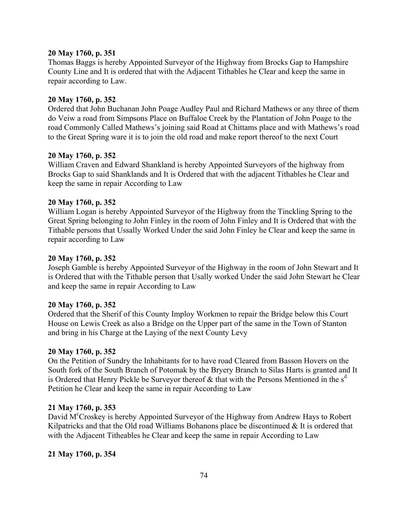Thomas Baggs is hereby Appointed Surveyor of the Highway from Brocks Gap to Hampshire County Line and It is ordered that with the Adjacent Tithables he Clear and keep the same in repair according to Law.

#### **20 May 1760, p. 352**

Ordered that John Buchanan John Poage Audley Paul and Richard Mathews or any three of them do Veiw a road from Simpsons Place on Buffaloe Creek by the Plantation of John Poage to the road Commonly Called Mathews's joining said Road at Chittams place and with Mathews's road to the Great Spring ware it is to join the old road and make report thereof to the next Court

#### **20 May 1760, p. 352**

William Craven and Edward Shankland is hereby Appointed Surveyors of the highway from Brocks Gap to said Shanklands and It is Ordered that with the adjacent Tithables he Clear and keep the same in repair According to Law

#### **20 May 1760, p. 352**

William Logan is hereby Appointed Surveyor of the Highway from the Tinckling Spring to the Great Spring belonging to John Finley in the room of John Finley and It is Ordered that with the Tithable persons that Ussally Worked Under the said John Finley he Clear and keep the same in repair according to Law

#### **20 May 1760, p. 352**

Joseph Gamble is hereby Appointed Surveyor of the Highway in the room of John Stewart and It is Ordered that with the Tithable person that Usally worked Under the said John Stewart he Clear and keep the same in repair According to Law

#### **20 May 1760, p. 352**

Ordered that the Sherif of this County Imploy Workmen to repair the Bridge below this Court House on Lewis Creek as also a Bridge on the Upper part of the same in the Town of Stanton and bring in his Charge at the Laying of the next County Levy

#### **20 May 1760, p. 352**

On the Petition of Sundry the Inhabitants for to have road Cleared from Basson Hovers on the South fork of the South Branch of Potomak by the Bryery Branch to Silas Harts is granted and It is Ordered that Henry Pickle be Surveyor thereof  $\&$  that with the Persons Mentioned in the s<sup>d</sup> Petition he Clear and keep the same in repair According to Law

#### **21 May 1760, p. 353**

David M<sup>c</sup>Croskey is hereby Appointed Surveyor of the Highway from Andrew Hays to Robert Kilpatricks and that the Old road Williams Bohanons place be discontinued  $\&$  It is ordered that with the Adjacent Titheables he Clear and keep the same in repair According to Law

#### **21 May 1760, p. 354**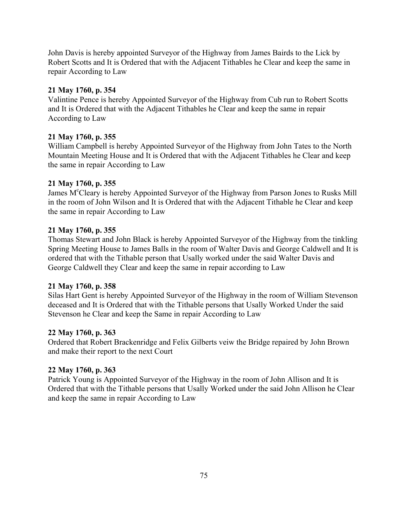John Davis is hereby appointed Surveyor of the Highway from James Bairds to the Lick by Robert Scotts and It is Ordered that with the Adjacent Tithables he Clear and keep the same in repair According to Law

# **21 May 1760, p. 354**

Valintine Pence is hereby Appointed Surveyor of the Highway from Cub run to Robert Scotts and It is Ordered that with the Adjacent Tithables he Clear and keep the same in repair According to Law

# **21 May 1760, p. 355**

William Campbell is hereby Appointed Surveyor of the Highway from John Tates to the North Mountain Meeting House and It is Ordered that with the Adjacent Tithables he Clear and keep the same in repair According to Law

# **21 May 1760, p. 355**

James M<sup>c</sup>Cleary is hereby Appointed Surveyor of the Highway from Parson Jones to Rusks Mill in the room of John Wilson and It is Ordered that with the Adjacent Tithable he Clear and keep the same in repair According to Law

# **21 May 1760, p. 355**

Thomas Stewart and John Black is hereby Appointed Surveyor of the Highway from the tinkling Spring Meeting House to James Balls in the room of Walter Davis and George Caldwell and It is ordered that with the Tithable person that Usally worked under the said Walter Davis and George Caldwell they Clear and keep the same in repair according to Law

# **21 May 1760, p. 358**

Silas Hart Gent is hereby Appointed Surveyor of the Highway in the room of William Stevenson deceased and It is Ordered that with the Tithable persons that Usally Worked Under the said Stevenson he Clear and keep the Same in repair According to Law

# **22 May 1760, p. 363**

Ordered that Robert Brackenridge and Felix Gilberts veiw the Bridge repaired by John Brown and make their report to the next Court

# **22 May 1760, p. 363**

Patrick Young is Appointed Surveyor of the Highway in the room of John Allison and It is Ordered that with the Tithable persons that Usally Worked under the said John Allison he Clear and keep the same in repair According to Law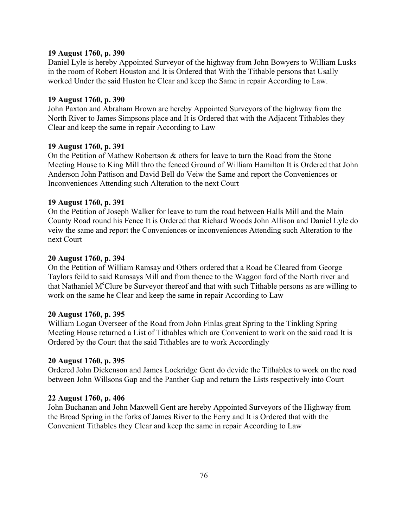#### **19 August 1760, p. 390**

Daniel Lyle is hereby Appointed Surveyor of the highway from John Bowyers to William Lusks in the room of Robert Houston and It is Ordered that With the Tithable persons that Usally worked Under the said Huston he Clear and keep the Same in repair According to Law.

#### **19 August 1760, p. 390**

John Paxton and Abraham Brown are hereby Appointed Surveyors of the highway from the North River to James Simpsons place and It is Ordered that with the Adjacent Tithables they Clear and keep the same in repair According to Law

#### **19 August 1760, p. 391**

On the Petition of Mathew Robertson & others for leave to turn the Road from the Stone Meeting House to King Mill thro the fenced Ground of William Hamilton It is Ordered that John Anderson John Pattison and David Bell do Veiw the Same and report the Conveniences or Inconveniences Attending such Alteration to the next Court

#### **19 August 1760, p. 391**

On the Petition of Joseph Walker for leave to turn the road between Halls Mill and the Main County Road round his Fence It is Ordered that Richard Woods John Allison and Daniel Lyle do veiw the same and report the Conveniences or inconveniences Attending such Alteration to the next Court

#### **20 August 1760, p. 394**

On the Petition of William Ramsay and Others ordered that a Road be Cleared from George Taylors feild to said Ramsays Mill and from thence to the Waggon ford of the North river and that Nathaniel M<sup>c</sup>Clure be Surveyor thereof and that with such Tithable persons as are willing to work on the same he Clear and keep the same in repair According to Law

#### **20 August 1760, p. 395**

William Logan Overseer of the Road from John Finlas great Spring to the Tinkling Spring Meeting House returned a List of Tithables which are Convenient to work on the said road It is Ordered by the Court that the said Tithables are to work Accordingly

#### **20 August 1760, p. 395**

Ordered John Dickenson and James Lockridge Gent do devide the Tithables to work on the road between John Willsons Gap and the Panther Gap and return the Lists respectively into Court

#### **22 August 1760, p. 406**

John Buchanan and John Maxwell Gent are hereby Appointed Surveyors of the Highway from the Broad Spring in the forks of James River to the Ferry and It is Ordered that with the Convenient Tithables they Clear and keep the same in repair According to Law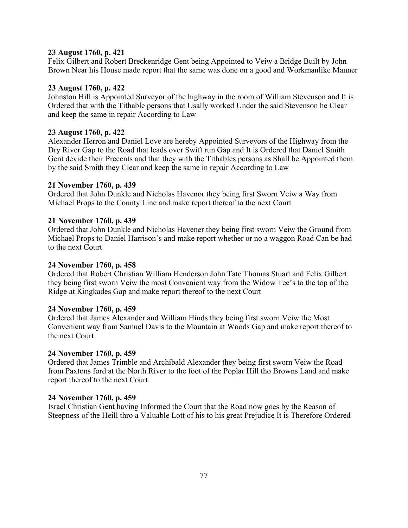#### **23 August 1760, p. 421**

Felix Gilbert and Robert Breckenridge Gent being Appointed to Veiw a Bridge Built by John Brown Near his House made report that the same was done on a good and Workmanlike Manner

# **23 August 1760, p. 422**

Johnston Hill is Appointed Surveyor of the highway in the room of William Stevenson and It is Ordered that with the Tithable persons that Usally worked Under the said Stevenson he Clear and keep the same in repair According to Law

# **23 August 1760, p. 422**

Alexander Herron and Daniel Love are hereby Appointed Surveyors of the Highway from the Dry River Gap to the Road that leads over Swift run Gap and It is Ordered that Daniel Smith Gent devide their Precents and that they with the Tithables persons as Shall be Appointed them by the said Smith they Clear and keep the same in repair According to Law

# **21 November 1760, p. 439**

Ordered that John Dunkle and Nicholas Havenor they being first Sworn Veiw a Way from Michael Props to the County Line and make report thereof to the next Court

## **21 November 1760, p. 439**

Ordered that John Dunkle and Nicholas Havener they being first sworn Veiw the Ground from Michael Props to Daniel Harrison's and make report whether or no a waggon Road Can be had to the next Court

#### **24 November 1760, p. 458**

Ordered that Robert Christian William Henderson John Tate Thomas Stuart and Felix Gilbert they being first sworn Veiw the most Convenient way from the Widow Tee's to the top of the Ridge at Kingkades Gap and make report thereof to the next Court

#### **24 November 1760, p. 459**

Ordered that James Alexander and William Hinds they being first sworn Veiw the Most Convenient way from Samuel Davis to the Mountain at Woods Gap and make report thereof to the next Court

#### **24 November 1760, p. 459**

Ordered that James Trimble and Archibald Alexander they being first sworn Veiw the Road from Paxtons ford at the North River to the foot of the Poplar Hill tho Browns Land and make report thereof to the next Court

#### **24 November 1760, p. 459**

Israel Christian Gent having Informed the Court that the Road now goes by the Reason of Steepness of the Heill thro a Valuable Lott of his to his great Prejudice It is Therefore Ordered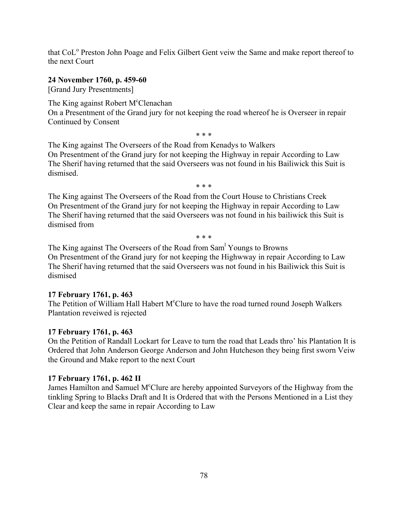that CoL<sup>o</sup> Preston John Poage and Felix Gilbert Gent veiw the Same and make report thereof to the next Court

## **24 November 1760, p. 459-60**

[Grand Jury Presentments]

The King against Robert M<sup>c</sup>Clenachan

On a Presentment of the Grand jury for not keeping the road whereof he is Overseer in repair Continued by Consent

\* \* \*

The King against The Overseers of the Road from Kenadys to Walkers On Presentment of the Grand jury for not keeping the Highway in repair According to Law The Sherif having returned that the said Overseers was not found in his Bailiwick this Suit is dismised.

 $* * *$ 

The King against The Overseers of the Road from the Court House to Christians Creek On Presentment of the Grand jury for not keeping the Highway in repair According to Law The Sherif having returned that the said Overseers was not found in his bailiwick this Suit is dismised from

\* \* \*

The King against The Overseers of the Road from Sam<sup>1</sup> Youngs to Browns On Presentment of the Grand jury for not keeping the Highwway in repair According to Law The Sherif having returned that the said Overseers was not found in his Bailiwick this Suit is dismised

# **17 February 1761, p. 463**

The Petition of William Hall Habert M°Clure to have the road turned round Joseph Walkers Plantation reveiwed is rejected

# **17 February 1761, p. 463**

On the Petition of Randall Lockart for Leave to turn the road that Leads thro' his Plantation It is Ordered that John Anderson George Anderson and John Hutcheson they being first sworn Veiw the Ground and Make report to the next Court

# **17 February 1761, p. 462 II**

James Hamilton and Samuel M°Clure are hereby appointed Surveyors of the Highway from the tinkling Spring to Blacks Draft and It is Ordered that with the Persons Mentioned in a List they Clear and keep the same in repair According to Law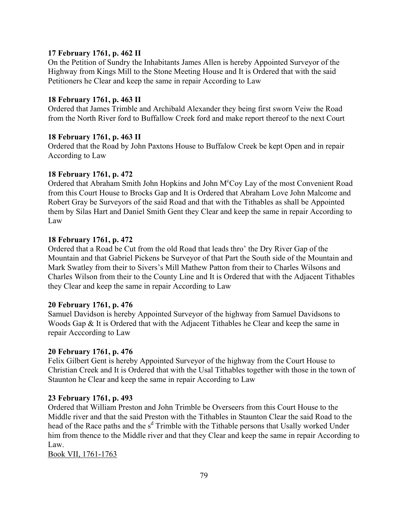## **17 February 1761, p. 462 II**

On the Petition of Sundry the Inhabitants James Allen is hereby Appointed Surveyor of the Highway from Kings Mill to the Stone Meeting House and It is Ordered that with the said Petitioners he Clear and keep the same in repair According to Law

#### **18 February 1761, p. 463 II**

Ordered that James Trimble and Archibald Alexander they being first sworn Veiw the Road from the North River ford to Buffallow Creek ford and make report thereof to the next Court

#### **18 February 1761, p. 463 II**

Ordered that the Road by John Paxtons House to Buffalow Creek be kept Open and in repair According to Law

#### **18 February 1761, p. 472**

Ordered that Abraham Smith John Hopkins and John M<sup>c</sup>Coy Lay of the most Convenient Road from this Court House to Brocks Gap and It is Ordered that Abraham Love John Malcome and Robert Gray be Surveyors of the said Road and that with the Tithables as shall be Appointed them by Silas Hart and Daniel Smith Gent they Clear and keep the same in repair According to Law

#### **18 February 1761, p. 472**

Ordered that a Road be Cut from the old Road that leads thro' the Dry River Gap of the Mountain and that Gabriel Pickens be Surveyor of that Part the South side of the Mountain and Mark Swatley from their to Sivers's Mill Mathew Patton from their to Charles Wilsons and Charles Wilson from their to the County Line and It is Ordered that with the Adjacent Tithables they Clear and keep the same in repair According to Law

#### **20 February 1761, p. 476**

Samuel Davidson is hereby Appointed Surveyor of the highway from Samuel Davidsons to Woods Gap & It is Ordered that with the Adjacent Tithables he Clear and keep the same in repair Acccording to Law

#### **20 February 1761, p. 476**

Felix Gilbert Gent is hereby Appointed Surveyor of the highway from the Court House to Christian Creek and It is Ordered that with the Usal Tithables together with those in the town of Staunton he Clear and keep the same in repair According to Law

#### **23 February 1761, p. 493**

Ordered that William Preston and John Trimble be Overseers from this Court House to the Middle river and that the said Preston with the Tithables in Staunton Clear the said Road to the head of the Race paths and the s<sup>d</sup> Trimble with the Tithable persons that Usally worked Under him from thence to the Middle river and that they Clear and keep the same in repair According to Law.

Book VII, 1761-1763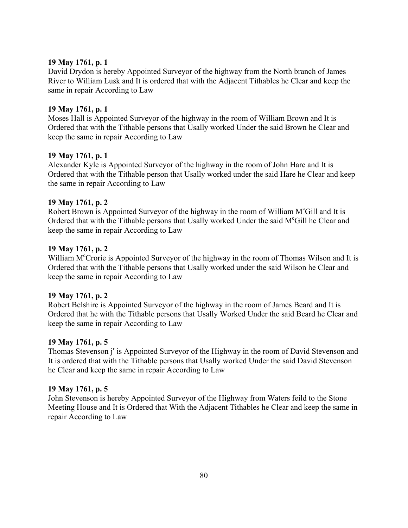David Drydon is hereby Appointed Surveyor of the highway from the North branch of James River to William Lusk and It is ordered that with the Adjacent Tithables he Clear and keep the same in repair According to Law

# **19 May 1761, p. 1**

Moses Hall is Appointed Surveyor of the highway in the room of William Brown and It is Ordered that with the Tithable persons that Usally worked Under the said Brown he Clear and keep the same in repair According to Law

# **19 May 1761, p. 1**

Alexander Kyle is Appointed Surveyor of the highway in the room of John Hare and It is Ordered that with the Tithable person that Usally worked under the said Hare he Clear and keep the same in repair According to Law

# **19 May 1761, p. 2**

Robert Brown is Appointed Surveyor of the highway in the room of William M°Gill and It is Ordered that with the Tithable persons that Usally worked Under the said M°Gill he Clear and keep the same in repair According to Law

# **19 May 1761, p. 2**

William M<sup>c</sup>Crorie is Appointed Surveyor of the highway in the room of Thomas Wilson and It is Ordered that with the Tithable persons that Usally worked under the said Wilson he Clear and keep the same in repair According to Law

# **19 May 1761, p. 2**

Robert Belshire is Appointed Surveyor of the highway in the room of James Beard and It is Ordered that he with the Tithable persons that Usally Worked Under the said Beard he Clear and keep the same in repair According to Law

# **19 May 1761, p. 5**

Thomas Stevenson j<sup>r</sup> is Appointed Surveyor of the Highway in the room of David Stevenson and It is ordered that with the Tithable persons that Usally worked Under the said David Stevenson he Clear and keep the same in repair According to Law

# **19 May 1761, p. 5**

John Stevenson is hereby Appointed Surveyor of the Highway from Waters feild to the Stone Meeting House and It is Ordered that With the Adjacent Tithables he Clear and keep the same in repair According to Law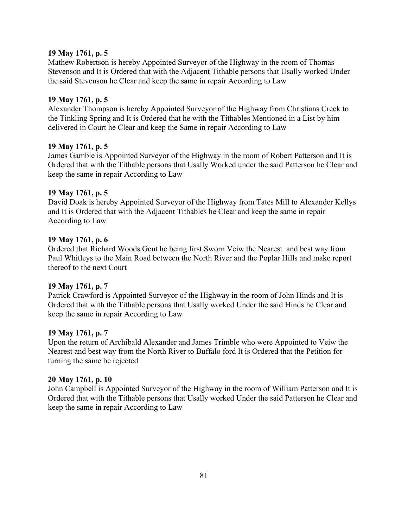Mathew Robertson is hereby Appointed Surveyor of the Highway in the room of Thomas Stevenson and It is Ordered that with the Adjacent Tithable persons that Usally worked Under the said Stevenson he Clear and keep the same in repair According to Law

# **19 May 1761, p. 5**

Alexander Thompson is hereby Appointed Surveyor of the Highway from Christians Creek to the Tinkling Spring and It is Ordered that he with the Tithables Mentioned in a List by him delivered in Court he Clear and keep the Same in repair According to Law

## **19 May 1761, p. 5**

James Gamble is Appointed Surveyor of the Highway in the room of Robert Patterson and It is Ordered that with the Tithable persons that Usally Worked under the said Patterson he Clear and keep the same in repair According to Law

## **19 May 1761, p. 5**

David Doak is hereby Appointed Surveyor of the Highway from Tates Mill to Alexander Kellys and It is Ordered that with the Adjacent Tithables he Clear and keep the same in repair According to Law

# **19 May 1761, p. 6**

Ordered that Richard Woods Gent he being first Sworn Veiw the Nearest and best way from Paul Whitleys to the Main Road between the North River and the Poplar Hills and make report thereof to the next Court

# **19 May 1761, p. 7**

Patrick Crawford is Appointed Surveyor of the Highway in the room of John Hinds and It is Ordered that with the Tithable persons that Usally worked Under the said Hinds he Clear and keep the same in repair According to Law

#### **19 May 1761, p. 7**

Upon the return of Archibald Alexander and James Trimble who were Appointed to Veiw the Nearest and best way from the North River to Buffalo ford It is Ordered that the Petition for turning the same be rejected

#### **20 May 1761, p. 10**

John Campbell is Appointed Surveyor of the Highway in the room of William Patterson and It is Ordered that with the Tithable persons that Usally worked Under the said Patterson he Clear and keep the same in repair According to Law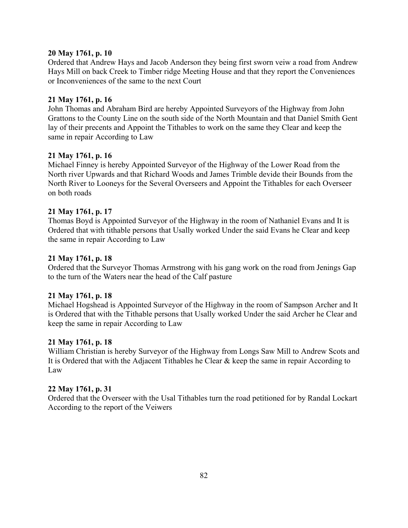Ordered that Andrew Hays and Jacob Anderson they being first sworn veiw a road from Andrew Hays Mill on back Creek to Timber ridge Meeting House and that they report the Conveniences or Inconveniences of the same to the next Court

# **21 May 1761, p. 16**

John Thomas and Abraham Bird are hereby Appointed Surveyors of the Highway from John Grattons to the County Line on the south side of the North Mountain and that Daniel Smith Gent lay of their precents and Appoint the Tithables to work on the same they Clear and keep the same in repair According to Law

## **21 May 1761, p. 16**

Michael Finney is hereby Appointed Surveyor of the Highway of the Lower Road from the North river Upwards and that Richard Woods and James Trimble devide their Bounds from the North River to Looneys for the Several Overseers and Appoint the Tithables for each Overseer on both roads

## **21 May 1761, p. 17**

Thomas Boyd is Appointed Surveyor of the Highway in the room of Nathaniel Evans and It is Ordered that with tithable persons that Usally worked Under the said Evans he Clear and keep the same in repair According to Law

## **21 May 1761, p. 18**

Ordered that the Surveyor Thomas Armstrong with his gang work on the road from Jenings Gap to the turn of the Waters near the head of the Calf pasture

#### **21 May 1761, p. 18**

Michael Hogshead is Appointed Surveyor of the Highway in the room of Sampson Archer and It is Ordered that with the Tithable persons that Usally worked Under the said Archer he Clear and keep the same in repair According to Law

#### **21 May 1761, p. 18**

William Christian is hereby Surveyor of the Highway from Longs Saw Mill to Andrew Scots and It is Ordered that with the Adjacent Tithables he Clear & keep the same in repair According to Law

#### **22 May 1761, p. 31**

Ordered that the Overseer with the Usal Tithables turn the road petitioned for by Randal Lockart According to the report of the Veiwers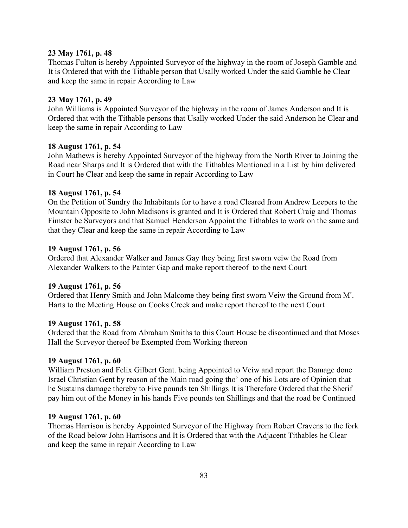Thomas Fulton is hereby Appointed Surveyor of the highway in the room of Joseph Gamble and It is Ordered that with the Tithable person that Usally worked Under the said Gamble he Clear and keep the same in repair According to Law

## **23 May 1761, p. 49**

John Williams is Appointed Surveyor of the highway in the room of James Anderson and It is Ordered that with the Tithable persons that Usally worked Under the said Anderson he Clear and keep the same in repair According to Law

## **18 August 1761, p. 54**

John Mathews is hereby Appointed Surveyor of the highway from the North River to Joining the Road near Sharps and It is Ordered that with the Tithables Mentioned in a List by him delivered in Court he Clear and keep the same in repair According to Law

## **18 August 1761, p. 54**

On the Petition of Sundry the Inhabitants for to have a road Cleared from Andrew Leepers to the Mountain Opposite to John Madisons is granted and It is Ordered that Robert Craig and Thomas Fimster be Surveyors and that Samuel Henderson Appoint the Tithables to work on the same and that they Clear and keep the same in repair According to Law

## **19 August 1761, p. 56**

Ordered that Alexander Walker and James Gay they being first sworn veiw the Road from Alexander Walkers to the Painter Gap and make report thereof to the next Court

# **19 August 1761, p. 56**

Ordered that Henry Smith and John Malcome they being first sworn Veiw the Ground from M<sup>r</sup>. Harts to the Meeting House on Cooks Creek and make report thereof to the next Court

#### **19 August 1761, p. 58**

Ordered that the Road from Abraham Smiths to this Court House be discontinued and that Moses Hall the Surveyor thereof be Exempted from Working thereon

#### **19 August 1761, p. 60**

William Preston and Felix Gilbert Gent. being Appointed to Veiw and report the Damage done Israel Christian Gent by reason of the Main road going tho' one of his Lots are of Opinion that he Sustains damage thereby to Five pounds ten Shillings It is Therefore Ordered that the Sherif pay him out of the Money in his hands Five pounds ten Shillings and that the road be Continued

#### **19 August 1761, p. 60**

Thomas Harrison is hereby Appointed Surveyor of the Highway from Robert Cravens to the fork of the Road below John Harrisons and It is Ordered that with the Adjacent Tithables he Clear and keep the same in repair According to Law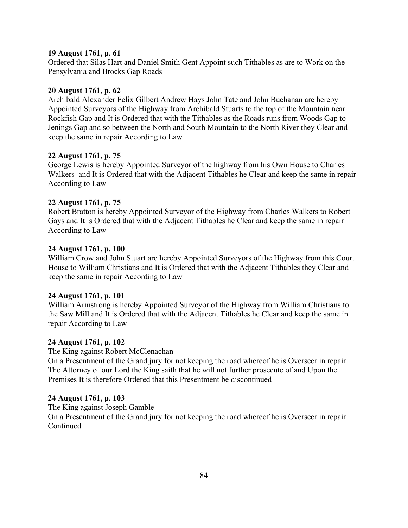## **19 August 1761, p. 61**

Ordered that Silas Hart and Daniel Smith Gent Appoint such Tithables as are to Work on the Pensylvania and Brocks Gap Roads

# **20 August 1761, p. 62**

Archibald Alexander Felix Gilbert Andrew Hays John Tate and John Buchanan are hereby Appointed Surveyors of the Highway from Archibald Stuarts to the top of the Mountain near Rockfish Gap and It is Ordered that with the Tithables as the Roads runs from Woods Gap to Jenings Gap and so between the North and South Mountain to the North River they Clear and keep the same in repair According to Law

## **22 August 1761, p. 75**

George Lewis is hereby Appointed Surveyor of the highway from his Own House to Charles Walkers and It is Ordered that with the Adjacent Tithables he Clear and keep the same in repair According to Law

## **22 August 1761, p. 75**

Robert Bratton is hereby Appointed Surveyor of the Highway from Charles Walkers to Robert Gays and It is Ordered that with the Adjacent Tithables he Clear and keep the same in repair According to Law

## **24 August 1761, p. 100**

William Crow and John Stuart are hereby Appointed Surveyors of the Highway from this Court House to William Christians and It is Ordered that with the Adjacent Tithables they Clear and keep the same in repair According to Law

# **24 August 1761, p. 101**

William Armstrong is hereby Appointed Surveyor of the Highway from William Christians to the Saw Mill and It is Ordered that with the Adjacent Tithables he Clear and keep the same in repair According to Law

#### **24 August 1761, p. 102**

The King against Robert McClenachan

On a Presentment of the Grand jury for not keeping the road whereof he is Overseer in repair The Attorney of our Lord the King saith that he will not further prosecute of and Upon the Premises It is therefore Ordered that this Presentment be discontinued

# **24 August 1761, p. 103**

The King against Joseph Gamble

On a Presentment of the Grand jury for not keeping the road whereof he is Overseer in repair Continued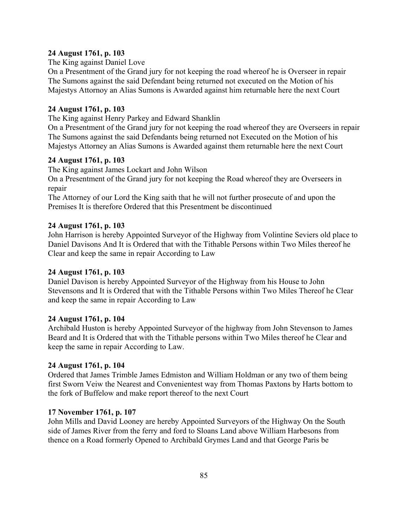# **24 August 1761, p. 103**

The King against Daniel Love

On a Presentment of the Grand jury for not keeping the road whereof he is Overseer in repair The Sumons against the said Defendant being returned not executed on the Motion of his Majestys Attornoy an Alias Sumons is Awarded against him returnable here the next Court

# **24 August 1761, p. 103**

The King against Henry Parkey and Edward Shanklin

On a Presentment of the Grand jury for not keeping the road whereof they are Overseers in repair The Sumons against the said Defendants being returned not Executed on the Motion of his Majestys Attorney an Alias Sumons is Awarded against them returnable here the next Court

# **24 August 1761, p. 103**

The King against James Lockart and John Wilson

On a Presentment of the Grand jury for not keeping the Road whereof they are Overseers in repair

The Attorney of our Lord the King saith that he will not further prosecute of and upon the Premises It is therefore Ordered that this Presentment be discontinued

# **24 August 1761, p. 103**

John Harrison is hereby Appointed Surveyor of the Highway from Volintine Seviers old place to Daniel Davisons And It is Ordered that with the Tithable Persons within Two Miles thereof he Clear and keep the same in repair According to Law

# **24 August 1761, p. 103**

Daniel Davison is hereby Appointed Surveyor of the Highway from his House to John Stevensons and It is Ordered that with the Tithable Persons within Two Miles Thereof he Clear and keep the same in repair According to Law

# **24 August 1761, p. 104**

Archibald Huston is hereby Appointed Surveyor of the highway from John Stevenson to James Beard and It is Ordered that with the Tithable persons within Two Miles thereof he Clear and keep the same in repair According to Law.

# **24 August 1761, p. 104**

Ordered that James Trimble James Edmiston and William Holdman or any two of them being first Sworn Veiw the Nearest and Convenientest way from Thomas Paxtons by Harts bottom to the fork of Buffelow and make report thereof to the next Court

# **17 November 1761, p. 107**

John Mills and David Looney are hereby Appointed Surveyors of the Highway On the South side of James River from the ferry and ford to Sloans Land above William Harbesons from thence on a Road formerly Opened to Archibald Grymes Land and that George Paris be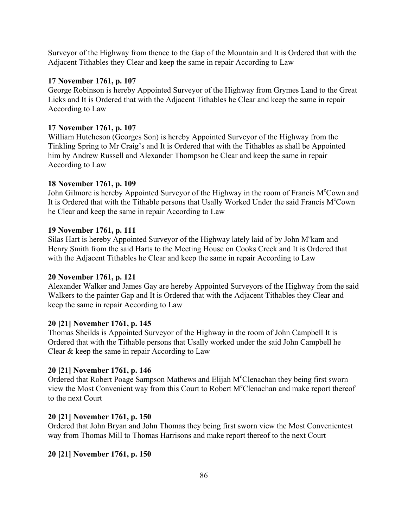Surveyor of the Highway from thence to the Gap of the Mountain and It is Ordered that with the Adjacent Tithables they Clear and keep the same in repair According to Law

# **17 November 1761, p. 107**

George Robinson is hereby Appointed Surveyor of the Highway from Grymes Land to the Great Licks and It is Ordered that with the Adjacent Tithables he Clear and keep the same in repair According to Law

# **17 November 1761, p. 107**

William Hutcheson (Georges Son) is hereby Appointed Surveyor of the Highway from the Tinkling Spring to Mr Craig's and It is Ordered that with the Tithables as shall be Appointed him by Andrew Russell and Alexander Thompson he Clear and keep the same in repair According to Law

# **18 November 1761, p. 109**

John Gilmore is hereby Appointed Surveyor of the Highway in the room of Francis M°Cown and It is Ordered that with the Tithable persons that Usally Worked Under the said Francis M°Cown he Clear and keep the same in repair According to Law

# **19 November 1761, p. 111**

Silas Hart is hereby Appointed Surveyor of the Highway lately laid of by John M°kam and Henry Smith from the said Harts to the Meeting House on Cooks Creek and It is Ordered that with the Adjacent Tithables he Clear and keep the same in repair According to Law

# **20 November 1761, p. 121**

Alexander Walker and James Gay are hereby Appointed Surveyors of the Highway from the said Walkers to the painter Gap and It is Ordered that with the Adjacent Tithables they Clear and keep the same in repair According to Law

# **20 [21] November 1761, p. 145**

Thomas Sheilds is Appointed Surveyor of the Highway in the room of John Campbell It is Ordered that with the Tithable persons that Usally worked under the said John Campbell he Clear & keep the same in repair According to Law

# **20 [21] November 1761, p. 146**

Ordered that Robert Poage Sampson Mathews and Elijah M°Clenachan they being first sworn view the Most Convenient way from this Court to Robert M°Clenachan and make report thereof to the next Court

# **20 [21] November 1761, p. 150**

Ordered that John Bryan and John Thomas they being first sworn view the Most Convenientest way from Thomas Mill to Thomas Harrisons and make report thereof to the next Court

# **20 [21] November 1761, p. 150**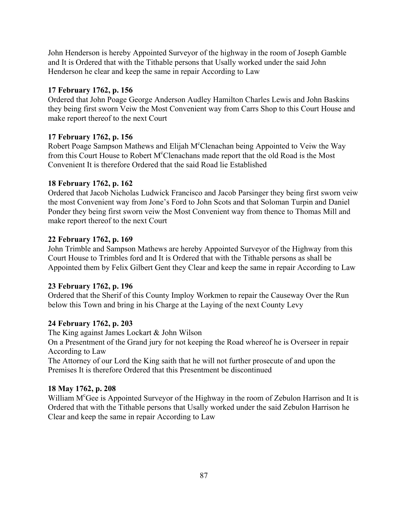John Henderson is hereby Appointed Surveyor of the highway in the room of Joseph Gamble and It is Ordered that with the Tithable persons that Usally worked under the said John Henderson he clear and keep the same in repair According to Law

# **17 February 1762, p. 156**

Ordered that John Poage George Anderson Audley Hamilton Charles Lewis and John Baskins they being first sworn Veiw the Most Convenient way from Carrs Shop to this Court House and make report thereof to the next Court

# **17 February 1762, p. 156**

Robert Poage Sampson Mathews and Elijah M°Clenachan being Appointed to Veiw the Way from this Court House to Robert M°Clenachans made report that the old Road is the Most Convenient It is therefore Ordered that the said Road lie Established

# **18 February 1762, p. 162**

Ordered that Jacob Nicholas Ludwick Francisco and Jacob Parsinger they being first sworn veiw the most Convenient way from Jone's Ford to John Scots and that Soloman Turpin and Daniel Ponder they being first sworn veiw the Most Convenient way from thence to Thomas Mill and make report thereof to the next Court

# **22 February 1762, p. 169**

John Trimble and Sampson Mathews are hereby Appointed Surveyor of the Highway from this Court House to Trimbles ford and It is Ordered that with the Tithable persons as shall be Appointed them by Felix Gilbert Gent they Clear and keep the same in repair According to Law

# **23 February 1762, p. 196**

Ordered that the Sherif of this County Imploy Workmen to repair the Causeway Over the Run below this Town and bring in his Charge at the Laying of the next County Levy

# **24 February 1762, p. 203**

The King against James Lockart & John Wilson

On a Presentment of the Grand jury for not keeping the Road whereof he is Overseer in repair According to Law

The Attorney of our Lord the King saith that he will not further prosecute of and upon the Premises It is therefore Ordered that this Presentment be discontinued

# **18 May 1762, p. 208**

William M<sup>c</sup>Gee is Appointed Surveyor of the Highway in the room of Zebulon Harrison and It is Ordered that with the Tithable persons that Usally worked under the said Zebulon Harrison he Clear and keep the same in repair According to Law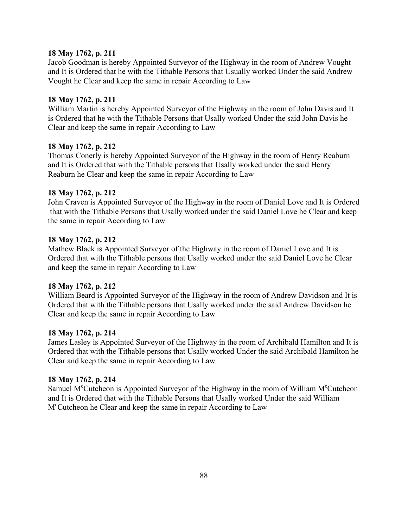Jacob Goodman is hereby Appointed Surveyor of the Highway in the room of Andrew Vought and It is Ordered that he with the Tithable Persons that Usually worked Under the said Andrew Vought he Clear and keep the same in repair According to Law

## **18 May 1762, p. 211**

William Martin is hereby Appointed Surveyor of the Highway in the room of John Davis and It is Ordered that he with the Tithable Persons that Usally worked Under the said John Davis he Clear and keep the same in repair According to Law

# **18 May 1762, p. 212**

Thomas Conerly is hereby Appointed Surveyor of the Highway in the room of Henry Reaburn and It is Ordered that with the Tithable persons that Usally worked under the said Henry Reaburn he Clear and keep the same in repair According to Law

## **18 May 1762, p. 212**

John Craven is Appointed Surveyor of the Highway in the room of Daniel Love and It is Ordered that with the Tithable Persons that Usally worked under the said Daniel Love he Clear and keep the same in repair According to Law

## **18 May 1762, p. 212**

Mathew Black is Appointed Surveyor of the Highway in the room of Daniel Love and It is Ordered that with the Tithable persons that Usally worked under the said Daniel Love he Clear and keep the same in repair According to Law

#### **18 May 1762, p. 212**

William Beard is Appointed Surveyor of the Highway in the room of Andrew Davidson and It is Ordered that with the Tithable persons that Usally worked under the said Andrew Davidson he Clear and keep the same in repair According to Law

# **18 May 1762, p. 214**

James Lasley is Appointed Surveyor of the Highway in the room of Archibald Hamilton and It is Ordered that with the Tithable persons that Usally worked Under the said Archibald Hamilton he Clear and keep the same in repair According to Law

#### **18 May 1762, p. 214**

Samuel M<sup>c</sup>Cutcheon is Appointed Surveyor of the Highway in the room of William M<sup>c</sup>Cutcheon and It is Ordered that with the Tithable Persons that Usally worked Under the said William Mc Cutcheon he Clear and keep the same in repair According to Law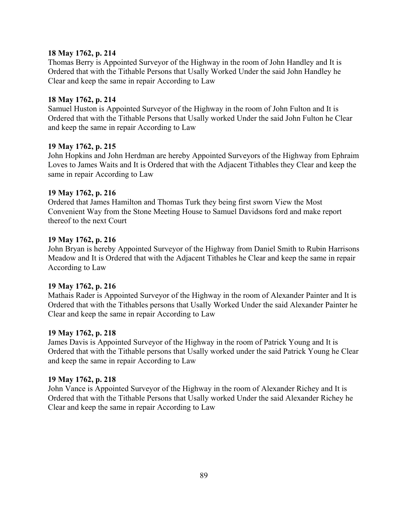Thomas Berry is Appointed Surveyor of the Highway in the room of John Handley and It is Ordered that with the Tithable Persons that Usally Worked Under the said John Handley he Clear and keep the same in repair According to Law

# **18 May 1762, p. 214**

Samuel Huston is Appointed Surveyor of the Highway in the room of John Fulton and It is Ordered that with the Tithable Persons that Usally worked Under the said John Fulton he Clear and keep the same in repair According to Law

## **19 May 1762, p. 215**

John Hopkins and John Herdman are hereby Appointed Surveyors of the Highway from Ephraim Loves to James Waits and It is Ordered that with the Adjacent Tithables they Clear and keep the same in repair According to Law

## **19 May 1762, p. 216**

Ordered that James Hamilton and Thomas Turk they being first sworn View the Most Convenient Way from the Stone Meeting House to Samuel Davidsons ford and make report thereof to the next Court

## **19 May 1762, p. 216**

John Bryan is hereby Appointed Surveyor of the Highway from Daniel Smith to Rubin Harrisons Meadow and It is Ordered that with the Adjacent Tithables he Clear and keep the same in repair According to Law

# **19 May 1762, p. 216**

Mathais Rader is Appointed Surveyor of the Highway in the room of Alexander Painter and It is Ordered that with the Tithables persons that Usally Worked Under the said Alexander Painter he Clear and keep the same in repair According to Law

# **19 May 1762, p. 218**

James Davis is Appointed Surveyor of the Highway in the room of Patrick Young and It is Ordered that with the Tithable persons that Usally worked under the said Patrick Young he Clear and keep the same in repair According to Law

# **19 May 1762, p. 218**

John Vance is Appointed Surveyor of the Highway in the room of Alexander Richey and It is Ordered that with the Tithable Persons that Usally worked Under the said Alexander Richey he Clear and keep the same in repair According to Law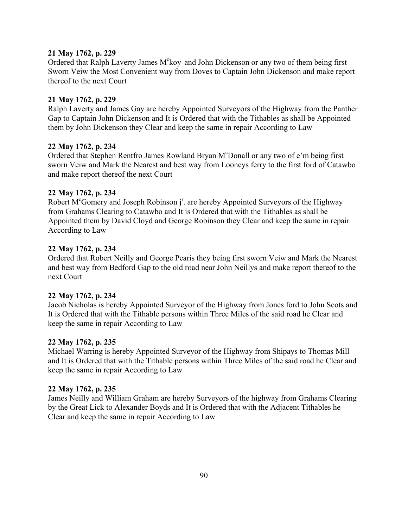Ordered that Ralph Laverty James M<sup>c</sup>koy and John Dickenson or any two of them being first Sworn Veiw the Most Convenient way from Doves to Captain John Dickenson and make report thereof to the next Court

# **21 May 1762, p. 229**

Ralph Laverty and James Gay are hereby Appointed Surveyors of the Highway from the Panther Gap to Captain John Dickenson and It is Ordered that with the Tithables as shall be Appointed them by John Dickenson they Clear and keep the same in repair According to Law

## **22 May 1762, p. 234**

Ordered that Stephen Rentfro James Rowland Bryan M°Donall or any two of e'm being first sworn Veiw and Mark the Nearest and best way from Looneys ferry to the first ford of Catawbo and make report thereof the next Court

## **22 May 1762, p. 234**

Robert M<sup>c</sup>Gomery and Joseph Robinson j<sup>r</sup>. are hereby Appointed Surveyors of the Highway from Grahams Clearing to Catawbo and It is Ordered that with the Tithables as shall be Appointed them by David Cloyd and George Robinson they Clear and keep the same in repair According to Law

## **22 May 1762, p. 234**

Ordered that Robert Neilly and George Pearis they being first sworn Veiw and Mark the Nearest and best way from Bedford Gap to the old road near John Neillys and make report thereof to the next Court

#### **22 May 1762, p. 234**

Jacob Nicholas is hereby Appointed Surveyor of the Highway from Jones ford to John Scots and It is Ordered that with the Tithable persons within Three Miles of the said road he Clear and keep the same in repair According to Law

#### **22 May 1762, p. 235**

Michael Warring is hereby Appointed Surveyor of the Highway from Shipays to Thomas Mill and It is Ordered that with the Tithable persons within Three Miles of the said road he Clear and keep the same in repair According to Law

#### **22 May 1762, p. 235**

James Neilly and William Graham are hereby Surveyors of the highway from Grahams Clearing by the Great Lick to Alexander Boyds and It is Ordered that with the Adjacent Tithables he Clear and keep the same in repair According to Law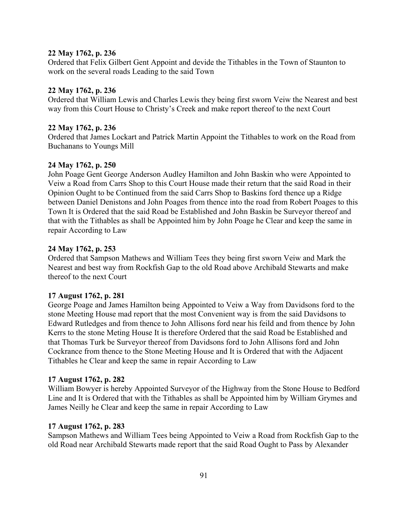Ordered that Felix Gilbert Gent Appoint and devide the Tithables in the Town of Staunton to work on the several roads Leading to the said Town

#### **22 May 1762, p. 236**

Ordered that William Lewis and Charles Lewis they being first sworn Veiw the Nearest and best way from this Court House to Christy's Creek and make report thereof to the next Court

#### **22 May 1762, p. 236**

Ordered that James Lockart and Patrick Martin Appoint the Tithables to work on the Road from Buchanans to Youngs Mill

#### **24 May 1762, p. 250**

John Poage Gent George Anderson Audley Hamilton and John Baskin who were Appointed to Veiw a Road from Carrs Shop to this Court House made their return that the said Road in their Opinion Ought to be Continued from the said Carrs Shop to Baskins ford thence up a Ridge between Daniel Denistons and John Poages from thence into the road from Robert Poages to this Town It is Ordered that the said Road be Established and John Baskin be Surveyor thereof and that with the Tithables as shall be Appointed him by John Poage he Clear and keep the same in repair According to Law

#### **24 May 1762, p. 253**

Ordered that Sampson Mathews and William Tees they being first sworn Veiw and Mark the Nearest and best way from Rockfish Gap to the old Road above Archibald Stewarts and make thereof to the next Court

#### **17 August 1762, p. 281**

George Poage and James Hamilton being Appointed to Veiw a Way from Davidsons ford to the stone Meeting House mad report that the most Convenient way is from the said Davidsons to Edward Rutledges and from thence to John Allisons ford near his feild and from thence by John Kerrs to the stone Meting House It is therefore Ordered that the said Road be Established and that Thomas Turk be Surveyor thereof from Davidsons ford to John Allisons ford and John Cockrance from thence to the Stone Meeting House and It is Ordered that with the Adjacent Tithables he Clear and keep the same in repair According to Law

# **17 August 1762, p. 282**

William Bowyer is hereby Appointed Surveyor of the Highway from the Stone House to Bedford Line and It is Ordered that with the Tithables as shall be Appointed him by William Grymes and James Neilly he Clear and keep the same in repair According to Law

#### **17 August 1762, p. 283**

Sampson Mathews and William Tees being Appointed to Veiw a Road from Rockfish Gap to the old Road near Archibald Stewarts made report that the said Road Ought to Pass by Alexander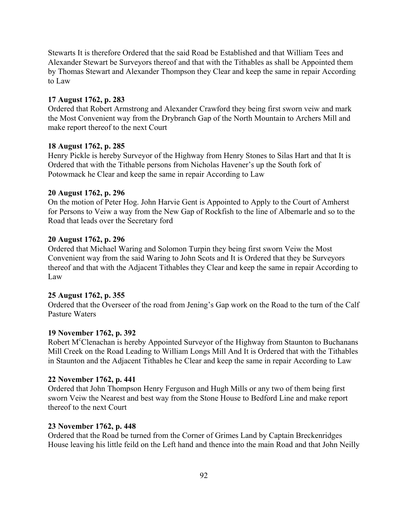Stewarts It is therefore Ordered that the said Road be Established and that William Tees and Alexander Stewart be Surveyors thereof and that with the Tithables as shall be Appointed them by Thomas Stewart and Alexander Thompson they Clear and keep the same in repair According to Law

## **17 August 1762, p. 283**

Ordered that Robert Armstrong and Alexander Crawford they being first sworn veiw and mark the Most Convenient way from the Drybranch Gap of the North Mountain to Archers Mill and make report thereof to the next Court

#### **18 August 1762, p. 285**

Henry Pickle is hereby Surveyor of the Highway from Henry Stones to Silas Hart and that It is Ordered that with the Tithable persons from Nicholas Havener's up the South fork of Potowmack he Clear and keep the same in repair According to Law

#### **20 August 1762, p. 296**

On the motion of Peter Hog. John Harvie Gent is Appointed to Apply to the Court of Amherst for Persons to Veiw a way from the New Gap of Rockfish to the line of Albemarle and so to the Road that leads over the Secretary ford

#### **20 August 1762, p. 296**

Ordered that Michael Waring and Solomon Turpin they being first sworn Veiw the Most Convenient way from the said Waring to John Scots and It is Ordered that they be Surveyors thereof and that with the Adjacent Tithables they Clear and keep the same in repair According to Law

#### **25 August 1762, p. 355**

Ordered that the Overseer of the road from Jening's Gap work on the Road to the turn of the Calf Pasture Waters

#### **19 November 1762, p. 392**

Robert M<sup>c</sup>Clenachan is hereby Appointed Surveyor of the Highway from Staunton to Buchanans Mill Creek on the Road Leading to William Longs Mill And It is Ordered that with the Tithables in Staunton and the Adjacent Tithables he Clear and keep the same in repair According to Law

#### **22 November 1762, p. 441**

Ordered that John Thompson Henry Ferguson and Hugh Mills or any two of them being first sworn Veiw the Nearest and best way from the Stone House to Bedford Line and make report thereof to the next Court

#### **23 November 1762, p. 448**

Ordered that the Road be turned from the Corner of Grimes Land by Captain Breckenridges House leaving his little feild on the Left hand and thence into the main Road and that John Neilly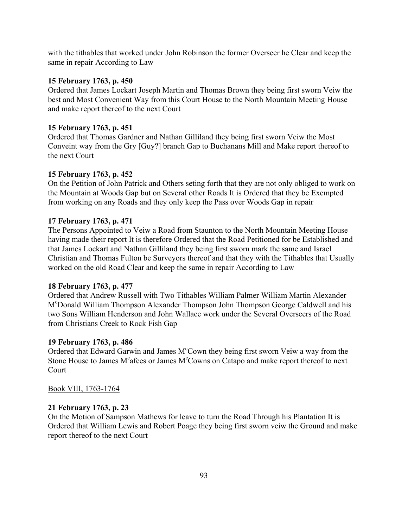with the tithables that worked under John Robinson the former Overseer he Clear and keep the same in repair According to Law

## **15 February 1763, p. 450**

Ordered that James Lockart Joseph Martin and Thomas Brown they being first sworn Veiw the best and Most Convenient Way from this Court House to the North Mountain Meeting House and make report thereof to the next Court

## **15 February 1763, p. 451**

Ordered that Thomas Gardner and Nathan Gilliland they being first sworn Veiw the Most Conveint way from the Gry [Guy?] branch Gap to Buchanans Mill and Make report thereof to the next Court

## **15 February 1763, p. 452**

On the Petition of John Patrick and Others seting forth that they are not only obliged to work on the Mountain at Woods Gap but on Several other Roads It is Ordered that they be Exempted from working on any Roads and they only keep the Pass over Woods Gap in repair

## **17 February 1763, p. 471**

The Persons Appointed to Veiw a Road from Staunton to the North Mountain Meeting House having made their report It is therefore Ordered that the Road Petitioned for be Established and that James Lockart and Nathan Gilliland they being first sworn mark the same and Israel Christian and Thomas Fulton be Surveyors thereof and that they with the Tithables that Usually worked on the old Road Clear and keep the same in repair According to Law

# **18 February 1763, p. 477**

Ordered that Andrew Russell with Two Tithables William Palmer William Martin Alexander Mc Donald William Thompson Alexander Thompson John Thompson George Caldwell and his two Sons William Henderson and John Wallace work under the Several Overseers of the Road from Christians Creek to Rock Fish Gap

#### **19 February 1763, p. 486**

Ordered that Edward Garwin and James M°Cown they being first sworn Veiw a way from the Stone House to James M°afees or James M°Cowns on Catapo and make report thereof to next Court

#### Book VIII, 1763-1764

#### **21 February 1763, p. 23**

On the Motion of Sampson Mathews for leave to turn the Road Through his Plantation It is Ordered that William Lewis and Robert Poage they being first sworn veiw the Ground and make report thereof to the next Court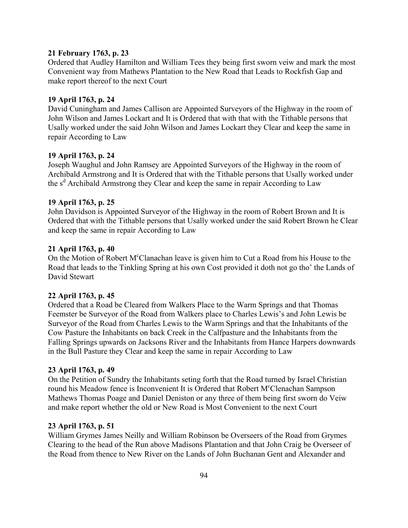#### **21 February 1763, p. 23**

Ordered that Audley Hamilton and William Tees they being first sworn veiw and mark the most Convenient way from Mathews Plantation to the New Road that Leads to Rockfish Gap and make report thereof to the next Court

#### **19 April 1763, p. 24**

David Cuningham and James Callison are Appointed Surveyors of the Highway in the room of John Wilson and James Lockart and It is Ordered that with that with the Tithable persons that Usally worked under the said John Wilson and James Lockart they Clear and keep the same in repair According to Law

#### **19 April 1763, p. 24**

Joseph Waughul and John Ramsey are Appointed Surveyors of the Highway in the room of Archibald Armstrong and It is Ordered that with the Tithable persons that Usally worked under the s<sup>d</sup> Archibald Armstrong they Clear and keep the same in repair According to Law

## **19 April 1763, p. 25**

John Davidson is Appointed Surveyor of the Highway in the room of Robert Brown and It is Ordered that with the Tithable persons that Usally worked under the said Robert Brown he Clear and keep the same in repair According to Law

## **21 April 1763, p. 40**

On the Motion of Robert M<sup>c</sup>Clanachan leave is given him to Cut a Road from his House to the Road that leads to the Tinkling Spring at his own Cost provided it doth not go tho' the Lands of David Stewart

# **22 April 1763, p. 45**

Ordered that a Road be Cleared from Walkers Place to the Warm Springs and that Thomas Feemster be Surveyor of the Road from Walkers place to Charles Lewis's and John Lewis be Surveyor of the Road from Charles Lewis to the Warm Springs and that the Inhabitants of the Cow Pasture the Inhabitants on back Creek in the Calfpasture and the Inhabitants from the Falling Springs upwards on Jacksons River and the Inhabitants from Hance Harpers downwards in the Bull Pasture they Clear and keep the same in repair According to Law

#### **23 April 1763, p. 49**

On the Petition of Sundry the Inhabitants seting forth that the Road turned by Israel Christian round his Meadow fence is Inconvenient It is Ordered that Robert M°Clenachan Sampson Mathews Thomas Poage and Daniel Deniston or any three of them being first sworn do Veiw and make report whether the old or New Road is Most Convenient to the next Court

#### **23 April 1763, p. 51**

William Grymes James Neilly and William Robinson be Overseers of the Road from Grymes Clearing to the head of the Run above Madisons Plantation and that John Craig be Overseer of the Road from thence to New River on the Lands of John Buchanan Gent and Alexander and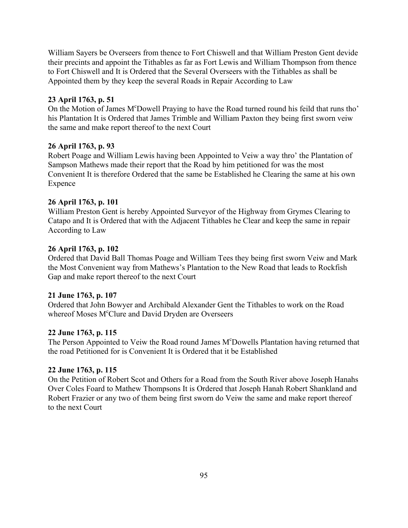William Sayers be Overseers from thence to Fort Chiswell and that William Preston Gent devide their precints and appoint the Tithables as far as Fort Lewis and William Thompson from thence to Fort Chiswell and It is Ordered that the Several Overseers with the Tithables as shall be Appointed them by they keep the several Roads in Repair According to Law

# **23 April 1763, p. 51**

On the Motion of James M°Dowell Praying to have the Road turned round his feild that runs tho' his Plantation It is Ordered that James Trimble and William Paxton they being first sworn veiw the same and make report thereof to the next Court

# **26 April 1763, p. 93**

Robert Poage and William Lewis having been Appointed to Veiw a way thro' the Plantation of Sampson Mathews made their report that the Road by him petitioned for was the most Convenient It is therefore Ordered that the same be Established he Clearing the same at his own Expence

# **26 April 1763, p. 101**

William Preston Gent is hereby Appointed Surveyor of the Highway from Grymes Clearing to Catapo and It is Ordered that with the Adjacent Tithables he Clear and keep the same in repair According to Law

# **26 April 1763, p. 102**

Ordered that David Ball Thomas Poage and William Tees they being first sworn Veiw and Mark the Most Convenient way from Mathews's Plantation to the New Road that leads to Rockfish Gap and make report thereof to the next Court

# **21 June 1763, p. 107**

Ordered that John Bowyer and Archibald Alexander Gent the Tithables to work on the Road whereof Moses M°Clure and David Dryden are Overseers

# **22 June 1763, p. 115**

The Person Appointed to Veiw the Road round James M<sup>c</sup>Dowells Plantation having returned that the road Petitioned for is Convenient It is Ordered that it be Established

# **22 June 1763, p. 115**

On the Petition of Robert Scot and Others for a Road from the South River above Joseph Hanahs Over Coles Foard to Mathew Thompsons It is Ordered that Joseph Hanah Robert Shankland and Robert Frazier or any two of them being first sworn do Veiw the same and make report thereof to the next Court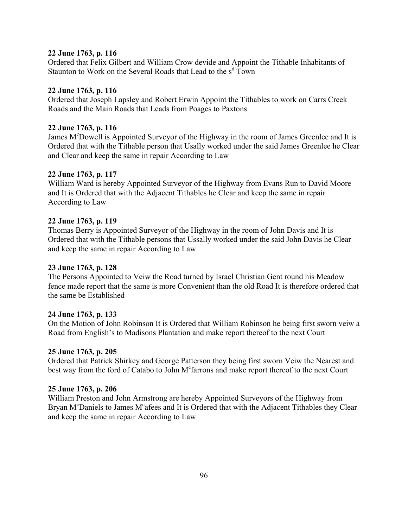# **22 June 1763, p. 116**

Ordered that Felix Gilbert and William Crow devide and Appoint the Tithable Inhabitants of Staunton to Work on the Several Roads that Lead to the s<sup>d</sup> Town

# **22 June 1763, p. 116**

Ordered that Joseph Lapsley and Robert Erwin Appoint the Tithables to work on Carrs Creek Roads and the Main Roads that Leads from Poages to Paxtons

# **22 June 1763, p. 116**

James M<sup>c</sup>Dowell is Appointed Surveyor of the Highway in the room of James Greenlee and It is Ordered that with the Tithable person that Usally worked under the said James Greenlee he Clear and Clear and keep the same in repair According to Law

# **22 June 1763, p. 117**

William Ward is hereby Appointed Surveyor of the Highway from Evans Run to David Moore and It is Ordered that with the Adjacent Tithables he Clear and keep the same in repair According to Law

## **22 June 1763, p. 119**

Thomas Berry is Appointed Surveyor of the Highway in the room of John Davis and It is Ordered that with the Tithable persons that Ussally worked under the said John Davis he Clear and keep the same in repair According to Law

# **23 June 1763, p. 128**

The Persons Appointed to Veiw the Road turned by Israel Christian Gent round his Meadow fence made report that the same is more Convenient than the old Road It is therefore ordered that the same be Established

# **24 June 1763, p. 133**

On the Motion of John Robinson It is Ordered that William Robinson he being first sworn veiw a Road from English's to Madisons Plantation and make report thereof to the next Court

# **25 June 1763, p. 205**

Ordered that Patrick Shirkey and George Patterson they being first sworn Veiw the Nearest and best way from the ford of Catabo to John M<sup>c</sup>farrons and make report thereof to the next Court

# **25 June 1763, p. 206**

William Preston and John Armstrong are hereby Appointed Surveyors of the Highway from Bryan M<sup>c</sup>Daniels to James M<sup>c</sup>afees and It is Ordered that with the Adjacent Tithables they Clear and keep the same in repair According to Law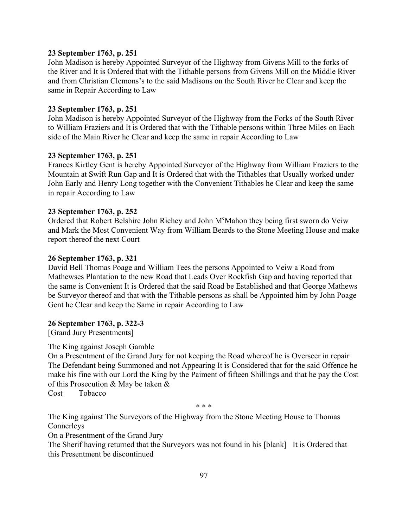## **23 September 1763, p. 251**

John Madison is hereby Appointed Surveyor of the Highway from Givens Mill to the forks of the River and It is Ordered that with the Tithable persons from Givens Mill on the Middle River and from Christian Clemons's to the said Madisons on the South River he Clear and keep the same in Repair According to Law

## **23 September 1763, p. 251**

John Madison is hereby Appointed Surveyor of the Highway from the Forks of the South River to William Fraziers and It is Ordered that with the Tithable persons within Three Miles on Each side of the Main River he Clear and keep the same in repair According to Law

## **23 September 1763, p. 251**

Frances Kirtley Gent is hereby Appointed Surveyor of the Highway from William Fraziers to the Mountain at Swift Run Gap and It is Ordered that with the Tithables that Usually worked under John Early and Henry Long together with the Convenient Tithables he Clear and keep the same in repair According to Law

#### **23 September 1763, p. 252**

Ordered that Robert Belshire John Richey and John M°Mahon they being first sworn do Veiw and Mark the Most Convenient Way from William Beards to the Stone Meeting House and make report thereof the next Court

#### **26 September 1763, p. 321**

David Bell Thomas Poage and William Tees the persons Appointed to Veiw a Road from Mathewses Plantation to the new Road that Leads Over Rockfish Gap and having reported that the same is Convenient It is Ordered that the said Road be Established and that George Mathews be Surveyor thereof and that with the Tithable persons as shall be Appointed him by John Poage Gent he Clear and keep the Same in repair According to Law

#### **26 September 1763, p. 322-3**

[Grand Jury Presentments]

The King against Joseph Gamble

On a Presentment of the Grand Jury for not keeping the Road whereof he is Overseer in repair The Defendant being Summoned and not Appearing It is Considered that for the said Offence he make his fine with our Lord the King by the Paiment of fifteen Shillings and that he pay the Cost of this Prosecution & May be taken &

Cost Tobacco

 $* * *$ 

The King against The Surveyors of the Highway from the Stone Meeting House to Thomas Connerleys

On a Presentment of the Grand Jury

The Sherif having returned that the Surveyors was not found in his [blank] It is Ordered that this Presentment be discontinued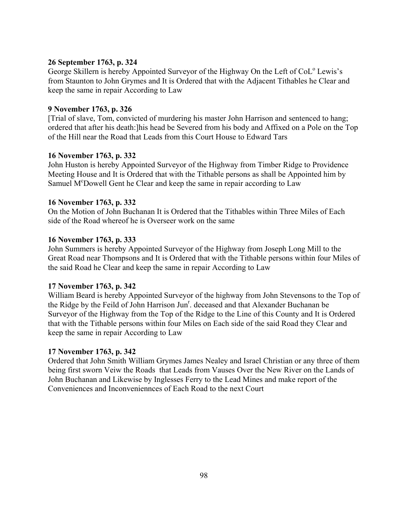# **26 September 1763, p. 324**

George Skillern is hereby Appointed Surveyor of the Highway On the Left of CoL<sup>o</sup> Lewis's from Staunton to John Grymes and It is Ordered that with the Adjacent Tithables he Clear and keep the same in repair According to Law

# **9 November 1763, p. 326**

[Trial of slave, Tom, convicted of murdering his master John Harrison and sentenced to hang; ordered that after his death:]his head be Severed from his body and Affixed on a Pole on the Top of the Hill near the Road that Leads from this Court House to Edward Tars

# **16 November 1763, p. 332**

John Huston is hereby Appointed Surveyor of the Highway from Timber Ridge to Providence Meeting House and It is Ordered that with the Tithable persons as shall be Appointed him by Samuel M<sup>c</sup>Dowell Gent he Clear and keep the same in repair according to Law

# **16 November 1763, p. 332**

On the Motion of John Buchanan It is Ordered that the Tithables within Three Miles of Each side of the Road whereof he is Overseer work on the same

# **16 November 1763, p. 333**

John Summers is hereby Appointed Surveyor of the Highway from Joseph Long Mill to the Great Road near Thompsons and It is Ordered that with the Tithable persons within four Miles of the said Road he Clear and keep the same in repair According to Law

# **17 November 1763, p. 342**

William Beard is hereby Appointed Surveyor of the highway from John Stevensons to the Top of the Ridge by the Feild of John Harrison Jun<sup>r</sup>. deceased and that Alexander Buchanan be Surveyor of the Highway from the Top of the Ridge to the Line of this County and It is Ordered that with the Tithable persons within four Miles on Each side of the said Road they Clear and keep the same in repair According to Law

# **17 November 1763, p. 342**

Ordered that John Smith William Grymes James Nealey and Israel Christian or any three of them being first sworn Veiw the Roads that Leads from Vauses Over the New River on the Lands of John Buchanan and Likewise by Inglesses Ferry to the Lead Mines and make report of the Conveniences and Inconveniennces of Each Road to the next Court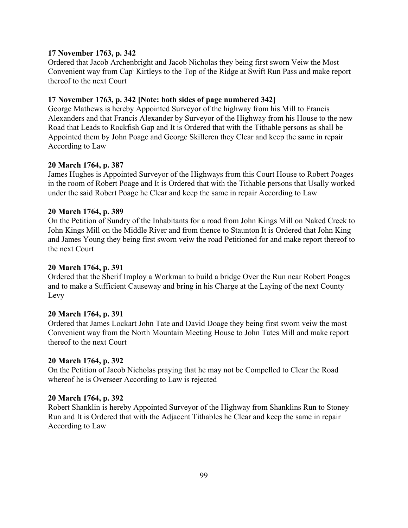#### **17 November 1763, p. 342**

Ordered that Jacob Archenbright and Jacob Nicholas they being first sworn Veiw the Most Convenient way from Cap<sup>t</sup> Kirtleys to the Top of the Ridge at Swift Run Pass and make report thereof to the next Court

### **17 November 1763, p. 342 [Note: both sides of page numbered 342]**

George Mathews is hereby Appointed Surveyor of the highway from his Mill to Francis Alexanders and that Francis Alexander by Surveyor of the Highway from his House to the new Road that Leads to Rockfish Gap and It is Ordered that with the Tithable persons as shall be Appointed them by John Poage and George Skilleren they Clear and keep the same in repair According to Law

#### **20 March 1764, p. 387**

James Hughes is Appointed Surveyor of the Highways from this Court House to Robert Poages in the room of Robert Poage and It is Ordered that with the Tithable persons that Usally worked under the said Robert Poage he Clear and keep the same in repair According to Law

#### **20 March 1764, p. 389**

On the Petition of Sundry of the Inhabitants for a road from John Kings Mill on Naked Creek to John Kings Mill on the Middle River and from thence to Staunton It is Ordered that John King and James Young they being first sworn veiw the road Petitioned for and make report thereof to the next Court

#### **20 March 1764, p. 391**

Ordered that the Sherif Imploy a Workman to build a bridge Over the Run near Robert Poages and to make a Sufficient Causeway and bring in his Charge at the Laying of the next County Levy

#### **20 March 1764, p. 391**

Ordered that James Lockart John Tate and David Doage they being first sworn veiw the most Convenient way from the North Mountain Meeting House to John Tates Mill and make report thereof to the next Court

#### **20 March 1764, p. 392**

On the Petition of Jacob Nicholas praying that he may not be Compelled to Clear the Road whereof he is Overseer According to Law is rejected

#### **20 March 1764, p. 392**

Robert Shanklin is hereby Appointed Surveyor of the Highway from Shanklins Run to Stoney Run and It is Ordered that with the Adjacent Tithables he Clear and keep the same in repair According to Law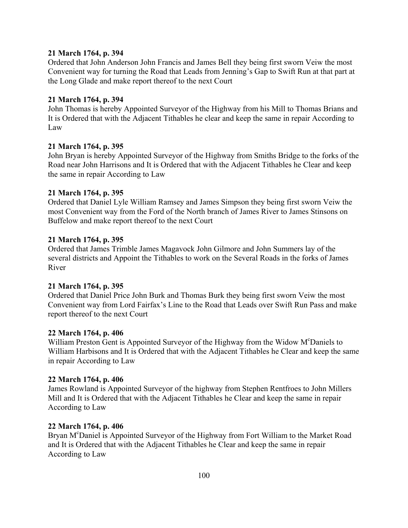### **21 March 1764, p. 394**

Ordered that John Anderson John Francis and James Bell they being first sworn Veiw the most Convenient way for turning the Road that Leads from Jenning's Gap to Swift Run at that part at the Long Glade and make report thereof to the next Court

#### **21 March 1764, p. 394**

John Thomas is hereby Appointed Surveyor of the Highway from his Mill to Thomas Brians and It is Ordered that with the Adjacent Tithables he clear and keep the same in repair According to Law

### **21 March 1764, p. 395**

John Bryan is hereby Appointed Surveyor of the Highway from Smiths Bridge to the forks of the Road near John Harrisons and It is Ordered that with the Adjacent Tithables he Clear and keep the same in repair According to Law

#### **21 March 1764, p. 395**

Ordered that Daniel Lyle William Ramsey and James Simpson they being first sworn Veiw the most Convenient way from the Ford of the North branch of James River to James Stinsons on Buffelow and make report thereof to the next Court

#### **21 March 1764, p. 395**

Ordered that James Trimble James Magavock John Gilmore and John Summers lay of the several districts and Appoint the Tithables to work on the Several Roads in the forks of James River

#### **21 March 1764, p. 395**

Ordered that Daniel Price John Burk and Thomas Burk they being first sworn Veiw the most Convenient way from Lord Fairfax's Line to the Road that Leads over Swift Run Pass and make report thereof to the next Court

#### **22 March 1764, p. 406**

William Preston Gent is Appointed Surveyor of the Highway from the Widow M°Daniels to William Harbisons and It is Ordered that with the Adjacent Tithables he Clear and keep the same in repair According to Law

#### **22 March 1764, p. 406**

James Rowland is Appointed Surveyor of the highway from Stephen Rentfroes to John Millers Mill and It is Ordered that with the Adjacent Tithables he Clear and keep the same in repair According to Law

#### **22 March 1764, p. 406**

Bryan M<sup>c</sup>Daniel is Appointed Surveyor of the Highway from Fort William to the Market Road and It is Ordered that with the Adjacent Tithables he Clear and keep the same in repair According to Law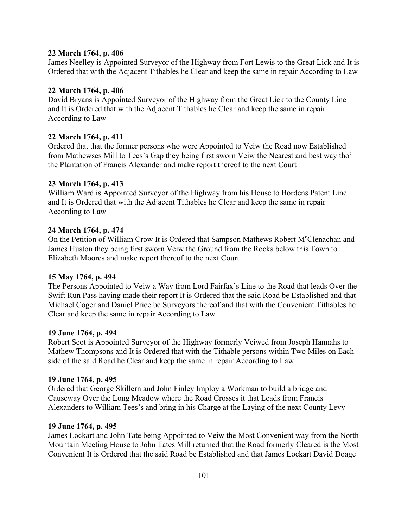#### **22 March 1764, p. 406**

James Neelley is Appointed Surveyor of the Highway from Fort Lewis to the Great Lick and It is Ordered that with the Adjacent Tithables he Clear and keep the same in repair According to Law

### **22 March 1764, p. 406**

David Bryans is Appointed Surveyor of the Highway from the Great Lick to the County Line and It is Ordered that with the Adjacent Tithables he Clear and keep the same in repair According to Law

## **22 March 1764, p. 411**

Ordered that that the former persons who were Appointed to Veiw the Road now Established from Mathewses Mill to Tees's Gap they being first sworn Veiw the Nearest and best way tho' the Plantation of Francis Alexander and make report thereof to the next Court

## **23 March 1764, p. 413**

William Ward is Appointed Surveyor of the Highway from his House to Bordens Patent Line and It is Ordered that with the Adjacent Tithables he Clear and keep the same in repair According to Law

## **24 March 1764, p. 474**

On the Petition of William Crow It is Ordered that Sampson Mathews Robert M°Clenachan and James Huston they being first sworn Veiw the Ground from the Rocks below this Town to Elizabeth Moores and make report thereof to the next Court

### **15 May 1764, p. 494**

The Persons Appointed to Veiw a Way from Lord Fairfax's Line to the Road that leads Over the Swift Run Pass having made their report It is Ordered that the said Road be Established and that Michael Coger and Daniel Price be Surveyors thereof and that with the Convenient Tithables he Clear and keep the same in repair According to Law

### **19 June 1764, p. 494**

Robert Scot is Appointed Surveyor of the Highway formerly Veiwed from Joseph Hannahs to Mathew Thompsons and It is Ordered that with the Tithable persons within Two Miles on Each side of the said Road he Clear and keep the same in repair According to Law

### **19 June 1764, p. 495**

Ordered that George Skillern and John Finley Imploy a Workman to build a bridge and Causeway Over the Long Meadow where the Road Crosses it that Leads from Francis Alexanders to William Tees's and bring in his Charge at the Laying of the next County Levy

### **19 June 1764, p. 495**

James Lockart and John Tate being Appointed to Veiw the Most Convenient way from the North Mountain Meeting House to John Tates Mill returned that the Road formerly Cleared is the Most Convenient It is Ordered that the said Road be Established and that James Lockart David Doage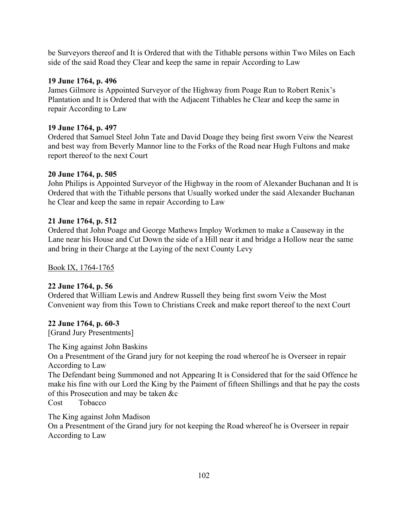be Surveyors thereof and It is Ordered that with the Tithable persons within Two Miles on Each side of the said Road they Clear and keep the same in repair According to Law

## **19 June 1764, p. 496**

James Gilmore is Appointed Surveyor of the Highway from Poage Run to Robert Renix's Plantation and It is Ordered that with the Adjacent Tithables he Clear and keep the same in repair According to Law

## **19 June 1764, p. 497**

Ordered that Samuel Steel John Tate and David Doage they being first sworn Veiw the Nearest and best way from Beverly Mannor line to the Forks of the Road near Hugh Fultons and make report thereof to the next Court

## **20 June 1764, p. 505**

John Philips is Appointed Surveyor of the Highway in the room of Alexander Buchanan and It is Ordered that with the Tithable persons that Usually worked under the said Alexander Buchanan he Clear and keep the same in repair According to Law

## **21 June 1764, p. 512**

Ordered that John Poage and George Mathews Imploy Workmen to make a Causeway in the Lane near his House and Cut Down the side of a Hill near it and bridge a Hollow near the same and bring in their Charge at the Laying of the next County Levy

Book IX, 1764-1765

# **22 June 1764, p. 56**

Ordered that William Lewis and Andrew Russell they being first sworn Veiw the Most Convenient way from this Town to Christians Creek and make report thereof to the next Court

# **22 June 1764, p. 60-3**

[Grand Jury Presentments]

The King against John Baskins On a Presentment of the Grand jury for not keeping the road whereof he is Overseer in repair According to Law The Defendant being Summoned and not Appearing It is Considered that for the said Offence he make his fine with our Lord the King by the Paiment of fifteen Shillings and that he pay the costs of this Prosecution and may be taken &c Cost Tobacco

The King against John Madison On a Presentment of the Grand jury for not keeping the Road whereof he is Overseer in repair According to Law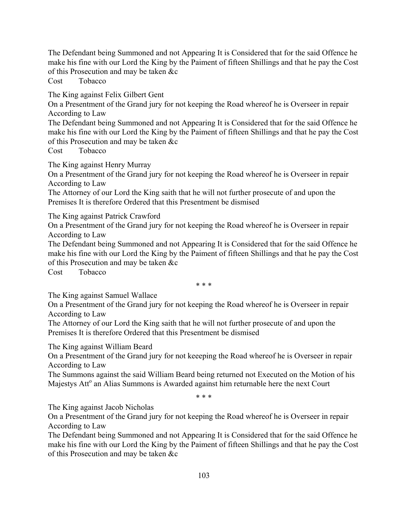The Defendant being Summoned and not Appearing It is Considered that for the said Offence he make his fine with our Lord the King by the Paiment of fifteen Shillings and that he pay the Cost of this Prosecution and may be taken &c

Cost Tobacco

The King against Felix Gilbert Gent

On a Presentment of the Grand jury for not keeping the Road whereof he is Overseer in repair According to Law

The Defendant being Summoned and not Appearing It is Considered that for the said Offence he make his fine with our Lord the King by the Paiment of fifteen Shillings and that he pay the Cost of this Prosecution and may be taken &c

Cost Tobacco

The King against Henry Murray

On a Presentment of the Grand jury for not keeping the Road whereof he is Overseer in repair According to Law

The Attorney of our Lord the King saith that he will not further prosecute of and upon the Premises It is therefore Ordered that this Presentment be dismised

The King against Patrick Crawford

On a Presentment of the Grand jury for not keeping the Road whereof he is Overseer in repair According to Law

The Defendant being Summoned and not Appearing It is Considered that for the said Offence he make his fine with our Lord the King by the Paiment of fifteen Shillings and that he pay the Cost of this Prosecution and may be taken &c

Cost Tobacco

\* \* \*

The King against Samuel Wallace

On a Presentment of the Grand jury for not keeping the Road whereof he is Overseer in repair According to Law

The Attorney of our Lord the King saith that he will not further prosecute of and upon the Premises It is therefore Ordered that this Presentment be dismised

The King against William Beard

On a Presentment of the Grand jury for not keeeping the Road whereof he is Overseer in repair According to Law

The Summons against the said William Beard being returned not Executed on the Motion of his Majestys Att<sup>o</sup> an Alias Summons is Awarded against him returnable here the next Court

 $* * *$ 

The King against Jacob Nicholas

On a Presentment of the Grand jury for not keeping the Road whereof he is Overseer in repair According to Law

The Defendant being Summoned and not Appearing It is Considered that for the said Offence he make his fine with our Lord the King by the Paiment of fifteen Shillings and that he pay the Cost of this Prosecution and may be taken &c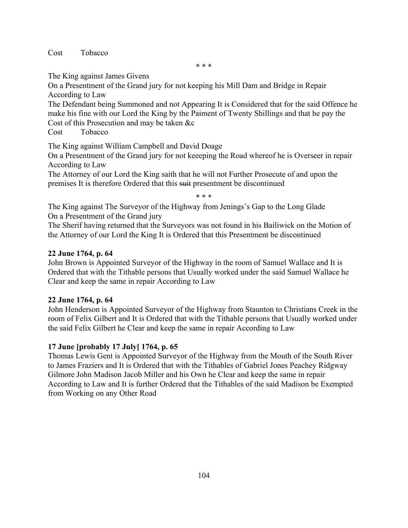Cost Tobacco

\* \* \*

The King against James Givens

On a Presentment of the Grand jury for not keeping his Mill Dam and Bridge in Repair According to Law

The Defendant being Summoned and not Appearing It is Considered that for the said Offence he make his fine with our Lord the King by the Paiment of Twenty Shillings and that he pay the Cost of this Prosecution and may be taken &c

Cost Tobacco

The King against William Campbell and David Doage

On a Presentment of the Grand jury for not keeeping the Road whereof he is Overseer in repair According to Law

The Attorney of our Lord the King saith that he will not Further Prosecute of and upon the premises It is therefore Ordered that this suit presentment be discontinued

\* \* \*

The King against The Surveyor of the Highway from Jenings's Gap to the Long Glade On a Presentment of the Grand jury

The Sherif having returned that the Surveyors was not found in his Bailiwick on the Motion of the Attorney of our Lord the King It is Ordered that this Presentment be discontinued

# **22 June 1764, p. 64**

John Brown is Appointed Surveyor of the Highway in the room of Samuel Wallace and It is Ordered that with the Tithable persons that Usually worked under the said Samuel Wallace he Clear and keep the same in repair According to Law

# **22 June 1764, p. 64**

John Henderson is Appointed Surveyor of the Highway from Staunton to Christians Creek in the room of Felix Gilbert and It is Ordered that with the Tithable persons that Usually worked under the said Felix Gilbert he Clear and keep the same in repair According to Law

# **17 June [probably 17 July] 1764, p. 65**

Thomas Lewis Gent is Appointed Surveyor of the Highway from the Mouth of the South River to James Fraziers and It is Ordered that with the Tithables of Gabriel Jones Peachey Ridgway Gilmore John Madison Jacob Miller and his Own he Clear and keep the same in repair According to Law and It is further Ordered that the Tithables of the said Madison be Exempted from Working on any Other Road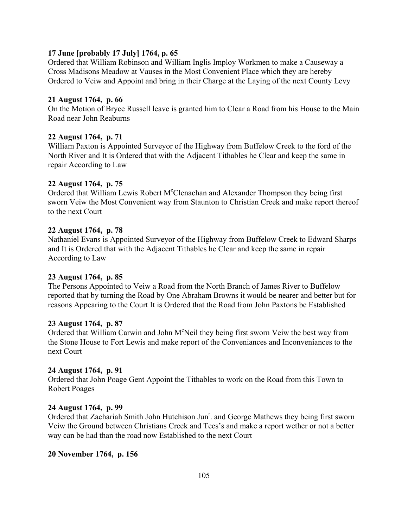### **17 June [probably 17 July] 1764, p. 65**

Ordered that William Robinson and William Inglis Imploy Workmen to make a Causeway a Cross Madisons Meadow at Vauses in the Most Convenient Place which they are hereby Ordered to Veiw and Appoint and bring in their Charge at the Laying of the next County Levy

#### **21 August 1764, p. 66**

On the Motion of Bryce Russell leave is granted him to Clear a Road from his House to the Main Road near John Reaburns

#### **22 August 1764, p. 71**

William Paxton is Appointed Surveyor of the Highway from Buffelow Creek to the ford of the North River and It is Ordered that with the Adjacent Tithables he Clear and keep the same in repair According to Law

#### **22 August 1764, p. 75**

Ordered that William Lewis Robert M<sup>c</sup>Clenachan and Alexander Thompson they being first sworn Veiw the Most Convenient way from Staunton to Christian Creek and make report thereof to the next Court

#### **22 August 1764, p. 78**

Nathaniel Evans is Appointed Surveyor of the Highway from Buffelow Creek to Edward Sharps and It is Ordered that with the Adjacent Tithables he Clear and keep the same in repair According to Law

### **23 August 1764, p. 85**

The Persons Appointed to Veiw a Road from the North Branch of James River to Buffelow reported that by turning the Road by One Abraham Browns it would be nearer and better but for reasons Appearing to the Court It is Ordered that the Road from John Paxtons be Established

#### **23 August 1764, p. 87**

Ordered that William Carwin and John M°Neil they being first sworn Veiw the best way from the Stone House to Fort Lewis and make report of the Conveniances and Inconveniances to the next Court

#### **24 August 1764, p. 91**

Ordered that John Poage Gent Appoint the Tithables to work on the Road from this Town to Robert Poages

#### **24 August 1764, p. 99**

Ordered that Zachariah Smith John Hutchison Jun<sup>r</sup>. and George Mathews they being first sworn Veiw the Ground between Christians Creek and Tees's and make a report wether or not a better way can be had than the road now Established to the next Court

#### **20 November 1764, p. 156**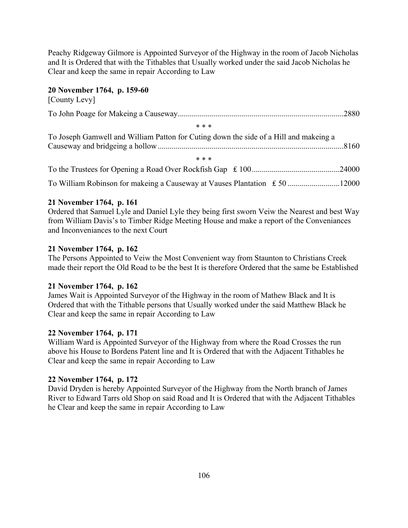Peachy Ridgeway Gilmore is Appointed Surveyor of the Highway in the room of Jacob Nicholas and It is Ordered that with the Tithables that Usually worked under the said Jacob Nicholas he Clear and keep the same in repair According to Law

## **20 November 1764, p. 159-60**

| [County Levy]                                                                         |  |
|---------------------------------------------------------------------------------------|--|
|                                                                                       |  |
| * * *                                                                                 |  |
| To Joseph Gamwell and William Patton for Cuting down the side of a Hill and makeing a |  |
| * * *                                                                                 |  |
|                                                                                       |  |
|                                                                                       |  |

## **21 November 1764, p. 161**

Ordered that Samuel Lyle and Daniel Lyle they being first sworn Veiw the Nearest and best Way from William Davis's to Timber Ridge Meeting House and make a report of the Conveniances and Inconveniances to the next Court

## **21 November 1764, p. 162**

The Persons Appointed to Veiw the Most Convenient way from Staunton to Christians Creek made their report the Old Road to be the best It is therefore Ordered that the same be Established

### **21 November 1764, p. 162**

James Wait is Appointed Surveyor of the Highway in the room of Mathew Black and It is Ordered that with the Tithable persons that Usually worked under the said Matthew Black he Clear and keep the same in repair According to Law

### **22 November 1764, p. 171**

William Ward is Appointed Surveyor of the Highway from where the Road Crosses the run above his House to Bordens Patent line and It is Ordered that with the Adjacent Tithables he Clear and keep the same in repair According to Law

### **22 November 1764, p. 172**

David Dryden is hereby Appointed Surveyor of the Highway from the North branch of James River to Edward Tarrs old Shop on said Road and It is Ordered that with the Adjacent Tithables he Clear and keep the same in repair According to Law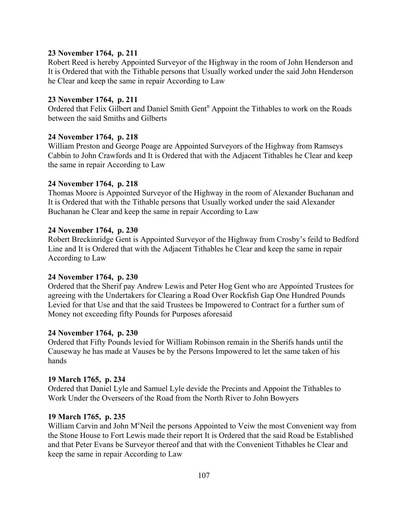### **23 November 1764, p. 211**

Robert Reed is hereby Appointed Surveyor of the Highway in the room of John Henderson and It is Ordered that with the Tithable persons that Usually worked under the said John Henderson he Clear and keep the same in repair According to Law

#### **23 November 1764, p. 211**

Ordered that Felix Gilbert and Daniel Smith Gent<sup>n</sup> Appoint the Tithables to work on the Roads between the said Smiths and Gilberts

#### **24 November 1764, p. 218**

William Preston and George Poage are Appointed Surveyors of the Highway from Ramseys Cabbin to John Crawfords and It is Ordered that with the Adjacent Tithables he Clear and keep the same in repair According to Law

#### **24 November 1764, p. 218**

Thomas Moore is Appointed Surveyor of the Highway in the room of Alexander Buchanan and It is Ordered that with the Tithable persons that Usually worked under the said Alexander Buchanan he Clear and keep the same in repair According to Law

#### **24 November 1764, p. 230**

Robert Breckinridge Gent is Appointed Surveyor of the Highway from Crosby's feild to Bedford Line and It is Ordered that with the Adjacent Tithables he Clear and keep the same in repair According to Law

#### **24 November 1764, p. 230**

Ordered that the Sherif pay Andrew Lewis and Peter Hog Gent who are Appointed Trustees for agreeing with the Undertakers for Clearing a Road Over Rockfish Gap One Hundred Pounds Levied for that Use and that the said Trustees be Impowered to Contract for a further sum of Money not exceeding fifty Pounds for Purposes aforesaid

#### **24 November 1764, p. 230**

Ordered that Fifty Pounds levied for William Robinson remain in the Sherifs hands until the Causeway he has made at Vauses be by the Persons Impowered to let the same taken of his hands

#### **19 March 1765, p. 234**

Ordered that Daniel Lyle and Samuel Lyle devide the Precints and Appoint the Tithables to Work Under the Overseers of the Road from the North River to John Bowyers

#### **19 March 1765, p. 235**

William Carvin and John M°Neil the persons Appointed to Veiw the most Convenient way from the Stone House to Fort Lewis made their report It is Ordered that the said Road be Established and that Peter Evans be Surveyor thereof and that with the Convenient Tithables he Clear and keep the same in repair According to Law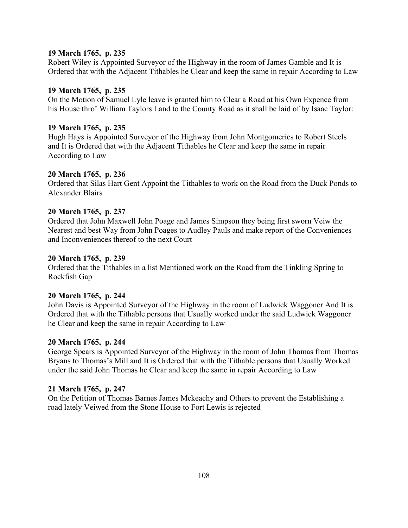#### **19 March 1765, p. 235**

Robert Wiley is Appointed Surveyor of the Highway in the room of James Gamble and It is Ordered that with the Adjacent Tithables he Clear and keep the same in repair According to Law

#### **19 March 1765, p. 235**

On the Motion of Samuel Lyle leave is granted him to Clear a Road at his Own Expence from his House thro' William Taylors Land to the County Road as it shall be laid of by Isaac Taylor:

#### **19 March 1765, p. 235**

Hugh Hays is Appointed Surveyor of the Highway from John Montgomeries to Robert Steels and It is Ordered that with the Adjacent Tithables he Clear and keep the same in repair According to Law

#### **20 March 1765, p. 236**

Ordered that Silas Hart Gent Appoint the Tithables to work on the Road from the Duck Ponds to Alexander Blairs

#### **20 March 1765, p. 237**

Ordered that John Maxwell John Poage and James Simpson they being first sworn Veiw the Nearest and best Way from John Poages to Audley Pauls and make report of the Conveniences and Inconveniences thereof to the next Court

#### **20 March 1765, p. 239**

Ordered that the Tithables in a list Mentioned work on the Road from the Tinkling Spring to Rockfish Gap

### **20 March 1765, p. 244**

John Davis is Appointed Surveyor of the Highway in the room of Ludwick Waggoner And It is Ordered that with the Tithable persons that Usually worked under the said Ludwick Waggoner he Clear and keep the same in repair According to Law

#### **20 March 1765, p. 244**

George Spears is Appointed Surveyor of the Highway in the room of John Thomas from Thomas Bryans to Thomas's Mill and It is Ordered that with the Tithable persons that Usually Worked under the said John Thomas he Clear and keep the same in repair According to Law

### **21 March 1765, p. 247**

On the Petition of Thomas Barnes James Mckeachy and Others to prevent the Establishing a road lately Veiwed from the Stone House to Fort Lewis is rejected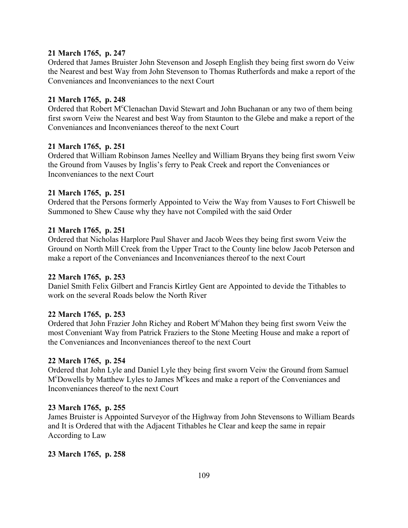### **21 March 1765, p. 247**

Ordered that James Bruister John Stevenson and Joseph English they being first sworn do Veiw the Nearest and best Way from John Stevenson to Thomas Rutherfords and make a report of the Conveniances and Inconveniances to the next Court

#### **21 March 1765, p. 248**

Ordered that Robert M°Clenachan David Stewart and John Buchanan or any two of them being first sworn Veiw the Nearest and best Way from Staunton to the Glebe and make a report of the Conveniances and Inconveniances thereof to the next Court

#### **21 March 1765, p. 251**

Ordered that William Robinson James Neelley and William Bryans they being first sworn Veiw the Ground from Vauses by Inglis's ferry to Peak Creek and report the Conveniances or Inconveniances to the next Court

#### **21 March 1765, p. 251**

Ordered that the Persons formerly Appointed to Veiw the Way from Vauses to Fort Chiswell be Summoned to Shew Cause why they have not Compiled with the said Order

#### **21 March 1765, p. 251**

Ordered that Nicholas Harplore Paul Shaver and Jacob Wees they being first sworn Veiw the Ground on North Mill Creek from the Upper Tract to the County line below Jacob Peterson and make a report of the Conveniances and Inconveniances thereof to the next Court

#### **22 March 1765, p. 253**

Daniel Smith Felix Gilbert and Francis Kirtley Gent are Appointed to devide the Tithables to work on the several Roads below the North River

#### **22 March 1765, p. 253**

Ordered that John Frazier John Richey and Robert M°Mahon they being first sworn Veiw the most Conveniant Way from Patrick Fraziers to the Stone Meeting House and make a report of the Conveniances and Inconveniances thereof to the next Court

#### **22 March 1765, p. 254**

Ordered that John Lyle and Daniel Lyle they being first sworn Veiw the Ground from Samuel M<sup>c</sup>Dowells by Matthew Lyles to James M<sup>c</sup>kees and make a report of the Conveniances and Inconveniances thereof to the next Court

#### **23 March 1765, p. 255**

James Bruister is Appointed Surveyor of the Highway from John Stevensons to William Beards and It is Ordered that with the Adjacent Tithables he Clear and keep the same in repair According to Law

#### **23 March 1765, p. 258**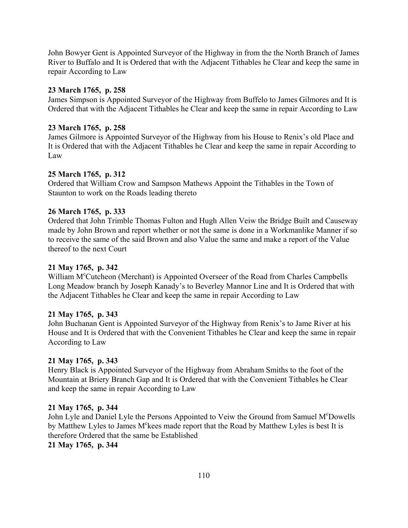John Bowyer Gent is Appointed Surveyor of the Highway in from the the North Branch of James River to Buffalo and It is Ordered that with the Adjacent Tithables he Clear and keep the same in repair According to Law

## **23 March 1765, p. 258**

James Simpson is Appointed Surveyor of the Highway from Buffelo to James Gilmores and It is Ordered that with the Adjacent Tithables he Clear and keep the same in repair According to Law

## **23 March 1765, p. 258**

James Gilmore is Appointed Surveyor of the Highway from his House to Renix's old Place and It is Ordered that with the Adjacent Tithables he Clear and keep the same in repair According to Law

## **25 March 1765, p. 312**

Ordered that William Crow and Sampson Mathews Appoint the Tithables in the Town of Staunton to work on the Roads leading thereto

## **26 March 1765, p. 333**

Ordered that John Trimble Thomas Fulton and Hugh Allen Veiw the Bridge Built and Causeway made by John Brown and report whether or not the same is done in a Workmanlike Manner if so to receive the same of the said Brown and also Value the same and make a report of the Value thereof to the next Court

### **21 May 1765, p. 342**

William M<sup>c</sup>Cutcheon (Merchant) is Appointed Overseer of the Road from Charles Campbells Long Meadow branch by Joseph Kanady's to Beverley Mannor Line and It is Ordered that with the Adjacent Tithables he Clear and keep the same in repair According to Law

### **21 May 1765, p. 343**

John Buchanan Gent is Appointed Surveyor of the Highway from Renix's to Jame River at his House and It is Ordered that with the Convenient Tithables he Clear and keep the same in repair According to Law

### **21 May 1765, p. 343**

Henry Black is Appointed Surveyor of the Highway from Abraham Smiths to the foot of the Mountain at Briery Branch Gap and It is Ordered that with the Convenient Tithables he Clear and keep the same in repair According to Law

### **21 May 1765, p. 344**

John Lyle and Daniel Lyle the Persons Appointed to Veiw the Ground from Samuel M°Dowells by Matthew Lyles to James M<sup>c</sup>kees made report that the Road by Matthew Lyles is best It is therefore Ordered that the same be Established

**21 May 1765, p. 344**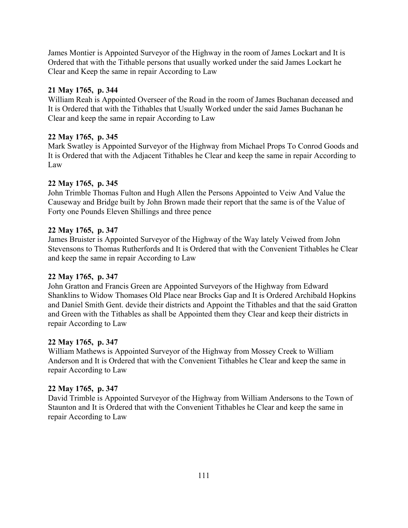James Montier is Appointed Surveyor of the Highway in the room of James Lockart and It is Ordered that with the Tithable persons that usually worked under the said James Lockart he Clear and Keep the same in repair According to Law

## **21 May 1765, p. 344**

William Reah is Appointed Overseer of the Road in the room of James Buchanan deceased and It is Ordered that with the Tithables that Usually Worked under the said James Buchanan he Clear and keep the same in repair According to Law

## **22 May 1765, p. 345**

Mark Swatley is Appointed Surveyor of the Highway from Michael Props To Conrod Goods and It is Ordered that with the Adjacent Tithables he Clear and keep the same in repair According to Law

## **22 May 1765, p. 345**

John Trimble Thomas Fulton and Hugh Allen the Persons Appointed to Veiw And Value the Causeway and Bridge built by John Brown made their report that the same is of the Value of Forty one Pounds Eleven Shillings and three pence

## **22 May 1765, p. 347**

James Bruister is Appointed Surveyor of the Highway of the Way lately Veiwed from John Stevensons to Thomas Rutherfords and It is Ordered that with the Convenient Tithables he Clear and keep the same in repair According to Law

### **22 May 1765, p. 347**

John Gratton and Francis Green are Appointed Surveyors of the Highway from Edward Shanklins to Widow Thomases Old Place near Brocks Gap and It is Ordered Archibald Hopkins and Daniel Smith Gent. devide their districts and Appoint the Tithables and that the said Gratton and Green with the Tithables as shall be Appointed them they Clear and keep their districts in repair According to Law

### **22 May 1765, p. 347**

William Mathews is Appointed Surveyor of the Highway from Mossey Creek to William Anderson and It is Ordered that with the Convenient Tithables he Clear and keep the same in repair According to Law

# **22 May 1765, p. 347**

David Trimble is Appointed Surveyor of the Highway from William Andersons to the Town of Staunton and It is Ordered that with the Convenient Tithables he Clear and keep the same in repair According to Law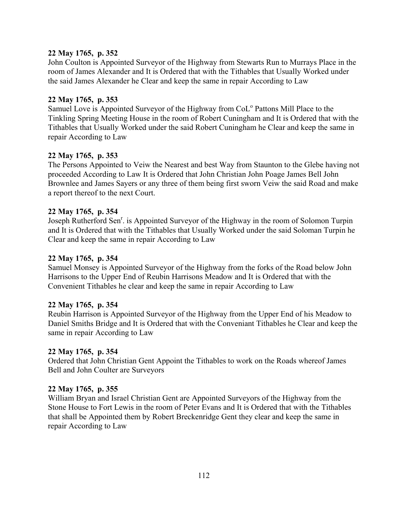## **22 May 1765, p. 352**

John Coulton is Appointed Surveyor of the Highway from Stewarts Run to Murrays Place in the room of James Alexander and It is Ordered that with the Tithables that Usually Worked under the said James Alexander he Clear and keep the same in repair According to Law

## **22 May 1765, p. 353**

Samuel Love is Appointed Surveyor of the Highway from CoL<sup>o</sup> Pattons Mill Place to the Tinkling Spring Meeting House in the room of Robert Cuningham and It is Ordered that with the Tithables that Usually Worked under the said Robert Cuningham he Clear and keep the same in repair According to Law

## **22 May 1765, p. 353**

The Persons Appointed to Veiw the Nearest and best Way from Staunton to the Glebe having not proceeded According to Law It is Ordered that John Christian John Poage James Bell John Brownlee and James Sayers or any three of them being first sworn Veiw the said Road and make a report thereof to the next Court.

## **22 May 1765, p. 354**

Joseph Rutherford Sen<sup>r</sup>. is Appointed Surveyor of the Highway in the room of Solomon Turpin and It is Ordered that with the Tithables that Usually Worked under the said Soloman Turpin he Clear and keep the same in repair According to Law

## **22 May 1765, p. 354**

Samuel Monsey is Appointed Surveyor of the Highway from the forks of the Road below John Harrisons to the Upper End of Reubin Harrisons Meadow and It is Ordered that with the Convenient Tithables he clear and keep the same in repair According to Law

### **22 May 1765, p. 354**

Reubin Harrison is Appointed Surveyor of the Highway from the Upper End of his Meadow to Daniel Smiths Bridge and It is Ordered that with the Conveniant Tithables he Clear and keep the same in repair According to Law

### **22 May 1765, p. 354**

Ordered that John Christian Gent Appoint the Tithables to work on the Roads whereof James Bell and John Coulter are Surveyors

### **22 May 1765, p. 355**

William Bryan and Israel Christian Gent are Appointed Surveyors of the Highway from the Stone House to Fort Lewis in the room of Peter Evans and It is Ordered that with the Tithables that shall be Appointed them by Robert Breckenridge Gent they clear and keep the same in repair According to Law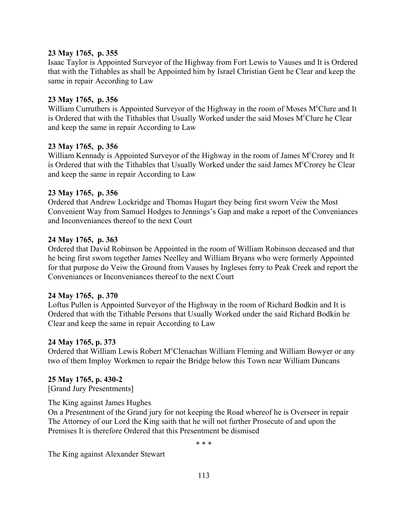## **23 May 1765, p. 355**

Isaac Taylor is Appointed Surveyor of the Highway from Fort Lewis to Vauses and It is Ordered that with the Tithables as shall be Appointed him by Israel Christian Gent he Clear and keep the same in repair According to Law

## **23 May 1765, p. 356**

William Curruthers is Appointed Surveyor of the Highway in the room of Moses M<sup>c</sup>Clure and It is Ordered that with the Tithables that Usually Worked under the said Moses M°Clure he Clear and keep the same in repair According to Law

## **23 May 1765, p. 356**

William Kennady is Appointed Surveyor of the Highway in the room of James M°Crorey and It is Ordered that with the Tithables that Usually Worked under the said James M°Crorey he Clear and keep the same in repair According to Law

## **23 May 1765, p. 356**

Ordered that Andrew Lockridge and Thomas Hugart they being first sworn Veiw the Most Convenient Way from Samuel Hodges to Jennings's Gap and make a report of the Conveniances and Inconveniances thereof to the next Court

## **24 May 1765, p. 363**

Ordered that David Robinson be Appointed in the room of William Robinson deceased and that he being first sworn together James Neelley and William Bryans who were formerly Appointed for that purpose do Veiw the Ground from Vauses by Ingleses ferry to Peak Creek and report the Conveniances or Inconveniances thereof to the next Court

### **24 May 1765, p. 370**

Loftus Pullen is Appointed Surveyor of the Highway in the room of Richard Bodkin and It is Ordered that with the Tithable Persons that Usually Worked under the said Richard Bodkin he Clear and keep the same in repair According to Law

### **24 May 1765, p. 373**

Ordered that William Lewis Robert M°Clenachan William Fleming and William Bowyer or any two of them Imploy Workmen to repair the Bridge below this Town near William Duncans

### **25 May 1765, p. 430-2**

[Grand Jury Presentments]

### The King against James Hughes

On a Presentment of the Grand jury for not keeping the Road whereof he is Overseer in repair The Attorney of our Lord the King saith that he will not further Prosecute of and upon the Premises It is therefore Ordered that this Presentment be dismised

\* \* \*

The King against Alexander Stewart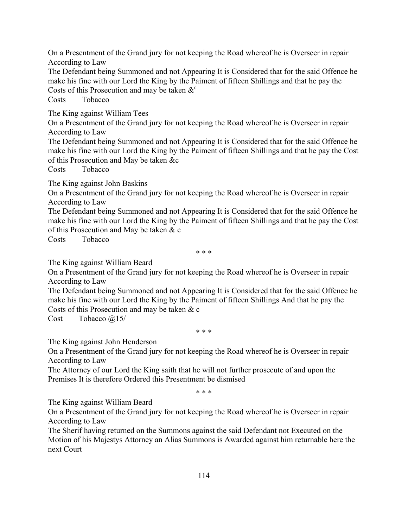On a Presentment of the Grand jury for not keeping the Road whereof he is Overseer in repair According to Law

The Defendant being Summoned and not Appearing It is Considered that for the said Offence he make his fine with our Lord the King by the Paiment of fifteen Shillings and that he pay the Costs of this Prosecution and may be taken  $\&^{\circ}$ 

Costs Tobacco

The King against William Tees

On a Presentment of the Grand jury for not keeping the Road whereof he is Overseer in repair According to Law

The Defendant being Summoned and not Appearing It is Considered that for the said Offence he make his fine with our Lord the King by the Paiment of fifteen Shillings and that he pay the Cost of this Prosecution and May be taken &c

Costs Tobacco

The King against John Baskins

On a Presentment of the Grand jury for not keeping the Road whereof he is Overseer in repair According to Law

The Defendant being Summoned and not Appearing It is Considered that for the said Offence he make his fine with our Lord the King by the Paiment of fifteen Shillings and that he pay the Cost of this Prosecution and May be taken & c

Costs Tobacco

\* \* \*

The King against William Beard

On a Presentment of the Grand jury for not keeping the Road whereof he is Overseer in repair According to Law

The Defendant being Summoned and not Appearing It is Considered that for the said Offence he make his fine with our Lord the King by the Paiment of fifteen Shillings And that he pay the Costs of this Prosecution and may be taken & c

Cost Tobacco @15/

\* \* \*

The King against John Henderson

On a Presentment of the Grand jury for not keeping the Road whereof he is Overseer in repair According to Law

The Attorney of our Lord the King saith that he will not further prosecute of and upon the Premises It is therefore Ordered this Presentment be dismised

\* \* \*

The King against William Beard

On a Presentment of the Grand jury for not keeping the Road whereof he is Overseer in repair According to Law

The Sherif having returned on the Summons against the said Defendant not Executed on the Motion of his Majestys Attorney an Alias Summons is Awarded against him returnable here the next Court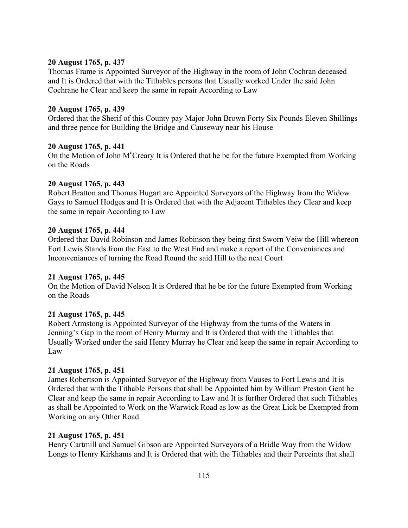#### **20 August 1765, p. 437**

Thomas Frame is Appointed Surveyor of the Highway in the room of John Cochran deceased and It is Ordered that with the Tithables persons that Usually worked Under the said John Cochrane he Clear and keep the same in repair According to Law

#### **20 August 1765, p. 439**

Ordered that the Sherif of this County pay Major John Brown Forty Six Pounds Eleven Shillings and three pence for Building the Bridge and Causeway near his House

#### **20 August 1765, p. 441**

On the Motion of John M<sup>c</sup>Creary It is Ordered that he be for the future Exempted from Working on the Roads

#### **20 August 1765, p. 443**

Robert Bratton and Thomas Hugart are Appointed Surveyors of the Highway from the Widow Gays to Samuel Hodges and It is Ordered that with the Adjacent Tithables they Clear and keep the same in repair According to Law

#### **20 August 1765, p. 444**

Ordered that David Robinson and James Robinson they being first Sworn Veiw the Hill whereon Fort Lewis Stands from the East to the West End and make a report of the Conveniances and Inconveniances of turning the Road Round the said Hill to the next Court

#### **21 August 1765, p. 445**

On the Motion of David Nelson It is Ordered that he be for the future Exempted from Working on the Roads

### **21 August 1765, p. 445**

Robert Armstong is Appointed Surveyor of the Highway from the turns of the Waters in Jenning's Gap in the room of Henry Murray and It is Ordered that with the Tithables that Usually Worked under the said Henry Murray he Clear and keep the same in repair According to Law

### **21 August 1765, p. 451**

James Robertson is Appointed Surveyor of the Highway from Vauses to Fort Lewis and It is Ordered that with the Tithable Persons that shall be Appointed him by William Preston Gent he Clear and keep the same in repair According to Law and It is further Ordered that such Tithables as shall be Appointed to Work on the Warwick Road as low as the Great Lick be Exempted from Working on any Other Road

#### **21 August 1765, p. 451**

Henry Cartmill and Samuel Gibson are Appointed Surveyors of a Bridle Way from the Widow Longs to Henry Kirkhams and It is Ordered that with the Tithables and their Perceints that shall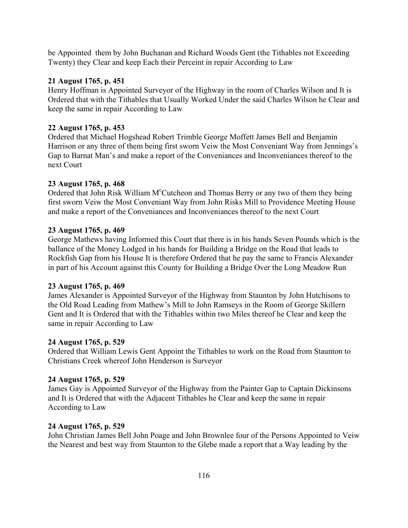be Appointed them by John Buchanan and Richard Woods Gent (the Tithables not Exceeding Twenty) they Clear and keep Each their Perceint in repair According to Law

## **21 August 1765, p. 451**

Henry Hoffman is Appointed Surveyor of the Highway in the room of Charles Wilson and It is Ordered that with the Tithables that Usually Worked Under the said Charles Wilson he Clear and keep the same in repair According to Law

## **22 August 1765, p. 453**

Ordered that Michael Hogshead Robert Trimble George Moffett James Bell and Benjamin Harrison or any three of them being first sworn Veiw the Most Conveniant Way from Jennings's Gap to Barnat Man's and make a report of the Conveniances and Inconveniances thereof to the next Court

## **23 August 1765, p. 468**

Ordered that John Risk William M°Cutcheon and Thomas Berry or any two of them they being first sworn Veiw the Most Conveniant Way from John Risks Mill to Providence Meeting House and make a report of the Conveniances and Inconveniances thereof to the next Court

## **23 August 1765, p. 469**

George Mathews having Informed this Court that there is in his hands Seven Pounds which is the ballance of the Money Lodged in his hands for Building a Bridge on the Road that leads to Rockfish Gap from his House It is therefore Ordered that he pay the same to Francis Alexander in part of his Account against this County for Building a Bridge Over the Long Meadow Run

### **23 August 1765, p. 469**

James Alexander is Appointed Surveyor of the Highway from Staunton by John Hutchisons to the Old Road Leading from Mathew's Mill to John Ramseys in the Room of George Skillern Gent and It is Ordered that with the Tithables within two Miles thereof he Clear and keep the same in repair According to Law

### **24 August 1765, p. 529**

Ordered that William Lewis Gent Appoint the Tithables to work on the Road from Staunton to Christians Creek whereof John Henderson is Surveyor

# **24 August 1765, p. 529**

James Gay is Appointed Surveyor of the Highway from the Painter Gap to Captain Dickinsons and It is Ordered that with the Adjacent Tithables he Clear and keep the same in repair According to Law

### **24 August 1765, p. 529**

John Christian James Bell John Poage and John Brownlee four of the Persons Appointed to Veiw the Nearest and best way from Staunton to the Glebe made a report that a Way leading by the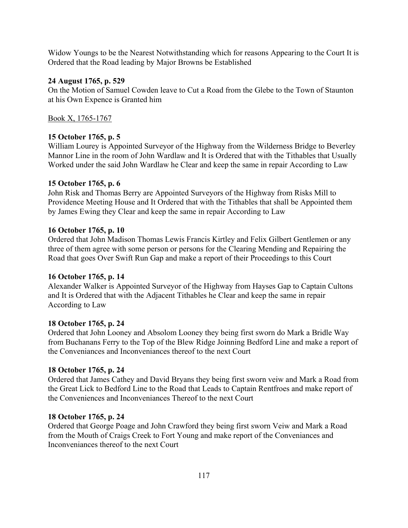Widow Youngs to be the Nearest Notwithstanding which for reasons Appearing to the Court It is Ordered that the Road leading by Major Browns be Established

## **24 August 1765, p. 529**

On the Motion of Samuel Cowden leave to Cut a Road from the Glebe to the Town of Staunton at his Own Expence is Granted him

Book X, 1765-1767

# **15 October 1765, p. 5**

William Lourey is Appointed Surveyor of the Highway from the Wilderness Bridge to Beverley Mannor Line in the room of John Wardlaw and It is Ordered that with the Tithables that Usually Worked under the said John Wardlaw he Clear and keep the same in repair According to Law

## **15 October 1765, p. 6**

John Risk and Thomas Berry are Appointed Surveyors of the Highway from Risks Mill to Providence Meeting House and It Ordered that with the Tithables that shall be Appointed them by James Ewing they Clear and keep the same in repair According to Law

## **16 October 1765, p. 10**

Ordered that John Madison Thomas Lewis Francis Kirtley and Felix Gilbert Gentlemen or any three of them agree with some person or persons for the Clearing Mending and Repairing the Road that goes Over Swift Run Gap and make a report of their Proceedings to this Court

### **16 October 1765, p. 14**

Alexander Walker is Appointed Surveyor of the Highway from Hayses Gap to Captain Cultons and It is Ordered that with the Adjacent Tithables he Clear and keep the same in repair According to Law

# **18 October 1765, p. 24**

Ordered that John Looney and Absolom Looney they being first sworn do Mark a Bridle Way from Buchanans Ferry to the Top of the Blew Ridge Joinning Bedford Line and make a report of the Conveniances and Inconveniances thereof to the next Court

# **18 October 1765, p. 24**

Ordered that James Cathey and David Bryans they being first sworn veiw and Mark a Road from the Great Lick to Bedford Line to the Road that Leads to Captain Rentfroes and make report of the Conveniences and Inconveniances Thereof to the next Court

### **18 October 1765, p. 24**

Ordered that George Poage and John Crawford they being first sworn Veiw and Mark a Road from the Mouth of Craigs Creek to Fort Young and make report of the Conveniances and Inconveniances thereof to the next Court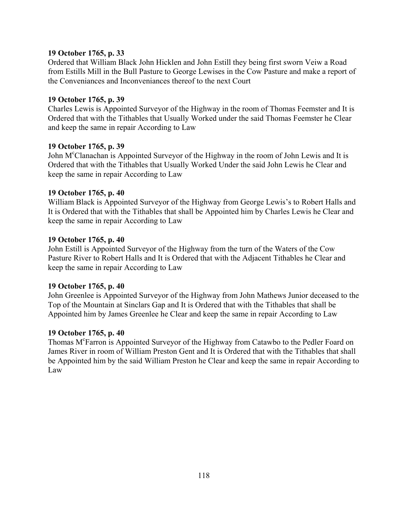### **19 October 1765, p. 33**

Ordered that William Black John Hicklen and John Estill they being first sworn Veiw a Road from Estills Mill in the Bull Pasture to George Lewises in the Cow Pasture and make a report of the Conveniances and Inconveniances thereof to the next Court

#### **19 October 1765, p. 39**

Charles Lewis is Appointed Surveyor of the Highway in the room of Thomas Feemster and It is Ordered that with the Tithables that Usually Worked under the said Thomas Feemster he Clear and keep the same in repair According to Law

#### **19 October 1765, p. 39**

John M<sup>c</sup>Clanachan is Appointed Surveyor of the Highway in the room of John Lewis and It is Ordered that with the Tithables that Usually Worked Under the said John Lewis he Clear and keep the same in repair According to Law

#### **19 October 1765, p. 40**

William Black is Appointed Surveyor of the Highway from George Lewis's to Robert Halls and It is Ordered that with the Tithables that shall be Appointed him by Charles Lewis he Clear and keep the same in repair According to Law

#### **19 October 1765, p. 40**

John Estill is Appointed Surveyor of the Highway from the turn of the Waters of the Cow Pasture River to Robert Halls and It is Ordered that with the Adjacent Tithables he Clear and keep the same in repair According to Law

#### **19 October 1765, p. 40**

John Greenlee is Appointed Surveyor of the Highway from John Mathews Junior deceased to the Top of the Mountain at Sinclars Gap and It is Ordered that with the Tithables that shall be Appointed him by James Greenlee he Clear and keep the same in repair According to Law

#### **19 October 1765, p. 40**

Thomas M<sup>c</sup>Farron is Appointed Surveyor of the Highway from Catawbo to the Pedler Foard on James River in room of William Preston Gent and It is Ordered that with the Tithables that shall be Appointed him by the said William Preston he Clear and keep the same in repair According to Law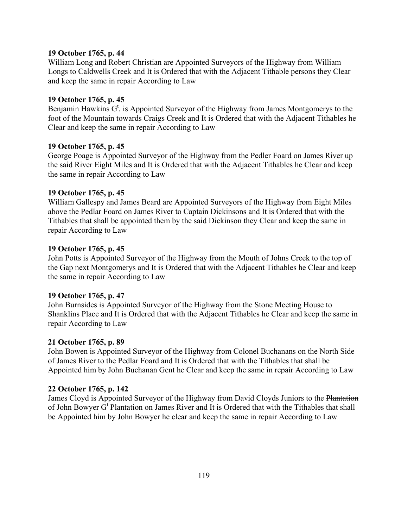#### **19 October 1765, p. 44**

William Long and Robert Christian are Appointed Surveyors of the Highway from William Longs to Caldwells Creek and It is Ordered that with the Adjacent Tithable persons they Clear and keep the same in repair According to Law

#### **19 October 1765, p. 45**

Benjamin Hawkins  $G^t$ . is Appointed Surveyor of the Highway from James Montgomerys to the foot of the Mountain towards Craigs Creek and It is Ordered that with the Adjacent Tithables he Clear and keep the same in repair According to Law

#### **19 October 1765, p. 45**

George Poage is Appointed Surveyor of the Highway from the Pedler Foard on James River up the said River Eight Miles and It is Ordered that with the Adjacent Tithables he Clear and keep the same in repair According to Law

#### **19 October 1765, p. 45**

William Gallespy and James Beard are Appointed Surveyors of the Highway from Eight Miles above the Pedlar Foard on James River to Captain Dickinsons and It is Ordered that with the Tithables that shall be appointed them by the said Dickinson they Clear and keep the same in repair According to Law

#### **19 October 1765, p. 45**

John Potts is Appointed Surveyor of the Highway from the Mouth of Johns Creek to the top of the Gap next Montgomerys and It is Ordered that with the Adjacent Tithables he Clear and keep the same in repair According to Law

#### **19 October 1765, p. 47**

John Burnsides is Appointed Surveyor of the Highway from the Stone Meeting House to Shanklins Place and It is Ordered that with the Adjacent Tithables he Clear and keep the same in repair According to Law

#### **21 October 1765, p. 89**

John Bowen is Appointed Surveyor of the Highway from Colonel Buchanans on the North Side of James River to the Pedlar Foard and It is Ordered that with the Tithables that shall be Appointed him by John Buchanan Gent he Clear and keep the same in repair According to Law

#### **22 October 1765, p. 142**

James Cloyd is Appointed Surveyor of the Highway from David Cloyds Juniors to the Plantation of John Bowyer G<sup>t</sup> Plantation on James River and It is Ordered that with the Tithables that shall be Appointed him by John Bowyer he clear and keep the same in repair According to Law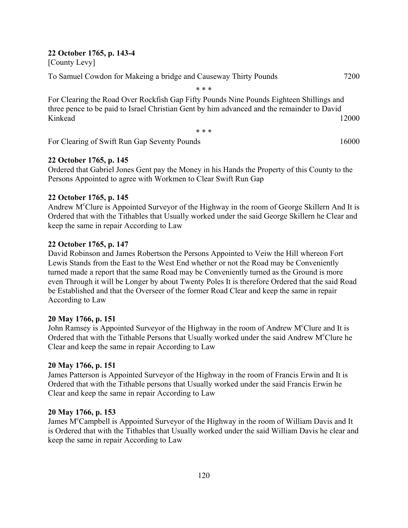#### **22 October 1765, p. 143-4**

[County Levy]

To Samuel Cowdon for Makeing a bridge and Causeway Thirty Pounds 7200

\* \* \*

For Clearing the Road Over Rockfish Gap Fifty Pounds Nine Pounds Eighteen Shillings and three pence to be paid to Israel Christian Gent by him advanced and the remainder to David Kinkead 12000

\* \* \*

For Clearing of Swift Run Gap Seventy Pounds 16000 16000

## **22 October 1765, p. 145**

Ordered that Gabriel Jones Gent pay the Money in his Hands the Property of this County to the Persons Appointed to agree with Workmen to Clear Swift Run Gap

### **22 October 1765, p. 145**

Andrew M<sup>c</sup>Clure is Appointed Surveyor of the Highway in the room of George Skillern And It is Ordered that with the Tithables that Usually worked under the said George Skillern he Clear and keep the same in repair According to Law

### **22 October 1765, p. 147**

David Robinson and James Robertson the Persons Appointed to Veiw the Hill whereon Fort Lewis Stands from the East to the West End whether or not the Road may be Conveniently turned made a report that the same Road may be Conveniently turned as the Ground is more even Through it will be Longer by about Twenty Poles It is therefore Ordered that the said Road be Established and that the Overseer of the former Road Clear and keep the same in repair According to Law

### **20 May 1766, p. 151**

John Ramsey is Appointed Surveyor of the Highway in the room of Andrew M<sup>c</sup>Clure and It is Ordered that with the Tithable Persons that Usually worked under the said Andrew M°Clure he Clear and keep the same in repair According to Law

### **20 May 1766, p. 151**

James Patterson is Appointed Surveyor of the Highway in the room of Francis Erwin and It is Ordered that with the Tithable persons that Usually worked under the said Francis Erwin he Clear and keep the same in repair According to Law

### **20 May 1766, p. 153**

James M<sup>c</sup>Campbell is Appointed Surveyor of the Highway in the room of William Davis and It is Ordered that with the Tithables that Usually worked under the said William Davis he clear and keep the same in repair According to Law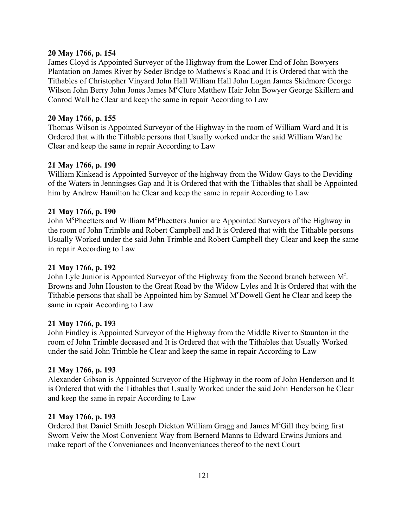#### **20 May 1766, p. 154**

James Cloyd is Appointed Surveyor of the Highway from the Lower End of John Bowyers Plantation on James River by Seder Bridge to Mathews's Road and It is Ordered that with the Tithables of Christopher Vinyard John Hall William Hall John Logan James Skidmore George Wilson John Berry John Jones James M°Clure Matthew Hair John Bowyer George Skillern and Conrod Wall he Clear and keep the same in repair According to Law

#### **20 May 1766, p. 155**

Thomas Wilson is Appointed Surveyor of the Highway in the room of William Ward and It is Ordered that with the Tithable persons that Usually worked under the said William Ward he Clear and keep the same in repair According to Law

### **21 May 1766, p. 190**

William Kinkead is Appointed Surveyor of the highway from the Widow Gays to the Deviding of the Waters in Jenningses Gap and It is Ordered that with the Tithables that shall be Appointed him by Andrew Hamilton he Clear and keep the same in repair According to Law

### **21 May 1766, p. 190**

John M<sup>c</sup>Pheetters and William M<sup>c</sup>Pheetters Junior are Appointed Surveyors of the Highway in the room of John Trimble and Robert Campbell and It is Ordered that with the Tithable persons Usually Worked under the said John Trimble and Robert Campbell they Clear and keep the same in repair According to Law

### **21 May 1766, p. 192**

John Lyle Junior is Appointed Surveyor of the Highway from the Second branch between M<sup>r</sup>. Browns and John Houston to the Great Road by the Widow Lyles and It is Ordered that with the Tithable persons that shall be Appointed him by Samuel M<sup>c</sup>Dowell Gent he Clear and keep the same in repair According to Law

### **21 May 1766, p. 193**

John Findley is Appointed Surveyor of the Highway from the Middle River to Staunton in the room of John Trimble deceased and It is Ordered that with the Tithables that Usually Worked under the said John Trimble he Clear and keep the same in repair According to Law

### **21 May 1766, p. 193**

Alexander Gibson is Appointed Surveyor of the Highway in the room of John Henderson and It is Ordered that with the Tithables that Usually Worked under the said John Henderson he Clear and keep the same in repair According to Law

### **21 May 1766, p. 193**

Ordered that Daniel Smith Joseph Dickton William Gragg and James M°Gill they being first Sworn Veiw the Most Convenient Way from Bernerd Manns to Edward Erwins Juniors and make report of the Conveniances and Inconveniances thereof to the next Court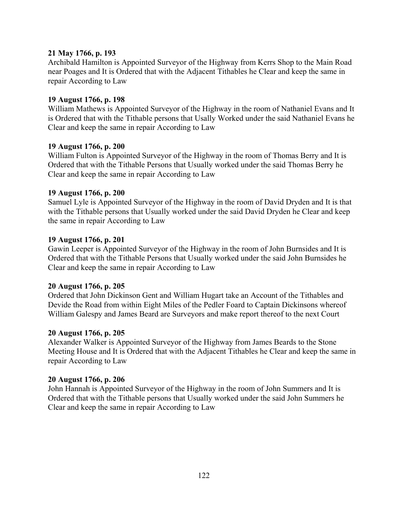#### **21 May 1766, p. 193**

Archibald Hamilton is Appointed Surveyor of the Highway from Kerrs Shop to the Main Road near Poages and It is Ordered that with the Adjacent Tithables he Clear and keep the same in repair According to Law

#### **19 August 1766, p. 198**

William Mathews is Appointed Surveyor of the Highway in the room of Nathaniel Evans and It is Ordered that with the Tithable persons that Usally Worked under the said Nathaniel Evans he Clear and keep the same in repair According to Law

#### **19 August 1766, p. 200**

William Fulton is Appointed Surveyor of the Highway in the room of Thomas Berry and It is Ordered that with the Tithable Persons that Usually worked under the said Thomas Berry he Clear and keep the same in repair According to Law

#### **19 August 1766, p. 200**

Samuel Lyle is Appointed Surveyor of the Highway in the room of David Dryden and It is that with the Tithable persons that Usually worked under the said David Dryden he Clear and keep the same in repair According to Law

#### **19 August 1766, p. 201**

Gawin Leeper is Appointed Surveyor of the Highway in the room of John Burnsides and It is Ordered that with the Tithable Persons that Usually worked under the said John Burnsides he Clear and keep the same in repair According to Law

#### **20 August 1766, p. 205**

Ordered that John Dickinson Gent and William Hugart take an Account of the Tithables and Devide the Road from within Eight Miles of the Pedler Foard to Captain Dickinsons whereof William Galespy and James Beard are Surveyors and make report thereof to the next Court

#### **20 August 1766, p. 205**

Alexander Walker is Appointed Surveyor of the Highway from James Beards to the Stone Meeting House and It is Ordered that with the Adjacent Tithables he Clear and keep the same in repair According to Law

#### **20 August 1766, p. 206**

John Hannah is Appointed Surveyor of the Highway in the room of John Summers and It is Ordered that with the Tithable persons that Usually worked under the said John Summers he Clear and keep the same in repair According to Law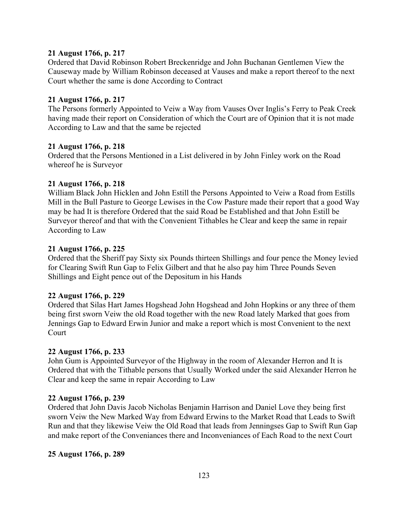#### **21 August 1766, p. 217**

Ordered that David Robinson Robert Breckenridge and John Buchanan Gentlemen View the Causeway made by William Robinson deceased at Vauses and make a report thereof to the next Court whether the same is done According to Contract

#### **21 August 1766, p. 217**

The Persons formerly Appointed to Veiw a Way from Vauses Over Inglis's Ferry to Peak Creek having made their report on Consideration of which the Court are of Opinion that it is not made According to Law and that the same be rejected

#### **21 August 1766, p. 218**

Ordered that the Persons Mentioned in a List delivered in by John Finley work on the Road whereof he is Surveyor

#### **21 August 1766, p. 218**

William Black John Hicklen and John Estill the Persons Appointed to Veiw a Road from Estills Mill in the Bull Pasture to George Lewises in the Cow Pasture made their report that a good Way may be had It is therefore Ordered that the said Road be Established and that John Estill be Surveyor thereof and that with the Convenient Tithables he Clear and keep the same in repair According to Law

#### **21 August 1766, p. 225**

Ordered that the Sheriff pay Sixty six Pounds thirteen Shillings and four pence the Money levied for Clearing Swift Run Gap to Felix Gilbert and that he also pay him Three Pounds Seven Shillings and Eight pence out of the Depositum in his Hands

#### **22 August 1766, p. 229**

Ordered that Silas Hart James Hogshead John Hogshead and John Hopkins or any three of them being first sworn Veiw the old Road together with the new Road lately Marked that goes from Jennings Gap to Edward Erwin Junior and make a report which is most Convenient to the next Court

#### **22 August 1766, p. 233**

John Gum is Appointed Surveyor of the Highway in the room of Alexander Herron and It is Ordered that with the Tithable persons that Usually Worked under the said Alexander Herron he Clear and keep the same in repair According to Law

#### **22 August 1766, p. 239**

Ordered that John Davis Jacob Nicholas Benjamin Harrison and Daniel Love they being first sworn Veiw the New Marked Way from Edward Erwins to the Market Road that Leads to Swift Run and that they likewise Veiw the Old Road that leads from Jenningses Gap to Swift Run Gap and make report of the Conveniances there and Inconveniances of Each Road to the next Court

#### **25 August 1766, p. 289**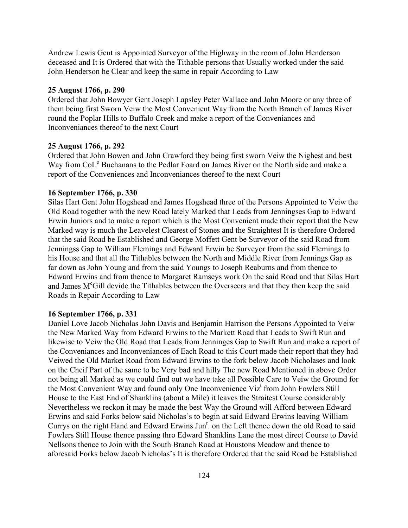Andrew Lewis Gent is Appointed Surveyor of the Highway in the room of John Henderson deceased and It is Ordered that with the Tithable persons that Usually worked under the said John Henderson he Clear and keep the same in repair According to Law

#### **25 August 1766, p. 290**

Ordered that John Bowyer Gent Joseph Lapsley Peter Wallace and John Moore or any three of them being first Sworn Veiw the Most Convenient Way from the North Branch of James River round the Poplar Hills to Buffalo Creek and make a report of the Conveniances and Inconveniances thereof to the next Court

#### **25 August 1766, p. 292**

Ordered that John Bowen and John Crawford they being first sworn Veiw the Nighest and best Way from CoL<sup>o</sup> Buchanans to the Pedlar Foard on James River on the North side and make a report of the Conveniences and Inconveniances thereof to the next Court

#### **16 September 1766, p. 330**

Silas Hart Gent John Hogshead and James Hogshead three of the Persons Appointed to Veiw the Old Road together with the new Road lately Marked that Leads from Jenningses Gap to Edward Erwin Juniors and to make a report which is the Most Convenient made their report that the New Marked way is much the Leavelest Clearest of Stones and the Straightest It is therefore Ordered that the said Road be Established and George Moffett Gent be Surveyor of the said Road from Jenningss Gap to William Flemings and Edward Erwin be Surveyor from the said Flemings to his House and that all the Tithables between the North and Middle River from Jennings Gap as far down as John Young and from the said Youngs to Joseph Reaburns and from thence to Edward Erwins and from thence to Margaret Ramseys work On the said Road and that Silas Hart and James M<sup>c</sup>Gill devide the Tithables between the Overseers and that they then keep the said Roads in Repair According to Law

#### **16 September 1766, p. 331**

Daniel Love Jacob Nicholas John Davis and Benjamin Harrison the Persons Appointed to Veiw the New Marked Way from Edward Erwins to the Markett Road that Leads to Swift Run and likewise to Veiw the Old Road that Leads from Jenninges Gap to Swift Run and make a report of the Conveniances and Inconveniances of Each Road to this Court made their report that they had Veiwed the Old Market Road from Edward Erwins to the fork below Jacob Nicholases and look on the Cheif Part of the same to be Very bad and hilly The new Road Mentioned in above Order not being all Marked as we could find out we have take all Possible Care to Veiw the Ground for the Most Convenient Way and found only One Inconvenience Viz<sup>t</sup> from John Fowlers Still House to the East End of Shanklins (about a Mile) it leaves the Straitest Course considerably Nevertheless we reckon it may be made the best Way the Ground will Afford between Edward Erwins and said Forks below said Nicholas's to begin at said Edward Erwins leaving William Currys on the right Hand and Edward Erwins Jun<sup>r</sup>. on the Left thence down the old Road to said Fowlers Still House thence passing thro Edward Shanklins Lane the most direct Course to David Nellsons thence to Join with the South Branch Road at Houstons Meadow and thence to aforesaid Forks below Jacob Nicholasís It is therefore Ordered that the said Road be Established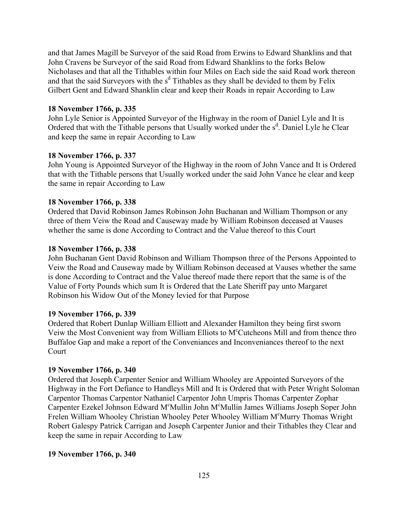and that James Magill be Surveyor of the said Road from Erwins to Edward Shanklins and that John Cravens be Surveyor of the said Road from Edward Shanklins to the forks Below Nicholases and that all the Tithables within four Miles on Each side the said Road work thereon and that the said Surveyors with the  $s<sup>d</sup>$  Tithables as they shall be devided to them by Felix Gilbert Gent and Edward Shanklin clear and keep their Roads in repair According to Law

#### **18 November 1766, p. 335**

John Lyle Senior is Appointed Surveyor of the Highway in the room of Daniel Lyle and It is Ordered that with the Tithable persons that Usually worked under the s<sup>d</sup>. Daniel Lyle he Clear and keep the same in repair According to Law

#### **18 November 1766, p. 337**

John Young is Appointed Surveyor of the Highway in the room of John Vance and It is Ordered that with the Tithable persons that Usually worked under the said John Vance he clear and keep the same in repair According to Law

#### **18 November 1766, p. 338**

Ordered that David Robinson James Robinson John Buchanan and William Thompson or any three of them Veiw the Road and Causeway made by William Robinson deceased at Vauses whether the same is done According to Contract and the Value thereof to this Court

#### **18 November 1766, p. 338**

John Buchanan Gent David Robinson and William Thompson three of the Persons Appointed to Veiw the Road and Causeway made by William Robinson deceased at Vauses whether the same is done According to Contract and the Value thereof made there report that the same is of the Value of Forty Pounds which sum It is Ordered that the Late Sheriff pay unto Margaret Robinson his Widow Out of the Money levied for that Purpose

#### **19 November 1766, p. 339**

Ordered that Robert Dunlap William Elliott and Alexander Hamilton they being first sworn Veiw the Most Convenient way from William Elliots to M<sup>c</sup>Cutcheons Mill and from thence thro Buffaloe Gap and make a report of the Conveniances and Inconveniances thereof to the next Court

#### **19 November 1766, p. 340**

Ordered that Joseph Carpenter Senior and William Whooley are Appointed Surveyors of the Highway in the Fort Defiance to Handleys Mill and It is Ordered that with Peter Wright Soloman Carpentor Thomas Carpentor Nathaniel Carpentor John Umpris Thomas Carpenter Zophar Carpenter Ezekel Johnson Edward M°Mullin John M°Mullin James Williams Joseph Soper John Frelen William Whooley Christian Whooley Peter Whooley William M°Murry Thomas Wright Robert Galespy Patrick Carrigan and Joseph Carpenter Junior and their Tithables they Clear and keep the same in repair According to Law

#### **19 November 1766, p. 340**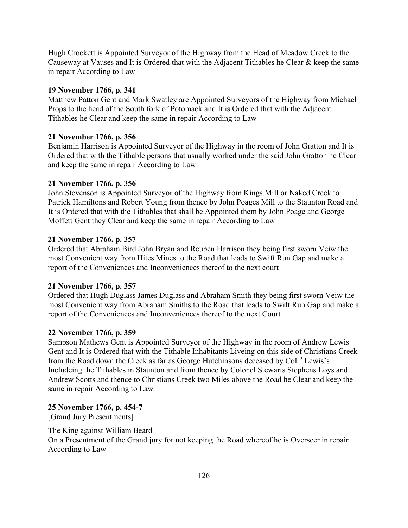Hugh Crockett is Appointed Surveyor of the Highway from the Head of Meadow Creek to the Causeway at Vauses and It is Ordered that with the Adjacent Tithables he Clear & keep the same in repair According to Law

## **19 November 1766, p. 341**

Matthew Patton Gent and Mark Swatley are Appointed Surveyors of the Highway from Michael Props to the head of the South fork of Potomack and It is Ordered that with the Adjacent Tithables he Clear and keep the same in repair According to Law

## **21 November 1766, p. 356**

Benjamin Harrison is Appointed Surveyor of the Highway in the room of John Gratton and It is Ordered that with the Tithable persons that usually worked under the said John Gratton he Clear and keep the same in repair According to Law

## **21 November 1766, p. 356**

John Stevenson is Appointed Surveyor of the Highway from Kings Mill or Naked Creek to Patrick Hamiltons and Robert Young from thence by John Poages Mill to the Staunton Road and It is Ordered that with the Tithables that shall be Appointed them by John Poage and George Moffett Gent they Clear and keep the same in repair According to Law

## **21 November 1766, p. 357**

Ordered that Abraham Bird John Bryan and Reuben Harrison they being first sworn Veiw the most Convenient way from Hites Mines to the Road that leads to Swift Run Gap and make a report of the Conveniences and Inconveniences thereof to the next court

# **21 November 1766, p. 357**

Ordered that Hugh Duglass James Duglass and Abraham Smith they being first sworn Veiw the most Convenient way from Abraham Smiths to the Road that leads to Swift Run Gap and make a report of the Conveniences and Inconveniences thereof to the next Court

### **22 November 1766, p. 359**

Sampson Mathews Gent is Appointed Surveyor of the Highway in the room of Andrew Lewis Gent and It is Ordered that with the Tithable Inhabitants Liveing on this side of Christians Creek from the Road down the Creek as far as George Hutchinsons deceased by CoL<sup>o</sup> Lewis's Includeing the Tithables in Staunton and from thence by Colonel Stewarts Stephens Loys and Andrew Scotts and thence to Christians Creek two Miles above the Road he Clear and keep the same in repair According to Law

# **25 November 1766, p. 454-7**

[Grand Jury Presentments]

The King against William Beard

On a Presentment of the Grand jury for not keeping the Road whereof he is Overseer in repair According to Law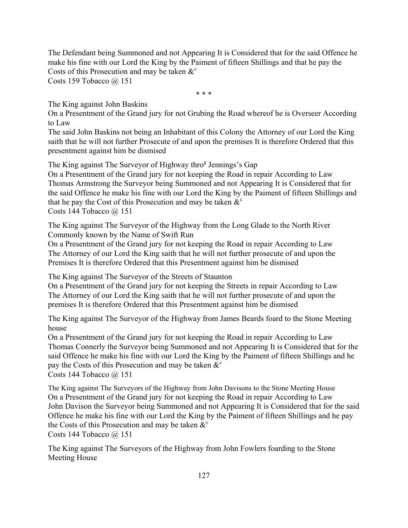The Defendant being Summoned and not Appearing It is Considered that for the said Offence he make his fine with our Lord the King by the Paiment of fifteen Shillings and that he pay the Costs of this Prosecution and may be taken  $\&^{\circ}$ 

Costs 159 Tobacco  $\omega$  151

\* \* \*

The King against John Baskins

On a Presentment of the Grand jury for not Grubing the Road whereof he is Overseer According to Law

The said John Baskins not being an Inhabitant of this Colony the Attorney of our Lord the King saith that he will not further Prosecute of and upon the premises It is therefore Ordered that this presentment against him be dismised

The King against The Surveyor of Highway thro<sup>g</sup> Jennings's Gap

On a Presentment of the Grand jury for not keeping the Road in repair According to Law Thomas Armstrong the Surveyor being Summoned and not Appearing It is Considered that for the said Offence he make his fine with our Lord the King by the Paiment of fifteen Shillings and that he pay the Cost of this Prosecution and may be taken  $\&^c$ Costs 144 Tobacco  $(a)$  151

The King against The Surveyor of the Highway from the Long Glade to the North River Commonly known by the Name of Swift Run

On a Presentment of the Grand jury for not keeping the Road in repair According to Law The Attorney of our Lord the King saith that he will not further prosecute of and upon the Premises It is therefore Ordered that this Presentment against him be dismised

The King against The Surveyor of the Streets of Staunton

On a Presentment of the Grand jury for not keeping the Streets in repair According to Law The Attorney of our Lord the King saith that he will not further prosecute of and upon the premises It is therefore Ordered that this Presentment against him be dismised

The King against The Surveyor of the Highway from James Beards foard to the Stone Meeting house

On a Presentment of the Grand jury for not keeping the Road in repair According to Law Thomas Connerly the Surveyor being Summoned and not Appearing It is Considered that for the said Offence he make his fine with our Lord the King by the Paiment of fifteen Shillings and he pay the Costs of this Prosecution and may be taken  $\&^c$ Costs 144 Tobacco @ 151

The King against The Surveyors of the Highway from John Davisons to the Stone Meeting House On a Presentment of the Grand jury for not keeping the Road in repair According to Law John Davison the Surveyor being Summoned and not Appearing It is Considered that for the said Offence he make his fine with our Lord the King by the Paiment of fifteen Shillings and he pay the Costs of this Prosecution and may be taken  $\&^c$ 

Costs 144 Tobacco  $(a)$  151

The King against The Surveyors of the Highway from John Fowlers foarding to the Stone Meeting House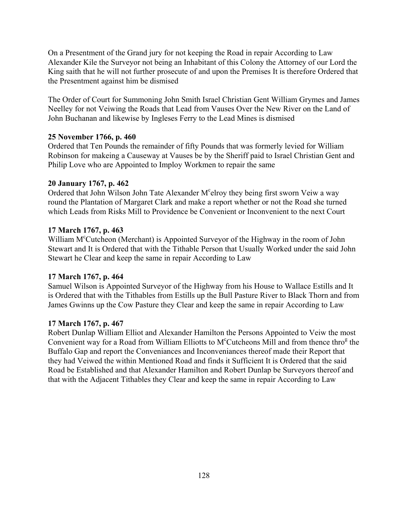On a Presentment of the Grand jury for not keeping the Road in repair According to Law Alexander Kile the Surveyor not being an Inhabitant of this Colony the Attorney of our Lord the King saith that he will not further prosecute of and upon the Premises It is therefore Ordered that the Presentment against him be dismised

The Order of Court for Summoning John Smith Israel Christian Gent William Grymes and James Neelley for not Veiwing the Roads that Lead from Vauses Over the New River on the Land of John Buchanan and likewise by Ingleses Ferry to the Lead Mines is dismised

### **25 November 1766, p. 460**

Ordered that Ten Pounds the remainder of fifty Pounds that was formerly levied for William Robinson for makeing a Causeway at Vauses be by the Sheriff paid to Israel Christian Gent and Philip Love who are Appointed to Imploy Workmen to repair the same

## **20 January 1767, p. 462**

Ordered that John Wilson John Tate Alexander M<sup>c</sup>elroy they being first sworn Veiw a way round the Plantation of Margaret Clark and make a report whether or not the Road she turned which Leads from Risks Mill to Providence be Convenient or Inconvenient to the next Court

# **17 March 1767, p. 463**

William M<sup>c</sup>Cutcheon (Merchant) is Appointed Surveyor of the Highway in the room of John Stewart and It is Ordered that with the Tithable Person that Usually Worked under the said John Stewart he Clear and keep the same in repair According to Law

# **17 March 1767, p. 464**

Samuel Wilson is Appointed Surveyor of the Highway from his House to Wallace Estills and It is Ordered that with the Tithables from Estills up the Bull Pasture River to Black Thorn and from James Gwinns up the Cow Pasture they Clear and keep the same in repair According to Law

### **17 March 1767, p. 467**

Robert Dunlap William Elliot and Alexander Hamilton the Persons Appointed to Veiw the most Convenient way for a Road from William Elliotts to M<sup>c</sup>Cutcheons Mill and from thence thro<sup>g</sup> the Buffalo Gap and report the Conveniances and Inconveniances thereof made their Report that they had Veiwed the within Mentioned Road and finds it Sufficient It is Ordered that the said Road be Established and that Alexander Hamilton and Robert Dunlap be Surveyors thereof and that with the Adjacent Tithables they Clear and keep the same in repair According to Law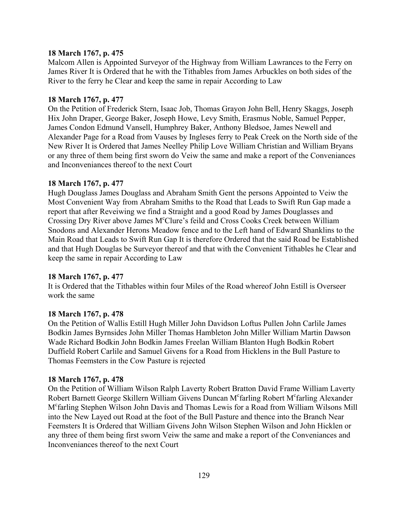#### **18 March 1767, p. 475**

Malcom Allen is Appointed Surveyor of the Highway from William Lawrances to the Ferry on James River It is Ordered that he with the Tithables from James Arbuckles on both sides of the River to the ferry he Clear and keep the same in repair According to Law

#### **18 March 1767, p. 477**

On the Petition of Frederick Stern, Isaac Job, Thomas Grayon John Bell, Henry Skaggs, Joseph Hix John Draper, George Baker, Joseph Howe, Levy Smith, Erasmus Noble, Samuel Pepper, James Condon Edmund Vansell, Humphrey Baker, Anthony Bledsoe, James Newell and Alexander Page for a Road from Vauses by Ingleses ferry to Peak Creek on the North side of the New River It is Ordered that James Neelley Philip Love William Christian and William Bryans or any three of them being first sworn do Veiw the same and make a report of the Conveniances and Inconveniances thereof to the next Court

#### **18 March 1767, p. 477**

Hugh Douglass James Douglass and Abraham Smith Gent the persons Appointed to Veiw the Most Convenient Way from Abraham Smiths to the Road that Leads to Swift Run Gap made a report that after Reveiwing we find a Straight and a good Road by James Douglasses and Crossing Dry River above James M°Clure's feild and Cross Cooks Creek between William Snodons and Alexander Herons Meadow fence and to the Left hand of Edward Shanklins to the Main Road that Leads to Swift Run Gap It is therefore Ordered that the said Road be Established and that Hugh Douglas be Surveyor thereof and that with the Convenient Tithables he Clear and keep the same in repair According to Law

#### **18 March 1767, p. 477**

It is Ordered that the Tithables within four Miles of the Road whereof John Estill is Overseer work the same

#### **18 March 1767, p. 478**

On the Petition of Wallis Estill Hugh Miller John Davidson Loftus Pullen John Carlile James Bodkin James Byrnsides John Miller Thomas Hambleton John Miller William Martin Dawson Wade Richard Bodkin John Bodkin James Freelan William Blanton Hugh Bodkin Robert Duffield Robert Carlile and Samuel Givens for a Road from Hicklens in the Bull Pasture to Thomas Feemsters in the Cow Pasture is rejected

#### **18 March 1767, p. 478**

On the Petition of William Wilson Ralph Laverty Robert Bratton David Frame William Laverty Robert Barnett George Skillern William Givens Duncan M<sup>c</sup>farling Robert M<sup>c</sup>farling Alexander Mc farling Stephen Wilson John Davis and Thomas Lewis for a Road from William Wilsons Mill into the New Layed out Road at the foot of the Bull Pasture and thence into the Branch Near Feemsters It is Ordered that William Givens John Wilson Stephen Wilson and John Hicklen or any three of them being first sworn Veiw the same and make a report of the Conveniances and Inconveniances thereof to the next Court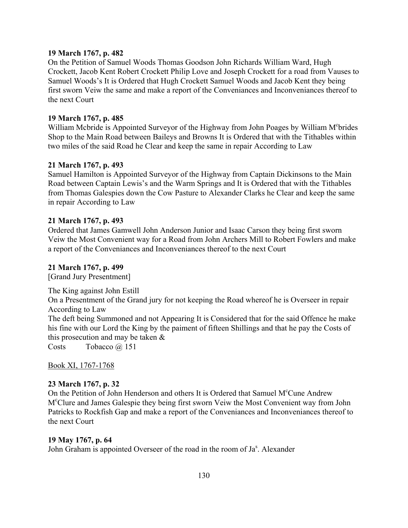### **19 March 1767, p. 482**

On the Petition of Samuel Woods Thomas Goodson John Richards William Ward, Hugh Crockett, Jacob Kent Robert Crockett Philip Love and Joseph Crockett for a road from Vauses to Samuel Woods's It is Ordered that Hugh Crockett Samuel Woods and Jacob Kent they being first sworn Veiw the same and make a report of the Conveniances and Inconveniances thereof to the next Court

#### **19 March 1767, p. 485**

William Mcbride is Appointed Surveyor of the Highway from John Poages by William M°brides Shop to the Main Road between Baileys and Browns It is Ordered that with the Tithables within two miles of the said Road he Clear and keep the same in repair According to Law

#### **21 March 1767, p. 493**

Samuel Hamilton is Appointed Surveyor of the Highway from Captain Dickinsons to the Main Road between Captain Lewis's and the Warm Springs and It is Ordered that with the Tithables from Thomas Galespies down the Cow Pasture to Alexander Clarks he Clear and keep the same in repair According to Law

#### **21 March 1767, p. 493**

Ordered that James Gamwell John Anderson Junior and Isaac Carson they being first sworn Veiw the Most Convenient way for a Road from John Archers Mill to Robert Fowlers and make a report of the Conveniances and Inconveniances thereof to the next Court

#### **21 March 1767, p. 499**

[Grand Jury Presentment]

The King against John Estill On a Presentment of the Grand jury for not keeping the Road whereof he is Overseer in repair According to Law The deft being Summoned and not Appearing It is Considered that for the said Offence he make his fine with our Lord the King by the paiment of fifteen Shillings and that he pay the Costs of this prosecution and may be taken &

Costs Tobacco @ 151

Book XI, 1767-1768

### **23 March 1767, p. 32**

On the Petition of John Henderson and others It is Ordered that Samuel M<sup>c</sup>Cune Andrew Mc Clure and James Galespie they being first sworn Veiw the Most Convenient way from John Patricks to Rockfish Gap and make a report of the Conveniances and Inconveniances thereof to the next Court

#### **19 May 1767, p. 64**

John Graham is appointed Overseer of the road in the room of Ja<sup>s</sup>. Alexander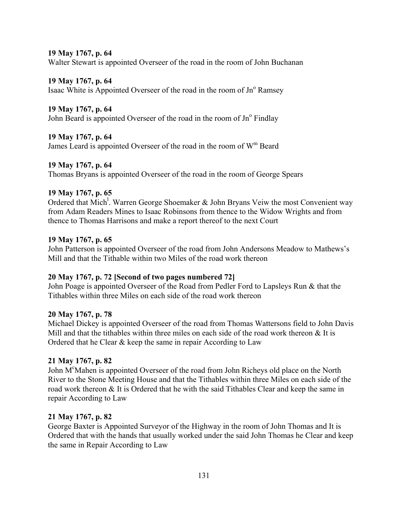#### **19 May 1767, p. 64**

Walter Stewart is appointed Overseer of the road in the room of John Buchanan

#### **19 May 1767, p. 64**

Isaac White is Appointed Overseer of the road in the room of  $Jn^{\circ}$  Ramsey

## **19 May 1767, p. 64**

John Beard is appointed Overseer of the road in the room of  $Jn^{\circ}$  Findlay

## **19 May 1767, p. 64**

James Leard is appointed Overseer of the road in the room of  $W<sup>m</sup>$  Beard

## **19 May 1767, p. 64**

Thomas Bryans is appointed Overseer of the road in the room of George Spears

### **19 May 1767, p. 65**

Ordered that Mich<sup>1</sup>. Warren George Shoemaker & John Bryans Veiw the most Convenient way from Adam Readers Mines to Isaac Robinsons from thence to the Widow Wrights and from thence to Thomas Harrisons and make a report thereof to the next Court

### **19 May 1767, p. 65**

John Patterson is appointed Overseer of the road from John Andersons Meadow to Mathews's Mill and that the Tithable within two Miles of the road work thereon

# **20 May 1767, p. 72 [Second of two pages numbered 72]**

John Poage is appointed Overseer of the Road from Pedler Ford to Lapsleys Run & that the Tithables within three Miles on each side of the road work thereon

### **20 May 1767, p. 78**

Michael Dickey is appointed Overseer of the road from Thomas Wattersons field to John Davis Mill and that the tithables within three miles on each side of the road work thereon  $\&$  It is Ordered that he Clear & keep the same in repair According to Law

### **21 May 1767, p. 82**

John M<sup>c</sup>Mahen is appointed Overseer of the road from John Richeys old place on the North River to the Stone Meeting House and that the Tithables within three Miles on each side of the road work thereon & It is Ordered that he with the said Tithables Clear and keep the same in repair According to Law

### **21 May 1767, p. 82**

George Baxter is Appointed Surveyor of the Highway in the room of John Thomas and It is Ordered that with the hands that usually worked under the said John Thomas he Clear and keep the same in Repair According to Law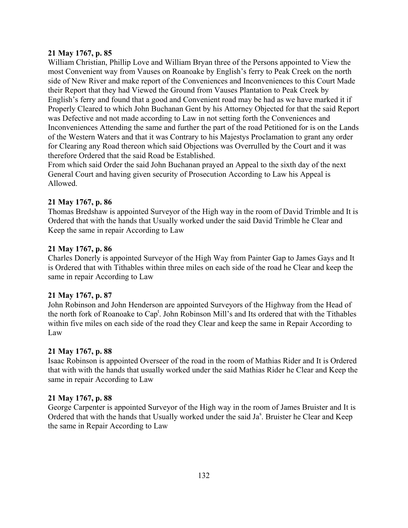### **21 May 1767, p. 85**

William Christian, Phillip Love and William Bryan three of the Persons appointed to View the most Convenient way from Vauses on Roanoake by English's ferry to Peak Creek on the north side of New River and make report of the Conveniences and Inconveniences to this Court Made their Report that they had Viewed the Ground from Vauses Plantation to Peak Creek by English's ferry and found that a good and Convenient road may be had as we have marked it if Properly Cleared to which John Buchanan Gent by his Attorney Objected for that the said Report was Defective and not made according to Law in not setting forth the Conveniences and Inconveniences Attending the same and further the part of the road Petitioned for is on the Lands of the Western Waters and that it was Contrary to his Majestys Proclamation to grant any order for Clearing any Road thereon which said Objections was Overrulled by the Court and it was therefore Ordered that the said Road be Established.

From which said Order the said John Buchanan prayed an Appeal to the sixth day of the next General Court and having given security of Prosecution According to Law his Appeal is Allowed.

### **21 May 1767, p. 86**

Thomas Bredshaw is appointed Surveyor of the High way in the room of David Trimble and It is Ordered that with the hands that Usually worked under the said David Trimble he Clear and Keep the same in repair According to Law

#### **21 May 1767, p. 86**

Charles Donerly is appointed Surveyor of the High Way from Painter Gap to James Gays and It is Ordered that with Tithables within three miles on each side of the road he Clear and keep the same in repair According to Law

### **21 May 1767, p. 87**

John Robinson and John Henderson are appointed Surveyors of the Highway from the Head of the north fork of Roanoake to Cap<sup>t</sup>. John Robinson Mill's and Its ordered that with the Tithables within five miles on each side of the road they Clear and keep the same in Repair According to Law

#### **21 May 1767, p. 88**

Isaac Robinson is appointed Overseer of the road in the room of Mathias Rider and It is Ordered that with with the hands that usually worked under the said Mathias Rider he Clear and Keep the same in repair According to Law

#### **21 May 1767, p. 88**

George Carpenter is appointed Surveyor of the High way in the room of James Bruister and It is Ordered that with the hands that Usually worked under the said Ja<sup>s</sup>. Bruister he Clear and Keep the same in Repair According to Law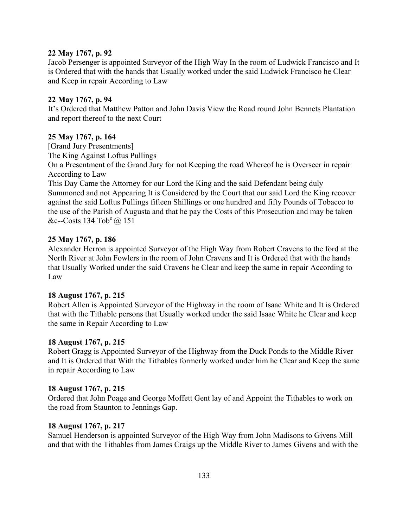### **22 May 1767, p. 92**

Jacob Persenger is appointed Surveyor of the High Way In the room of Ludwick Francisco and It is Ordered that with the hands that Usually worked under the said Ludwick Francisco he Clear and Keep in repair According to Law

#### **22 May 1767, p. 94**

Itís Ordered that Matthew Patton and John Davis View the Road round John Bennets Plantation and report thereof to the next Court

#### **25 May 1767, p. 164**

[Grand Jury Presentments]

The King Against Loftus Pullings

On a Presentment of the Grand Jury for not Keeping the road Whereof he is Overseer in repair According to Law

This Day Came the Attorney for our Lord the King and the said Defendant being duly Summoned and not Appearing It is Considered by the Court that our said Lord the King recover against the said Loftus Pullings fifteen Shillings or one hundred and fifty Pounds of Tobacco to the use of the Parish of Augusta and that he pay the Costs of this Prosecution and may be taken &c--Costs 134 Tob<sup>o</sup>  $@.151$ 

### **25 May 1767, p. 186**

Alexander Herron is appointed Surveyor of the High Way from Robert Cravens to the ford at the North River at John Fowlers in the room of John Cravens and It is Ordered that with the hands that Usually Worked under the said Cravens he Clear and keep the same in repair According to Law

### **18 August 1767, p. 215**

Robert Allen is Appointed Surveyor of the Highway in the room of Isaac White and It is Ordered that with the Tithable persons that Usually worked under the said Isaac White he Clear and keep the same in Repair According to Law

#### **18 August 1767, p. 215**

Robert Gragg is Appointed Surveyor of the Highway from the Duck Ponds to the Middle River and It is Ordered that With the Tithables formerly worked under him he Clear and Keep the same in repair According to Law

### **18 August 1767, p. 215**

Ordered that John Poage and George Moffett Gent lay of and Appoint the Tithables to work on the road from Staunton to Jennings Gap.

### **18 August 1767, p. 217**

Samuel Henderson is appointed Surveyor of the High Way from John Madisons to Givens Mill and that with the Tithables from James Craigs up the Middle River to James Givens and with the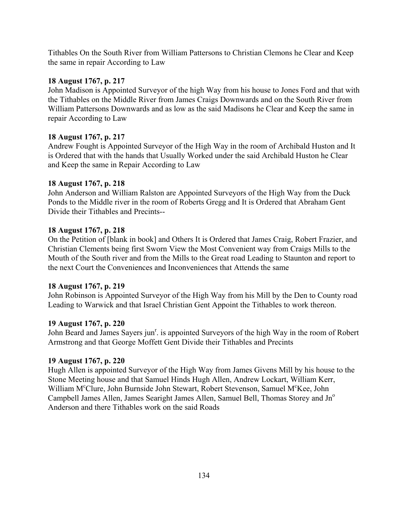Tithables On the South River from William Pattersons to Christian Clemons he Clear and Keep the same in repair According to Law

## **18 August 1767, p. 217**

John Madison is Appointed Surveyor of the high Way from his house to Jones Ford and that with the Tithables on the Middle River from James Craigs Downwards and on the South River from William Pattersons Downwards and as low as the said Madisons he Clear and Keep the same in repair According to Law

## **18 August 1767, p. 217**

Andrew Fought is Appointed Surveyor of the High Way in the room of Archibald Huston and It is Ordered that with the hands that Usually Worked under the said Archibald Huston he Clear and Keep the same in Repair According to Law

## **18 August 1767, p. 218**

John Anderson and William Ralston are Appointed Surveyors of the High Way from the Duck Ponds to the Middle river in the room of Roberts Gregg and It is Ordered that Abraham Gent Divide their Tithables and Precints--

## **18 August 1767, p. 218**

On the Petition of [blank in book] and Others It is Ordered that James Craig, Robert Frazier, and Christian Clements being first Sworn View the Most Convenient way from Craigs Mills to the Mouth of the South river and from the Mills to the Great road Leading to Staunton and report to the next Court the Conveniences and Inconveniences that Attends the same

### **18 August 1767, p. 219**

John Robinson is Appointed Surveyor of the High Way from his Mill by the Den to County road Leading to Warwick and that Israel Christian Gent Appoint the Tithables to work thereon.

### **19 August 1767, p. 220**

John Beard and James Sayers jun<sup>r</sup>. is appointed Surveyors of the high Way in the room of Robert Armstrong and that George Moffett Gent Divide their Tithables and Precints

### **19 August 1767, p. 220**

Hugh Allen is appointed Surveyor of the High Way from James Givens Mill by his house to the Stone Meeting house and that Samuel Hinds Hugh Allen, Andrew Lockart, William Kerr, William M<sup>c</sup>Clure, John Burnside John Stewart, Robert Stevenson, Samuel M<sup>c</sup>Kee, John Campbell James Allen, James Searight James Allen, Samuel Bell, Thomas Storey and Jn<sup>o</sup> Anderson and there Tithables work on the said Roads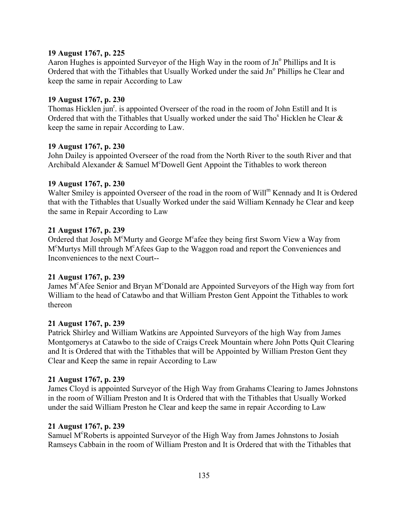### **19 August 1767, p. 225**

Aaron Hughes is appointed Surveyor of the High Way in the room of  $Jn^{\circ}$  Phillips and It is Ordered that with the Tithables that Usually Worked under the said Jn° Phillips he Clear and keep the same in repair According to Law

### **19 August 1767, p. 230**

Thomas Hicklen jun<sup>r</sup>. is appointed Overseer of the road in the room of John Estill and It is Ordered that with the Tithables that Usually worked under the said Tho<sup>s</sup> Hicklen he Clear  $\&$ keep the same in repair According to Law.

### **19 August 1767, p. 230**

John Dailey is appointed Overseer of the road from the North River to the south River and that Archibald Alexander & Samuel M<sup>c</sup>Dowell Gent Appoint the Tithables to work thereon

### **19 August 1767, p. 230**

Walter Smiley is appointed Overseer of the road in the room of Will<sup>m</sup> Kennady and It is Ordered that with the Tithables that Usually Worked under the said William Kennady he Clear and keep the same in Repair According to Law

### **21 August 1767, p. 239**

Ordered that Joseph M°Murty and George M°afee they being first Sworn View a Way from M<sup>c</sup>Murtys Mill through M<sup>c</sup>Afees Gap to the Waggon road and report the Conveniences and Inconveniences to the next Court--

## **21 August 1767, p. 239**

James M<sup>c</sup>Afee Senior and Bryan M<sup>c</sup>Donald are Appointed Surveyors of the High way from fort William to the head of Catawbo and that William Preston Gent Appoint the Tithables to work thereon

## **21 August 1767, p. 239**

Patrick Shirley and William Watkins are Appointed Surveyors of the high Way from James Montgomerys at Catawbo to the side of Craigs Creek Mountain where John Potts Quit Clearing and It is Ordered that with the Tithables that will be Appointed by William Preston Gent they Clear and Keep the same in repair According to Law

## **21 August 1767, p. 239**

James Cloyd is appointed Surveyor of the High Way from Grahams Clearing to James Johnstons in the room of William Preston and It is Ordered that with the Tithables that Usually Worked under the said William Preston he Clear and keep the same in repair According to Law

#### **21 August 1767, p. 239**

Samuel M<sup>c</sup>Roberts is appointed Surveyor of the High Way from James Johnstons to Josiah Ramseys Cabbain in the room of William Preston and It is Ordered that with the Tithables that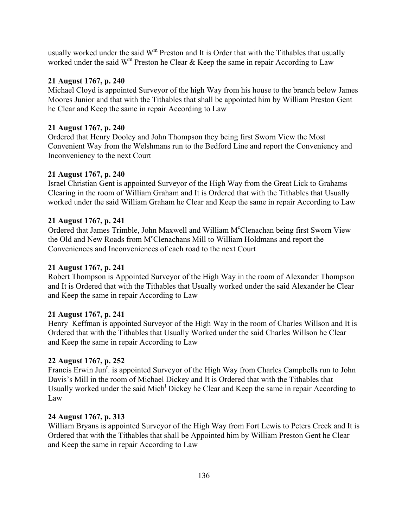usually worked under the said  $W<sup>m</sup>$  Preston and It is Order that with the Tithables that usually worked under the said W<sup>m</sup> Preston he Clear & Keep the same in repair According to Law

## **21 August 1767, p. 240**

Michael Cloyd is appointed Surveyor of the high Way from his house to the branch below James Moores Junior and that with the Tithables that shall be appointed him by William Preston Gent he Clear and Keep the same in repair According to Law

## **21 August 1767, p. 240**

Ordered that Henry Dooley and John Thompson they being first Sworn View the Most Convenient Way from the Welshmans run to the Bedford Line and report the Conveniency and Inconveniency to the next Court

## **21 August 1767, p. 240**

Israel Christian Gent is appointed Surveyor of the High Way from the Great Lick to Grahams Clearing in the room of William Graham and It is Ordered that with the Tithables that Usually worked under the said William Graham he Clear and Keep the same in repair According to Law

## **21 August 1767, p. 241**

Ordered that James Trimble, John Maxwell and William M°Clenachan being first Sworn View the Old and New Roads from M<sup>c</sup>Clenachans Mill to William Holdmans and report the Conveniences and Inconveniences of each road to the next Court

## **21 August 1767, p. 241**

Robert Thompson is Appointed Surveyor of the High Way in the room of Alexander Thompson and It is Ordered that with the Tithables that Usually worked under the said Alexander he Clear and Keep the same in repair According to Law

## **21 August 1767, p. 241**

Henry Keffman is appointed Surveyor of the High Way in the room of Charles Willson and It is Ordered that with the Tithables that Usually Worked under the said Charles Willson he Clear and Keep the same in repair According to Law

## **22 August 1767, p. 252**

Francis Erwin Jun<sup>r</sup>. is appointed Surveyor of the High Way from Charles Campbells run to John Davis's Mill in the room of Michael Dickey and It is Ordered that with the Tithables that Usually worked under the said Mich<sup>1</sup> Dickey he Clear and Keep the same in repair According to Law

## **24 August 1767, p. 313**

William Bryans is appointed Surveyor of the High Way from Fort Lewis to Peters Creek and It is Ordered that with the Tithables that shall be Appointed him by William Preston Gent he Clear and Keep the same in repair According to Law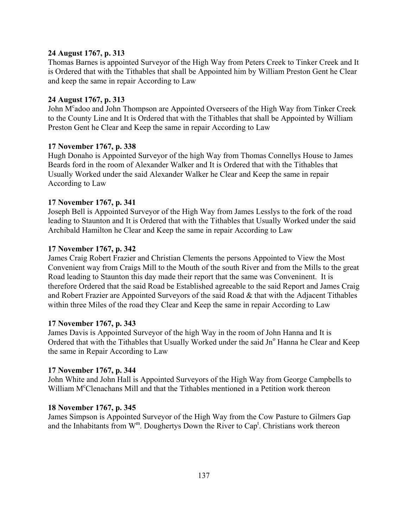### **24 August 1767, p. 313**

Thomas Barnes is appointed Surveyor of the High Way from Peters Creek to Tinker Creek and It is Ordered that with the Tithables that shall be Appointed him by William Preston Gent he Clear and keep the same in repair According to Law

### **24 August 1767, p. 313**

John M<sup>c</sup>adoo and John Thompson are Appointed Overseers of the High Way from Tinker Creek to the County Line and It is Ordered that with the Tithables that shall be Appointed by William Preston Gent he Clear and Keep the same in repair According to Law

## **17 November 1767, p. 338**

Hugh Donaho is Appointed Surveyor of the high Way from Thomas Connellys House to James Beards ford in the room of Alexander Walker and It is Ordered that with the Tithables that Usually Worked under the said Alexander Walker he Clear and Keep the same in repair According to Law

### **17 November 1767, p. 341**

Joseph Bell is Appointed Surveyor of the High Way from James Lesslys to the fork of the road leading to Staunton and It is Ordered that with the Tithables that Usually Worked under the said Archibald Hamilton he Clear and Keep the same in repair According to Law

### **17 November 1767, p. 342**

James Craig Robert Frazier and Christian Clements the persons Appointed to View the Most Convenient way from Craigs Mill to the Mouth of the south River and from the Mills to the great Road leading to Staunton this day made their report that the same was Conveninent. It is therefore Ordered that the said Road be Established agreeable to the said Report and James Craig and Robert Frazier are Appointed Surveyors of the said Road & that with the Adjacent Tithables within three Miles of the road they Clear and Keep the same in repair According to Law

#### **17 November 1767, p. 343**

James Davis is Appointed Surveyor of the high Way in the room of John Hanna and It is Ordered that with the Tithables that Usually Worked under the said Jn° Hanna he Clear and Keep the same in Repair According to Law

#### **17 November 1767, p. 344**

John White and John Hall is Appointed Surveyors of the High Way from George Campbells to William M<sup>c</sup>Clenachans Mill and that the Tithables mentioned in a Petition work thereon

#### **18 November 1767, p. 345**

James Simpson is Appointed Surveyor of the High Way from the Cow Pasture to Gilmers Gap and the Inhabitants from  $W^m$ . Doughertys Down the River to Cap<sup>t</sup>. Christians work thereon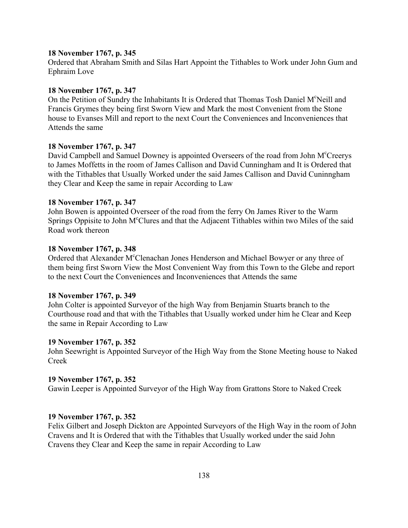#### **18 November 1767, p. 345**

Ordered that Abraham Smith and Silas Hart Appoint the Tithables to Work under John Gum and Ephraim Love

### **18 November 1767, p. 347**

On the Petition of Sundry the Inhabitants It is Ordered that Thomas Tosh Daniel M°Neill and Francis Grymes they being first Sworn View and Mark the most Convenient from the Stone house to Evanses Mill and report to the next Court the Conveniences and Inconveniences that Attends the same

## **18 November 1767, p. 347**

David Campbell and Samuel Downey is appointed Overseers of the road from John M<sup>c</sup>Creerys to James Moffetts in the room of James Callison and David Cunningham and It is Ordered that with the Tithables that Usually Worked under the said James Callison and David Cuninngham they Clear and Keep the same in repair According to Law

### **18 November 1767, p. 347**

John Bowen is appointed Overseer of the road from the ferry On James River to the Warm Springs Oppisite to John M°Clures and that the Adjacent Tithables within two Miles of the said Road work thereon

### **18 November 1767, p. 348**

Ordered that Alexander M°Clenachan Jones Henderson and Michael Bowyer or any three of them being first Sworn View the Most Convenient Way from this Town to the Glebe and report to the next Court the Conveniences and Inconveniences that Attends the same

#### **18 November 1767, p. 349**

John Colter is appointed Surveyor of the high Way from Benjamin Stuarts branch to the Courthouse road and that with the Tithables that Usually worked under him he Clear and Keep the same in Repair According to Law

#### **19 November 1767, p. 352**

John Seewright is Appointed Surveyor of the High Way from the Stone Meeting house to Naked Creek

## **19 November 1767, p. 352**

Gawin Leeper is Appointed Surveyor of the High Way from Grattons Store to Naked Creek

## **19 November 1767, p. 352**

Felix Gilbert and Joseph Dickton are Appointed Surveyors of the High Way in the room of John Cravens and It is Ordered that with the Tithables that Usually worked under the said John Cravens they Clear and Keep the same in repair According to Law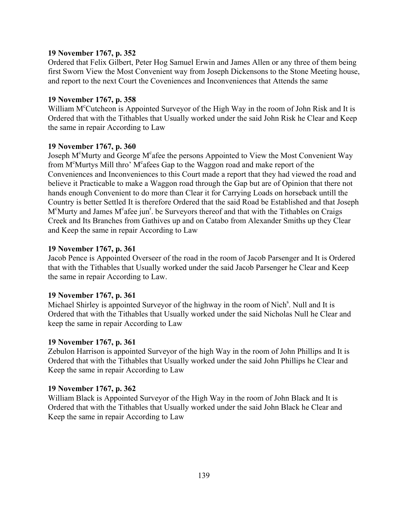### **19 November 1767, p. 352**

Ordered that Felix Gilbert, Peter Hog Samuel Erwin and James Allen or any three of them being first Sworn View the Most Convenient way from Joseph Dickensons to the Stone Meeting house, and report to the next Court the Coveniences and Inconveniences that Attends the same

### **19 November 1767, p. 358**

William M<sup>c</sup>Cutcheon is Appointed Surveyor of the High Way in the room of John Risk and It is Ordered that with the Tithables that Usually worked under the said John Risk he Clear and Keep the same in repair According to Law

### **19 November 1767, p. 360**

Joseph M<sup>c</sup>Murty and George M<sup>c</sup>afee the persons Appointed to View the Most Convenient Way from M<sup>c</sup>Murtys Mill thro' M<sup>c</sup>afees Gap to the Waggon road and make report of the Conveniences and Inconveniences to this Court made a report that they had viewed the road and believe it Practicable to make a Waggon road through the Gap but are of Opinion that there not hands enough Convenient to do more than Clear it for Carrying Loads on horseback untill the Country is better Settled It is therefore Ordered that the said Road be Established and that Joseph M<sup>c</sup>Murty and James M<sup>c</sup>afee jun<sup>r</sup>. be Surveyors thereof and that with the Tithables on Craigs Creek and Its Branches from Gathives up and on Catabo from Alexander Smiths up they Clear and Keep the same in repair According to Law

### **19 November 1767, p. 361**

Jacob Pence is Appointed Overseer of the road in the room of Jacob Parsenger and It is Ordered that with the Tithables that Usually worked under the said Jacob Parsenger he Clear and Keep the same in repair According to Law.

## **19 November 1767, p. 361**

Michael Shirley is appointed Surveyor of the highway in the room of Nich<sup>s</sup>. Null and It is Ordered that with the Tithables that Usually worked under the said Nicholas Null he Clear and keep the same in repair According to Law

#### **19 November 1767, p. 361**

Zebulon Harrison is appointed Surveyor of the high Way in the room of John Phillips and It is Ordered that with the Tithables that Usually worked under the said John Phillips he Clear and Keep the same in repair According to Law

#### **19 November 1767, p. 362**

William Black is Appointed Surveyor of the High Way in the room of John Black and It is Ordered that with the Tithables that Usually worked under the said John Black he Clear and Keep the same in repair According to Law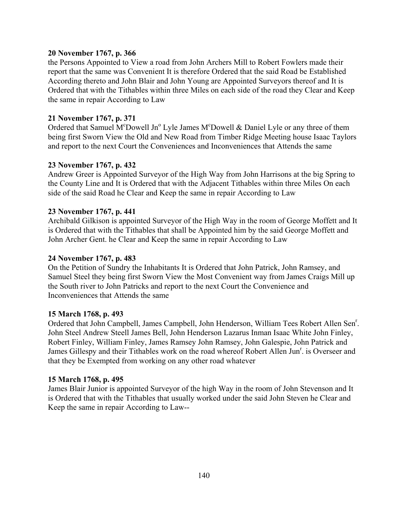### **20 November 1767, p. 366**

the Persons Appointed to View a road from John Archers Mill to Robert Fowlers made their report that the same was Convenient It is therefore Ordered that the said Road be Established According thereto and John Blair and John Young are Appointed Surveyors thereof and It is Ordered that with the Tithables within three Miles on each side of the road they Clear and Keep the same in repair According to Law

### **21 November 1767, p. 371**

Ordered that Samuel M<sup>c</sup>Dowell Jn<sup>o</sup> Lyle James M<sup>c</sup>Dowell & Daniel Lyle or any three of them being first Sworn View the Old and New Road from Timber Ridge Meeting house Isaac Taylors and report to the next Court the Conveniences and Inconveniences that Attends the same

### **23 November 1767, p. 432**

Andrew Greer is Appointed Surveyor of the High Way from John Harrisons at the big Spring to the County Line and It is Ordered that with the Adjacent Tithables within three Miles On each side of the said Road he Clear and Keep the same in repair According to Law

### **23 November 1767, p. 441**

Archibald Gilkison is appointed Surveyor of the High Way in the room of George Moffett and It is Ordered that with the Tithables that shall be Appointed him by the said George Moffett and John Archer Gent. he Clear and Keep the same in repair According to Law

### **24 November 1767, p. 483**

On the Petition of Sundry the Inhabitants It is Ordered that John Patrick, John Ramsey, and Samuel Steel they being first Sworn View the Most Convenient way from James Craigs Mill up the South river to John Patricks and report to the next Court the Convenience and Inconveniences that Attends the same

#### **15 March 1768, p. 493**

Ordered that John Campbell, James Campbell, John Henderson, William Tees Robert Allen Sen<sup>r</sup>. John Steel Andrew Steell James Bell, John Henderson Lazarus Inman Isaac White John Finley, Robert Finley, William Finley, James Ramsey John Ramsey, John Galespie, John Patrick and James Gillespy and their Tithables work on the road whereof Robert Allen Jun<sup>r</sup>. is Overseer and that they be Exempted from working on any other road whatever

### **15 March 1768, p. 495**

James Blair Junior is appointed Surveyor of the high Way in the room of John Stevenson and It is Ordered that with the Tithables that usually worked under the said John Steven he Clear and Keep the same in repair According to Law--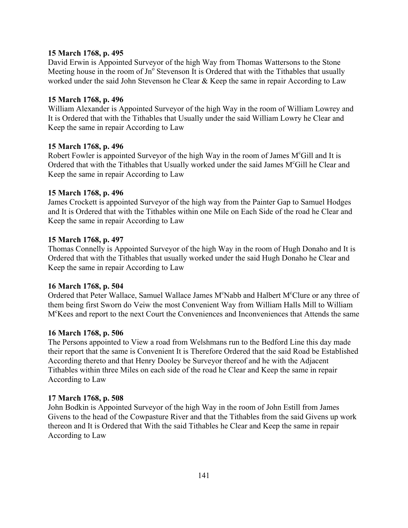### **15 March 1768, p. 495**

David Erwin is Appointed Surveyor of the high Way from Thomas Wattersons to the Stone Meeting house in the room of  $Jn^{\circ}$  Stevenson It is Ordered that with the Tithables that usually worked under the said John Stevenson he Clear & Keep the same in repair According to Law

#### **15 March 1768, p. 496**

William Alexander is Appointed Surveyor of the high Way in the room of William Lowrey and It is Ordered that with the Tithables that Usually under the said William Lowry he Clear and Keep the same in repair According to Law

### **15 March 1768, p. 496**

Robert Fowler is appointed Surveyor of the high Way in the room of James M°Gill and It is Ordered that with the Tithables that Usually worked under the said James M°Gill he Clear and Keep the same in repair According to Law

### **15 March 1768, p. 496**

James Crockett is appointed Surveyor of the high way from the Painter Gap to Samuel Hodges and It is Ordered that with the Tithables within one Mile on Each Side of the road he Clear and Keep the same in repair According to Law

### **15 March 1768, p. 497**

Thomas Connelly is Appointed Surveyor of the high Way in the room of Hugh Donaho and It is Ordered that with the Tithables that usually worked under the said Hugh Donaho he Clear and Keep the same in repair According to Law

#### **16 March 1768, p. 504**

Ordered that Peter Wallace, Samuel Wallace James M°Nabb and Halbert M°Clure or any three of them being first Sworn do Veiw the most Convenient Way from William Halls Mill to William Mc Kees and report to the next Court the Conveniences and Inconveniences that Attends the same

#### **16 March 1768, p. 506**

The Persons appointed to View a road from Welshmans run to the Bedford Line this day made their report that the same is Convenient It is Therefore Ordered that the said Road be Established According thereto and that Henry Dooley be Surveyor thereof and he with the Adjacent Tithables within three Miles on each side of the road he Clear and Keep the same in repair According to Law

#### **17 March 1768, p. 508**

John Bodkin is Appointed Surveyor of the high Way in the room of John Estill from James Givens to the head of the Cowpasture River and that the Tithables from the said Givens up work thereon and It is Ordered that With the said Tithables he Clear and Keep the same in repair According to Law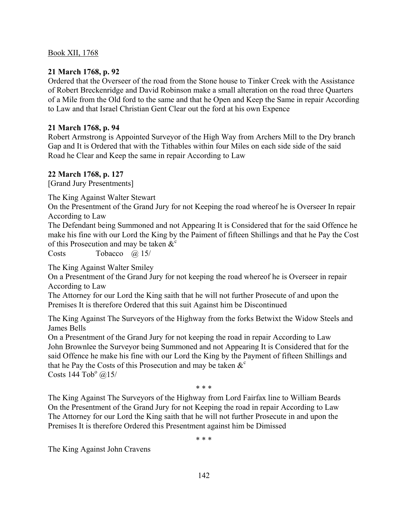## **21 March 1768, p. 92**

Ordered that the Overseer of the road from the Stone house to Tinker Creek with the Assistance of Robert Breckenridge and David Robinson make a small alteration on the road three Quarters of a Mile from the Old ford to the same and that he Open and Keep the Same in repair According to Law and that Israel Christian Gent Clear out the ford at his own Expence

## **21 March 1768, p. 94**

Robert Armstrong is Appointed Surveyor of the High Way from Archers Mill to the Dry branch Gap and It is Ordered that with the Tithables within four Miles on each side side of the said Road he Clear and Keep the same in repair According to Law

## **22 March 1768, p. 127**

[Grand Jury Presentments]

The King Against Walter Stewart

On the Presentment of the Grand Jury for not Keeping the road whereof he is Overseer In repair According to Law

The Defendant being Summoned and not Appearing It is Considered that for the said Offence he make his fine with our Lord the King by the Paiment of fifteen Shillings and that he Pay the Cost of this Prosecution and may be taken  $\&^c$ 

Costs Tobacco @ 15/

The King Against Walter Smiley

On a Presentment of the Grand Jury for not keeping the road whereof he is Overseer in repair According to Law

The Attorney for our Lord the King saith that he will not further Prosecute of and upon the Premises It is therefore Ordered that this suit Against him be Discontinued

The King Against The Surveyors of the Highway from the forks Betwixt the Widow Steels and James Bells

On a Presentment of the Grand Jury for not keeping the road in repair According to Law John Brownlee the Surveyor being Summoned and not Appearing It is Considered that for the said Offence he make his fine with our Lord the King by the Payment of fifteen Shillings and that he Pay the Costs of this Prosecution and may be taken  $\&^c$ Costs  $144 \text{ Tob}^{\circ}$  @15/

 $* * *$ 

The King Against The Surveyors of the Highway from Lord Fairfax line to William Beards On the Presentment of the Grand Jury for not Keeping the road in repair According to Law The Attorney for our Lord the King saith that he will not further Prosecute in and upon the Premises It is therefore Ordered this Presentment against him be Dimissed

 $* * *$ 

The King Against John Cravens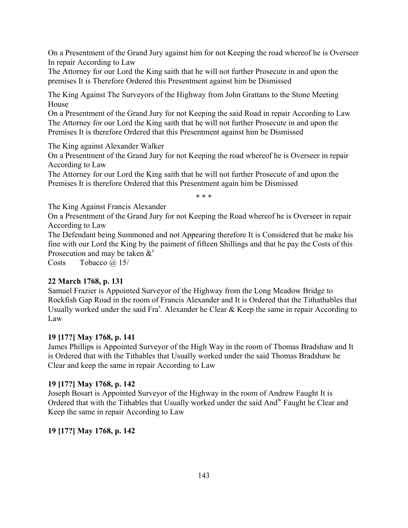On a Presentment of the Grand Jury against him for not Keeping the road whereof he is Overseer In repair According to Law

The Attorney for our Lord the King saith that he will not further Prosecute in and upon the premises It is Therefore Ordered this Presentment against him be Dismissed

The King Against The Surveyors of the Highway from John Grattans to the Stone Meeting House

On a Presentment of the Grand Jury for not Keeping the said Road in repair According to Law The Attorney for our Lord the King saith that he will not further Prosecute in and upon the Premises It is therefore Ordered that this Presentment against him be Dismissed

The King against Alexander Walker

On a Presentment of the Grand Jury for not Keeping the road whereof he is Overseer in repair According to Law

The Attorney for our Lord the King saith that he will not further Prosecute of and upon the Premises It is therefore Ordered that this Presentment again him be Dismissed

 $* * *$ 

The King Against Francis Alexander

On a Presentment of the Grand Jury for not Keeping the Road whereof he is Overseer in repair According to Law

The Defendant being Summoned and not Appearing therefore It is Considered that he make his fine with our Lord the King by the paiment of fifteen Shillings and that he pay the Costs of this Prosecution and may be taken  $\&^{\circ}$ 

Costs Tobacco @ 15/

## **22 March 1768, p. 131**

Samuel Frazier is Appointed Surveyor of the Highway from the Long Meadow Bridge to Rockfish Gap Road in the room of Francis Alexander and It is Ordered that the Tithathables that Usually worked under the said Fra<sup>s</sup>. Alexander he Clear  $\&$  Keep the same in repair According to Law

## **19 [17?] May 1768, p. 141**

James Phillips is Appointed Surveyor of the High Way in the room of Thomas Bradshaw and It is Ordered that with the Tithables that Usually worked under the said Thomas Bradshaw he Clear and keep the same in repair According to Law

## **19 [17?] May 1768, p. 142**

Joseph Bosart is Appointed Surveyor of the Highway in the room of Andrew Faught It is Ordered that with the Tithables that Usually worked under the said Andw Faught he Clear and Keep the same in repair According to Law

## **19 [17?] May 1768, p. 142**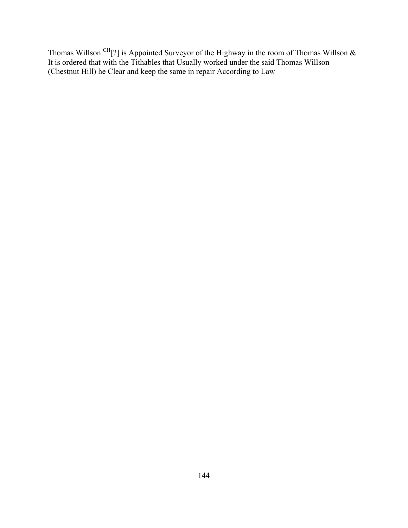Thomas Willson <sup>CH</sup>[?] is Appointed Surveyor of the Highway in the room of Thomas Willson  $\&$ It is ordered that with the Tithables that Usually worked under the said Thomas Willson (Chestnut Hill) he Clear and keep the same in repair According to Law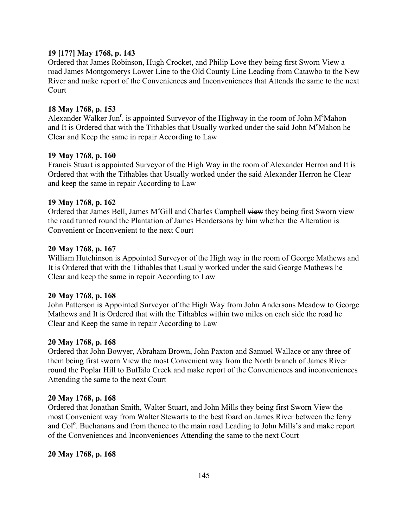### **19 [17?] May 1768, p. 143**

Ordered that James Robinson, Hugh Crocket, and Philip Love they being first Sworn View a road James Montgomerys Lower Line to the Old County Line Leading from Catawbo to the New River and make report of the Conveniences and Inconveniences that Attends the same to the next Court

### **18 May 1768, p. 153**

Alexander Walker Jun<sup>r</sup>. is appointed Surveyor of the Highway in the room of John M<sup>c</sup>Mahon and It is Ordered that with the Tithables that Usually worked under the said John M°Mahon he Clear and Keep the same in repair According to Law

#### **19 May 1768, p. 160**

Francis Stuart is appointed Surveyor of the High Way in the room of Alexander Herron and It is Ordered that with the Tithables that Usually worked under the said Alexander Herron he Clear and keep the same in repair According to Law

#### **19 May 1768, p. 162**

Ordered that James Bell, James M<sup>c</sup>Gill and Charles Campbell view they being first Sworn view the road turned round the Plantation of James Hendersons by him whether the Alteration is Convenient or Inconvenient to the next Court

### **20 May 1768, p. 167**

William Hutchinson is Appointed Surveyor of the High way in the room of George Mathews and It is Ordered that with the Tithables that Usually worked under the said George Mathews he Clear and keep the same in repair According to Law

#### **20 May 1768, p. 168**

John Patterson is Appointed Surveyor of the High Way from John Andersons Meadow to George Mathews and It is Ordered that with the Tithables within two miles on each side the road he Clear and Keep the same in repair According to Law

#### **20 May 1768, p. 168**

Ordered that John Bowyer, Abraham Brown, John Paxton and Samuel Wallace or any three of them being first sworn View the most Convenient way from the North branch of James River round the Poplar Hill to Buffalo Creek and make report of the Conveniences and inconveniences Attending the same to the next Court

#### **20 May 1768, p. 168**

Ordered that Jonathan Smith, Walter Stuart, and John Mills they being first Sworn View the most Convenient way from Walter Stewarts to the best foard on James River between the ferry and Col<sup>o</sup>. Buchanans and from thence to the main road Leading to John Mills's and make report of the Conveniences and Inconveniences Attending the same to the next Court

#### **20 May 1768, p. 168**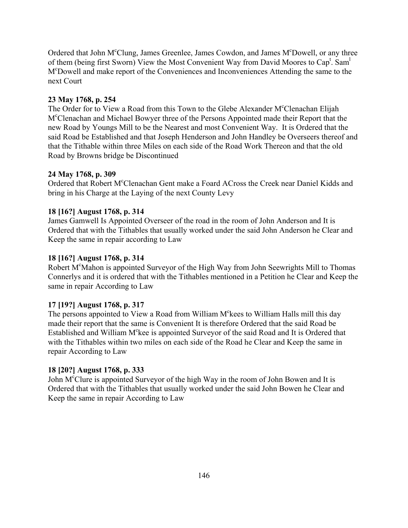Ordered that John M°Clung, James Greenlee, James Cowdon, and James M°Dowell, or any three of them (being first Sworn) View the Most Convenient Way from David Moores to Cap<sup>t</sup>. Sam<sup>1</sup> Mc Dowell and make report of the Conveniences and Inconveniences Attending the same to the next Court

## **23 May 1768, p. 254**

The Order for to View a Road from this Town to the Glebe Alexander M°Clenachan Elijah Mc Clenachan and Michael Bowyer three of the Persons Appointed made their Report that the new Road by Youngs Mill to be the Nearest and most Convenient Way. It is Ordered that the said Road be Established and that Joseph Henderson and John Handley be Overseers thereof and that the Tithable within three Miles on each side of the Road Work Thereon and that the old Road by Browns bridge be Discontinued

## **24 May 1768, p. 309**

Ordered that Robert M°Clenachan Gent make a Foard ACross the Creek near Daniel Kidds and bring in his Charge at the Laying of the next County Levy

## **18 [16?] August 1768, p. 314**

James Gamwell Is Appointed Overseer of the road in the room of John Anderson and It is Ordered that with the Tithables that usually worked under the said John Anderson he Clear and Keep the same in repair according to Law

## **18 [16?] August 1768, p. 314**

Robert M<sup>c</sup>Mahon is appointed Surveyor of the High Way from John Seewrights Mill to Thomas Connerlys and it is ordered that with the Tithables mentioned in a Petition he Clear and Keep the same in repair According to Law

## **17 [19?] August 1768, p. 317**

The persons appointed to View a Road from William M<sup>c</sup>kees to William Halls mill this day made their report that the same is Convenient It is therefore Ordered that the said Road be Established and William M°kee is appointed Surveyor of the said Road and It is Ordered that with the Tithables within two miles on each side of the Road he Clear and Keep the same in repair According to Law

## **18 [20?] August 1768, p. 333**

John M<sup>c</sup>Clure is appointed Surveyor of the high Way in the room of John Bowen and It is Ordered that with the Tithables that usually worked under the said John Bowen he Clear and Keep the same in repair According to Law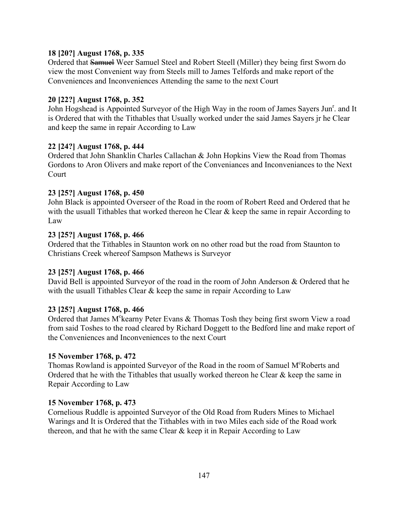## **18 [20?] August 1768, p. 335**

Ordered that Samuel Weer Samuel Steel and Robert Steell (Miller) they being first Sworn do view the most Convenient way from Steels mill to James Telfords and make report of the Conveniences and Inconveniences Attending the same to the next Court

## **20 [22?] August 1768, p. 352**

John Hogshead is Appointed Surveyor of the High Way in the room of James Sayers Jun<sup>r</sup>. and It is Ordered that with the Tithables that Usually worked under the said James Sayers jr he Clear and keep the same in repair According to Law

## **22 [24?] August 1768, p. 444**

Ordered that John Shanklin Charles Callachan & John Hopkins View the Road from Thomas Gordons to Aron Olivers and make report of the Conveniances and Inconveniances to the Next Court

## **23 [25?] August 1768, p. 450**

John Black is appointed Overseer of the Road in the room of Robert Reed and Ordered that he with the usuall Tithables that worked thereon he Clear  $\&$  keep the same in repair According to Law

## **23 [25?] August 1768, p. 466**

Ordered that the Tithables in Staunton work on no other road but the road from Staunton to Christians Creek whereof Sampson Mathews is Surveyor

## **23 [25?] August 1768, p. 466**

David Bell is appointed Surveyor of the road in the room of John Anderson & Ordered that he with the usuall Tithables Clear  $\&$  keep the same in repair According to Law

## **23 [25?] August 1768, p. 466**

Ordered that James M<sup>c</sup>kearny Peter Evans & Thomas Tosh they being first sworn View a road from said Toshes to the road cleared by Richard Doggett to the Bedford line and make report of the Conveniences and Inconveniences to the next Court

## **15 November 1768, p. 472**

Thomas Rowland is appointed Surveyor of the Road in the room of Samuel M<sup>c</sup>Roberts and Ordered that he with the Tithables that usually worked thereon he Clear  $\&$  keep the same in Repair According to Law

## **15 November 1768, p. 473**

Cornelious Ruddle is appointed Surveyor of the Old Road from Ruders Mines to Michael Warings and It is Ordered that the Tithables with in two Miles each side of the Road work thereon, and that he with the same Clear & keep it in Repair According to Law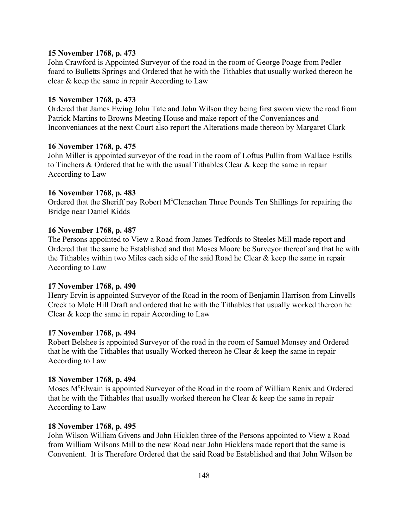#### **15 November 1768, p. 473**

John Crawford is Appointed Surveyor of the road in the room of George Poage from Pedler foard to Bulletts Springs and Ordered that he with the Tithables that usually worked thereon he clear & keep the same in repair According to Law

#### **15 November 1768, p. 473**

Ordered that James Ewing John Tate and John Wilson they being first sworn view the road from Patrick Martins to Browns Meeting House and make report of the Conveniances and Inconveniances at the next Court also report the Alterations made thereon by Margaret Clark

### **16 November 1768, p. 475**

John Miller is appointed surveyor of the road in the room of Loftus Pullin from Wallace Estills to Tinchers & Ordered that he with the usual Tithables Clear & keep the same in repair According to Law

### **16 November 1768, p. 483**

Ordered that the Sheriff pay Robert M°Clenachan Three Pounds Ten Shillings for repairing the Bridge near Daniel Kidds

### **16 November 1768, p. 487**

The Persons appointed to View a Road from James Tedfords to Steeles Mill made report and Ordered that the same be Established and that Moses Moore be Surveyor thereof and that he with the Tithables within two Miles each side of the said Road he Clear & keep the same in repair According to Law

#### **17 November 1768, p. 490**

Henry Ervin is appointed Surveyor of the Road in the room of Benjamin Harrison from Linvells Creek to Mole Hill Draft and ordered that he with the Tithables that usually worked thereon he Clear & keep the same in repair According to Law

#### **17 November 1768, p. 494**

Robert Belshee is appointed Surveyor of the road in the room of Samuel Monsey and Ordered that he with the Tithables that usually Worked thereon he Clear & keep the same in repair According to Law

### **18 November 1768, p. 494**

Moses M<sup>c</sup>Elwain is appointed Surveyor of the Road in the room of William Renix and Ordered that he with the Tithables that usually worked thereon he Clear & keep the same in repair According to Law

#### **18 November 1768, p. 495**

John Wilson William Givens and John Hicklen three of the Persons appointed to View a Road from William Wilsons Mill to the new Road near John Hicklens made report that the same is Convenient. It is Therefore Ordered that the said Road be Established and that John Wilson be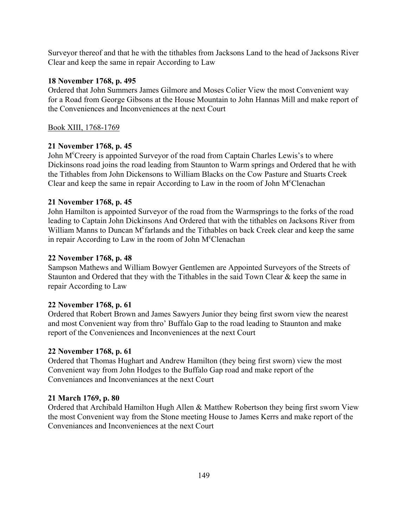Surveyor thereof and that he with the tithables from Jacksons Land to the head of Jacksons River Clear and keep the same in repair According to Law

## **18 November 1768, p. 495**

Ordered that John Summers James Gilmore and Moses Colier View the most Convenient way for a Road from George Gibsons at the House Mountain to John Hannas Mill and make report of the Conveniences and Inconveniences at the next Court

## Book XIII, 1768-1769

## **21 November 1768, p. 45**

John M<sup>c</sup>Creery is appointed Surveyor of the road from Captain Charles Lewis's to where Dickinsons road joins the road leading from Staunton to Warm springs and Ordered that he with the Tithables from John Dickensons to William Blacks on the Cow Pasture and Stuarts Creek Clear and keep the same in repair According to Law in the room of John M°Clenachan

## **21 November 1768, p. 45**

John Hamilton is appointed Surveyor of the road from the Warmsprings to the forks of the road leading to Captain John Dickinsons And Ordered that with the tithables on Jacksons River from William Manns to Duncan M<sup>c</sup>farlands and the Tithables on back Creek clear and keep the same in repair According to Law in the room of John M°Clenachan

## **22 November 1768, p. 48**

Sampson Mathews and William Bowyer Gentlemen are Appointed Surveyors of the Streets of Staunton and Ordered that they with the Tithables in the said Town Clear & keep the same in repair According to Law

## **22 November 1768, p. 61**

Ordered that Robert Brown and James Sawyers Junior they being first sworn view the nearest and most Convenient way from thro' Buffalo Gap to the road leading to Staunton and make report of the Conveniences and Inconveniences at the next Court

## **22 November 1768, p. 61**

Ordered that Thomas Hughart and Andrew Hamilton (they being first sworn) view the most Convenient way from John Hodges to the Buffalo Gap road and make report of the Conveniances and Inconveniances at the next Court

## **21 March 1769, p. 80**

Ordered that Archibald Hamilton Hugh Allen & Matthew Robertson they being first sworn View the most Convenient way from the Stone meeting House to James Kerrs and make report of the Conveniances and Inconveniences at the next Court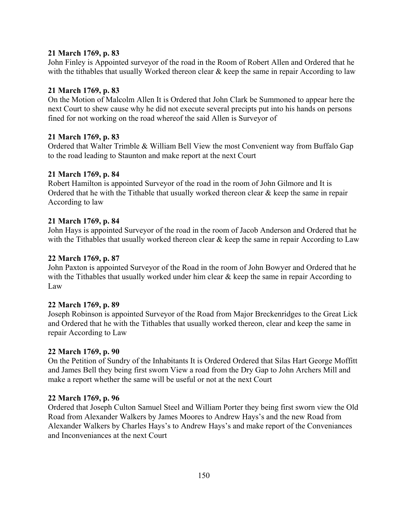## **21 March 1769, p. 83**

John Finley is Appointed surveyor of the road in the Room of Robert Allen and Ordered that he with the tithables that usually Worked thereon clear  $\&$  keep the same in repair According to law

## **21 March 1769, p. 83**

On the Motion of Malcolm Allen It is Ordered that John Clark be Summoned to appear here the next Court to shew cause why he did not execute several precipts put into his hands on persons fined for not working on the road whereof the said Allen is Surveyor of

### **21 March 1769, p. 83**

Ordered that Walter Trimble & William Bell View the most Convenient way from Buffalo Gap to the road leading to Staunton and make report at the next Court

### **21 March 1769, p. 84**

Robert Hamilton is appointed Surveyor of the road in the room of John Gilmore and It is Ordered that he with the Tithable that usually worked thereon clear & keep the same in repair According to law

### **21 March 1769, p. 84**

John Hays is appointed Surveyor of the road in the room of Jacob Anderson and Ordered that he with the Tithables that usually worked thereon clear  $\&$  keep the same in repair According to Law

### **22 March 1769, p. 87**

John Paxton is appointed Surveyor of the Road in the room of John Bowyer and Ordered that he with the Tithables that usually worked under him clear  $\&$  keep the same in repair According to Law

## **22 March 1769, p. 89**

Joseph Robinson is appointed Surveyor of the Road from Major Breckenridges to the Great Lick and Ordered that he with the Tithables that usually worked thereon, clear and keep the same in repair According to Law

#### **22 March 1769, p. 90**

On the Petition of Sundry of the Inhabitants It is Ordered Ordered that Silas Hart George Moffitt and James Bell they being first sworn View a road from the Dry Gap to John Archers Mill and make a report whether the same will be useful or not at the next Court

#### **22 March 1769, p. 96**

Ordered that Joseph Culton Samuel Steel and William Porter they being first sworn view the Old Road from Alexander Walkers by James Moores to Andrew Hays's and the new Road from Alexander Walkers by Charles Hays's to Andrew Hays's and make report of the Conveniances and Inconveniances at the next Court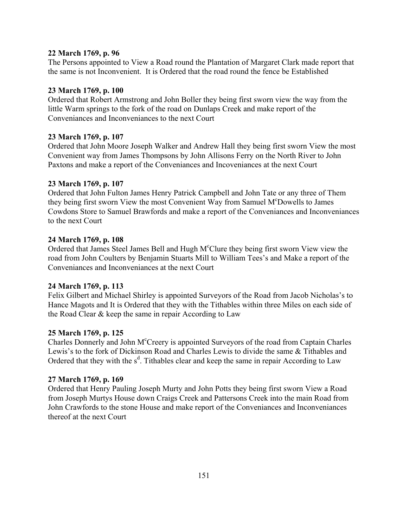## **22 March 1769, p. 96**

The Persons appointed to View a Road round the Plantation of Margaret Clark made report that the same is not Inconvenient. It is Ordered that the road round the fence be Established

## **23 March 1769, p. 100**

Ordered that Robert Armstrong and John Boller they being first sworn view the way from the little Warm springs to the fork of the road on Dunlaps Creek and make report of the Conveniances and Inconveniances to the next Court

## **23 March 1769, p. 107**

Ordered that John Moore Joseph Walker and Andrew Hall they being first sworn View the most Convenient way from James Thompsons by John Allisons Ferry on the North River to John Paxtons and make a report of the Conveniances and Incoveniances at the next Court

## **23 March 1769, p. 107**

Ordered that John Fulton James Henry Patrick Campbell and John Tate or any three of Them they being first sworn View the most Convenient Way from Samuel M°Dowells to James Cowdons Store to Samuel Brawfords and make a report of the Conveniances and Inconveniances to the next Court

## **24 March 1769, p. 108**

Ordered that James Steel James Bell and Hugh M°Clure they being first sworn View view the road from John Coulters by Benjamin Stuarts Mill to William Tees's and Make a report of the Conveniances and Inconveniances at the next Court

## **24 March 1769, p. 113**

Felix Gilbert and Michael Shirley is appointed Surveyors of the Road from Jacob Nicholas's to Hance Magots and It is Ordered that they with the Tithables within three Miles on each side of the Road Clear & keep the same in repair According to Law

## **25 March 1769, p. 125**

Charles Donnerly and John M<sup>c</sup>Creery is appointed Surveyors of the road from Captain Charles Lewis's to the fork of Dickinson Road and Charles Lewis to divide the same & Tithables and Ordered that they with the  $s^d$ . Tithables clear and keep the same in repair According to Law

## **27 March 1769, p. 169**

Ordered that Henry Pauling Joseph Murty and John Potts they being first sworn View a Road from Joseph Murtys House down Craigs Creek and Pattersons Creek into the main Road from John Crawfords to the stone House and make report of the Conveniances and Inconveniances thereof at the next Court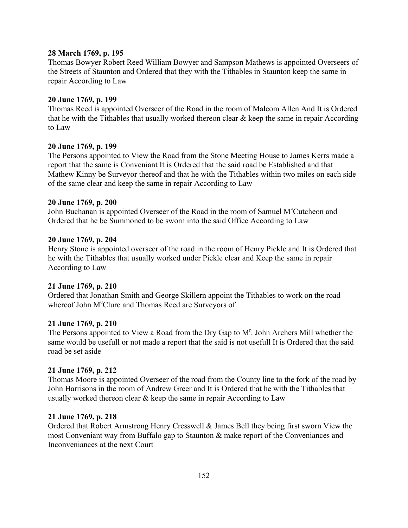### **28 March 1769, p. 195**

Thomas Bowyer Robert Reed William Bowyer and Sampson Mathews is appointed Overseers of the Streets of Staunton and Ordered that they with the Tithables in Staunton keep the same in repair According to Law

### **20 June 1769, p. 199**

Thomas Reed is appointed Overseer of the Road in the room of Malcom Allen And It is Ordered that he with the Tithables that usually worked thereon clear  $\&$  keep the same in repair According to Law

### **20 June 1769, p. 199**

The Persons appointed to View the Road from the Stone Meeting House to James Kerrs made a report that the same is Conveniant It is Ordered that the said road be Established and that Mathew Kinny be Surveyor thereof and that he with the Tithables within two miles on each side of the same clear and keep the same in repair According to Law

### **20 June 1769, p. 200**

John Buchanan is appointed Overseer of the Road in the room of Samuel M°Cutcheon and Ordered that he be Summoned to be sworn into the said Office According to Law

### **20 June 1769, p. 204**

Henry Stone is appointed overseer of the road in the room of Henry Pickle and It is Ordered that he with the Tithables that usually worked under Pickle clear and Keep the same in repair According to Law

## **21 June 1769, p. 210**

Ordered that Jonathan Smith and George Skillern appoint the Tithables to work on the road whereof John M<sup>c</sup>Clure and Thomas Reed are Surveyors of

#### **21 June 1769, p. 210**

The Persons appointed to View a Road from the Dry Gap to M<sup>r</sup>. John Archers Mill whether the same would be usefull or not made a report that the said is not usefull It is Ordered that the said road be set aside

## **21 June 1769, p. 212**

Thomas Moore is appointed Overseer of the road from the County line to the fork of the road by John Harrisons in the room of Andrew Greer and It is Ordered that he with the Tithables that usually worked thereon clear & keep the same in repair According to Law

#### **21 June 1769, p. 218**

Ordered that Robert Armstrong Henry Cresswell & James Bell they being first sworn View the most Conveniant way from Buffalo gap to Staunton & make report of the Conveniances and Inconveniances at the next Court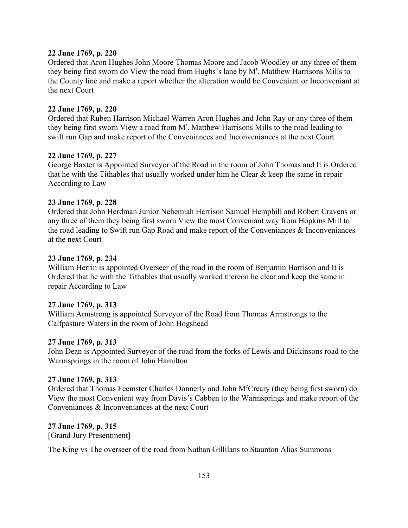### **22 June 1769, p. 220**

Ordered that Aron Hughes John Moore Thomas Moore and Jacob Woodley or any three of them they being first sworn do View the road from Hughs's lane by  $M<sup>r</sup>$ . Matthew Harrisons Mills to the County line and make a report whether the alteration would be Conveniant or Inconveniant at the next Court

### **22 June 1769, p. 220**

Ordered that Ruben Harrison Michael Warren Aron Hughes and John Ray or any three of them they being first sworn View a road from M<sup>r</sup>. Matthew Harrisons Mills to the road leading to swift run Gap and make report of the Conveniances and Inconveniances at the next Court

### **22 June 1769, p. 227**

George Baxter is Appointed Surveyor of the Road in the room of John Thomas and It is Ordered that he with the Tithables that usually worked under him he Clear & keep the same in repair According to Law

## **23 June 1769, p. 228**

Ordered that John Herdman Junior Nehemiah Harrison Samuel Hemphill and Robert Cravens or any three of them they being first sworn View the most Conveniant way from Hopkins Mill to the road leading to Swift run Gap Road and make report of the Conveniances & Inconveniances at the next Court

### **23 June 1769, p. 234**

William Herrin is appointed Overseer of the road in the room of Benjamin Harrison and It is Ordered that he with the Tithables that usually worked thereon he clear and keep the same in repair According to Law

## **27 June 1769, p. 313**

William Armstrong is appointed Surveyor of the Road from Thomas Armstrongs to the Calfpasture Waters in the room of John Hogshead

## **27 June 1769, p. 313**

John Dean is Appointed Surveyor of the road from the forks of Lewis and Dickinsons road to the Warmsprings in the room of John Hamilton

## **27 June 1769, p. 313**

Ordered that Thomas Feemster Charles Donnerly and John M°Creary (they being first sworn) do View the most Convenient way from Davis's Cabben to the Warmsprings and make report of the Conveniances & Inconveniances at the next Court

## **27 June 1769, p. 315**

[Grand Jury Presentment]

The King vs The overseer of the road from Nathan Gillilans to Staunton Alias Summons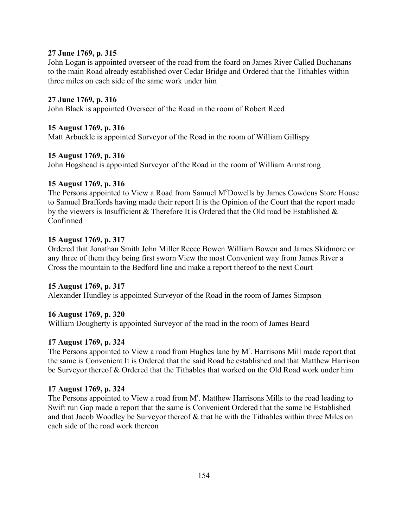### **27 June 1769, p. 315**

John Logan is appointed overseer of the road from the foard on James River Called Buchanans to the main Road already established over Cedar Bridge and Ordered that the Tithables within three miles on each side of the same work under him

### **27 June 1769, p. 316**

John Black is appointed Overseer of the Road in the room of Robert Reed

### **15 August 1769, p. 316**

Matt Arbuckle is appointed Surveyor of the Road in the room of William Gillispy

### **15 August 1769, p. 316**

John Hogshead is appointed Surveyor of the Road in the room of William Armstrong

### **15 August 1769, p. 316**

The Persons appointed to View a Road from Samuel M°Dowells by James Cowdens Store House to Samuel Braffords having made their report It is the Opinion of the Court that the report made by the viewers is Insufficient  $\&$  Therefore It is Ordered that the Old road be Established  $\&$ Confirmed

### **15 August 1769, p. 317**

Ordered that Jonathan Smith John Miller Reece Bowen William Bowen and James Skidmore or any three of them they being first sworn View the most Convenient way from James River a Cross the mountain to the Bedford line and make a report thereof to the next Court

## **15 August 1769, p. 317**

Alexander Hundley is appointed Surveyor of the Road in the room of James Simpson

## **16 August 1769, p. 320**

William Dougherty is appointed Surveyor of the road in the room of James Beard

## **17 August 1769, p. 324**

The Persons appointed to View a road from Hughes lane by M<sup>r</sup>. Harrisons Mill made report that the same is Convenient It is Ordered that the said Road be established and that Matthew Harrison be Surveyor thereof & Ordered that the Tithables that worked on the Old Road work under him

## **17 August 1769, p. 324**

The Persons appointed to View a road from M<sup>r</sup>. Matthew Harrisons Mills to the road leading to Swift run Gap made a report that the same is Convenient Ordered that the same be Established and that Jacob Woodley be Surveyor thereof & that he with the Tithables within three Miles on each side of the road work thereon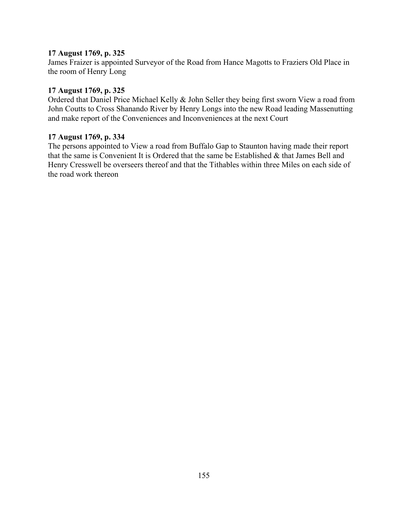## **17 August 1769, p. 325**

James Fraizer is appointed Surveyor of the Road from Hance Magotts to Fraziers Old Place in the room of Henry Long

## **17 August 1769, p. 325**

Ordered that Daniel Price Michael Kelly & John Seller they being first sworn View a road from John Coutts to Cross Shanando River by Henry Longs into the new Road leading Massenutting and make report of the Conveniences and Inconveniences at the next Court

## **17 August 1769, p. 334**

The persons appointed to View a road from Buffalo Gap to Staunton having made their report that the same is Convenient It is Ordered that the same be Established & that James Bell and Henry Cresswell be overseers thereof and that the Tithables within three Miles on each side of the road work thereon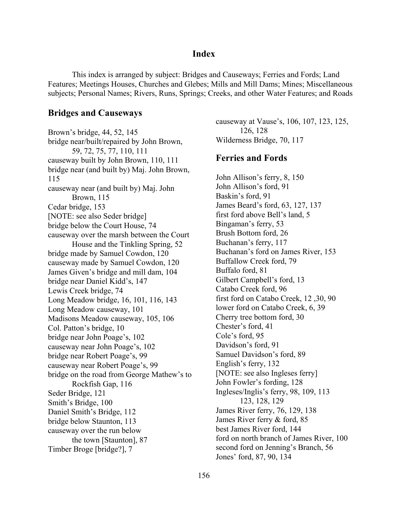## **Index**

This index is arranged by subject: Bridges and Causeways; Ferries and Fords; Land Features; Meetings Houses, Churches and Glebes; Mills and Mill Dams; Mines; Miscellaneous subjects; Personal Names; Rivers, Runs, Springs; Creeks, and other Water Features; and Roads

#### **Bridges and Causeways**

Brown's bridge, 44, 52, 145 bridge near/built/repaired by John Brown, 59, 72, 75, 77, 110, 111 causeway built by John Brown, 110, 111 bridge near (and built by) Maj. John Brown, 115 causeway near (and built by) Maj. John Brown, 115 Cedar bridge, 153 [NOTE: see also Seder bridge] bridge below the Court House, 74 causeway over the marsh between the Court House and the Tinkling Spring, 52 bridge made by Samuel Cowdon, 120 causeway made by Samuel Cowdon, 120 James Given's bridge and mill dam, 104 bridge near Daniel Kidd's, 147 Lewis Creek bridge, 74 Long Meadow bridge, 16, 101, 116, 143 Long Meadow causeway, 101 Madisons Meadow causeway, 105, 106 Col. Patton's bridge, 10 bridge near John Poage's, 102 causeway near John Poage's, 102 bridge near Robert Poage's, 99 causeway near Robert Poage's, 99 bridge on the road from George Mathew's to Rockfish Gap, 116 Seder Bridge, 121 Smith's Bridge, 100 Daniel Smith's Bridge, 112 bridge below Staunton, 113 causeway over the run below the town [Staunton], 87 Timber Broge [bridge?], 7

causeway at Vause's, 106, 107, 123, 125, 126, 128 Wilderness Bridge, 70, 117

## **Ferries and Fords**

John Allison's ferry, 8, 150 John Allison's ford, 91 Baskin's ford, 91 James Beard's ford, 63, 127, 137 first ford above Bell's land, 5 Bingaman's ferry, 53 Brush Bottom ford, 26 Buchanan's ferry, 117 Buchanan's ford on James River, 153 Buffallow Creek ford, 79 Buffalo ford, 81 Gilbert Campbell's ford, 13 Catabo Creek ford, 96 first ford on Catabo Creek, 12 ,30, 90 lower ford on Catabo Creek, 6, 39 Cherry tree bottom ford, 30 Chester's ford, 41 Cole's ford, 95 Davidson's ford, 91 Samuel Davidson's ford, 89 English's ferry, 132 [NOTE: see also Ingleses ferry] John Fowler's fording, 128 Ingleses/Inglis's ferry, 98, 109, 113 123, 128, 129 James River ferry, 76, 129, 138 James River ferry & ford, 85 best James River ford, 144 ford on north branch of James River, 100 second ford on Jenning's Branch, 56 Jones' ford, 87, 90, 134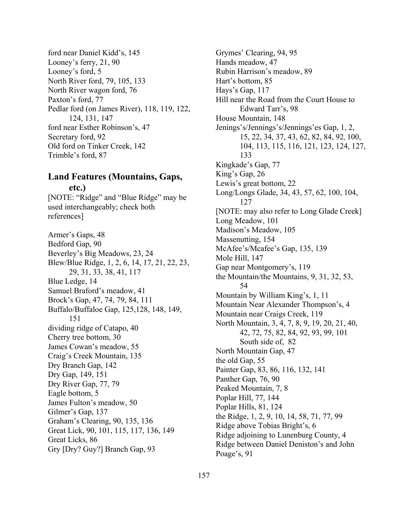ford near Daniel Kidd's, 145 Looney's ferry,  $21, 90$ Looney's ford, 5 North River ford, 79, 105, 133 North River wagon ford, 76 Paxton's ford, 77 Pedlar ford (on James River), 118, 119, 122, 124, 131, 147 ford near Esther Robinson's, 47 Secretary ford, 92 Old ford on Tinker Creek, 142 Trimble's ford, 87

## **Land Features (Mountains, Gaps, etc.)**

[NOTE: "Ridge" and "Blue Ridge" may be used interchangeably; check both references]

Armer's Gaps, 48 Bedford Gap, 90 Beverley's Big Meadows, 23, 24 Blew/Blue Ridge, 1, 2, 6, 14, 17, 21, 22, 23, 29, 31, 33, 38, 41, 117 Blue Ledge, 14 Samuel Braford's meadow, 41 Brock's Gap, 47, 74, 79, 84, 111 Buffalo/Buffaloe Gap, 125,128, 148, 149, 151 dividing ridge of Catapo, 40 Cherry tree bottom, 30 James Cowan's meadow, 55 Craig's Creek Mountain, 135 Dry Branch Gap, 142 Dry Gap, 149, 151 Dry River Gap, 77, 79 Eagle bottom, 5 James Fulton's meadow, 50 Gilmer's Gap, 137 Grahamís Clearing, 90, 135, 136 Great Lick, 90, 101, 115, 117, 136, 149 Great Licks, 86 Gry [Dry? Guy?] Branch Gap, 93

Grymes' Clearing, 94, 95 Hands meadow, 47 Rubin Harrison's meadow, 89 Hart's bottom, 85 Hays's Gap,  $117$ Hill near the Road from the Court House to Edward Tarr's, 98 House Mountain, 148 Jenings's/Jennings's/Jennings'es Gap, 1, 2, 15, 22, 34, 37, 43, 62, 82, 84, 92, 100, 104, 113, 115, 116, 121, 123, 124, 127, 133 Kingkade's Gap, 77 King's Gap, 26 Lewis's great bottom, 22 Long/Longs Glade, 34, 43, 57, 62, 100, 104, 127 [NOTE: may also refer to Long Glade Creek] Long Meadow, 101 Madison's Meadow, 105 Massenutting, 154 McAfee's/Mcafee's Gap, 135, 139 Mole Hill, 147 Gap near Montgomery's, 119 the Mountain/the Mountains, 9, 31, 32, 53, 54 Mountain by William King's, 1, 11 Mountain Near Alexander Thompson's, 4 Mountain near Craigs Creek, 119 North Mountain, 3, 4, 7, 8, 9, 19, 20, 21, 40, 42, 72, 75, 82, 84, 92, 93, 99, 101 South side of, 82 North Mountain Gap, 47 the old Gap, 55 Painter Gap, 83, 86, 116, 132, 141 Panther Gap, 76, 90 Peaked Mountain, 7, 8 Poplar Hill, 77, 144 Poplar Hills, 81, 124 the Ridge, 1, 2, 9, 10, 14, 58, 71, 77, 99 Ridge above Tobias Bright's, 6 Ridge adjoining to Lunenburg County, 4 Ridge between Daniel Deniston's and John Poage's, 91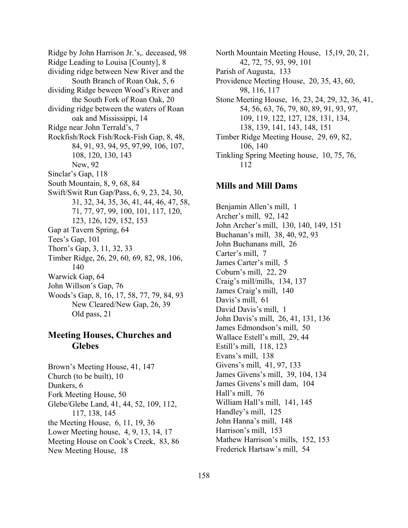Ridge by John Harrison Jr.'s, deceased, 98 Ridge Leading to Louisa [County], 8 dividing ridge between New River and the South Branch of Roan Oak, 5, 6 dividing Ridge beween Wood's River and the South Fork of Roan Oak, 20 dividing ridge between the waters of Roan oak and Mississippi, 14 Ridge near John Terrald's, 7 Rockfish/Rock Fish/Rock-Fish Gap, 8, 48, 84, 91, 93, 94, 95, 97,99, 106, 107, 108, 120, 130, 143 New, 92 Sinclar's Gap, 118 South Mountain, 8, 9, 68, 84 Swift/Swit Run Gap/Pass, 6, 9, 23, 24, 30, 31, 32, 34, 35, 36, 41, 44, 46, 47, 58, 71, 77, 97, 99, 100, 101, 117, 120, 123, 126, 129, 152, 153 Gap at Tavern Spring, 64 Tees's Gap, 101 Thorn's Gap, 3, 11, 32, 33 Timber Ridge, 26, 29, 60, 69, 82, 98, 106, 140 Warwick Gap, 64 John Willson's Gap, 76 Woods's Gap, 8, 16, 17, 58, 77, 79, 84, 93 New Cleared/New Gap, 26, 39 Old pass, 21

# **Meeting Houses, Churches and Glebes**

Brown's Meeting House, 41, 147 Church (to be built), 10 Dunkers, 6 Fork Meeting House, 50 Glebe/Glebe Land, 41, 44, 52, 109, 112, 117, 138, 145 the Meeting House, 6, 11, 19, 36 Lower Meeting house, 4, 9, 13, 14, 17 Meeting House on Cook's Creek, 83, 86 New Meeting House, 18

North Mountain Meeting House, 15,19, 20, 21, 42, 72, 75, 93, 99, 101 Parish of Augusta, 133 Providence Meeting House, 20, 35, 43, 60, 98, 116, 117 Stone Meeting House, 16, 23, 24, 29, 32, 36, 41, 54, 56, 63, 76, 79, 80, 89, 91, 93, 97, 109, 119, 122, 127, 128, 131, 134, 138, 139, 141, 143, 148, 151 Timber Ridge Meeting House, 29, 69, 82, 106, 140 Tinkling Spring Meeting house, 10, 75, 76, 112

## **Mills and Mill Dams**

Benjamin Allen's mill, 1 Archer's mill, 92, 142 John Archer's mill, 130, 140, 149, 151 Buchanan's mill, 38, 40, 92, 93 John Buchanans mill, 26 Carter's mill, 7 James Carter's mill, 5 Coburn's mill,  $22, 29$ Craig's mill/mills, 134, 137 James Craig's mill, 140 Davis's mill, 61 David Davis's mill. 1 John Davis's mill, 26, 41, 131, 136 James Edmondson's mill, 50 Wallace Estell's mill, 29, 44 Estill's mill, 118, 123 Evans's mill, 138 Givens's mill, 41, 97, 133 James Givens's mill, 39, 104, 134 James Givens's mill dam, 104 Hall's mill, 76 William Hall's mill, 141, 145 Handley's mill, 125 John Hanna's mill, 148 Harrison's mill, 153 Mathew Harrison's mills, 152, 153 Frederick Hartsaw's mill, 54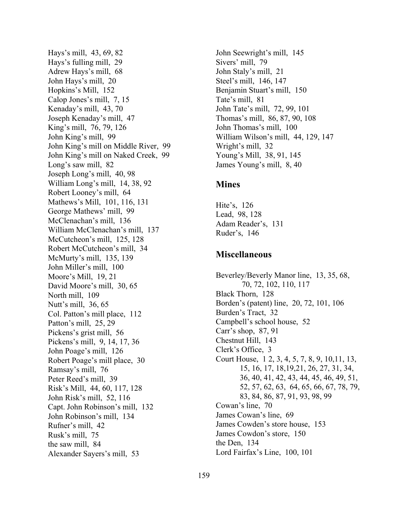Hays's mill, 43, 69, 82 Hays's fulling mill, 29 Adrew Hays's mill, 68 John Hays's mill, 20 Hopkins's Mill, 152 Calop Jones's mill, 7, 15 Kenaday's mill, 43, 70 Joseph Kenaday's mill, 47 King's mill, 76, 79, 126 John King's mill, 99 John King's mill on Middle River, 99 John King's mill on Naked Creek, 99 Long's saw mill, 82 Joseph Long's mill, 40, 98 William Long's mill, 14, 38, 92 Robert Looney's mill, 64 Mathews's Mill, 101, 116, 131 George Mathews' mill, 99 McClenachan's mill, 136 William McClenachan's mill, 137 McCutcheon's mill, 125, 128 Robert McCutcheon's mill, 34 McMurty's mill, 135, 139 John Miller's mill, 100 Moore's Mill, 19, 21 David Moore's mill, 30, 65 North mill, 109 Nutt's mill, 36, 65 Col. Patton's mill place, 112 Patton's mill, 25, 29 Pickens's grist mill, 56 Pickens's mill, 9, 14, 17, 36 John Poage's mill, 126 Robert Poage's mill place, 30 Ramsay's mill, 76 Peter Reed's mill, 39 Riskís Mill, 44, 60, 117, 128 John Risk's mill, 52, 116 Capt. John Robinson's mill, 132 John Robinson's mill, 134 Rufner's mill, 42 Rusk's mill, 75 the saw mill, 84 Alexander Sayers's mill, 53

John Seewright's mill, 145 Sivers' mill, 79 John Staly's mill, 21 Steel's mill, 146, 147 Benjamin Stuart's mill, 150 Tate's mill, 81 John Tate's mill, 72, 99, 101 Thomas's mill, 86, 87, 90, 108 John Thomas's mill, 100 William Wilson's mill, 44, 129, 147 Wright's mill, 32 Young's Mill, 38, 91, 145 James Young's mill, 8, 40

## **Mines**

Hite's,  $126$ Lead, 98, 128 Adam Reader's, 131 Ruder's, 146

## **Miscellaneous**

Beverley/Beverly Manor line, 13, 35, 68, 70, 72, 102, 110, 117 Black Thorn, 128 Bordenís (patent) line, 20, 72, 101, 106 Burden's Tract, 32 Campbell's school house, 52 Carr's shop,  $87, 91$ Chestnut Hill, 143 Clerk's Office, 3 Court House, 1 2, 3, 4, 5, 7, 8, 9, 10,11, 13, 15, 16, 17, 18,19,21, 26, 27, 31, 34, 36, 40, 41, 42, 43, 44, 45, 46, 49, 51, 52, 57, 62, 63, 64, 65, 66, 67, 78, 79, 83, 84, 86, 87, 91, 93, 98, 99 Cowan's line, 70 James Cowan's line, 69 James Cowden's store house, 153 James Cowdon's store, 150 the Den, 134 Lord Fairfax's Line, 100, 101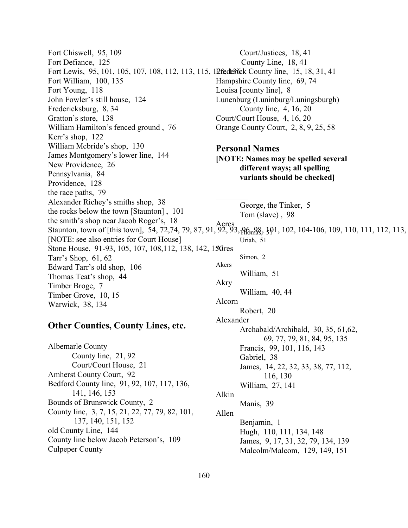Fort Chiswell, 95, 109 Fort Defiance, 125 Fort Lewis, 95, 101, 105, 107, 108, 112, 113, 115, 12fedesfeck County line, 15, 18, 31, 41 Fort William, 100, 135 Fort Young, 118 John Fowler's still house, 124 Fredericksburg, 8, 34 Gratton's store, 138 William Hamilton's fenced ground, 76 Kerr's shop, 122 William Mcbride's shop, 130 James Montgomery's lower line, 144 New Providence, 26 Pennsylvania, 84 Providence, 128 the race paths, 79 Alexander Richey's smiths shop, 38 the rocks below the town [Staunton] , 101 the smith's shop near Jacob Roger's, 18 Staunton, town of [this town], 54, 72,74, 79, 87, 91, 92, 93, 96, 98, 101, 102, 104-106, 109, 110, 111, 112, 113, [NOTE: see also entries for Court House] Stone House, 91-93, 105, 107, 108, 112, 138, 142, 130 ires Tarr's Shop,  $61, 62$ Edward Tarr's old shop, 106 Thomas Teat's shop, 44 Timber Broge, 7 Timber Grove, 10, 15 Warwick, 38, 134 **Other Counties, County Lines, etc.**  Albemarle County County line, 21, 92 Court/Justices, 18, 41 County Line, 18, 41 Hampshire County line, 69, 74 Louisa [county line], 8 Lunenburg (Luninburg/Luningsburgh) County line, 4, 16, 20 Court/Court House, 4, 16, 20 Orange County Court, 2, 8, 9, 25, 58 **Personal Names [NOTE: Names may be spelled several different ways; all spelling variants should be checked]**   $\frac{1}{2}$ George, the Tinker, 5 Tom (slave) , 98 Acres  $92, 93,$   $\gamma$ Homas,  $51$  Uriah, 51 Simon, 2 Akers William, 51 Akry William, 40, 44 Alcorn Robert, 20 Alexander Archabald/Archibald, 30, 35, 61,62, 69, 77, 79, 81, 84, 95, 135 Francis, 99, 101, 116, 143

Court/Court House, 21

- Amherst County Court, 92
- Bedford County line, 91, 92, 107, 117, 136, 141, 146, 153
- Bounds of Brunswick County, 2
- County line, 3, 7, 15, 21, 22, 77, 79, 82, 101,
- 137, 140, 151, 152
- old County Line, 144 County line below Jacob Peterson's, 109 Culpeper County

160

 Gabriel, 38 James, 14, 22, 32, 33, 38, 77, 112, 116, 130

 William, 27, 141 Alkin

Manis, 39

Allen

 Benjamin, 1 Hugh, 110, 111, 134, 148 James, 9, 17, 31, 32, 79, 134, 139 Malcolm/Malcom, 129, 149, 151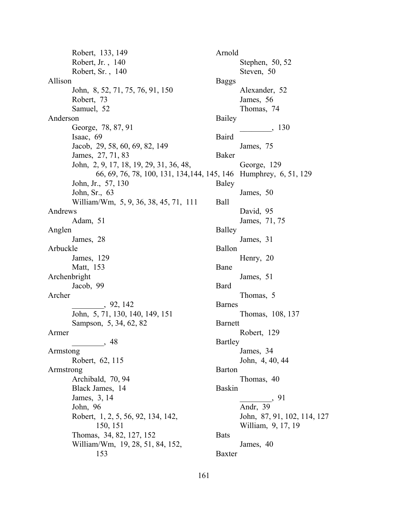Robert, 133, 149 Robert, Jr. , 140 Robert, Sr. , 140 Allison John, 8, 52, 71, 75, 76, 91, 150 Robert, 73 Samuel, 52 Anderson George, 78, 87, 91 Isaac, 69 Jacob, 29, 58, 60, 69, 82, 149 James, 27, 71, 83 John, 2, 9, 17, 18, 19, 29, 31, 36, 48, 66, 69, 76, 78, 100, 131, 134,144, 145, 146 Humphrey, 6, 51, 129 John, Jr., 57, 130 John, Sr., 63 William/Wm, 5, 9, 36, 38, 45, 71, 111 Andrews Adam, 51 Anglen James, 28 Arbuckle James, 129 Matt, 153 Archenbright Jacob, 99 Archer \_\_\_\_\_\_\_\_, 92, 142 John, 5, 71, 130, 140, 149, 151 Sampson, 5, 34, 62, 82 Armer \_\_\_\_\_\_\_\_, 48 Armstong Robert, 62, 115 Armstrong Archibald, 70, 94 Black James, 14 James, 3, 14 John, 96 Robert, 1, 2, 5, 56, 92, 134, 142, 150, 151 Thomas, 34, 82, 127, 152 William/Wm, 19, 28, 51, 84, 152, 153

Arnold Stephen, 50, 52 Steven, 50 Baggs Alexander, 52 James, 56 Thomas, 74 Bailey \_\_\_\_\_\_\_\_, 130 Baird James, 75 Baker George, 129 Baley James, 50 Ball David, 95 James, 71, 75 Balley James, 31 Ballon Henry, 20 Bane James, 51 Bard Thomas, 5 Barnes Thomas, 108, 137 Barnett Robert, 129 Bartley James, 34 John, 4, 40, 44 Barton Thomas, 40 Baskin \_\_\_\_\_\_\_\_, 91 Andr, 39 John, 87, 91, 102, 114, 127 William, 9, 17, 19 **Bats** James, 40 Baxter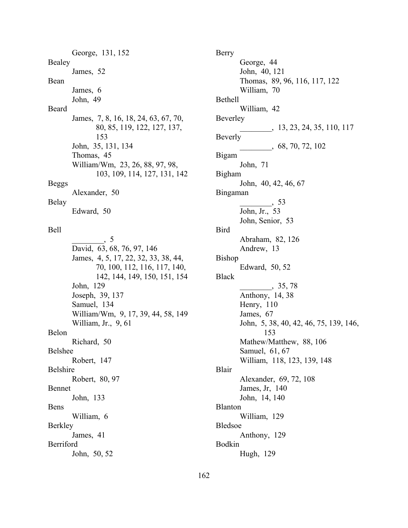George, 131, 152 Bealey James, 52 Bean James, 6 John, 49 Beard James, 7, 8, 16, 18, 24, 63, 67, 70, 80, 85, 119, 122, 127, 137, 153 John, 35, 131, 134 Thomas, 45 William/Wm, 23, 26, 88, 97, 98, 103, 109, 114, 127, 131, 142 Beggs Alexander, 50

#### Belay

Edward, 50

#### Bell

 $\overline{5}$ David, 63, 68, 76, 97, 146 James, 4, 5, 17, 22, 32, 33, 38, 44, 70, 100, 112, 116, 117, 140, 142, 144, 149, 150, 151, 154 John, 129 Joseph, 39, 137 Samuel, 134 William/Wm, 9, 17, 39, 44, 58, 149 William, Jr., 9, 61 Belon Richard, 50 Belshee Robert, 147 Belshire Robert, 80, 97 Bennet John, 133 Bens William, 6 Berkley James, 41 Berriford John, 50, 52

Berry George, 44 John, 40, 121 Thomas, 89, 96, 116, 117, 122 William, 70 Bethell William, 42 Beverley \_\_\_\_\_\_\_\_, 13, 23, 24, 35, 110, 117 Beverly<sup>-</sup> \_\_\_\_\_\_\_\_, 68, 70, 72, 102 Bigam John, 71 Bigham John, 40, 42, 46, 67 Bingaman \_\_\_\_\_\_\_\_, 53 John, Jr., 53 John, Senior, 53 Bird Abraham, 82, 126 Andrew, 13 Bishop Edward, 50, 52 Black  $\frac{1}{2}$ , 35, 78 Anthony, 14, 38 Henry, 110 James, 67 John, 5, 38, 40, 42, 46, 75, 139, 146, 153 Mathew/Matthew, 88, 106 Samuel, 61, 67 William, 118, 123, 139, 148 Blair Alexander, 69, 72, 108 James, Jr, 140 John, 14, 140 Blanton William, 129 Bledsoe Anthony, 129 Bodkin Hugh, 129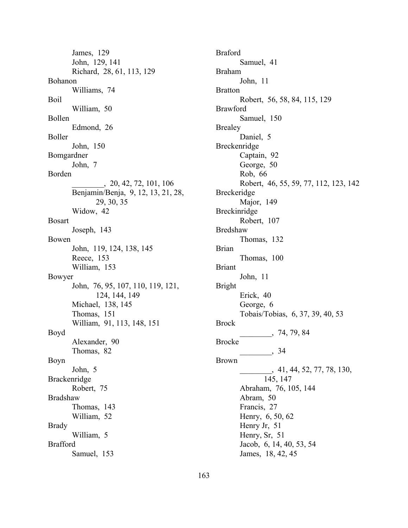James, 129 John, 129, 141 Richard, 28, 61, 113, 129 Bohanon Williams, 74 Boil William, 50 Bollen Edmond, 26 Boller John, 150 Bomgardner John, 7 Borden \_\_\_\_\_\_\_\_, 20, 42, 72, 101, 106 Benjamin/Benja, 9, 12, 13, 21, 28, 29, 30, 35 Widow, 42 Bosart Joseph, 143 Bowen John, 119, 124, 138, 145 Reece, 153 William, 153 Bowyer John, 76, 95, 107, 110, 119, 121, 124, 144, 149 Michael, 138, 145 Thomas, 151 William, 91, 113, 148, 151 Boyd Alexander, 90 Thomas, 82 Boyn John, 5 Brackenridge Robert, 75 Bradshaw Thomas, 143 William, 52 Brady William, 5 Brafford Samuel, 153

Braford Samuel, 41 Braham John, 11 Bratton Robert, 56, 58, 84, 115, 129 Brawford Samuel, 150 Brealey Daniel, 5 Breckenridge Captain, 92 George, 50 Rob, 66 Robert, 46, 55, 59, 77, 112, 123, 142 Breckeridge Major, 149 Breckinridge Robert, 107 Bredshaw Thomas, 132 Brian Thomas, 100 Briant John, 11 Bright Erick, 40 George, 6 Tobais/Tobias, 6, 37, 39, 40, 53 Brock \_\_\_\_\_\_\_\_, 74, 79, 84 Brocke  $\frac{34}{2}$ Brown  $\frac{1}{1}$ , 41, 44, 52, 77, 78, 130, 145, 147 Abraham, 76, 105, 144 Abram, 50 Francis, 27 Henry, 6, 50, 62 Henry Jr, 51 Henry, Sr, 51 Jacob, 6, 14, 40, 53, 54 James, 18, 42, 45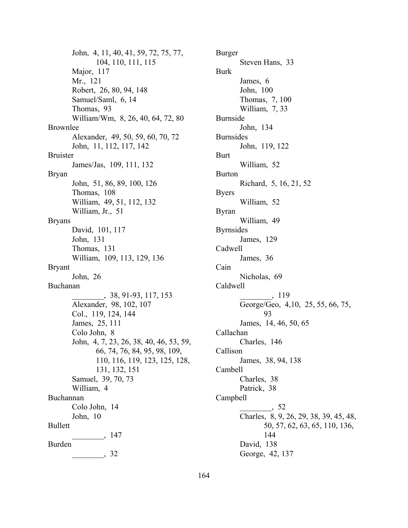John, 4, 11, 40, 41, 59, 72, 75, 77, 104, 110, 111, 115 Major, 117 Mr., 121 Robert, 26, 80, 94, 148 Samuel/Saml, 6, 14 Thomas, 93 William/Wm, 8, 26, 40, 64, 72, 80 Brownlee Alexander, 49, 50, 59, 60, 70, 72 John, 11, 112, 117, 142 Bruister James/Jas, 109, 111, 132 Bryan John, 51, 86, 89, 100, 126 Thomas, 108 William, 49, 51, 112, 132 William, Jr., 51 Bryans David, 101, 117 John, 131 Thomas, 131 William, 109, 113, 129, 136 Bryant John, 26 Buchanan \_\_\_\_\_\_\_\_, 38, 91-93, 117, 153 Alexander, 98, 102, 107 Col., 119, 124, 144 James, 25, 111 Colo John, 8 John, 4, 7, 23, 26, 38, 40, 46, 53, 59, 66, 74, 76, 84, 95, 98, 109, 110, 116, 119, 123, 125, 128, 131, 132, 151 Samuel, 39, 70, 73 William, 4 Buchannan Colo John, 14 John, 10 Bullett \_\_\_\_\_\_\_\_, 147 Burden  $\frac{1}{\sqrt{32}}$ 

Burger Steven Hans, 33 Burk James, 6 John, 100 Thomas, 7, 100 William, 7, 33 Burnside John, 134 Burnsides John, 119, 122 Burt William, 52 Burton Richard, 5, 16, 21, 52 Byers William, 52 Byran William, 49 Byrnsides James, 129 Cadwell James, 36 Cain Nicholas, 69 Caldwell \_\_\_\_\_\_\_\_, 119 George/Geo, 4,10, 25, 55, 66, 75, 93 James, 14, 46, 50, 65 Callachan Charles, 146 Callison James, 38, 94, 138 Cambell Charles, 38 Patrick, 38 Campbell \_\_\_\_\_\_\_\_, 52 Charles, 8, 9, 26, 29, 38, 39, 45, 48, 50, 57, 62, 63, 65, 110, 136, 144 David, 138 George, 42, 137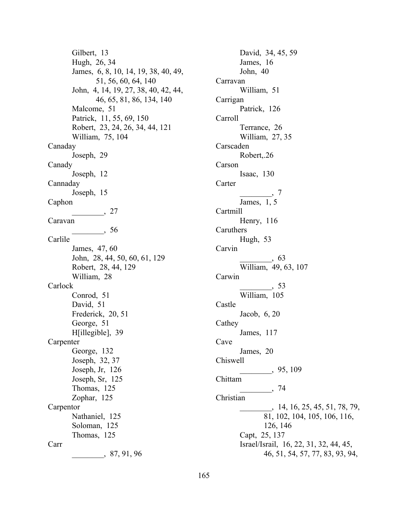Gilbert, 13 Hugh, 26, 34 James, 6, 8, 10, 14, 19, 38, 40, 49, 51, 56, 60, 64, 140 John, 4, 14, 19, 27, 38, 40, 42, 44, 46, 65, 81, 86, 134, 140 Malcome, 51 Patrick, 11, 55, 69, 150 Robert, 23, 24, 26, 34, 44, 121 William, 75, 104 Canaday Joseph, 29 Canady Joseph, 12 Cannaday Joseph, 15 Caphon  $\frac{1}{27}$ Caravan  $\frac{1}{\sqrt{25}}$ , 56 Carlile James, 47, 60 John, 28, 44, 50, 60, 61, 129 Robert, 28, 44, 129 William, 28 Carlock Conrod, 51 David, 51 Frederick, 20, 51 George, 51 H[illegible], 39 Carpenter George, 132 Joseph, 32, 37 Joseph, Jr, 126 Joseph, Sr, 125 Thomas, 125 Zophar, 125 Carpentor Nathaniel, 125 Soloman, 125 Thomas, 125 Carr \_\_\_\_\_\_\_\_, 87, 91, 96

David, 34, 45, 59 James, 16 John, 40 Carravan William, 51 Carrigan Patrick, 126 Carroll Terrance, 26 William, 27, 35 Carscaden Robert,.26 Carson Isaac, 130 Carter  $\qquad \qquad \ldots \qquad \qquad .$ James, 1, 5 Cartmill Henry, 116 Caruthers Hugh, 53 Carvin  $\overline{\phantom{0}}$ , 63 William, 49, 63, 107 Carwin  $\frac{1}{\sqrt{3}}$ , 53 William, 105 Castle Jacob, 6, 20 Cathey James, 117 Cave James, 20 Chiswell \_\_\_\_\_\_\_\_, 95, 109 Chittam \_\_\_\_\_\_\_\_, 74 Christian \_\_\_\_\_\_\_\_, 14, 16, 25, 45, 51, 78, 79, 81, 102, 104, 105, 106, 116, 126, 146 Capt, 25, 137 Israel/Israil, 16, 22, 31, 32, 44, 45, 46, 51, 54, 57, 77, 83, 93, 94,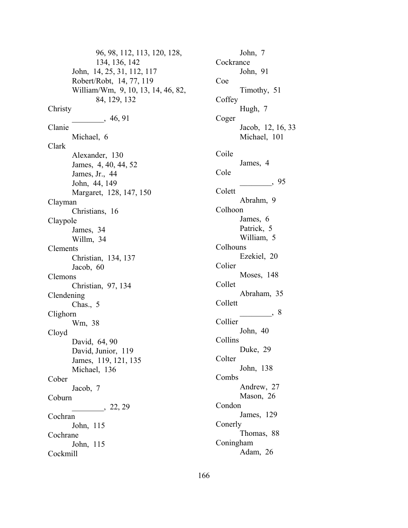96, 98, 112, 113, 120, 128, 134, 136, 142 John, 14, 25, 31, 112, 117 Robert/Robt, 14, 77, 119 William/Wm, 9, 10, 13, 14, 46, 82, 84, 129, 132 Christy  $\frac{46,91}{ }$ Clanie Michael, 6 Clark Alexander, 130 James, 4, 40, 44, 52 James, Jr., 44 John, 44, 149 Margaret, 128, 147, 150 Clayman Christians, 16 Claypole James, 34 Willm, 34 Clements Christian, 134, 137 Jacob, 60 Clemons Christian, 97, 134 Clendening Chas., 5 Clighorn Wm, 38 Cloyd David, 64, 90 David, Junior, 119 James, 119, 121, 135 Michael, 136 Cober Jacob, 7 Coburn  $\frac{22, 29}{ }$ Cochran John, 115 Cochrane John, 115 Cockmill

John, 7 Cockrance John, 91 Coe Timothy, 51 **Coffey** Hugh, 7 Coger Jacob, 12, 16, 33 Michael, 101 Coile James, 4 Cole  $\frac{1}{\sqrt{25}}$ , 95 Colett Abrahm, 9 Colhoon James, 6 Patrick, 5 William, 5 Colhouns Ezekiel, 20 Colier Moses, 148 Collet Abraham, 35 Collett  $\frac{8}{2}$ Collier John, 40 Collins Duke, 29 **Colter** John, 138 Combs Andrew, 27 Mason, 26 Condon James, 129 Conerly Thomas, 88 Coningham Adam, 26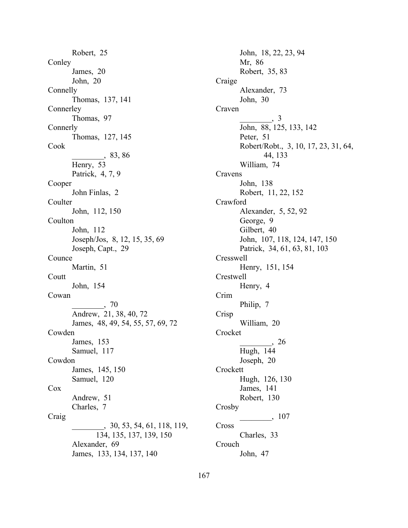Robert, 25 **Conley** James, 20 John, 20 Connelly Thomas, 137, 141 **Connerley** Thomas, 97 **Connerly** Thomas, 127, 145 Cook \_\_\_\_\_\_\_\_, 83, 86 Henry, 53 Patrick, 4, 7, 9 Cooper John Finlas, 2 **Coulter** John, 112, 150 Coulton John, 112 Joseph/Jos, 8, 12, 15, 35, 69 Joseph, Capt., 29 Counce Martin, 51 Coutt John, 154 Cowan  $\frac{1}{2}$ , 70 Andrew, 21, 38, 40, 72 James, 48, 49, 54, 55, 57, 69, 72 Cowden James, 153 Samuel, 117 Cowdon James, 145, 150 Samuel, 120 Cox Andrew, 51 Charles, 7 Craig \_\_\_\_\_\_\_\_, 30, 53, 54, 61, 118, 119, 134, 135, 137, 139, 150 Alexander, 69 James, 133, 134, 137, 140

John, 18, 22, 23, 94 Mr, 86 Robert, 35, 83 Craige Alexander, 73 John, 30 Craven  $\overline{\phantom{a}}$ , 3 John, 88, 125, 133, 142 Peter, 51 Robert/Robt., 3, 10, 17, 23, 31, 64, 44, 133 William, 74 Cravens John, 138 Robert, 11, 22, 152 Crawford Alexander, 5, 52, 92 George, 9 Gilbert, 40 John, 107, 118, 124, 147, 150 Patrick, 34, 61, 63, 81, 103 Cresswell Henry, 151, 154 Crestwell Henry, 4 Crim Philip, 7 Crisp William, 20 Crocket \_\_\_\_\_\_\_\_, 26 Hugh, 144 Joseph, 20 **Crockett** Hugh, 126, 130 James, 141 Robert, 130 Crosby \_\_\_\_\_\_\_\_, 107 Cross Charles, 33 Crouch John, 47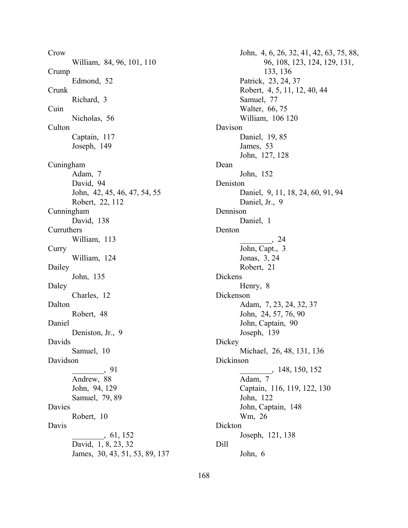Crow William, 84, 96, 101, 110 Crump Edmond, 52 Crunk Richard, 3 Cuin Nicholas, 56 Culton Captain, 117 Joseph, 149 Cuningham Adam, 7 David, 94 John, 42, 45, 46, 47, 54, 55 Robert, 22, 112 Cunningham David, 138 Curruthers William, 113 **Curry** William, 124 Dailey John, 135 Daley Charles, 12 Dalton Robert, 48 Daniel Deniston, Jr., 9 Davids Samuel, 10 Davidson \_\_\_\_\_\_\_\_, 91 Andrew, 88 John, 94, 129 Samuel, 79, 89 Davies Robert, 10 Davis \_\_\_\_\_\_\_\_, 61, 152 David, 1, 8, 23, 32 James, 30, 43, 51, 53, 89, 137

John, 4, 6, 26, 32, 41, 42, 63, 75, 88, 96, 108, 123, 124, 129, 131, 133, 136 Patrick, 23, 24, 37 Robert, 4, 5, 11, 12, 40, 44 Samuel, 77 Walter, 66, 75 William, 106 120 Davison Daniel, 19, 85 James, 53 John, 127, 128 Dean John, 152 Deniston Daniel, 9, 11, 18, 24, 60, 91, 94 Daniel, Jr., 9 Dennison Daniel, 1 Denton \_\_\_\_\_\_\_\_, 24 John, Capt., 3 Jonas, 3, 24 Robert, 21 Dickens Henry, 8 Dickenson Adam, 7, 23, 24, 32, 37 John, 24, 57, 76, 90 John, Captain, 90 Joseph, 139 **Dickey** Michael, 26, 48, 131, 136 Dickinson \_\_\_\_\_\_\_\_, 148, 150, 152 Adam, 7 Captain, 116, 119, 122, 130 John, 122 John, Captain, 148 Wm, 26 Dickton Joseph, 121, 138 Dill John, 6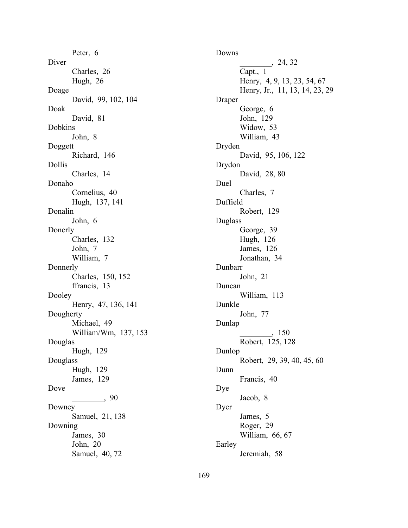Peter, 6 Diver Charles, 26 Hugh, 26 Doage David, 99, 102, 104 Doak David, 81 Dobkins John, 8 Doggett Richard, 146 Dollis Charles, 14 Donaho Cornelius, 40 Hugh, 137, 141 Donalin John, 6 Donerly Charles, 132 John, 7 William, 7 Donnerly Charles, 150, 152 ffrancis, 13 Dooley Henry, 47, 136, 141 Dougherty Michael, 49 William/Wm, 137, 153 Douglas Hugh, 129 Douglass Hugh, 129 James, 129 Dove  $\frac{1}{2}$ , 90 Downey Samuel, 21, 138 Downing James, 30 John, 20 Samuel, 40, 72

Downs  $24, 32$ Capt., 1 Henry, 4, 9, 13, 23, 54, 67 Henry, Jr., 11, 13, 14, 23, 29 Draper George, 6 John, 129 Widow, 53 William, 43 Dryden David, 95, 106, 122 Drydon David, 28, 80 Duel Charles, 7 Duffield Robert, 129 Duglass George, 39 Hugh, 126 James, 126 Jonathan, 34 Dunbarr John, 21 Duncan William, 113 Dunkle John, 77 Dunlap \_\_\_\_\_\_\_\_, 150 Robert, 125, 128 Dunlop Robert, 29, 39, 40, 45, 60 Dunn Francis, 40 Dye Jacob, 8 Dyer James, 5 Roger, 29 William, 66, 67 Earley Jeremiah, 58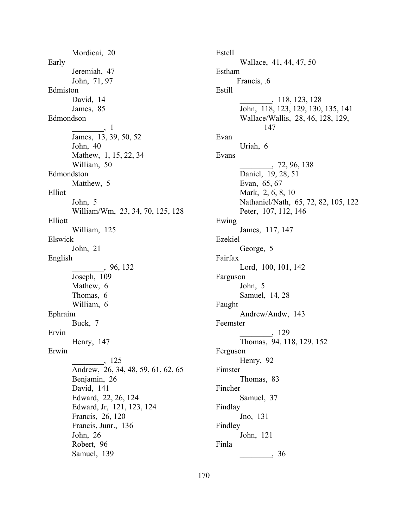Mordicai, 20 Early Jeremiah, 47 John, 71, 97 Edmiston David, 14 James, 85 Edmondson  $\qquad \qquad .1$ James, 13, 39, 50, 52 John, 40 Mathew, 1, 15, 22, 34 William, 50 Edmondston Matthew, 5 Elliot John, 5 William/Wm, 23, 34, 70, 125, 128 Elliott William, 125 Elswick John, 21 English \_\_\_\_\_\_\_\_, 96, 132 Joseph, 109 Mathew, 6 Thomas, 6 William, 6 Ephraim Buck, 7 Ervin Henry, 147 Erwin \_\_\_\_\_\_\_\_, 125 Andrew, 26, 34, 48, 59, 61, 62, 65 Benjamin, 26 David, 141 Edward, 22, 26, 124 Edward, Jr, 121, 123, 124 Francis, 26, 120 Francis, Junr., 136 John, 26 Robert, 96 Samuel, 139

Estell Wallace, 41, 44, 47, 50 Estham Francis, .6 Estill \_\_\_\_\_\_\_\_, 118, 123, 128 John, 118, 123, 129, 130, 135, 141 Wallace/Wallis, 28, 46, 128, 129, 147 Evan Uriah, 6 Evans \_\_\_\_\_\_\_\_, 72, 96, 138 Daniel, 19, 28, 51 Evan, 65, 67 Mark, 2, 6, 8, 10 Nathaniel/Nath, 65, 72, 82, 105, 122 Peter, 107, 112, 146 Ewing James, 117, 147 Ezekiel George, 5 Fairfax Lord, 100, 101, 142 Farguson John, 5 Samuel, 14, 28 Faught Andrew/Andw, 143 Feemster \_\_\_\_\_\_\_\_, 129 Thomas, 94, 118, 129, 152 Ferguson Henry, 92 Fimster Thomas, 83 Fincher Samuel, 37 Findlay Jno, 131 Findley John, 121 Finla  $\frac{1}{\sqrt{36}}$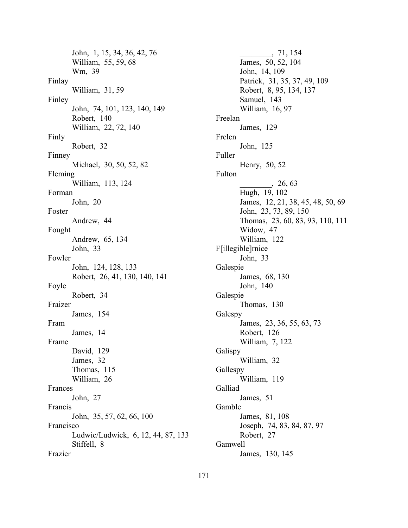John, 1, 15, 34, 36, 42, 76 William, 55, 59, 68 Wm, 39 Finlay William, 31, 59 Finley John, 74, 101, 123, 140, 149 Robert, 140 William, 22, 72, 140 Finly Robert, 32 Finney Michael, 30, 50, 52, 82 Fleming William, 113, 124 Forman John, 20 Foster Andrew, 44 Fought Andrew, 65, 134 John, 33 Fowler John, 124, 128, 133 Robert, 26, 41, 130, 140, 141 Foyle Robert, 34 Fraizer James, 154 Fram James, 14 Frame David, 129 James, 32 Thomas, 115 William, 26 Frances John, 27 Francis John, 35, 57, 62, 66, 100 Francisco Ludwic/Ludwick, 6, 12, 44, 87, 133 Stiffell, 8 Frazier

 $\,$ , 71, 154 James, 50, 52, 104 John, 14, 109 Patrick, 31, 35, 37, 49, 109 Robert, 8, 95, 134, 137 Samuel, 143 William, 16, 97 Freelan James, 129 Frelen John, 125 Fuller Henry, 50, 52 Fulton  $, 26, 63$ Hugh, 19, 102 James, 12, 21, 38, 45, 48, 50, 69 John, 23, 73, 89, 150 Thomas, 23, 60, 83, 93, 110, 111 Widow, 47 William, 122 F[illegible]rnice John, 33 Galespie James, 68, 130 John, 140 Galespie Thomas, 130 Galespy James, 23, 36, 55, 63, 73 Robert, 126 William, 7, 122 Galispy William, 32 Gallespy William, 119 Galliad James, 51 Gamble James, 81, 108 Joseph, 74, 83, 84, 87, 97 Robert, 27 Gamwell James, 130, 145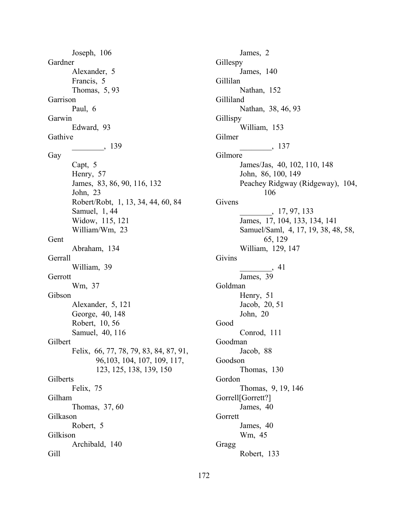Joseph, 106 Gardner Alexander, 5 Francis, 5 Thomas, 5, 93 Garrison Paul, 6 Garwin Edward, 93 Gathive \_\_\_\_\_\_\_\_, 139 Gay Capt, 5 Henry, 57 James, 83, 86, 90, 116, 132 John, 23 Robert/Robt, 1, 13, 34, 44, 60, 84 Samuel, 1, 44 Widow, 115, 121 William/Wm, 23 Gent Abraham, 134 **Gerrall** William, 39 Gerrott Wm, 37 Gibson Alexander, 5, 121 George, 40, 148 Robert, 10, 56 Samuel, 40, 116 Gilbert Felix, 66, 77, 78, 79, 83, 84, 87, 91, 96,103, 104, 107, 109, 117, 123, 125, 138, 139, 150 Gilberts Felix, 75 Gilham Thomas, 37, 60 Gilkason Robert, 5 Gilkison Archibald, 140 Gill

James, 2 Gillespy James, 140 Gillilan Nathan, 152 Gilliland Nathan, 38, 46, 93 Gillispy William, 153 Gilmer \_\_\_\_\_\_\_\_, 137 Gilmore James/Jas, 40, 102, 110, 148 John, 86, 100, 149 Peachey Ridgway (Ridgeway), 104, 106 Givens \_\_\_\_\_\_\_\_, 17, 97, 133 James, 17, 104, 133, 134, 141 Samuel/Saml, 4, 17, 19, 38, 48, 58, 65, 129 William, 129, 147 Givins \_\_\_\_\_\_\_\_, 41 James, 39 Goldman Henry, 51 Jacob, 20, 51 John, 20 Good Conrod, 111 Goodman Jacob, 88 Goodson Thomas, 130 Gordon Thomas, 9, 19, 146 Gorrell[Gorrett?] James, 40 Gorrett James, 40 Wm, 45 Gragg Robert, 133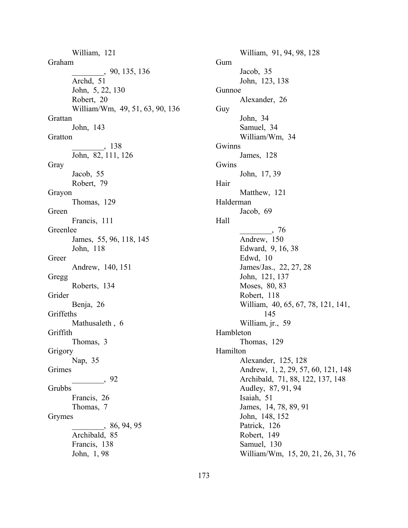William, 121 Graham \_\_\_\_\_\_\_\_, 90, 135, 136 Archd, 51 John, 5, 22, 130 Robert, 20 William/Wm, 49, 51, 63, 90, 136 Grattan John, 143 Gratton \_\_\_\_\_\_\_\_, 138 John, 82, 111, 126 Gray Jacob, 55 Robert, 79 Grayon Thomas, 129 Green Francis, 111 Greenlee James, 55, 96, 118, 145 John, 118 Greer Andrew, 140, 151 Gregg Roberts, 134 Grider Benja, 26 Griffeths Mathusaleth , 6 Griffith Thomas, 3 Grigory Nap, 35 Grimes \_\_\_\_\_\_\_\_, 92 Grubbs Francis, 26 Thomas, 7 Grymes \_\_\_\_\_\_\_\_, 86, 94, 95 Archibald, 85 Francis, 138 John, 1, 98

173

William, 91, 94, 98, 128 Gum Jacob, 35 John, 123, 138 Gunnoe Alexander, 26 Guy John, 34 Samuel, 34 William/Wm, 34 Gwinns James, 128 Gwins John, 17, 39 Hair Matthew, 121 Halderman Jacob, 69 Hall  $\frac{1}{\sqrt{1-\frac{1}{2}}}\frac{76}{1-\frac{1}{2}}$ Andrew, 150 Edward, 9, 16, 38 Edwd, 10 James/Jas., 22, 27, 28 John, 121, 137 Moses, 80, 83 Robert, 118 William, 40, 65, 67, 78, 121, 141, 145 William, jr., 59 Hambleton Thomas, 129 Hamilton Alexander, 125, 128 Andrew, 1, 2, 29, 57, 60, 121, 148 Archibald, 71, 88, 122, 137, 148 Audley, 87, 91, 94 Isaiah, 51 James, 14, 78, 89, 91 John, 148, 152 Patrick, 126 Robert, 149 Samuel, 130 William/Wm, 15, 20, 21, 26, 31, 76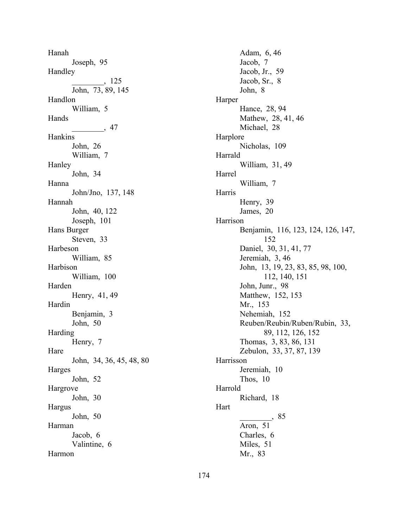Hanah Joseph, 95 Handley \_\_\_\_\_\_\_\_, 125 John, 73, 89, 145 Handlon William, 5 Hands  $\frac{47}{ }$ Hankins John, 26 William, 7 Hanley John, 34 Hanna John/Jno, 137, 148 Hannah John, 40, 122 Joseph, 101 Hans Burger Steven, 33 Harbeson William, 85 Harbison William, 100 Harden Henry, 41, 49 Hardin Benjamin, 3 John, 50 Harding Henry, 7 Hare John, 34, 36, 45, 48, 80 Harges John, 52 Hargrove John, 30 Hargus John, 50 Harman Jacob, 6 Valintine, 6 Harmon

Adam, 6, 46 Jacob, 7 Jacob, Jr., 59 Jacob, Sr., 8 John, 8 Harper Hance, 28, 94 Mathew, 28, 41, 46 Michael, 28 Harplore Nicholas, 109 Harrald William, 31, 49 Harrel William, 7 Harris Henry, 39 James, 20 Harrison Benjamin, 116, 123, 124, 126, 147, 152 Daniel, 30, 31, 41, 77 Jeremiah, 3, 46 John, 13, 19, 23, 83, 85, 98, 100, 112, 140, 151 John, Junr., 98 Matthew, 152, 153 Mr., 153 Nehemiah, 152 Reuben/Reubin/Ruben/Rubin, 33, 89, 112, 126, 152 Thomas, 3, 83, 86, 131 Zebulon, 33, 37, 87, 139 Harrisson Jeremiah, 10 Thos, 10 Harrold Richard, 18 Hart \_\_\_\_\_\_\_\_, 85 Aron, 51 Charles, 6 Miles, 51 Mr., 83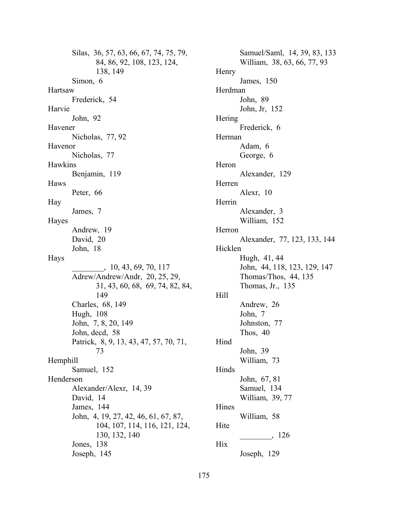Silas, 36, 57, 63, 66, 67, 74, 75, 79, 84, 86, 92, 108, 123, 124, 138, 149 Simon, 6 Hartsaw Frederick, 54 Harvie John, 92 Havener Nicholas, 77, 92 Havenor Nicholas, 77 Hawkins Benjamin, 119 Haws Peter, 66 Hay James, 7 Hayes Andrew, 19 David, 20 John, 18 Hays \_\_\_\_\_\_\_\_, 10, 43, 69, 70, 117 Adrew/Andrew/Andr, 20, 25, 29, 31, 43, 60, 68, 69, 74, 82, 84, 149 Charles, 68, 149 Hugh, 108 John, 7, 8, 20, 149 John, decd, 58 Patrick, 8, 9, 13, 43, 47, 57, 70, 71, 73 Hemphill Samuel, 152 Henderson Alexander/Alexr, 14, 39 David, 14 James, 144 John, 4, 19, 27, 42, 46, 61, 67, 87, 104, 107, 114, 116, 121, 124, 130, 132, 140 Jones, 138 Joseph, 145

Samuel/Saml, 14, 39, 83, 133 William, 38, 63, 66, 77, 93 Henry James, 150 Herdman John, 89 John, Jr, 152 Hering Frederick, 6 Herman Adam, 6 George, 6 Heron Alexander, 129 Herren Alexr, 10 Herrin Alexander, 3 William, 152 Herron Alexander, 77, 123, 133, 144 Hicklen Hugh, 41, 44 John, 44, 118, 123, 129, 147 Thomas/Thos, 44, 135 Thomas, Jr., 135 Hill Andrew, 26 John, 7 Johnston, 77 Thos, 40 Hind John, 39 William, 73 Hinds John, 67, 81 Samuel, 134 William, 39, 77 Hines William, 58 Hite \_\_\_\_\_\_\_\_, 126 Hix Joseph, 129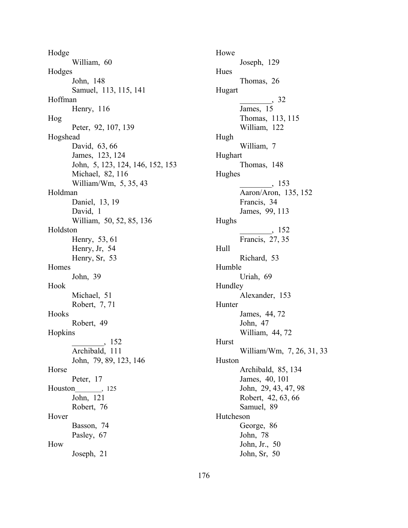Hodge William, 60 Hodges John, 148 Samuel, 113, 115, 141 Hoffman Henry, 116 Hog Peter, 92, 107, 139 Hogshead David, 63, 66 James, 123, 124 John, 5, 123, 124, 146, 152, 153 Michael, 82, 116 William/Wm, 5, 35, 43 Holdman Daniel, 13, 19 David, 1 William, 50, 52, 85, 136 Holdston Henry, 53, 61 Henry, Jr, 54 Henry, Sr, 53 Homes John, 39 Hook Michael, 51 Robert, 7, 71 Hooks Robert, 49 Hopkins \_\_\_\_\_\_\_\_, 152 Archibald, 111 John, 79, 89, 123, 146 Horse Peter, 17 Houston, 125 John, 121 Robert, 76 Hover Basson, 74 Pasley, 67 How Joseph, 21

Howe Joseph, 129 Hues Thomas, 26 Hugart  $\, 32$ James, 15 Thomas, 113, 115 William, 122 Hugh William, 7 Hughart Thomas, 148 Hughes \_\_\_\_\_\_\_\_, 153 Aaron/Aron, 135, 152 Francis, 34 James, 99, 113 Hughs \_\_\_\_\_\_\_\_, 152 Francis, 27, 35 Hull Richard, 53 Humble Uriah, 69 Hundley Alexander, 153 Hunter James, 44, 72 John, 47 William, 44, 72 Hurst William/Wm, 7, 26, 31, 33 Huston Archibald, 85, 134 James, 40, 101 John, 29, 43, 47, 98 Robert, 42, 63, 66 Samuel, 89 Hutcheson George, 86 John, 78 John, Jr., 50 John, Sr, 50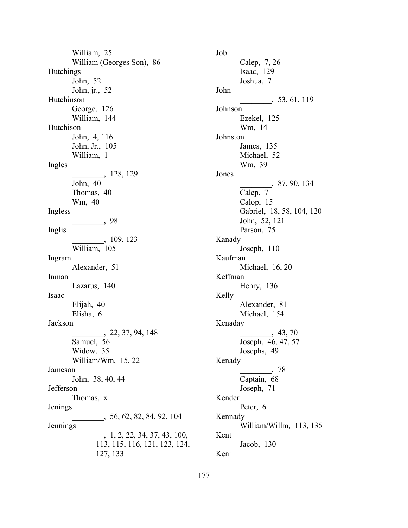William, 25 William (Georges Son), 86 **Hutchings** John, 52 John, jr., 52 Hutchinson George, 126 William, 144 Hutchison John, 4, 116 John, Jr., 105 William, 1 Ingles \_\_\_\_\_\_\_\_, 128, 129 John, 40 Thomas, 40 Wm, 40 Ingless \_\_\_\_\_\_\_\_, 98 Inglis \_\_\_\_\_\_\_\_, 109, 123 William, 105 Ingram Alexander, 51 Inman Lazarus, 140 Isaac Elijah, 40 Elisha, 6 Jackson \_\_\_\_\_\_\_\_, 22, 37, 94, 148 Samuel, 56 Widow, 35 William/Wm, 15, 22 Jameson John, 38, 40, 44 Jefferson Thomas, x Jenings  $\frac{56}{62}$ , 56, 62, 82, 84, 92, 104 Jennings  $\frac{1}{2}$ , 1, 2, 22, 34, 37, 43, 100, 113, 115, 116, 121, 123, 124, 127, 133

Job Calep, 7, 26 Isaac, 129 Joshua, 7 John \_\_\_\_\_\_\_\_, 53, 61, 119 Johnson Ezekel, 125 Wm, 14 Johnston James, 135 Michael, 52 Wm, 39 Jones \_\_\_\_\_\_\_\_, 87, 90, 134 Calep, 7 Calop, 15 Gabriel, 18, 58, 104, 120 John, 52, 121 Parson, 75 Kanady Joseph, 110 Kaufman Michael, 16, 20 Keffman Henry, 136 Kelly Alexander, 81 Michael, 154 Kenaday  $, 43, 70$ Joseph, 46, 47, 57 Josephs, 49 Kenady \_\_\_\_\_\_\_\_, 78 Captain, 68 Joseph, 71 Kender Peter, 6 Kennady William/Willm, 113, 135 Kent Jacob, 130 Kerr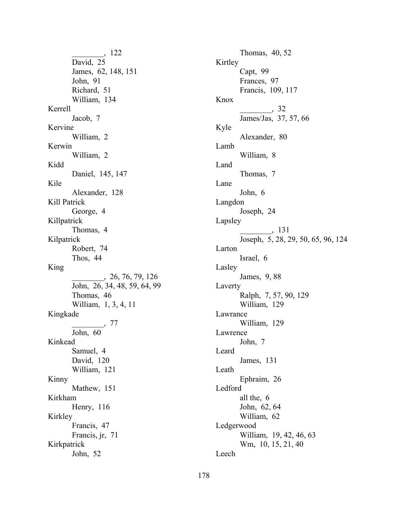\_\_\_\_\_\_\_\_, 122 David, 25 James, 62, 148, 151 John, 91 Richard, 51 William, 134 Kerrell Jacob, 7 Kervine William, 2 Kerwin William, 2 Kidd Daniel, 145, 147 Kile Alexander, 128 Kill Patrick George, 4 Killpatrick Thomas, 4 Kilpatrick Robert, 74 Thos, 44 King \_\_\_\_\_\_\_\_, 26, 76, 79, 126 John, 26, 34, 48, 59, 64, 99 Thomas, 46 William, 1, 3, 4, 11 Kingkade \_\_\_\_\_\_\_\_, 77 John, 60 Kinkead Samuel, 4 David, 120 William, 121 Kinny Mathew, 151 Kirkham Henry, 116 Kirkley Francis, 47 Francis, jr, 71 Kirkpatrick John, 52

Thomas, 40, 52 Kirtley Capt, 99 Frances, 97 Francis, 109, 117 Knox  $\frac{32}{ }$ James/Jas, 37, 57, 66 Kyle Alexander, 80 Lamb William, 8 Land Thomas, 7 Lane John, 6 Langdon Joseph, 24 Lapsley  $\frac{131}{2}$ Joseph, 5, 28, 29, 50, 65, 96, 124 Larton Israel, 6 Lasley James, 9, 88 Laverty Ralph, 7, 57, 90, 129 William, 129 Lawrance William, 129 Lawrence John, 7 Leard James, 131 Leath Ephraim, 26 Ledford all the, 6 John, 62, 64 William, 62 Ledgerwood William, 19, 42, 46, 63 Wm, 10, 15, 21, 40 Leech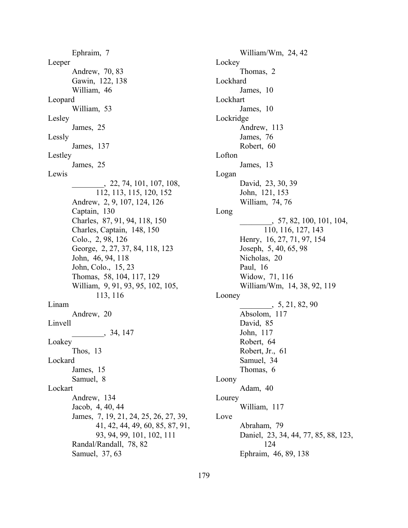Ephraim, 7 Leeper Andrew, 70, 83 Gawin, 122, 138 William, 46 Leopard William, 53 Lesley James, 25 Lessly James, 137 Lestley James, 25 Lewis \_\_\_\_\_\_\_\_, 22, 74, 101, 107, 108, 112, 113, 115, 120, 152 Andrew, 2, 9, 107, 124, 126 Captain, 130 Charles, 87, 91, 94, 118, 150 Charles, Captain, 148, 150 Colo., 2, 98, 126 George, 2, 27, 37, 84, 118, 123 John, 46, 94, 118 John, Colo., 15, 23 Thomas, 58, 104, 117, 129 William, 9, 91, 93, 95, 102, 105, 113, 116 Linam Andrew, 20 Linvell \_\_\_\_\_\_\_\_, 34, 147 Loakey Thos, 13 Lockard James, 15 Samuel, 8 Lockart Andrew, 134 Jacob, 4, 40, 44 James, 7, 19, 21, 24, 25, 26, 27, 39, 41, 42, 44, 49, 60, 85, 87, 91, 93, 94, 99, 101, 102, 111 Randal/Randall, 78, 82 Samuel, 37, 63

William/Wm, 24, 42 Lockey Thomas, 2 Lockhard James, 10 Lockhart James, 10 Lockridge Andrew, 113 James, 76 Robert, 60 Lofton James, 13 Logan David, 23, 30, 39 John, 121, 153 William, 74, 76 Long \_\_\_\_\_\_\_\_, 57, 82, 100, 101, 104, 110, 116, 127, 143 Henry, 16, 27, 71, 97, 154 Joseph, 5, 40, 65, 98 Nicholas, 20 Paul, 16 Widow, 71, 116 William/Wm, 14, 38, 92, 119 Looney  $\frac{5}{21, 82, 90}$ Absolom, 117 David, 85 John, 117 Robert, 64 Robert, Jr., 61 Samuel, 34 Thomas, 6 Loony Adam, 40 Lourey William, 117 Love Abraham, 79 Daniel, 23, 34, 44, 77, 85, 88, 123, 124 Ephraim, 46, 89, 138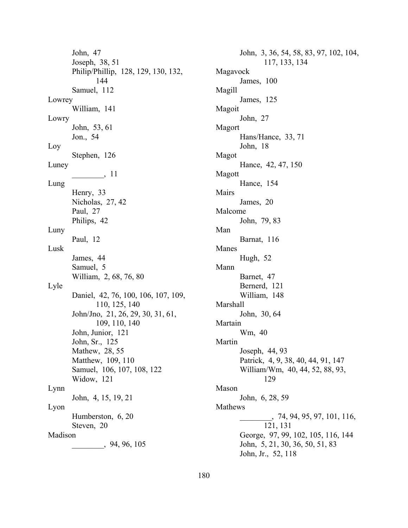John, 47 Joseph, 38, 51 Philip/Phillip, 128, 129, 130, 132, 144 Samuel, 112 Lowrey William, 141 Lowry John, 53, 61 Jon., 54 Loy Stephen, 126 Luney \_\_\_\_\_\_\_\_, 11 Lung Henry, 33 Nicholas, 27, 42 Paul, 27 Philips, 42 Luny Paul, 12 Lusk James, 44 Samuel, 5 William, 2, 68, 76, 80 Lyle Daniel, 42, 76, 100, 106, 107, 109, 110, 125, 140 John/Jno, 21, 26, 29, 30, 31, 61, 109, 110, 140 John, Junior, 121 John, Sr., 125 Mathew, 28, 55 Matthew, 109, 110 Samuel, 106, 107, 108, 122 Widow, 121 Lynn John, 4, 15, 19, 21 Lyon Humberston, 6, 20 Steven, 20 Madison \_\_\_\_\_\_\_\_, 94, 96, 105

John, 3, 36, 54, 58, 83, 97, 102, 104, 117, 133, 134 Magavock James, 100 Magill James, 125 Magoit John, 27 Magort Hans/Hance, 33, 71 John, 18 Magot Hance, 42, 47, 150 Magott Hance, 154 Mairs James, 20 Malcome John, 79, 83 Man Barnat, 116 Manes Hugh, 52 Mann Barnet, 47 Bernerd, 121 William, 148 Marshall John, 30, 64 Martain Wm, 40 Martin Joseph, 44, 93 Patrick, 4, 9, 38, 40, 44, 91, 147 William/Wm, 40, 44, 52, 88, 93, 129 Mason John, 6, 28, 59 Mathews \_\_\_\_\_\_\_\_, 74, 94, 95, 97, 101, 116, 121, 131 George, 97, 99, 102, 105, 116, 144 John, 5, 21, 30, 36, 50, 51, 83 John, Jr., 52, 118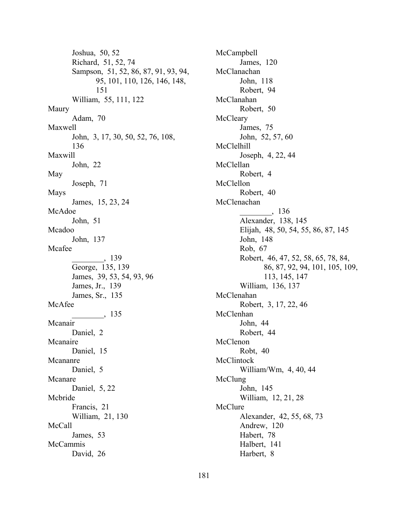Joshua, 50, 52 Richard, 51, 52, 74 Sampson, 51, 52, 86, 87, 91, 93, 94, 95, 101, 110, 126, 146, 148, 151 William, 55, 111, 122 Maury Adam, 70 Maxwell John, 3, 17, 30, 50, 52, 76, 108, 136 Maxwill John, 22 May Joseph, 71 Mays James, 15, 23, 24 McAdoe John, 51 Mcadoo John, 137 Mcafee \_\_\_\_\_\_\_\_, 139 George, 135, 139 James, 39, 53, 54, 93, 96 James, Jr., 139 James, Sr., 135 McAfee \_\_\_\_\_\_\_\_, 135 Mcanair Daniel, 2 Mcanaire Daniel, 15 Mcananre Daniel, 5 Mcanare Daniel, 5, 22 Mcbride Francis, 21 William, 21, 130 McCall James, 53 McCammis David, 26

McCampbell James, 120 McClanachan John, 118 Robert, 94 McClanahan Robert, 50 **McCleary** James, 75 John, 52, 57, 60 McClelhill Joseph, 4, 22, 44 McClellan Robert, 4 McClellon Robert, 40 McClenachan  $\_$ , 136 Alexander, 138, 145 Elijah, 48, 50, 54, 55, 86, 87, 145 John, 148 Rob, 67 Robert, 46, 47, 52, 58, 65, 78, 84, 86, 87, 92, 94, 101, 105, 109, 113, 145, 147 William, 136, 137 McClenahan Robert, 3, 17, 22, 46 McClenhan John, 44 Robert, 44 McClenon Robt, 40 **McClintock** William/Wm, 4, 40, 44 McClung John, 145 William, 12, 21, 28 McClure Alexander, 42, 55, 68, 73 Andrew, 120 Habert, 78 Halbert, 141 Harbert, 8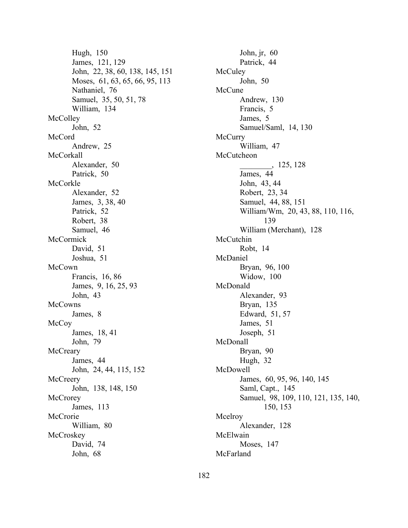Hugh, 150 James, 121, 129 John, 22, 38, 60, 138, 145, 151 Moses, 61, 63, 65, 66, 95, 113 Nathaniel, 76 Samuel, 35, 50, 51, 78 William, 134 **McColley** John, 52 McCord Andrew, 25 McCorkall Alexander, 50 Patrick, 50 McCorkle Alexander, 52 James, 3, 38, 40 Patrick, 52 Robert, 38 Samuel, 46 **McCormick** David, 51 Joshua, 51 McCown Francis, 16, 86 James, 9, 16, 25, 93 John, 43 **McCowns** James, 8 **McCoy** James, 18, 41 John, 79 **McCreary** James, 44 John, 24, 44, 115, 152 **McCreery** John, 138, 148, 150 **McCrorey** James, 113 **McCrorie** William, 80 **McCroskey** David, 74 John, 68

**McCuley** John, 50 McCune Andrew, 130 Francis, 5 James, 5 Samuel/Saml, 14, 130 **McCurry** William, 47 **McCutcheon**  $\frac{125,128}{ }$ James, 44 John, 43, 44 Robert, 23, 34 Samuel, 44, 88, 151 William/Wm, 20, 43, 88, 110, 116, 139 William (Merchant), 128 McCutchin Robt, 14 McDaniel Bryan, 96, 100 Widow, 100 McDonald Alexander, 93 Bryan, 135 Edward, 51, 57 James, 51 Joseph, 51 McDonall Bryan, 90 Hugh, 32 McDowell James, 60, 95, 96, 140, 145 Saml, Capt., 145 Samuel, 98, 109, 110, 121, 135, 140, 150, 153 Mcelroy Alexander, 128 McElwain Moses, 147 McFarland

John, jr, 60 Patrick, 44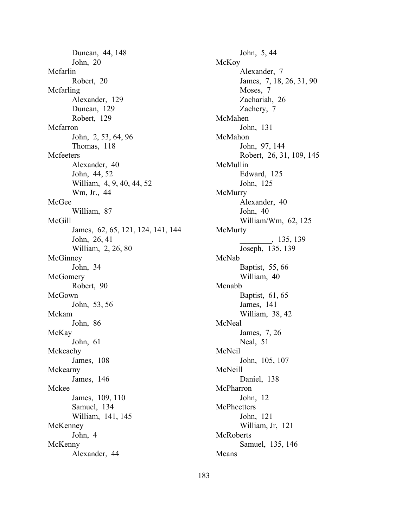Duncan, 44, 148 John, 20 Mcfarlin Robert, 20 Mcfarling Alexander, 129 Duncan, 129 Robert, 129 Mcfarron John, 2, 53, 64, 96 Thomas, 118 **Mcfeeters** Alexander, 40 John, 44, 52 William, 4, 9, 40, 44, 52 Wm, Jr., 44 McGee William, 87 McGill James, 62, 65, 121, 124, 141, 144 John, 26, 41 William, 2, 26, 80 **McGinney** John, 34 **McGomery** Robert, 90 McGown John, 53, 56 Mckam John, 86 McKay John, 61 Mckeachy James, 108 Mckearny James, 146 Mckee James, 109, 110 Samuel, 134 William, 141, 145 McKenney John, 4 McKenny Alexander, 44

John, 5, 44 McKoy Alexander, 7 James, 7, 18, 26, 31, 90 Moses, 7 Zachariah, 26 Zachery, 7 McMahen John, 131 McMahon John, 97, 144 Robert, 26, 31, 109, 145 McMullin Edward, 125 John, 125 **McMurry** Alexander, 40 John, 40 William/Wm, 62, 125 McMurty \_\_\_\_\_\_\_\_, 135, 139 Joseph, 135, 139 McNab Baptist, 55, 66 William, 40 Mcnabb Baptist, 61, 65 James, 141 William, 38, 42 McNeal James, 7, 26 Neal, 51 McNeil John, 105, 107 McNeill Daniel, 138 McPharron John, 12 **McPheetters** John, 121 William, Jr, 121 **McRoberts** Samuel, 135, 146 Means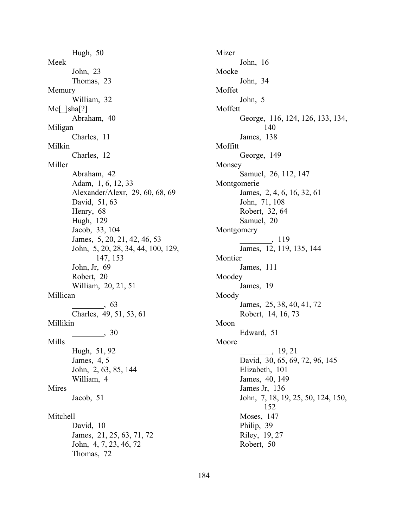Hugh, 50 Meek John, 23 Thomas, 23 Memury William, 32 Me[\_]sha[?] Abraham, 40 Miligan Charles, 11 Milkin Charles, 12 Miller Abraham, 42 Adam, 1, 6, 12, 33 Alexander/Alexr, 29, 60, 68, 69 David, 51, 63 Henry, 68 Hugh, 129 Jacob, 33, 104 James, 5, 20, 21, 42, 46, 53 John, 5, 20, 28, 34, 44, 100, 129, 147, 153 John, Jr, 69 Robert, 20 William, 20, 21, 51 Millican \_\_\_\_\_\_\_\_, 63 Charles, 49, 51, 53, 61 Millikin  $\frac{1}{\sqrt{30}}$ Mills Hugh, 51, 92 James, 4, 5 John, 2, 63, 85, 144 William, 4 Mires Jacob, 51 Mitchell David, 10 James, 21, 25, 63, 71, 72 John, 4, 7, 23, 46, 72 Thomas, 72

Mizer John, 16 Mocke John, 34 Moffet John, 5 Moffett George, 116, 124, 126, 133, 134, 140 James, 138 Moffitt George, 149 Monsey Samuel, 26, 112, 147 Montgomerie James, 2, 4, 6, 16, 32, 61 John, 71, 108 Robert, 32, 64 Samuel, 20 Montgomery  $\rightarrow$  119 James, 12, 119, 135, 144 Montier James, 111 Moodey James, 19 Moody James, 25, 38, 40, 41, 72 Robert, 14, 16, 73 Moon Edward, 51 Moore \_\_\_\_\_\_\_\_, 19, 21 David, 30, 65, 69, 72, 96, 145 Elizabeth, 101 James, 40, 149 James Jr, 136 John, 7, 18, 19, 25, 50, 124, 150, 152 Moses, 147 Philip, 39 Riley, 19, 27 Robert, 50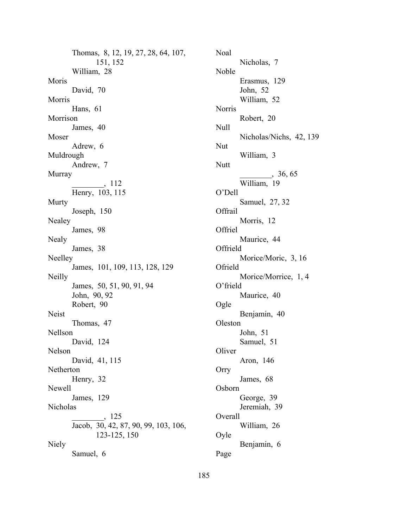Thomas, 8, 12, 19, 27, 28, 64, 107, 151, 152 William, 28 Moris David, 70 Morris Hans, 61 Morrison James, 40 Moser Adrew, 6 Muldrough Andrew, 7 Murray \_\_\_\_\_\_\_\_, 112 Henry, 103, 115 **Murty** Joseph, 150 Nealey James, 98 Nealy James, 38 Neelley James, 101, 109, 113, 128, 129 Neilly James, 50, 51, 90, 91, 94 John, 90, 92 Robert, 90 Neist Thomas, 47 Nellson David, 124 Nelson David, 41, 115 Netherton Henry, 32 Newell James, 129 Nicholas \_\_\_\_\_\_\_\_, 125 Jacob, 30, 42, 87, 90, 99, 103, 106, 123-125, 150 Niely Samuel, 6

John, 51 Samuel, 51 **Oliver** Aron, 146 Orry James, 68 Osborn George, 39 Jeremiah, 39 Overall William, 26 Oyle Benjamin, 6 Page

Noal

Noble

Norris

Null

Nut

Nutt

OíDell

**Offrail** 

Offriel

Offrield

Ofrield

O'frield

Oleston

Ogle

Nicholas, 7

Erasmus, 129 John, 52 William, 52

Robert, 20

William, 3

William, 19

Morris, 12

Maurice, 44

Maurice, 40

Benjamin, 40

Morice/Moric, 3, 16

Morice/Morrice, 1, 4

Samuel, 27, 32

Nicholas/Nichs, 42, 139

 $, 36, 65$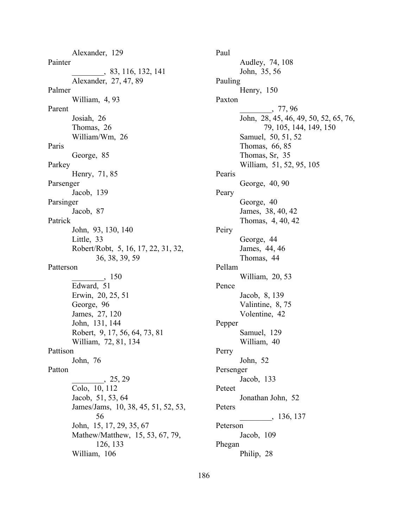Alexander, 129 Painter \_\_\_\_\_\_\_\_, 83, 116, 132, 141 Alexander, 27, 47, 89 Palmer William, 4, 93 Parent Josiah, 26 Thomas, 26 William/Wm, 26 Paris George, 85 Parkey Henry, 71, 85 Parsenger Jacob, 139 Parsinger Jacob, 87 Patrick John, 93, 130, 140 Little, 33 Robert/Robt, 5, 16, 17, 22, 31, 32, 36, 38, 39, 59 Patterson \_\_\_\_\_\_\_\_, 150 Edward, 51 Erwin, 20, 25, 51 George, 96 James, 27, 120 John, 131, 144 Robert, 9, 17, 56, 64, 73, 81 William, 72, 81, 134 Pattison John, 76 Patton \_\_\_\_\_\_\_\_, 25, 29 Colo, 10, 112 Jacob, 51, 53, 64 James/Jams, 10, 38, 45, 51, 52, 53, 56 John, 15, 17, 29, 35, 67 Mathew/Matthew, 15, 53, 67, 79, 126, 133 William, 106

186

Paul Audley, 74, 108 John, 35, 56 Pauling Henry, 150 Paxton \_\_\_\_\_\_\_\_, 77, 96 John, 28, 45, 46, 49, 50, 52, 65, 76, 79, 105, 144, 149, 150 Samuel, 50, 51, 52 Thomas, 66, 85 Thomas, Sr, 35 William, 51, 52, 95, 105 Pearis George, 40, 90 Peary George, 40 James, 38, 40, 42 Thomas, 4, 40, 42 Peiry George, 44 James, 44, 46 Thomas, 44 Pellam William, 20, 53 Pence Jacob, 8, 139 Valintine, 8, 75 Volentine, 42 Pepper Samuel, 129 William, 40 Perry John, 52 Persenger Jacob, 133 Peteet Jonathan John, 52 Peters \_\_\_\_\_\_\_\_, 136, 137 Peterson Jacob, 109 Phegan Philip, 28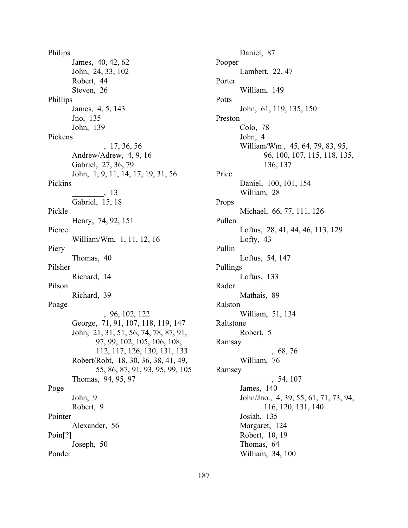Philips James, 40, 42, 62 John, 24, 33, 102 Robert, 44 Steven, 26 Phillips James, 4, 5, 143 Jno, 135 John, 139 Pickens \_\_\_\_\_\_\_\_, 17, 36, 56 Andrew/Adrew, 4, 9, 16 Gabriel, 27, 36, 79 John, 1, 9, 11, 14, 17, 19, 31, 56 Pickins \_\_\_\_\_\_\_\_, 13 Gabriel, 15, 18 Pickle Henry, 74, 92, 151 Pierce William/Wm, 1, 11, 12, 16 Piery Thomas, 40 Pilsher Richard, 14 Pilson Richard, 39 Poage \_\_\_\_\_\_\_\_, 96, 102, 122 George, 71, 91, 107, 118, 119, 147 John, 21, 31, 51, 56, 74, 78, 87, 91, 97, 99, 102, 105, 106, 108, 112, 117, 126, 130, 131, 133 Robert/Robt, 18, 30, 36, 38, 41, 49, 55, 86, 87, 91, 93, 95, 99, 105 Thomas, 94, 95, 97 Poge John, 9 Robert, 9 Pointer Alexander, 56 Poin[?] Joseph, 50 Ponder

Daniel, 87 Pooper Lambert, 22, 47 Porter William, 149 Potts John, 61, 119, 135, 150 Preston Colo, 78 John, 4 William/Wm , 45, 64, 79, 83, 95, 96, 100, 107, 115, 118, 135, 136, 137 Price Daniel, 100, 101, 154 William, 28 Props Michael, 66, 77, 111, 126 Pullen Loftus, 28, 41, 44, 46, 113, 129 Lofty, 43 Pullin Loftus, 54, 147 Pullings Loftus, 133 Rader Mathais, 89 Ralston William, 51, 134 Raltstone Robert, 5 Ramsay \_\_\_\_\_\_\_\_, 68, 76 William, 76 Ramsey \_\_\_\_\_\_\_\_, 54, 107 James, 140 John/Jno., 4, 39, 55, 61, 71, 73, 94, 116, 120, 131, 140 Josiah, 135 Margaret, 124 Robert, 10, 19 Thomas, 64 William, 34, 100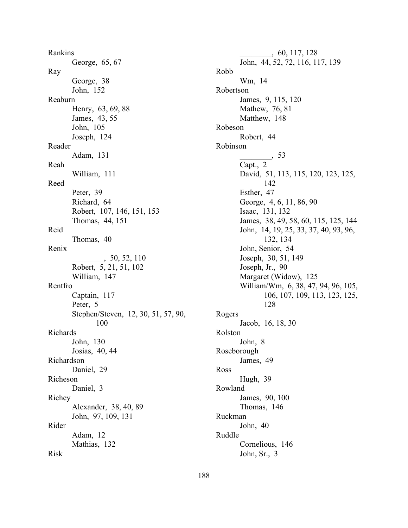Rankins George, 65, 67 Ray George, 38 John, 152 Reaburn Henry, 63, 69, 88 James, 43, 55 John, 105 Joseph, 124 Reader Adam, 131 Reah William, 111 Reed Peter, 39 Richard, 64 Robert, 107, 146, 151, 153 Thomas, 44, 151 Reid Thomas, 40 Renix \_\_\_\_\_\_\_\_, 50, 52, 110 Robert, 5, 21, 51, 102 William, 147 Rentfro Captain, 117 Peter, 5 Stephen/Steven, 12, 30, 51, 57, 90, 100 Richards John, 130 Josias, 40, 44 Richardson Daniel, 29 Richeson Daniel, 3 Richey Alexander, 38, 40, 89 John, 97, 109, 131 Rider Adam, 12 Mathias, 132 Risk

188

\_\_\_\_\_\_\_\_, 60, 117, 128 John, 44, 52, 72, 116, 117, 139 Robb Wm, 14 Robertson James, 9, 115, 120 Mathew, 76, 81 Matthew, 148 Robeson Robert, 44 Robinson \_\_\_\_\_\_\_\_, 53 Capt., 2 David, 51, 113, 115, 120, 123, 125, 142 Esther, 47 George, 4, 6, 11, 86, 90 Isaac, 131, 132 James, 38, 49, 58, 60, 115, 125, 144 John, 14, 19, 25, 33, 37, 40, 93, 96, 132, 134 John, Senior, 54 Joseph, 30, 51, 149 Joseph, Jr., 90 Margaret (Widow), 125 William/Wm, 6, 38, 47, 94, 96, 105, 106, 107, 109, 113, 123, 125, 128 Rogers Jacob, 16, 18, 30 Rolston John, 8 Roseborough James, 49 Ross Hugh, 39 Rowland James, 90, 100 Thomas, 146 Ruckman John, 40 Ruddle Cornelious, 146 John, Sr., 3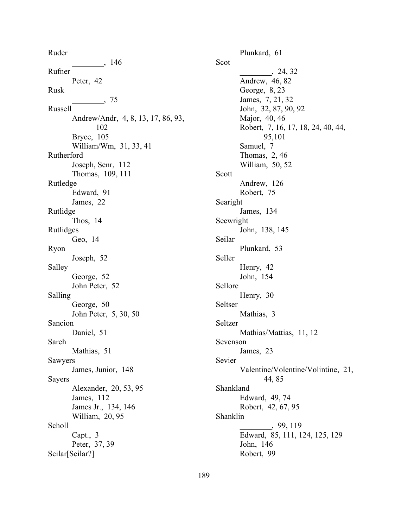Ruder  $\frac{146}{\frac{120}{25}}$ Rufner Peter, 42 Rusk  $\frac{1}{2}$ , 75 Russell Andrew/Andr, 4, 8, 13, 17, 86, 93, 102 Bryce, 105 William/Wm, 31, 33, 41 Rutherford Joseph, Senr, 112 Thomas, 109, 111 Rutledge Edward, 91 James, 22 Rutlidge Thos, 14 Rutlidges Geo, 14 Ryon Joseph, 52 Salley George, 52 John Peter, 52 Salling George, 50 John Peter, 5, 30, 50 Sancion Daniel, 51 Sareh Mathias, 51 Sawyers James, Junior, 148 Sayers Alexander, 20, 53, 95 James, 112 James Jr., 134, 146 William, 20, 95 Scholl Capt., 3 Peter, 37, 39 Scilar[Seilar?]

Plunkard, 61 Scot \_\_\_\_\_\_\_\_, 24, 32 Andrew, 46, 82 George, 8, 23 James, 7, 21, 32 John, 32, 87, 90, 92 Major, 40, 46 Robert, 7, 16, 17, 18, 24, 40, 44, 95,101 Samuel, 7 Thomas, 2, 46 William, 50, 52 Scott Andrew, 126 Robert, 75 Searight James, 134 Seewright John, 138, 145 Seilar Plunkard, 53 Seller Henry, 42 John, 154 Sellore Henry, 30 Seltser Mathias, 3 Seltzer Mathias/Mattias, 11, 12 Sevenson James, 23 Sevier Valentine/Volentine/Volintine, 21, 44, 85 Shankland Edward, 49, 74 Robert, 42, 67, 95 Shanklin \_\_\_\_\_\_\_\_, 99, 119 Edward, 85, 111, 124, 125, 129 John, 146 Robert, 99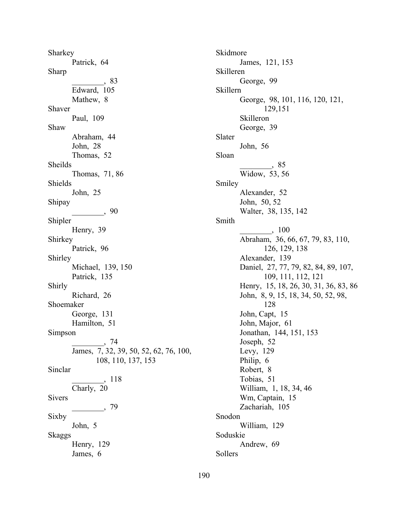Sharkey Patrick, 64 Sharp \_\_\_\_\_\_\_\_, 83 Edward, 105 Mathew, 8 Shaver Paul, 109 Shaw Abraham, 44 John, 28 Thomas, 52 Sheilds Thomas, 71, 86 Shields John, 25 Shipay  $\frac{1}{\sqrt{1-\frac{1}{2}}}\frac{90}{1-\frac{1}{2}}$ Shipler Henry, 39 Shirkey Patrick, 96 Shirley Michael, 139, 150 Patrick, 135 Shirly Richard, 26 Shoemaker George, 131 Hamilton, 51 Simpson \_\_\_\_\_\_\_\_, 74 James, 7, 32, 39, 50, 52, 62, 76, 100, 108, 110, 137, 153 Sinclar \_\_\_\_\_\_\_\_, 118 Charly, 20 Sivers  $\frac{1}{\sqrt{2}}$ , 79 Sixby John, 5 Skaggs Henry, 129 James, 6

Skidmore James, 121, 153 Skilleren George, 99 Skillern George, 98, 101, 116, 120, 121, 129,151 Skilleron George, 39 Slater John, 56 Sloan  $\frac{1}{2}$ , 85 Widow, 53, 56 Smiley Alexander, 52 John, 50, 52 Walter, 38, 135, 142 Smith \_\_\_\_\_\_\_\_, 100 Abraham, 36, 66, 67, 79, 83, 110, 126, 129, 138 Alexander, 139 Daniel, 27, 77, 79, 82, 84, 89, 107, 109, 111, 112, 121 Henry, 15, 18, 26, 30, 31, 36, 83, 86 John, 8, 9, 15, 18, 34, 50, 52, 98, 128 John, Capt, 15 John, Major, 61 Jonathan, 144, 151, 153 Joseph, 52 Levy, 129 Philip, 6 Robert, 8 Tobias, 51 William, 1, 18, 34, 46 Wm, Captain, 15 Zachariah, 105 Snodon William, 129 Soduskie Andrew, 69 Sollers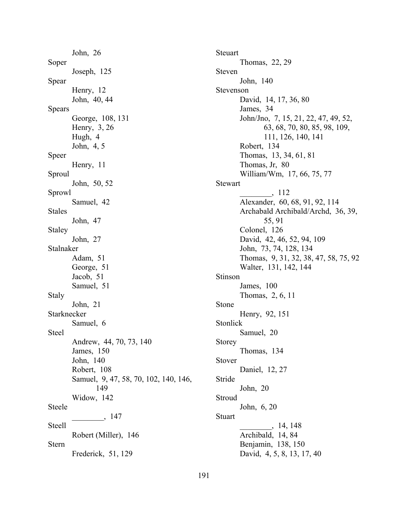John, 26 Soper Joseph, 125 Spear Henry, 12 John, 40, 44 Spears George, 108, 131 Henry, 3, 26 Hugh, 4 John, 4, 5 Speer Henry, 11 Sproul John, 50, 52 Sprowl Samuel, 42 Stales John, 47 Staley John, 27 Stalnaker Adam, 51 George, 51 Jacob, 51 Samuel, 51 Staly John, 21 Starknecker Samuel, 6 Steel Andrew, 44, 70, 73, 140 James, 150 John, 140 Robert, 108 Samuel, 9, 47, 58, 70, 102, 140, 146, 149 Widow, 142 Steele \_\_\_\_\_\_\_\_, 147 Steell Robert (Miller), 146 Stern Frederick, 51, 129

Thomas, 9, 31, 32, 38, 47, 58, 75, 92 Walter, 131, 142, 144 Stinson James, 100 Thomas, 2, 6, 11 Stone Henry, 92, 151 Stonlick Samuel, 20 Storey Thomas, 134 Stover Daniel, 12, 27 Stride John, 20 Stroud John, 6, 20 Stuart  $\_$ , 14, 148 Archibald, 14, 84 Benjamin, 138, 150 David, 4, 5, 8, 13, 17, 40

Steuart

Steven

Stevenson

**Stewart** 

Thomas, 22, 29

David, 14, 17, 36, 80

Thomas, 13, 34, 61, 81

\_\_\_\_\_\_\_\_, 112

55, 91

David, 42, 46, 52, 94, 109 John, 73, 74, 128, 134

Colonel, 126

William/Wm, 17, 66, 75, 77

Alexander, 60, 68, 91, 92, 114

Archabald Archibald/Archd, 36, 39,

John/Jno, 7, 15, 21, 22, 47, 49, 52,

111, 126, 140, 141

63, 68, 70, 80, 85, 98, 109,

John, 140

James, 34

Robert, 134

Thomas, Jr, 80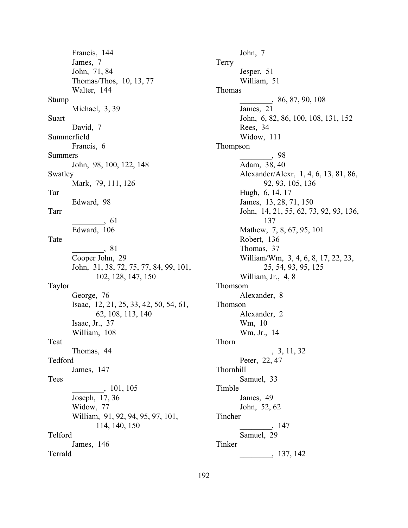Francis, 144 James, 7 John, 71, 84 Thomas/Thos, 10, 13, 77 Walter, 144 Stump Michael, 3, 39 Suart David, 7 Summerfield Francis, 6 Summers John, 98, 100, 122, 148 Swatley Mark, 79, 111, 126 Tar Edward, 98 Tarr  $\frac{1}{2}$ , 61 Edward, 106 Tate \_\_\_\_\_\_\_\_, 81 Cooper John, 29 John, 31, 38, 72, 75, 77, 84, 99, 101, 102, 128, 147, 150 Taylor George, 76 Isaac, 12, 21, 25, 33, 42, 50, 54, 61, 62, 108, 113, 140 Isaac, Jr., 37 William, 108 Teat Thomas, 44 Tedford James, 147 Tees \_\_\_\_\_\_\_\_, 101, 105 Joseph, 17, 36 Widow, 77 William, 91, 92, 94, 95, 97, 101, 114, 140, 150 Telford James, 146 Terrald

John, 7 Terry Jesper, 51 William, 51 Thomas \_\_\_\_\_\_\_\_, 86, 87, 90, 108 James, 21 John, 6, 82, 86, 100, 108, 131, 152 Rees, 34 Widow, 111 Thompson \_\_\_\_\_\_\_\_, 98 Adam, 38, 40 Alexander/Alexr, 1, 4, 6, 13, 81, 86, 92, 93, 105, 136 Hugh, 6, 14, 17 James, 13, 28, 71, 150 John, 14, 21, 55, 62, 73, 92, 93, 136, 137 Mathew, 7, 8, 67, 95, 101 Robert, 136 Thomas, 37 William/Wm, 3, 4, 6, 8, 17, 22, 23, 25, 54, 93, 95, 125 William, Jr., 4, 8 Thomsom Alexander, 8 Thomson Alexander, 2 Wm, 10 Wm, Jr., 14 Thorn  $\frac{3}{11, 32}$ Peter, 22, 47 Thornhill Samuel, 33 Timble James, 49 John, 52, 62 Tincher \_\_\_\_\_\_\_\_, 147 Samuel, 29 Tinker \_\_\_\_\_\_\_\_, 137, 142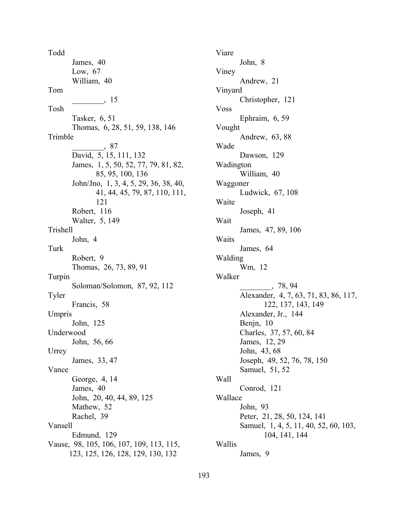Todd James, 40 Low, 67 William, 40 Tom \_\_\_\_\_\_\_\_, 15 Tosh Tasker, 6, 51 Thomas, 6, 28, 51, 59, 138, 146 Trimble \_\_\_\_\_\_\_\_, 87 David, 5, 15, 111, 132 James, 1, 5, 50, 52, 77, 79, 81, 82, 85, 95, 100, 136 John/Jno, 1, 3, 4, 5, 29, 36, 38, 40, 41, 44, 45, 79, 87, 110, 111, 121 Robert, 116 Walter, 5, 149 Trishell John, 4 Turk Robert, 9 Thomas, 26, 73, 89, 91 Turpin Soloman/Solomon, 87, 92, 112 Tyler Francis, 58 Umpris John, 125 Underwood John, 56, 66 Urrey James, 33, 47 Vance George, 4, 14 James, 40 John, 20, 40, 44, 89, 125 Mathew, 52 Rachel, 39 Vansell Edmund, 129 Vause, 98, 105, 106, 107, 109, 113, 115, 123, 125, 126, 128, 129, 130, 132

Viare John, 8 Viney Andrew, 21 Vinyard Christopher, 121 Voss Ephraim, 6, 59 Vought Andrew, 63, 88 Wade Dawson, 129 Wadington William, 40 Waggoner Ludwick, 67, 108 Waite Joseph, 41 Wait James, 47, 89, 106 Waits James, 64 Walding Wm, 12 Walker \_\_\_\_\_\_\_\_, 78, 94 Alexander, 4, 7, 63, 71, 83, 86, 117, 122, 137, 143, 149 Alexander, Jr., 144 Benjn, 10 Charles, 37, 57, 60, 84 James, 12, 29 John, 43, 68 Joseph, 49, 52, 76, 78, 150 Samuel, 51, 52 Wall Conrod, 121 Wallace John, 93 Peter, 21, 28, 50, 124, 141 Samuel, 1, 4, 5, 11, 40, 52, 60, 103, 104, 141, 144 Wallis James, 9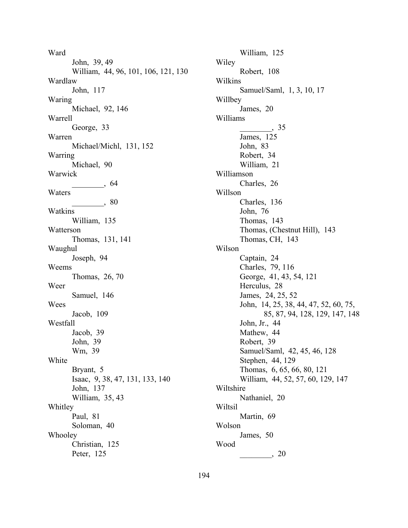Ward John, 39, 49 William, 44, 96, 101, 106, 121, 130 Wardlaw John, 117 Waring Michael, 92, 146 Warrell George, 33 Warren Michael/Michl, 131, 152 Warring Michael, 90 Warwick  $\frac{1}{\sqrt{2}}$ , 64 Waters \_\_\_\_\_\_\_\_, 80 Watkins William, 135 Watterson Thomas, 131, 141 Waughul Joseph, 94 Weems Thomas, 26, 70 Weer Samuel, 146 Wees Jacob, 109 Westfall Jacob, 39 John, 39 Wm, 39 White Bryant, 5 Isaac, 9, 38, 47, 131, 133, 140 John, 137 William, 35, 43 Whitley Paul, 81 Soloman, 40 Whooley Christian, 125 Peter, 125

William, 125 Wiley Robert, 108 Wilkins Samuel/Saml, 1, 3, 10, 17 Willbey James, 20 Williams  $\frac{1}{\sqrt{35}}$ James, 125 John, 83 Robert, 34 William, 21 Williamson Charles, 26 Willson Charles, 136 John, 76 Thomas, 143 Thomas, (Chestnut Hill), 143 Thomas, CH, 143 Wilson Captain, 24 Charles, 79, 116 George, 41, 43, 54, 121 Herculus, 28 James, 24, 25, 52 John, 14, 25, 38, 44, 47, 52, 60, 75, 85, 87, 94, 128, 129, 147, 148 John, Jr., 44 Mathew, 44 Robert, 39 Samuel/Saml, 42, 45, 46, 128 Stephen, 44, 129 Thomas, 6, 65, 66, 80, 121 William, 44, 52, 57, 60, 129, 147 Wiltshire Nathaniel, 20 Wiltsil Martin, 69 Wolson James, 50 Wood  $\frac{1}{20}$ , 20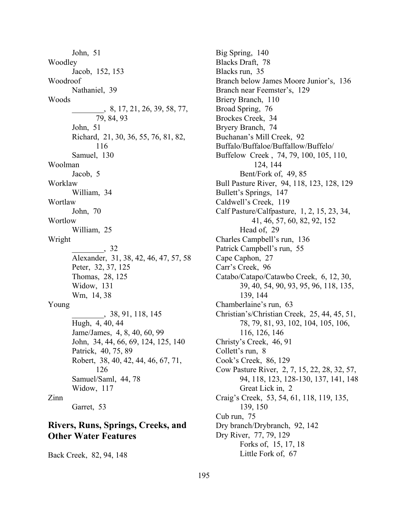John, 51 Woodley Jacob, 152, 153 Woodroof Nathaniel, 39 Woods \_\_\_\_\_\_\_\_, 8, 17, 21, 26, 39, 58, 77, 79, 84, 93 John, 51 Richard, 21, 30, 36, 55, 76, 81, 82, 116 Samuel, 130 Woolman Jacob, 5 Worklaw William, 34 Wortlaw John, 70 **Wortlow** William, 25 Wright \_\_\_\_\_\_\_\_, 32 Alexander, 31, 38, 42, 46, 47, 57, 58 Peter, 32, 37, 125 Thomas, 28, 125 Widow, 131 Wm, 14, 38 Young \_\_\_\_\_\_\_\_, 38, 91, 118, 145 Hugh, 4, 40, 44 Jame/James, 4, 8, 40, 60, 99 John, 34, 44, 66, 69, 124, 125, 140 Patrick, 40, 75, 89 Robert, 38, 40, 42, 44, 46, 67, 71, 126 Samuel/Saml, 44, 78 Widow, 117 Zinn Garret, 53 **Rivers, Runs, Springs, Creeks, and** 

## **Other Water Features**

Back Creek, 82, 94, 148

Big Spring, 140 Blacks Draft, 78 Blacks run, 35 Branch below James Moore Junior's, 136 Branch near Feemster's, 129 Briery Branch, 110 Broad Spring, 76 Brockes Creek, 34 Bryery Branch, 74 Buchanan's Mill Creek, 92 Buffalo/Buffaloe/Buffallow/Buffelo/ Buffelow Creek , 74, 79, 100, 105, 110, 124, 144 Bent/Fork of, 49, 85 Bull Pasture River, 94, 118, 123, 128, 129 Bullett's Springs, 147 Caldwell's Creek, 119 Calf Pasture/Calfpasture, 1, 2, 15, 23, 34, 41, 46, 57, 60, 82, 92, 152 Head of, 29 Charles Campbell's run, 136 Patrick Campbell's run, 55 Cape Caphon, 27 Carr's Creek, 96 Catabo/Catapo/Catawbo Creek, 6, 12, 30, 39, 40, 54, 90, 93, 95, 96, 118, 135, 139, 144 Chamberlaine's run, 63 Christian's/Christian Creek, 25, 44, 45, 51, 78, 79, 81, 93, 102, 104, 105, 106, 116, 126, 146 Christy's Creek, 46, 91 Collett's run,  $8$ Cook's Creek, 86, 129 Cow Pasture River, 2, 7, 15, 22, 28, 32, 57, 94, 118, 123, 128-130, 137, 141, 148 Great Lick in, 2 Craigís Creek, 53, 54, 61, 118, 119, 135, 139, 150 Cub run, 75 Dry branch/Drybranch, 92, 142 Dry River, 77, 79, 129 Forks of, 15, 17, 18 Little Fork of, 67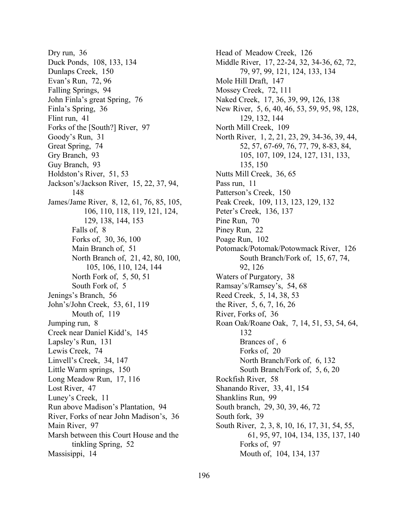Dry run, 36 Duck Ponds, 108, 133, 134 Dunlaps Creek, 150 Evan's Run, 72, 96 Falling Springs, 94 John Finla's great Spring, 76 Finla's Spring, 36 Flint run, 41 Forks of the [South?] River, 97 Goody's Run, 31 Great Spring, 74 Gry Branch, 93 Guy Branch, 93 Holdston's River, 51, 53 Jackson's/Jackson River, 15, 22, 37, 94, 148 James/Jame River, 8, 12, 61, 76, 85, 105, 106, 110, 118, 119, 121, 124, 129, 138, 144, 153 Falls of, 8 Forks of, 30, 36, 100 Main Branch of, 51 North Branch of, 21, 42, 80, 100, 105, 106, 110, 124, 144 North Fork of, 5, 50, 51 South Fork of, 5 Jenings's Branch, 56 Johnís/John Creek, 53, 61, 119 Mouth of, 119 Jumping run, 8 Creek near Daniel Kidd's, 145 Lapsley's Run, 131 Lewis Creek, 74 Linvell's Creek, 34, 147 Little Warm springs, 150 Long Meadow Run, 17, 116 Lost River, 47 Luney's Creek, 11 Run above Madison's Plantation, 94 River, Forks of near John Madison's, 36 Main River, 97 Marsh between this Court House and the tinkling Spring, 52 Massisippi, 14

Head of Meadow Creek, 126 Middle River, 17, 22-24, 32, 34-36, 62, 72, 79, 97, 99, 121, 124, 133, 134 Mole Hill Draft, 147 Mossey Creek, 72, 111 Naked Creek, 17, 36, 39, 99, 126, 138 New River, 5, 6, 40, 46, 53, 59, 95, 98, 128, 129, 132, 144 North Mill Creek, 109 North River, 1, 2, 21, 23, 29, 34-36, 39, 44, 52, 57, 67-69, 76, 77, 79, 8-83, 84, 105, 107, 109, 124, 127, 131, 133, 135, 150 Nutts Mill Creek, 36, 65 Pass run, 11 Patterson's Creek, 150 Peak Creek, 109, 113, 123, 129, 132 Peter's Creek, 136, 137 Pine Run, 70 Piney Run, 22 Poage Run, 102 Potomack/Potomak/Potowmack River, 126 South Branch/Fork of, 15, 67, 74, 92, 126 Waters of Purgatory, 38 Ramsay's/Ramsey's, 54, 68 Reed Creek, 5, 14, 38, 53 the River, 5, 6, 7, 16, 26 River, Forks of, 36 Roan Oak/Roane Oak, 7, 14, 51, 53, 54, 64, 132 Brances of , 6 Forks of, 20 North Branch/Fork of, 6, 132 South Branch/Fork of, 5, 6, 20 Rockfish River, 58 Shanando River, 33, 41, 154 Shanklins Run, 99 South branch, 29, 30, 39, 46, 72 South fork, 39 South River, 2, 3, 8, 10, 16, 17, 31, 54, 55, 61, 95, 97, 104, 134, 135, 137, 140 Forks of, 97 Mouth of, 104, 134, 137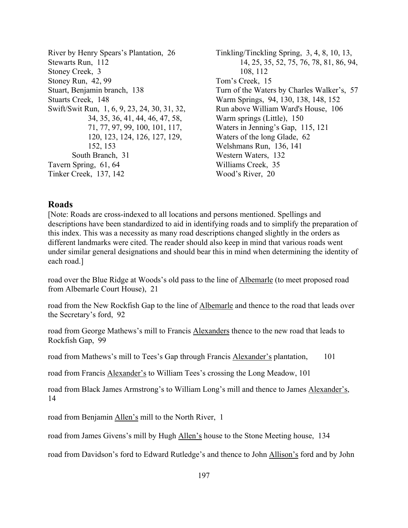River by Henry Spears's Plantation, 26 Stewarts Run, 112 Stoney Creek, 3 Stoney Run, 42, 99 Stuart, Benjamin branch, 138 Stuarts Creek, 148 Swift/Swit Run, 1, 6, 9, 23, 24, 30, 31, 32, 34, 35, 36, 41, 44, 46, 47, 58, 71, 77, 97, 99, 100, 101, 117, 120, 123, 124, 126, 127, 129, 152, 153 South Branch, 31 Tavern Spring, 61, 64 Tinker Creek, 137, 142

Tinkling/Tinckling Spring, 3, 4, 8, 10, 13, 14, 25, 35, 52, 75, 76, 78, 81, 86, 94, 108, 112 Tom's Creek, 15 Turn of the Waters by Charles Walker's, 57 Warm Springs, 94, 130, 138, 148, 152 Run above William Ward's House, 106 Warm springs (Little), 150 Waters in Jenning's Gap, 115, 121 Waters of the long Glade, 62 Welshmans Run, 136, 141 Western Waters, 132 Williams Creek, 35 Wood's River, 20

## **Roads**

[Note: Roads are cross-indexed to all locations and persons mentioned. Spellings and descriptions have been standardized to aid in identifying roads and to simplify the preparation of this index. This was a necessity as many road descriptions changed slightly in the orders as different landmarks were cited. The reader should also keep in mind that various roads went under similar general designations and should bear this in mind when determining the identity of each road.]

road over the Blue Ridge at Woods's old pass to the line of Albemarle (to meet proposed road from Albemarle Court House), 21

road from the New Rockfish Gap to the line of Albemarle and thence to the road that leads over the Secretary's ford, 92

road from George Mathews's mill to Francis Alexanders thence to the new road that leads to Rockfish Gap, 99

road from Mathews's mill to Tees's Gap through Francis Alexander's plantation, 101

road from Francis Alexander's to William Tees's crossing the Long Meadow, 101

road from Black James Armstrong's to William Long's mill and thence to James Alexander's, 14

road from Benjamin Allen's mill to the North River, 1

road from James Givens's mill by Hugh Allen's house to the Stone Meeting house, 134

road from Davidson's ford to Edward Rutledge's and thence to John Allison's ford and by John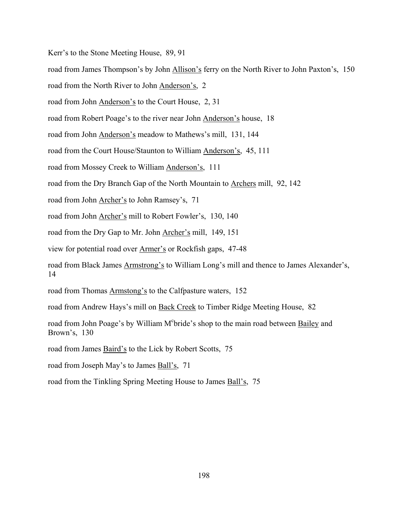Kerr's to the Stone Meeting House, 89, 91

road from James Thompson's by John Allison's ferry on the North River to John Paxton's, 150

road from the North River to John Anderson's, 2

road from John Anderson's to the Court House, 2, 31

road from Robert Poage's to the river near John Anderson's house, 18

road from John Anderson's meadow to Mathews's mill, 131, 144

road from the Court House/Staunton to William Anderson's, 45, 111

road from Mossey Creek to William Anderson's, 111

road from the Dry Branch Gap of the North Mountain to Archers mill, 92, 142

road from John Archer's to John Ramsey's, 71

road from John Archer's mill to Robert Fowler's, 130, 140

road from the Dry Gap to Mr. John Archer's mill, 149, 151

view for potential road over Armer's or Rockfish gaps, 47-48

road from Black James Armstrong's to William Long's mill and thence to James Alexander's, 14

road from Thomas Armstong's to the Calfpasture waters, 152

road from Andrew Hays's mill on Back Creek to Timber Ridge Meeting House, 82

road from John Poage's by William M°bride's shop to the main road between Bailey and Brown's, 130

road from James Baird's to the Lick by Robert Scotts, 75

road from Joseph May's to James Ball's, 71

road from the Tinkling Spring Meeting House to James Ball's, 75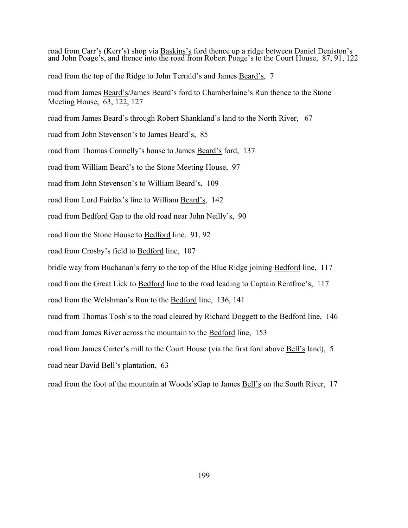road from Carr's (Kerr's) shop via Baskins's ford thence up a ridge between Daniel Deniston's and John Poage's, and thence into the road from Robert Poage's to the Court House, 87, 91, 122 road from the top of the Ridge to John Terrald's and James Beard's, 7 road from James Beard's/James Beard's ford to Chamberlaine's Run thence to the Stone Meeting House, 63, 122, 127 road from James Beard's through Robert Shankland's land to the North River, 67 road from John Stevenson's to James Beard's, 85 road from Thomas Connelly's house to James Beard's ford, 137 road from William Beard's to the Stone Meeting House, 97 road from John Stevenson's to William Beard's, 109 road from Lord Fairfax's line to William Beard's, 142 road from Bedford Gap to the old road near John Neilly's, 90 road from the Stone House to Bedford line, 91, 92 road from Crosby's field to Bedford line, 107 bridle way from Buchanan's ferry to the top of the Blue Ridge joining Bedford line, 117 road from the Great Lick to Bedford line to the road leading to Captain Rentfroe's, 117 road from the Welshman's Run to the Bedford line, 136, 141 road from Thomas Tosh's to the road cleared by Richard Doggett to the Bedford line, 146 road from James River across the mountain to the Bedford line, 153 road from James Carter's mill to the Court House (via the first ford above Bell's land), 5 road near David Bell's plantation, 63 road from the foot of the mountain at Woods'sGap to James Bell's on the South River, 17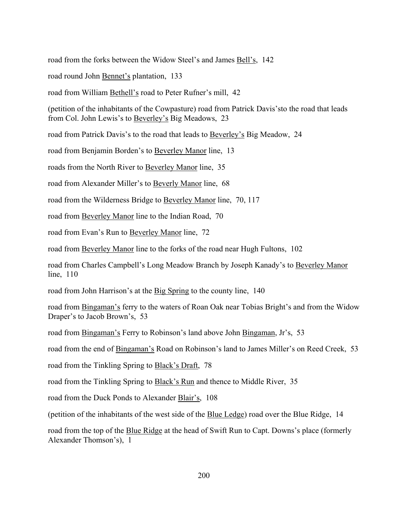road from the forks between the Widow Steel's and James Bell's, 142

road round John Bennet's plantation, 133

road from William Bethell's road to Peter Rufner's mill, 42

(petition of the inhabitants of the Cowpasture) road from Patrick Davis's to the road that leads from Col. John Lewis's to Beverley's Big Meadows, 23

road from Patrick Davis's to the road that leads to Beverley's Big Meadow, 24

road from Benjamin Borden's to Beverley Manor line, 13

roads from the North River to Beverley Manor line, 35

road from Alexander Miller's to Beverly Manor line, 68

road from the Wilderness Bridge to Beverley Manor line, 70, 117

road from Beverley Manor line to the Indian Road, 70

road from Evan's Run to Beverley Manor line, 72

road from Beverley Manor line to the forks of the road near Hugh Fultons, 102

road from Charles Campbell's Long Meadow Branch by Joseph Kanady's to Beverley Manor line, 110

road from John Harrison's at the Big Spring to the county line, 140

road from Bingaman's ferry to the waters of Roan Oak near Tobias Bright's and from the Widow Draper's to Jacob Brown's, 53

road from Bingaman's Ferry to Robinson's land above John Bingaman, Jr's, 53

road from the end of Bingaman's Road on Robinson's land to James Miller's on Reed Creek, 53

road from the Tinkling Spring to Black's Draft, 78

road from the Tinkling Spring to Black's Run and thence to Middle River, 35

road from the Duck Ponds to Alexander Blair's, 108

(petition of the inhabitants of the west side of the Blue Ledge) road over the Blue Ridge, 14

road from the top of the Blue Ridge at the head of Swift Run to Capt. Downs's place (formerly Alexander Thomson's), 1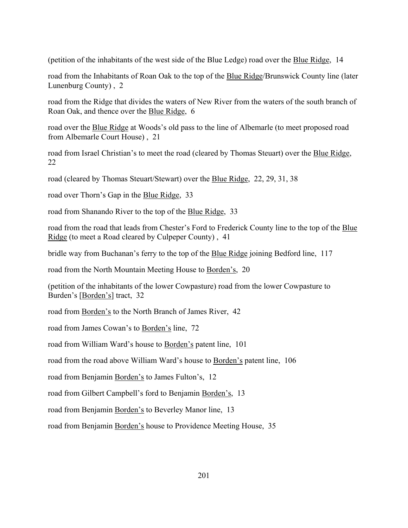(petition of the inhabitants of the west side of the Blue Ledge) road over the Blue Ridge, 14

road from the Inhabitants of Roan Oak to the top of the **Blue Ridge/Brunswick County line** (later Lunenburg County) , 2

road from the Ridge that divides the waters of New River from the waters of the south branch of Roan Oak, and thence over the Blue Ridge, 6

road over the Blue Ridge at Woods's old pass to the line of Albemarle (to meet proposed road from Albemarle Court House) , 21

road from Israel Christian's to meet the road (cleared by Thomas Steuart) over the Blue Ridge, 22

road (cleared by Thomas Steuart/Stewart) over the Blue Ridge, 22, 29, 31, 38

road over Thorn's Gap in the Blue Ridge, 33

road from Shanando River to the top of the Blue Ridge, 33

road from the road that leads from Chester's Ford to Frederick County line to the top of the Blue Ridge (to meet a Road cleared by Culpeper County) , 41

bridle way from Buchanan's ferry to the top of the Blue Ridge joining Bedford line, 117

road from the North Mountain Meeting House to Borden's, 20

(petition of the inhabitants of the lower Cowpasture) road from the lower Cowpasture to Burden's [Borden's] tract, 32

road from Borden's to the North Branch of James River, 42

road from James Cowan's to Borden's line, 72

road from William Ward's house to Borden's patent line, 101

road from the road above William Ward's house to Borden's patent line, 106

road from Benjamin Borden's to James Fulton's, 12

road from Gilbert Campbell's ford to Benjamin Borden's, 13

road from Benjamin Borden's to Beverley Manor line, 13

road from Benjamin Borden's house to Providence Meeting House, 35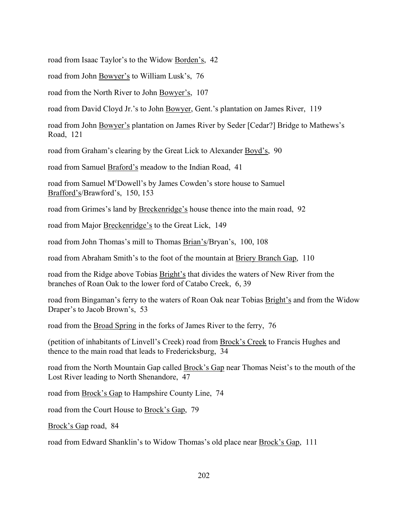road from Isaac Taylor's to the Widow Borden's, 42

road from John Bowyer's to William Lusk's, 76

road from the North River to John Bowyer's, 107

road from David Cloyd Jr.'s to John Bowyer, Gent.'s plantation on James River, 119

road from John Bowyer's plantation on James River by Seder [Cedar?] Bridge to Mathews's Road, 121

road from Graham's clearing by the Great Lick to Alexander Boyd's, 90

road from Samuel Braford's meadow to the Indian Road, 41

road from Samuel M<sup>c</sup>Dowell's by James Cowden's store house to Samuel Brafford's/Brawford's, 150, 153

road from Grimes's land by Breckenridge's house thence into the main road, 92

road from Major Breckenridge's to the Great Lick, 149

road from John Thomas's mill to Thomas Brian's/Bryan's, 100, 108

road from Abraham Smith's to the foot of the mountain at Briery Branch Gap, 110

road from the Ridge above Tobias Bright's that divides the waters of New River from the branches of Roan Oak to the lower ford of Catabo Creek, 6, 39

road from Bingaman's ferry to the waters of Roan Oak near Tobias Bright's and from the Widow Draper's to Jacob Brown's, 53

road from the Broad Spring in the forks of James River to the ferry, 76

(petition of inhabitants of Linvell's Creek) road from Brock's Creek to Francis Hughes and thence to the main road that leads to Fredericksburg, 34

road from the North Mountain Gap called Brock's Gap near Thomas Neist's to the mouth of the Lost River leading to North Shenandore, 47

road from Brock's Gap to Hampshire County Line, 74

road from the Court House to Brock's Gap, 79

Brock's Gap road, 84

road from Edward Shanklin's to Widow Thomas's old place near <u>Brock's Gap</u>, 111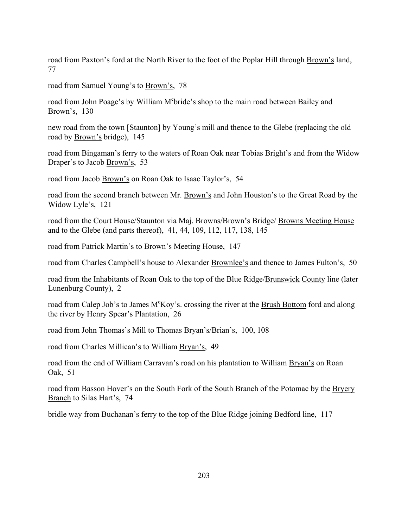road from Paxton's ford at the North River to the foot of the Poplar Hill through Brown's land, 77

road from Samuel Young's to Brown's, 78

road from John Poage's by William M°bride's shop to the main road between Bailey and Brown's, 130

new road from the town [Staunton] by Young's mill and thence to the Glebe (replacing the old road by Brown's bridge), 145

road from Bingaman's ferry to the waters of Roan Oak near Tobias Bright's and from the Widow Draper's to Jacob Brown's, 53

road from Jacob Brown's on Roan Oak to Isaac Taylor's, 54

road from the second branch between Mr. Brown's and John Houston's to the Great Road by the Widow Lyle's, 121

road from the Court House/Staunton via Maj. Browns/Brown's Bridge/ Browns Meeting House and to the Glebe (and parts thereof), 41, 44, 109, 112, 117, 138, 145

road from Patrick Martin's to Brown's Meeting House, 147

road from Charles Campbell's house to Alexander Brownlee's and thence to James Fulton's, 50

road from the Inhabitants of Roan Oak to the top of the Blue Ridge/Brunswick County line (later Lunenburg County), 2

road from Calep Job's to James M<sup>c</sup>Koy's. crossing the river at the **Brush Bottom** ford and along the river by Henry Spear's Plantation, 26

road from John Thomas's Mill to Thomas Bryan's/Brian's, 100, 108

road from Charles Millican's to William Bryan's, 49

road from the end of William Carravan's road on his plantation to William Bryan's on Roan Oak, 51

road from Basson Hover's on the South Fork of the South Branch of the Potomac by the Bryery Branch to Silas Hart's, 74

bridle way from Buchanan's ferry to the top of the Blue Ridge joining Bedford line, 117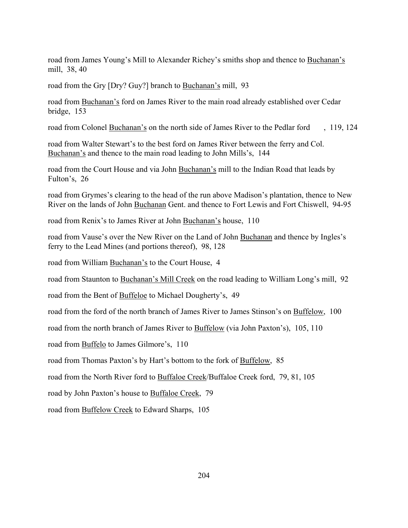road from James Young's Mill to Alexander Richey's smiths shop and thence to Buchanan's mill, 38, 40

road from the Gry [Dry? Guy?] branch to Buchanan's mill, 93

road from Buchanan's ford on James River to the main road already established over Cedar bridge, 153

road from Colonel Buchanan's on the north side of James River to the Pedlar ford, 119, 124

road from Walter Stewart's to the best ford on James River between the ferry and Col. Buchanan's and thence to the main road leading to John Mills's, 144

road from the Court House and via John Buchanan's mill to the Indian Road that leads by Fulton's, 26

road from Grymes's clearing to the head of the run above Madison's plantation, thence to New River on the lands of John Buchanan Gent. and thence to Fort Lewis and Fort Chiswell, 94-95

road from Renix's to James River at John Buchanan's house, 110

road from Vause's over the New River on the Land of John Buchanan and thence by Ingles's ferry to the Lead Mines (and portions thereof), 98, 128

road from William Buchanan's to the Court House, 4

road from Staunton to Buchanan's Mill Creek on the road leading to William Long's mill, 92

road from the Bent of Buffeloe to Michael Dougherty's, 49

road from the ford of the north branch of James River to James Stinson's on Buffelow, 100

road from the north branch of James River to Buffelow (via John Paxton's), 105, 110

road from Buffelo to James Gilmore's, 110

road from Thomas Paxton's by Hart's bottom to the fork of Buffelow, 85

road from the North River ford to Buffaloe Creek/Buffaloe Creek ford, 79, 81, 105

road by John Paxton's house to Buffaloe Creek, 79

road from Buffelow Creek to Edward Sharps, 105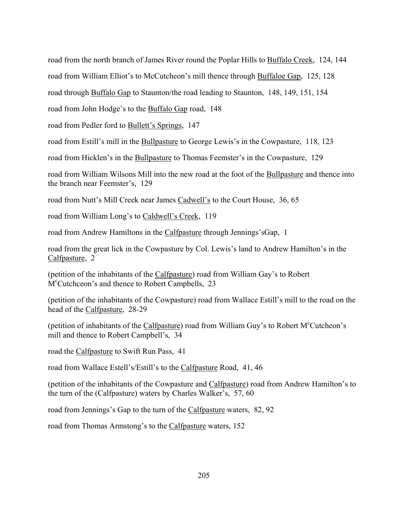road from the north branch of James River round the Poplar Hills to Buffalo Creek, 124, 144 I

road from William Elliot's to McCutcheon's mill thence through Buffaloe Gap, 125, 128

road through Buffalo Gap to Staunton/the road leading to Staunton, 148, 149, 151, 154

road from John Hodge's to the **Buffalo Gap** road, 148

road from Pedler ford to Bullett's Springs, 147

road from Estill's mill in the Bullpasture to George Lewis's in the Cowpasture, 118, 123

road from Hicklen's in the Bullpasture to Thomas Feemster's in the Cowpasture, 129

road from William Wilsons Mill into the new road at the foot of the Bullpasture and thence into the branch near Feemster's, 129

road from Nutt's Mill Creek near James Cadwell's to the Court House, 36, 65

road from William Long's to Caldwell's Creek, 119

road from Andrew Hamiltons in the Calfpasture through Jennings'sGap, 1

road from the great lick in the Cowpasture by Col. Lewis's land to Andrew Hamilton's in the Calfpasture, 2

(petition of the inhabitants of the Calfpasture) road from William Gay's to Robert M<sup>c</sup>Cutchceon's and thence to Robert Campbells, 23

(petition of the inhabitants of the Cowpasture) road from Wallace Estill's mill to the road on the head of the Calfpasture, 28-29

(petition of inhabitants of the Calfpasture) road from William Guy's to Robert M<sup>c</sup>Cutcheon's mill and thence to Robert Campbell's, 34

road the Calfpasture to Swift Run Pass, 41

road from Wallace Estell's/Estill's to the Calfpasture Road, 41, 46

(petition of the inhabitants of the Cowpasture and Calfpasture) road from Andrew Hamilton's to the turn of the (Calfpasture) waters by Charles Walker's,  $57, 60$ 

road from Jennings's Gap to the turn of the Calfpasture waters, 82, 92

road from Thomas Armstong's to the Calfpasture waters, 152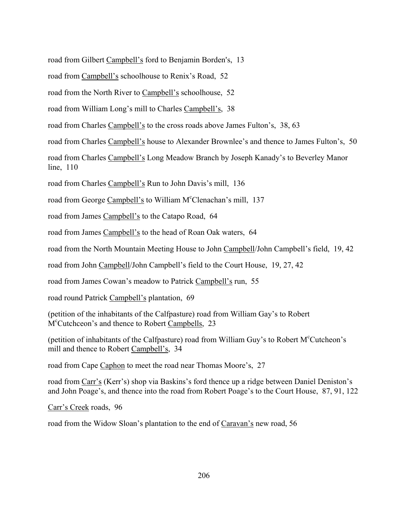road from Gilbert Campbell's ford to Benjamin Borden's, 13

road from Campbell's schoolhouse to Renix's Road, 52

road from the North River to Campbell's schoolhouse, 52

road from William Long's mill to Charles Campbell's, 38

road from Charles Campbell's to the cross roads above James Fulton's, 38, 63

road from Charles Campbell's house to Alexander Brownlee's and thence to James Fulton's, 50

road from Charles Campbell's Long Meadow Branch by Joseph Kanady's to Beverley Manor line, 110

road from Charles Campbell's Run to John Davis's mill, 136

road from George Campbell's to William M<sup>c</sup>Clenachan's mill, 137

road from James Campbell's to the Catapo Road, 64

road from James Campbell's to the head of Roan Oak waters, 64

road from the North Mountain Meeting House to John Campbell/John Campbell's field, 19, 42

road from John Campbell/John Campbell's field to the Court House, 19, 27, 42

road from James Cowan's meadow to Patrick Campbell's run, 55

road round Patrick Campbell's plantation, 69

(petition of the inhabitants of the Calfpasture) road from William Gay's to Robert M<sup>c</sup>Cutchceon's and thence to Robert Campbells, 23

(petition of inhabitants of the Calfpasture) road from William Guy's to Robert M<sup>c</sup>Cutcheon's mill and thence to Robert Campbell's, 34

road from Cape Caphon to meet the road near Thomas Moore's, 27

road from Carr's (Kerr's) shop via Baskins's ford thence up a ridge between Daniel Deniston's and John Poage's, and thence into the road from Robert Poage's to the Court House, 87, 91, 122

Carr's Creek roads, 96

road from the Widow Sloan's plantation to the end of Caravan's new road, 56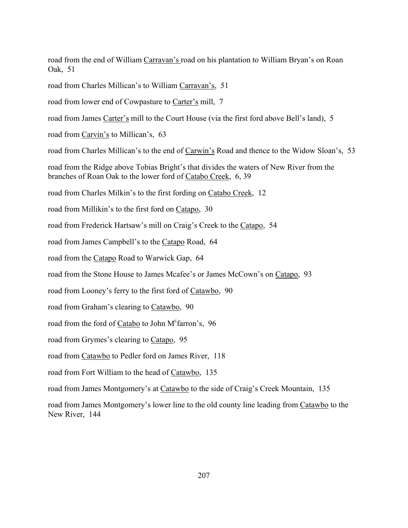road from the end of William Carravan's road on his plantation to William Bryan's on Roan Oak, 51

road from Charles Millican's to William Carravan's, 51

road from lower end of Cowpasture to Carter's mill, 7

road from James Carter's mill to the Court House (via the first ford above Bell's land), 5

road from Carvin's to Millican's, 63

road from Charles Millican's to the end of Carwin's Road and thence to the Widow Sloan's, 53

road from the Ridge above Tobias Bright's that divides the waters of New River from the branches of Roan Oak to the lower ford of Catabo Creek, 6, 39

road from Charles Milkin's to the first fording on Catabo Creek, 12

road from Millikin's to the first ford on Catapo, 30

road from Frederick Hartsaw's mill on Craig's Creek to the Catapo, 54

road from James Campbell's to the Catapo Road, 64

road from the Catapo Road to Warwick Gap, 64

road from the Stone House to James Mcafee's or James McCown's on Catapo, 93

road from Looney's ferry to the first ford of Catawbo, 90

road from Graham's clearing to Catawbo, 90

road from the ford of Catabo to John M<sup>c</sup>farron's, 96

road from Grymes's clearing to Catapo, 95

road from Catawbo to Pedler ford on James River, 118

road from Fort William to the head of Catawbo, 135

road from James Montgomery's at Catawbo to the side of Craig's Creek Mountain, 135

road from James Montgomery's lower line to the old county line leading from Catawbo to the New River, 144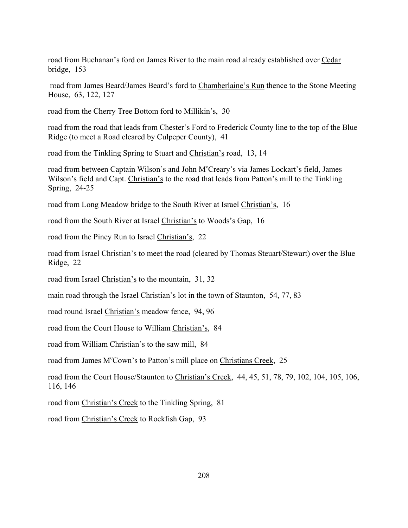road from Buchananís ford on James River to the main road already established over Cedar bridge, 153

road from James Beard/James Beard's ford to Chamberlaine's Run thence to the Stone Meeting House, 63, 122, 127

road from the Cherry Tree Bottom ford to Millikin's, 30

road from the road that leads from Chester's Ford to Frederick County line to the top of the Blue Ridge (to meet a Road cleared by Culpeper County), 41

road from the Tinkling Spring to Stuart and Christian's road, 13, 14

road from between Captain Wilson's and John M°Creary's via James Lockart's field, James Wilson's field and Capt. Christian's to the road that leads from Patton's mill to the Tinkling Spring, 24-25

road from Long Meadow bridge to the South River at Israel Christian's, 16

road from the South River at Israel Christian's to Woods's Gap, 16

road from the Piney Run to Israel Christian's, 22

road from Israel Christian's to meet the road (cleared by Thomas Steuart/Stewart) over the Blue Ridge, 22

road from Israel Christian's to the mountain, 31, 32

main road through the Israel Christian's lot in the town of Staunton, 54, 77, 83

road round Israel Christian's meadow fence, 94, 96

road from the Court House to William Christian's, 84

road from William Christian's to the saw mill, 84

road from James M<sup>c</sup>Cown's to Patton's mill place on Christians Creek, 25

road from the Court House/Staunton to Christian's Creek, 44, 45, 51, 78, 79, 102, 104, 105, 106, 116, 146

road from Christian's Creek to the Tinkling Spring, 81

road from Christian's Creek to Rockfish Gap, 93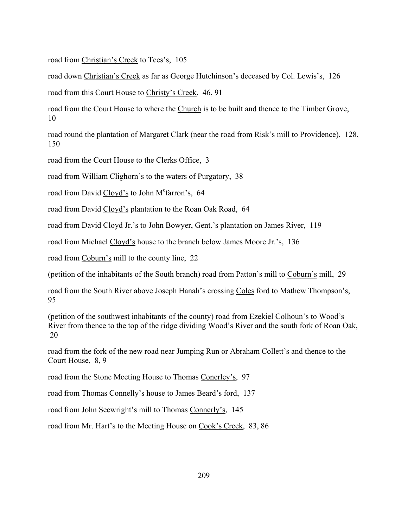road from Christian's Creek to Tees's, 105

road down Christian's Creek as far as George Hutchinson's deceased by Col. Lewis's, 126

road from this Court House to Christy's Creek, 46, 91

road from the Court House to where the Church is to be built and thence to the Timber Grove, 10

road round the plantation of Margaret Clark (near the road from Risk's mill to Providence), 128, 150

road from the Court House to the Clerks Office, 3

road from William Clighorn's to the waters of Purgatory, 38

road from David Cloyd's to John M<sup>c</sup>farron's, 64

road from David Cloyd's plantation to the Roan Oak Road, 64

road from David Cloyd Jr.'s to John Bowyer, Gent.'s plantation on James River, 119

road from Michael Cloyd's house to the branch below James Moore Jr.'s, 136

road from Coburn's mill to the county line, 22

(petition of the inhabitants of the South branch) road from Patton's mill to Coburn's mill, 29

road from the South River above Joseph Hanah's crossing Coles ford to Mathew Thompson's, 95

(petition of the southwest inhabitants of the county) road from Ezekiel Colhoun's to Wood's River from thence to the top of the ridge dividing Wood's River and the south fork of Roan Oak, 20

road from the fork of the new road near Jumping Run or Abraham Collett's and thence to the Court House, 8, 9

road from the Stone Meeting House to Thomas Conerley's, 97

road from Thomas Connelly's house to James Beard's ford, 137

road from John Seewright's mill to Thomas Connerly's, 145

road from Mr. Hart's to the Meeting House on Cook's Creek, 83, 86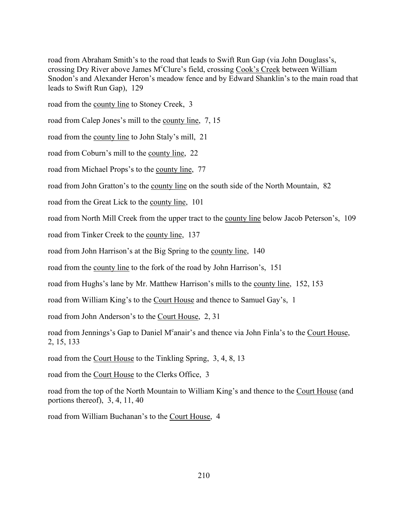road from Abraham Smith's to the road that leads to Swift Run Gap (via John Douglass's, crossing Dry River above James M<sup>c</sup>Clure's field, crossing Cook's Creek between William Snodon's and Alexander Heron's meadow fence and by Edward Shanklin's to the main road that leads to Swift Run Gap), 129

road from the county line to Stoney Creek, 3

road from Calep Jones's mill to the county line, 7, 15

road from the county line to John Staly's mill, 21

road from Coburn's mill to the county line, 22

road from Michael Props's to the county line, 77

road from John Gratton's to the county line on the south side of the North Mountain, 82

road from the Great Lick to the county line, 101

road from North Mill Creek from the upper tract to the county line below Jacob Peterson's, 109

road from Tinker Creek to the county line, 137

road from John Harrison's at the Big Spring to the county line, 140

road from the county line to the fork of the road by John Harrison's, 151

road from Hughs's lane by Mr. Matthew Harrison's mills to the county line, 152, 153

road from William King's to the Court House and thence to Samuel Gay's, 1

road from John Anderson's to the Court House, 2, 31

road from Jennings's Gap to Daniel M<sup>c</sup>anair's and thence via John Finla's to the Court House, 2, 15, 133

road from the Court House to the Tinkling Spring, 3, 4, 8, 13

road from the Court House to the Clerks Office, 3

road from the top of the North Mountain to William King's and thence to the Court House (and portions thereof), 3, 4, 11, 40

road from William Buchanan's to the Court House, 4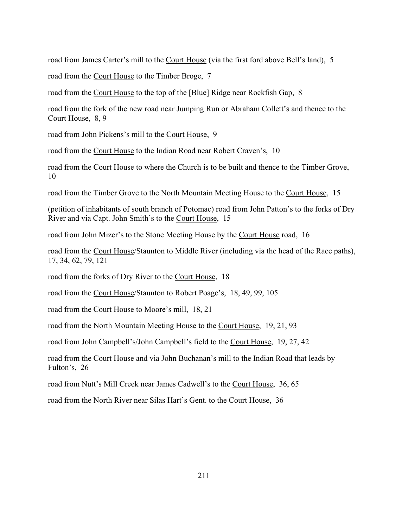road from James Carter's mill to the Court House (via the first ford above Bell's land), 5

road from the Court House to the Timber Broge, 7

road from the Court House to the top of the [Blue] Ridge near Rockfish Gap, 8

road from the fork of the new road near Jumping Run or Abraham Collett's and thence to the Court House, 8, 9

road from John Pickens's mill to the Court House, 9

road from the Court House to the Indian Road near Robert Craven's, 10

road from the Court House to where the Church is to be built and thence to the Timber Grove, 10

road from the Timber Grove to the North Mountain Meeting House to the Court House, 15

(petition of inhabitants of south branch of Potomac) road from John Patton's to the forks of Dry River and via Capt. John Smith's to the Court House, 15

road from John Mizer's to the Stone Meeting House by the Court House road, 16

road from the Court House/Staunton to Middle River (including via the head of the Race paths), 17, 34, 62, 79, 121

road from the forks of Dry River to the Court House, 18

road from the Court House/Staunton to Robert Poage's, 18, 49, 99, 105

road from the Court House to Moore's mill, 18, 21

road from the North Mountain Meeting House to the Court House, 19, 21, 93

road from John Campbell's/John Campbell's field to the Court House, 19, 27, 42

road from the Court House and via John Buchanan's mill to the Indian Road that leads by Fulton's, 26

road from Nutt's Mill Creek near James Cadwell's to the Court House, 36, 65

road from the North River near Silas Hart's Gent. to the Court House, 36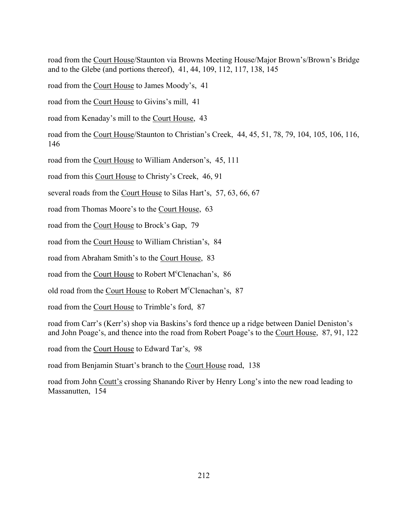road from the Court House/Staunton via Browns Meeting House/Major Brown's/Brown's Bridge and to the Glebe (and portions thereof), 41, 44, 109, 112, 117, 138, 145

road from the Court House to James Moody's, 41

road from the Court House to Givins's mill, 41

road from Kenaday's mill to the Court House, 43

road from the Court House/Staunton to Christian's Creek, 44, 45, 51, 78, 79, 104, 105, 106, 116, 146

road from the Court House to William Anderson's, 45, 111

road from this Court House to Christy's Creek, 46, 91

several roads from the Court House to Silas Hart's, 57, 63, 66, 67

road from Thomas Moore's to the Court House, 63

road from the Court House to Brock's Gap, 79

road from the Court House to William Christian's, 84

road from Abraham Smith's to the Court House, 83

road from the Court House to Robert M°Clenachan's, 86

old road from the Court House to Robert M°Clenachan's, 87

road from the Court House to Trimble's ford, 87

road from Carr's (Kerr's) shop via Baskins's ford thence up a ridge between Daniel Deniston's and John Poage's, and thence into the road from Robert Poage's to the Court House, 87, 91, 122

road from the Court House to Edward Tar's, 98

road from Benjamin Stuart's branch to the Court House road, 138

road from John Coutt's crossing Shanando River by Henry Long's into the new road leading to Massanutten, 154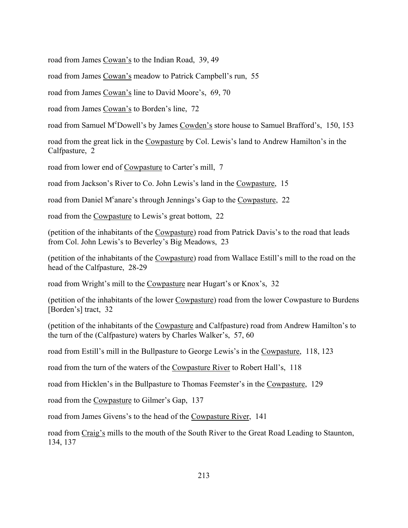road from James Cowan's to the Indian Road, 39, 49

road from James Cowan's meadow to Patrick Campbell's run, 55

road from James Cowan's line to David Moore's, 69, 70

road from James Cowan's to Borden's line, 72

road from Samuel M<sup>c</sup>Dowell's by James Cowden's store house to Samuel Brafford's, 150, 153

road from the great lick in the Cowpasture by Col. Lewis's land to Andrew Hamilton's in the Calfpasture, 2

road from lower end of Cowpasture to Carter's mill, 7

road from Jackson's River to Co. John Lewis's land in the Cowpasture, 15

road from Daniel M<sup>c</sup>anare's through Jennings's Gap to the Cowpasture, 22

road from the Cowpasture to Lewis's great bottom, 22

(petition of the inhabitants of the Cowpasture) road from Patrick Davis's to the road that leads from Col. John Lewis's to Beverley's Big Meadows, 23

(petition of the inhabitants of the Cowpasture) road from Wallace Estill's mill to the road on the head of the Calfpasture, 28-29

road from Wright's mill to the Cowpasture near Hugart's or Knox's, 32

(petition of the inhabitants of the lower Cowpasture) road from the lower Cowpasture to Burdens [Borden's] tract, 32

(petition of the inhabitants of the Cowpasture and Calfpasture) road from Andrew Hamilton's to the turn of the (Calfpasture) waters by Charles Walker's, 57, 60

road from Estill's mill in the Bullpasture to George Lewis's in the Cowpasture, 118, 123

road from the turn of the waters of the Cowpasture River to Robert Hall's, 118

road from Hicklen's in the Bullpasture to Thomas Feemster's in the Cowpasture, 129

road from the Cowpasture to Gilmer's Gap, 137

road from James Givens's to the head of the Cowpasture River, 141

road from Craig's mills to the mouth of the South River to the Great Road Leading to Staunton, 134, 137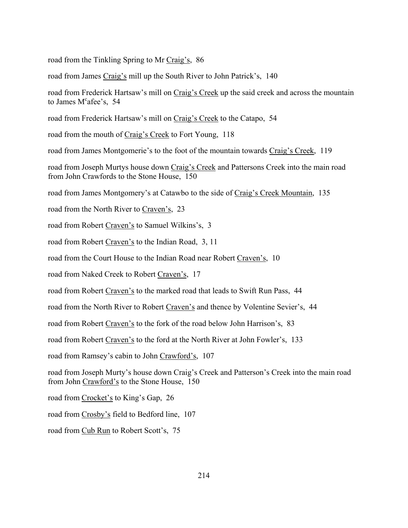road from the Tinkling Spring to Mr Craig's, 86

road from James Craig's mill up the South River to John Patrick's, 140

road from Frederick Hartsaw's mill on Craig's Creek up the said creek and across the mountain to James M<sup>c</sup>afee's, 54

road from Frederick Hartsaw's mill on Craig's Creek to the Catapo, 54

road from the mouth of Craig's Creek to Fort Young, 118

road from James Montgomerie's to the foot of the mountain towards Craig's Creek, 119  $\overline{\phantom{a}}$ 

road from Joseph Murtys house down Craig's Creek and Pattersons Creek into the main road from John Crawfords to the Stone House, 150

road from James Montgomery's at Catawbo to the side of Craig's Creek Mountain, 135

road from the North River to Craven's, 23

road from Robert Craven's to Samuel Wilkins's, 3

road from Robert Craven's to the Indian Road, 3, 11

road from the Court House to the Indian Road near Robert Craven's, 10

road from Naked Creek to Robert Craven's, 17

road from Robert Craven's to the marked road that leads to Swift Run Pass, 44

road from the North River to Robert Craven's and thence by Volentine Sevier's, 44

road from Robert Craven's to the fork of the road below John Harrison's, 83

road from Robert Craven's to the ford at the North River at John Fowler's, 133

road from Ramsey's cabin to John Crawford's, 107

road from Joseph Murty's house down Craig's Creek and Patterson's Creek into the main road from John Crawford's to the Stone House, 150

road from Crocket's to King's Gap, 26

road from Crosby's field to Bedford line, 107

road from Cub Run to Robert Scott's, 75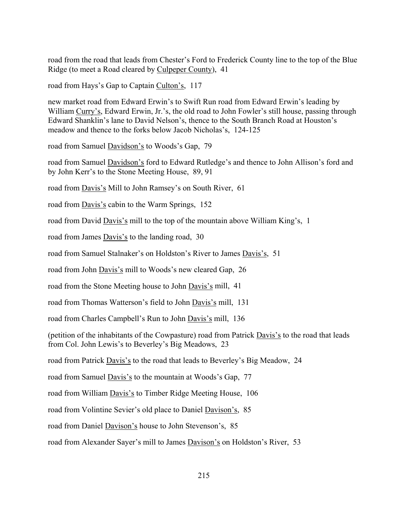road from the road that leads from Chester's Ford to Frederick County line to the top of the Blue Ridge (to meet a Road cleared by Culpeper County), 41

road from Hays's Gap to Captain Culton's, 117

new market road from Edward Erwin's to Swift Run road from Edward Erwin's leading by William Curry's, Edward Erwin, Jr.'s, the old road to John Fowler's still house, passing through Edward Shanklin's lane to David Nelson's, thence to the South Branch Road at Houston's meadow and thence to the forks below Jacob Nicholas's, 124-125

road from Samuel Davidson's to Woods's Gap, 79

road from Samuel Davidson's ford to Edward Rutledge's and thence to John Allison's ford and by John Kerr's to the Stone Meeting House, 89, 91

road from Davis's Mill to John Ramsey's on South River, 61

road from <u>Davis's</u> cabin to the Warm Springs, 152

road from David Davis's mill to the top of the mountain above William King's, 1

road from James Davis's to the landing road, 30

road from Samuel Stalnaker's on Holdston's River to James Davis's, 51

road from John Davis's mill to Woods's new cleared Gap, 26

road from the Stone Meeting house to John Davis's mill, 41

road from Thomas Watterson's field to John Davis's mill, 131

road from Charles Campbell's Run to John Davis's mill, 136

(petition of the inhabitants of the Cowpasture) road from Patrick Davis's to the road that leads from Col. John Lewis's to Beverley's Big Meadows, 23

road from Patrick Davis's to the road that leads to Beverley's Big Meadow, 24

road from Samuel Davis's to the mountain at Woods's Gap, 77

road from William Davis's to Timber Ridge Meeting House, 106

road from Volintine Sevier's old place to Daniel Davison's, 85

road from Daniel Davison's house to John Stevenson's, 85

road from Alexander Sayer's mill to James Davison's on Holdston's River, 53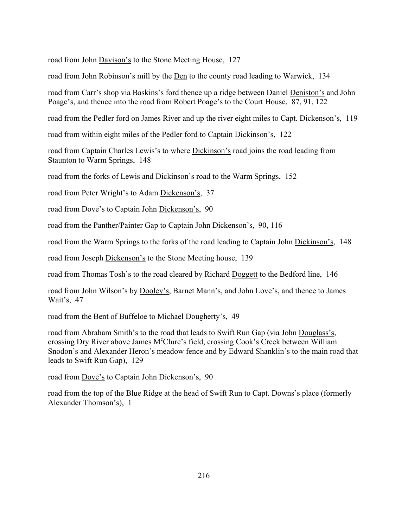road from John Davison's to the Stone Meeting House, 127

road from John Robinson's mill by the Den to the county road leading to Warwick, 134

road from Carr's shop via Baskins's ford thence up a ridge between Daniel Deniston's and John Poage's, and thence into the road from Robert Poage's to the Court House, 87, 91, 122

road from the Pedler ford on James River and up the river eight miles to Capt. Dickenson's, 119

road from within eight miles of the Pedler ford to Captain Dickinson's, 122

road from Captain Charles Lewis's to where Dickinson's road joins the road leading from Staunton to Warm Springs, 148

road from the forks of Lewis and Dickinson's road to the Warm Springs, 152

road from Peter Wright's to Adam Dickenson's, 37

road from Dove's to Captain John Dickenson's, 90

road from the Panther/Painter Gap to Captain John Dickenson's, 90, 116

road from the Warm Springs to the forks of the road leading to Captain John Dickinson's, 148

road from Joseph Dickenson's to the Stone Meeting house, 139

road from Thomas Tosh's to the road cleared by Richard Doggett to the Bedford line, 146

road from John Wilson's by Dooley's, Barnet Mann's, and John Love's, and thence to James Wait's, 47

road from the Bent of Buffeloe to Michael Dougherty's, 49

road from Abraham Smith's to the road that leads to Swift Run Gap (via John Douglass's, crossing Dry River above James M°Clure's field, crossing Cook's Creek between William Snodon's and Alexander Heron's meadow fence and by Edward Shanklin's to the main road that leads to Swift Run Gap), 129

road from Dove's to Captain John Dickenson's, 90

road from the top of the Blue Ridge at the head of Swift Run to Capt. Downs's place (formerly Alexander Thomson's), 1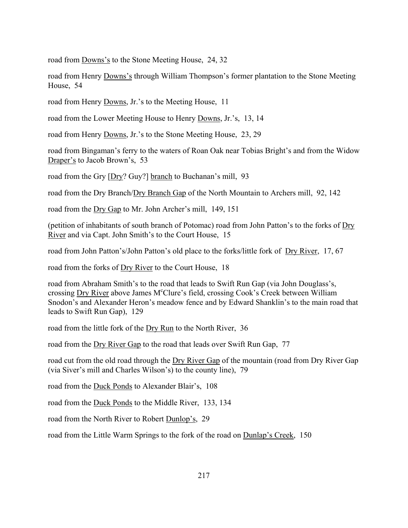road from Downs's to the Stone Meeting House, 24, 32

road from Henry Downs's through William Thompson's former plantation to the Stone Meeting House, 54

road from Henry Downs, Jr.'s to the Meeting House, 11

road from the Lower Meeting House to Henry Downs, Jr.'s, 13, 14

road from Henry Downs, Jr.'s to the Stone Meeting House, 23, 29

road from Bingaman's ferry to the waters of Roan Oak near Tobias Bright's and from the Widow Draper's to Jacob Brown's, 53

road from the Gry [Dry? Guy?] branch to Buchanan's mill, 93

road from the Dry Branch/Dry Branch Gap of the North Mountain to Archers mill, 92, 142

road from the Dry Gap to Mr. John Archer's mill, 149, 151

(petition of inhabitants of south branch of Potomac) road from John Patton's to the forks of  $\overline{\text{Dry}}$ River and via Capt. John Smith's to the Court House, 15

road from John Patton's/John Patton's old place to the forks/little fork of Dry River, 17, 67

road from the forks of Dry River to the Court House, 18

road from Abraham Smith's to the road that leads to Swift Run Gap (via John Douglass's, crossing Dry River above James M<sup>c</sup>Clure's field, crossing Cook's Creek between William Snodon's and Alexander Heron's meadow fence and by Edward Shanklin's to the main road that leads to Swift Run Gap), 129

road from the little fork of the Dry Run to the North River, 36

road from the Dry River Gap to the road that leads over Swift Run Gap, 77

road cut from the old road through the Dry River Gap of the mountain (road from Dry River Gap (via Siver's mill and Charles Wilson's) to the county line), 79

road from the Duck Ponds to Alexander Blair's, 108

road from the Duck Ponds to the Middle River, 133, 134

road from the North River to Robert Dunlop's, 29

road from the Little Warm Springs to the fork of the road on Dunlap's Creek, 150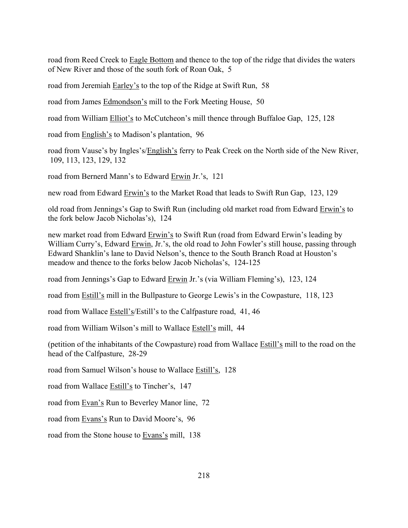road from Reed Creek to Eagle Bottom and thence to the top of the ridge that divides the waters of New River and those of the south fork of Roan Oak, 5

road from Jeremiah Earley's to the top of the Ridge at Swift Run, 58

road from James Edmondson's mill to the Fork Meeting House, 50

road from William Elliot's to McCutcheon's mill thence through Buffaloe Gap, 125, 128

road from English's to Madison's plantation, 96

road from Vause's by Ingles's/English's ferry to Peak Creek on the North side of the New River, 109, 113, 123, 129, 132

road from Bernerd Mann's to Edward Erwin Jr.'s, 121

new road from Edward Erwin's to the Market Road that leads to Swift Run Gap, 123, 129

old road from Jennings's Gap to Swift Run (including old market road from Edward Erwin's to the fork below Jacob Nicholas's), 124

new market road from Edward Erwin's to Swift Run (road from Edward Erwin's leading by William Curry's, Edward Erwin, Jr.'s, the old road to John Fowler's still house, passing through Edward Shanklin's lane to David Nelson's, thence to the South Branch Road at Houston's meadow and thence to the forks below Jacob Nicholas's, 124-125

road from Jennings's Gap to Edward Erwin Jr.'s (via William Fleming's), 123, 124

road from Estill's mill in the Bullpasture to George Lewis's in the Cowpasture, 118, 123

road from Wallace Estell's/Estill's to the Calfpasture road, 41, 46

road from William Wilson's mill to Wallace Estell's mill, 44

(petition of the inhabitants of the Cowpasture) road from Wallace Estill's mill to the road on the head of the Calfpasture, 28-29

road from Samuel Wilson's house to Wallace Estill's, 128

road from Wallace Estill's to Tincher's, 147

road from Evan's Run to Beverley Manor line, 72

road from Evans's Run to David Moore's, 96

road from the Stone house to Evans's mill, 138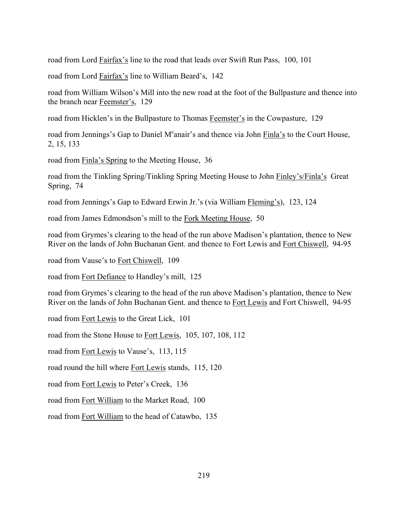road from Lord Fairfax's line to the road that leads over Swift Run Pass, 100, 101

road from Lord Fairfax's line to William Beard's, 142

road from William Wilson's Mill into the new road at the foot of the Bullpasture and thence into the branch near Feemster's, 129

road from Hicklen's in the Bullpasture to Thomas Feemster's in the Cowpasture, 129

road from Jennings's Gap to Daniel M<sup>c</sup>anair's and thence via John Finla's to the Court House, 2, 15, 133

road from Finla's Spring to the Meeting House, 36

road from the Tinkling Spring/Tinkling Spring Meeting House to John Finley's/Finla's Great Spring, 74

road from Jennings's Gap to Edward Erwin Jr.'s (via William Fleming's), 123, 124

road from James Edmondson's mill to the Fork Meeting House, 50

road from Grymes's clearing to the head of the run above Madison's plantation, thence to New River on the lands of John Buchanan Gent. and thence to Fort Lewis and Fort Chiswell, 94-95

road from Vause's to Fort Chiswell, 109

road from Fort Defiance to Handley's mill, 125

road from Grymes's clearing to the head of the run above Madison's plantation, thence to New River on the lands of John Buchanan Gent. and thence to Fort Lewis and Fort Chiswell, 94-95

road from Fort Lewis to the Great Lick, 101

road from the Stone House to Fort Lewis, 105, 107, 108, 112

road from Fort Lewis to Vause's, 113, 115

road round the hill where Fort Lewis stands, 115, 120

road from Fort Lewis to Peter's Creek, 136

road from Fort William to the Market Road, 100

road from Fort William to the head of Catawbo, 135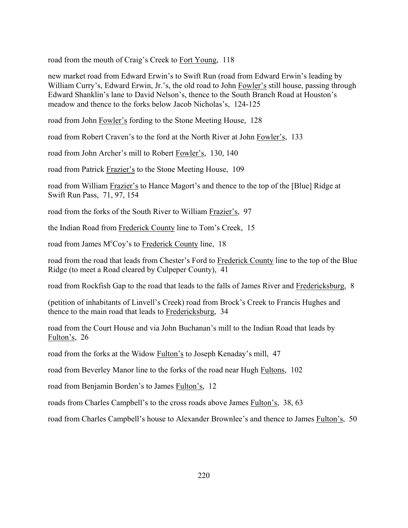road from the mouth of Craig's Creek to Fort Young, 118

new market road from Edward Erwin's to Swift Run (road from Edward Erwin's leading by William Curry's, Edward Erwin, Jr.'s, the old road to John Fowler's still house, passing through Edward Shanklin's lane to David Nelson's, thence to the South Branch Road at Houston's meadow and thence to the forks below Jacob Nicholas's, 124-125

road from John Fowler's fording to the Stone Meeting House, 128

road from Robert Craven's to the ford at the North River at John Fowler's, 133

road from John Archer's mill to Robert Fowler's, 130, 140

road from Patrick Frazier's to the Stone Meeting House, 109

road from William Frazier's to Hance Magort's and thence to the top of the [Blue] Ridge at Swift Run Pass, 71, 97, 154

road from the forks of the South River to William Frazier's, 97

the Indian Road from Frederick County line to Tom's Creek, 15

road from James M<sup>c</sup>Coy's to Frederick County line, 18

road from the road that leads from Chester's Ford to Frederick County line to the top of the Blue Ridge (to meet a Road cleared by Culpeper County), 41

road from Rockfish Gap to the road that leads to the falls of James River and Fredericksburg, 8

(petition of inhabitants of Linvell's Creek) road from Brock's Creek to Francis Hughes and thence to the main road that leads to Fredericksburg, 34

road from the Court House and via John Buchanan's mill to the Indian Road that leads by Fulton's, 26

road from the forks at the Widow Fulton's to Joseph Kenaday's mill, 47

road from Beverley Manor line to the forks of the road near Hugh Fultons, 102

road from Benjamin Borden's to James Fulton's, 12

roads from Charles Campbell's to the cross roads above James Fulton's, 38, 63

road from Charles Campbell's house to Alexander Brownlee's and thence to James Fulton's, 50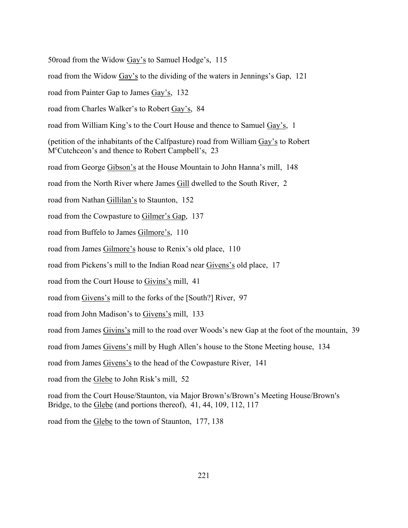50road from the Widow  $\frac{Gay}{s}$  to Samuel Hodge's, 115

road from the Widow  $\frac{Gay}{s}$  to the dividing of the waters in Jennings's Gap, 121

road from Painter Gap to James Gay's, 132

road from Charles Walker's to Robert Gay's, 84

road from William King's to the Court House and thence to Samuel Gay's, 1

(petition of the inhabitants of the Calfpasture) road from William Gayís to Robert M<sup>c</sup>Cutchceon's and thence to Robert Campbell's, 23

road from George Gibson's at the House Mountain to John Hanna's mill, 148

road from the North River where James Gill dwelled to the South River, 2

road from Nathan Gillilan's to Staunton, 152

road from the Cowpasture to Gilmer's Gap, 137

road from Buffelo to James Gilmore's, 110

road from James Gilmore's house to Renix's old place, 110

road from Pickens's mill to the Indian Road near Givens's old place, 17

road from the Court House to Givins's mill, 41

road from Givens's mill to the forks of the [South?] River, 97

road from John Madison's to Givens's mill, 133

road from James Givins's mill to the road over Woods's new Gap at the foot of the mountain, 39

road from James Givens's mill by Hugh Allen's house to the Stone Meeting house, 134

road from James Givens's to the head of the Cowpasture River, 141

road from the Glebe to John Risk's mill, 52

road from the Court House/Staunton, via Major Brown's/Brown's Meeting House/Brown's Bridge, to the Glebe (and portions thereof), 41, 44, 109, 112, 117

road from the Glebe to the town of Staunton, 177, 138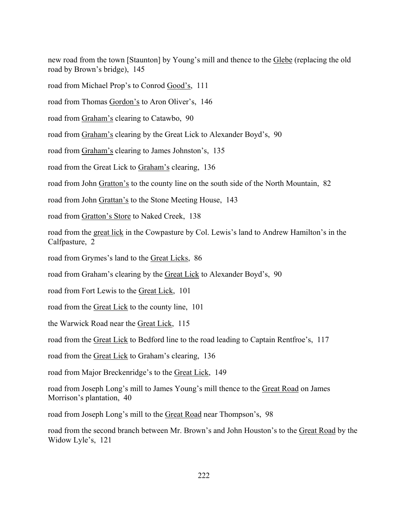new road from the town [Staunton] by Young's mill and thence to the Glebe (replacing the old road by Brown's bridge), 145

road from Michael Prop's to Conrod Good's, 111

road from Thomas Gordon's to Aron Oliver's, 146

road from Graham's clearing to Catawbo, 90

road from Graham's clearing by the Great Lick to Alexander Boyd's, 90

road from Graham's clearing to James Johnston's, 135

road from the Great Lick to Graham's clearing, 136

road from John Gratton's to the county line on the south side of the North Mountain, 82

road from John Grattan's to the Stone Meeting House, 143

road from Gratton's Store to Naked Creek, 138

road from the great lick in the Cowpasture by Col. Lewis's land to Andrew Hamilton's in the Calfpasture, 2

road from Grymes's land to the Great Licks, 86

road from Graham's clearing by the Great Lick to Alexander Boyd's, 90

road from Fort Lewis to the Great Lick, 101

road from the Great Lick to the county line, 101

the Warwick Road near the Great Lick, 115

road from the <u>Great Lick</u> to Bedford line to the road leading to Captain Rentfroe's, 117

road from the Great Lick to Graham's clearing, 136

road from Major Breckenridge's to the Great Lick, 149

road from Joseph Long's mill to James Young's mill thence to the Great Road on James Morrison's plantation, 40

road from Joseph Long's mill to the Great Road near Thompson's, 98

road from the second branch between Mr. Brown's and John Houston's to the Great Road by the Widow Lyle's, 121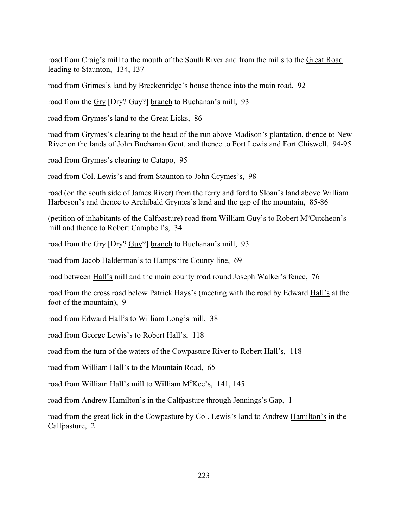road from Craigís mill to the mouth of the South River and from the mills to the Great Road leading to Staunton, 134, 137

road from Grimes's land by Breckenridge's house thence into the main road, 92

road from the  $Gry$  [Dry? Guy?] branch to Buchanan's mill, 93

road from Grymes's land to the Great Licks, 86

road from Grymes's clearing to the head of the run above Madison's plantation, thence to New River on the lands of John Buchanan Gent. and thence to Fort Lewis and Fort Chiswell, 94-95

road from Grymes's clearing to Catapo, 95

road from Col. Lewis's and from Staunton to John Grymes's, 98

road (on the south side of James River) from the ferry and ford to Sloan's land above William Harbeson's and thence to Archibald Grymes's land and the gap of the mountain, 85-86

(petition of inhabitants of the Calfpasture) road from William Guy's to Robert M<sup>c</sup>Cutcheon's mill and thence to Robert Campbell's, 34

road from the Gry [Dry? Guy?] branch to Buchanan's mill, 93

road from Jacob Halderman's to Hampshire County line, 69

road between Hall's mill and the main county road round Joseph Walker's fence, 76

road from the cross road below Patrick Hays's (meeting with the road by Edward Hall's at the foot of the mountain), 9

road from Edward Hall's to William Long's mill, 38

road from George Lewis's to Robert Hall's, 118

road from the turn of the waters of the Cowpasture River to Robert  $\underline{Hall's}$ , 118

road from William Hall's to the Mountain Road, 65

road from William Hall's mill to William M°Kee's, 141, 145

road from Andrew Hamilton's in the Calfpasture through Jennings's Gap, 1

road from the great lick in the Cowpasture by Col. Lewis's land to Andrew Hamilton's in the Calfpasture, 2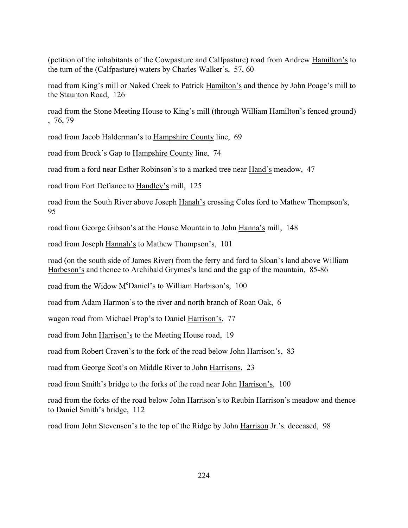(petition of the inhabitants of the Cowpasture and Calfpasture) road from Andrew Hamiltonís to the turn of the (Calfpasture) waters by Charles Walker's,  $57, 60$ 

road from King's mill or Naked Creek to Patrick Hamilton's and thence by John Poage's mill to the Staunton Road, 126

road from the Stone Meeting House to King's mill (through William Hamilton's fenced ground) , 76, 79

road from Jacob Halderman's to Hampshire County line, 69

road from Brock's Gap to Hampshire County line, 74

road from a ford near Esther Robinson's to a marked tree near Hand's meadow, 47

road from Fort Defiance to Handley's mill, 125

road from the South River above Joseph Hanah's crossing Coles ford to Mathew Thompson's, 95

road from George Gibson's at the House Mountain to John Hanna's mill, 148

road from Joseph Hannah's to Mathew Thompson's, 101

road (on the south side of James River) from the ferry and ford to Sloan's land above William Harbeson's and thence to Archibald Grymes's land and the gap of the mountain, 85-86

road from the Widow M<sup>c</sup>Daniel's to William Harbison's, 100

road from Adam Harmon's to the river and north branch of Roan Oak, 6

wagon road from Michael Prop's to Daniel Harrison's, 77

road from John Harrison's to the Meeting House road, 19

road from Robert Craven's to the fork of the road below John Harrison's, 83

road from George Scot's on Middle River to John Harrisons, 23

road from Smith's bridge to the forks of the road near John Harrison's, 100

road from the forks of the road below John Harrison's to Reubin Harrison's meadow and thence to Daniel Smith's bridge, 112

road from John Stevenson's to the top of the Ridge by John Harrison Jr.'s. deceased, 98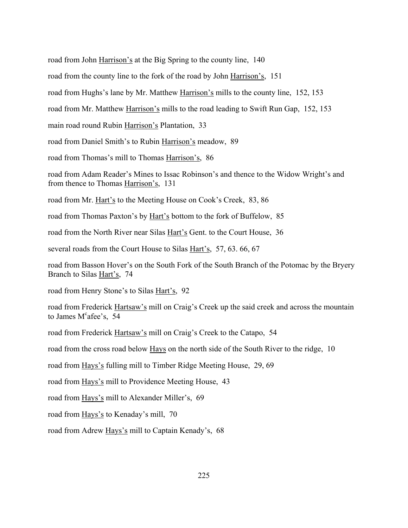road from John Harrison's at the Big Spring to the county line, 140

road from the county line to the fork of the road by John Harrison's, 151

road from Hughs's lane by Mr. Matthew Harrison's mills to the county line, 152, 153

road from Mr. Matthew Harrison's mills to the road leading to Swift Run Gap, 152, 153

main road round Rubin Harrison's Plantation, 33

road from Daniel Smith's to Rubin Harrison's meadow, 89

road from Thomas's mill to Thomas Harrison's, 86

road from Adam Reader's Mines to Issac Robinson's and thence to the Widow Wright's and from thence to Thomas Harrison's, 131

road from Mr. Hart's to the Meeting House on Cook's Creek, 83, 86

road from Thomas Paxton's by Hart's bottom to the fork of Buffelow, 85

road from the North River near Silas Hart's Gent. to the Court House, 36

several roads from the Court House to Silas Hart's, 57, 63.66, 67

road from Basson Hover's on the South Fork of the South Branch of the Potomac by the Bryery Branch to Silas Hart's, 74

road from Henry Stone's to Silas Hart's, 92

road from Frederick Hartsaw's mill on Craig's Creek up the said creek and across the mountain to James M<sup>c</sup>afee's, 54

road from Frederick Hartsaw's mill on Craig's Creek to the Catapo, 54

road from the cross road below Hays on the north side of the South River to the ridge, 10

road from Hays's fulling mill to Timber Ridge Meeting House, 29, 69

road from Hays's mill to Providence Meeting House, 43

road from Hays's mill to Alexander Miller's, 69

road from Hays's to Kenaday's mill, 70

road from Adrew Hays's mill to Captain Kenady's, 68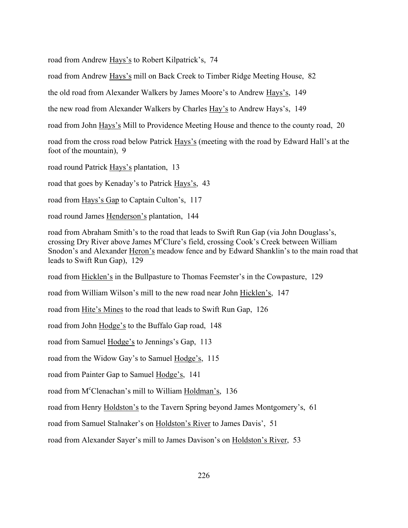road from Andrew Hays's to Robert Kilpatrick's, 74

road from Andrew Hays's mill on Back Creek to Timber Ridge Meeting House, 82

the old road from Alexander Walkers by James Moore's to Andrew Hays's, 149

the new road from Alexander Walkers by Charles Hay's to Andrew Hays's, 149

road from John Hays's Mill to Providence Meeting House and thence to the county road, 20

road from the cross road below Patrick Hays's (meeting with the road by Edward Hall's at the foot of the mountain), 9

road round Patrick Hays's plantation, 13

road that goes by Kenaday's to Patrick Hays's, 43

road from Hays's Gap to Captain Culton's, 117

road round James Henderson's plantation, 144

road from Abraham Smith's to the road that leads to Swift Run Gap (via John Douglass's, crossing Dry River above James M°Clure's field, crossing Cook's Creek between William Snodon's and Alexander Heron's meadow fence and by Edward Shanklin's to the main road that leads to Swift Run Gap), 129

road from Hicklen's in the Bullpasture to Thomas Feemster's in the Cowpasture, 129

road from William Wilson's mill to the new road near John Hicklen's, 147

road from Hite's Mines to the road that leads to Swift Run Gap, 126

road from John Hodge's to the Buffalo Gap road, 148

road from Samuel Hodge's to Jennings's Gap, 113

road from the Widow Gay's to Samuel Hodge's, 115

road from Painter Gap to Samuel Hodge's, 141

road from M<sup>c</sup>Clenachan's mill to William Holdman's, 136

road from Henry Holdston's to the Tavern Spring beyond James Montgomery's, 61

road from Samuel Stalnaker's on Holdston's River to James Davis', 51

road from Alexander Sayer's mill to James Davison's on Holdston's River, 53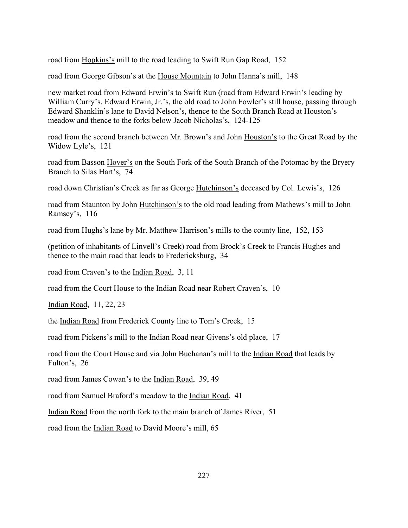road from Hopkins's mill to the road leading to Swift Run Gap Road, 152

road from George Gibson's at the House Mountain to John Hanna's mill, 148

new market road from Edward Erwin's to Swift Run (road from Edward Erwin's leading by William Curry's, Edward Erwin, Jr.'s, the old road to John Fowler's still house, passing through Edward Shanklin's lane to David Nelson's, thence to the South Branch Road at Houston's meadow and thence to the forks below Jacob Nicholas's, 124-125

road from the second branch between Mr. Brown's and John Houston's to the Great Road by the Widow Lyle's, 121

road from Basson Hover's on the South Fork of the South Branch of the Potomac by the Bryery Branch to Silas Hart's, 74

road down Christian's Creek as far as George Hutchinson's deceased by Col. Lewis's, 126

road from Staunton by John Hutchinson's to the old road leading from Mathews's mill to John Ramsey's, 116

road from Hughs's lane by Mr. Matthew Harrison's mills to the county line, 152, 153

(petition of inhabitants of Linvell's Creek) road from Brock's Creek to Francis Hughes and thence to the main road that leads to Fredericksburg, 34

road from Craven's to the Indian Road, 3, 11

road from the Court House to the Indian Road near Robert Craven's, 10

Indian Road, 11, 22, 23

the Indian Road from Frederick County line to Tom's Creek, 15

road from Pickens's mill to the Indian Road near Givens's old place, 17

road from the Court House and via John Buchanan's mill to the Indian Road that leads by Fulton's, 26

road from James Cowan's to the Indian Road, 39, 49

road from Samuel Braford's meadow to the Indian Road, 41

Indian Road from the north fork to the main branch of James River, 51

road from the Indian Road to David Moore's mill, 65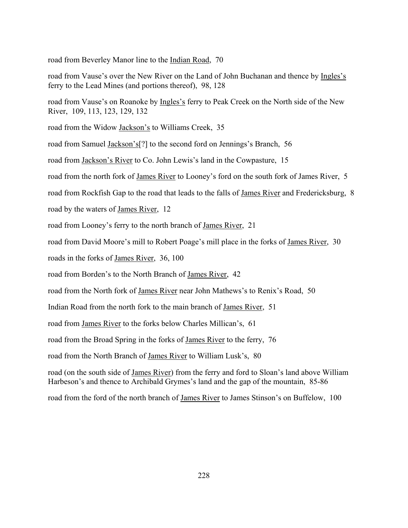road from Beverley Manor line to the Indian Road, 70

road from Vause's over the New River on the Land of John Buchanan and thence by Ingles's ferry to the Lead Mines (and portions thereof), 98, 128

road from Vause's on Roanoke by Ingles's ferry to Peak Creek on the North side of the New River, 109, 113, 123, 129, 132

road from the Widow Jackson's to Williams Creek, 35

road from Samuel Jackson's<sup>[?]</sup> to the second ford on Jennings's Branch, 56

road from Jackson's River to Co. John Lewis's land in the Cowpasture, 15

road from the north fork of James River to Looney's ford on the south fork of James River, 5

road from Rockfish Gap to the road that leads to the falls of James River and Fredericksburg, 8

road by the waters of James River, 12

road from Looney's ferry to the north branch of James River, 21

road from David Moore's mill to Robert Poage's mill place in the forks of James River, 30

roads in the forks of James River, 36, 100

road from Borden's to the North Branch of James River, 42

road from the North fork of James River near John Mathews's to Renix's Road, 50

Indian Road from the north fork to the main branch of James River, 51

road from James River to the forks below Charles Millican's, 61

road from the Broad Spring in the forks of James River to the ferry, 76

road from the North Branch of James River to William Lusk's, 80

road (on the south side of James River) from the ferry and ford to Sloan's land above William Harbeson's and thence to Archibald Grymes's land and the gap of the mountain, 85-86

road from the ford of the north branch of James River to James Stinson's on Buffelow, 100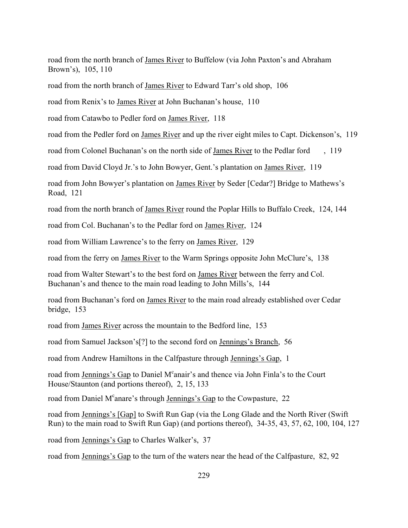road from the north branch of James River to Buffelow (via John Paxton's and Abraham Brown's), 105, 110

road from the north branch of James River to Edward Tarr's old shop, 106

road from Renix's to James River at John Buchanan's house, 110

road from Catawbo to Pedler ford on James River, 118

road from the Pedler ford on James River and up the river eight miles to Capt. Dickenson's, 119

road from Colonel Buchanan's on the north side of James River to the Pedlar ford, 119

road from David Cloyd Jr.'s to John Bowyer, Gent.'s plantation on James River, 119

road from John Bowyer's plantation on James River by Seder [Cedar?] Bridge to Mathews's Road, 121

road from the north branch of James River round the Poplar Hills to Buffalo Creek, 124, 144

road from Col. Buchanan's to the Pedlar ford on James River, 124

road from William Lawrence's to the ferry on James River, 129

road from the ferry on James River to the Warm Springs opposite John McClure's, 138

road from Walter Stewart's to the best ford on James River between the ferry and Col. Buchanan's and thence to the main road leading to John Mills's, 144

road from Buchanan's ford on James River to the main road already established over Cedar bridge, 153

road from James River across the mountain to the Bedford line, 153

road from Samuel Jackson's<sup>[?]</sup> to the second ford on Jennings's Branch, 56

road from Andrew Hamiltons in the Calfpasture through Jennings's Gap, 1

road from Jennings's Gap to Daniel M<sup>c</sup>anair's and thence via John Finla's to the Court House/Staunton (and portions thereof), 2, 15, 133

road from Daniel M<sup>c</sup>anare's through <u>Jennings's Gap</u> to the Cowpasture, 22

road from Jennings's [Gap] to Swift Run Gap (via the Long Glade and the North River (Swift Run) to the main road to Swift Run Gap) (and portions thereof), 34-35, 43, 57, 62, 100, 104, 127

road from Jennings's Gap to Charles Walker's, 37

road from Jennings's Gap to the turn of the waters near the head of the Calfpasture, 82, 92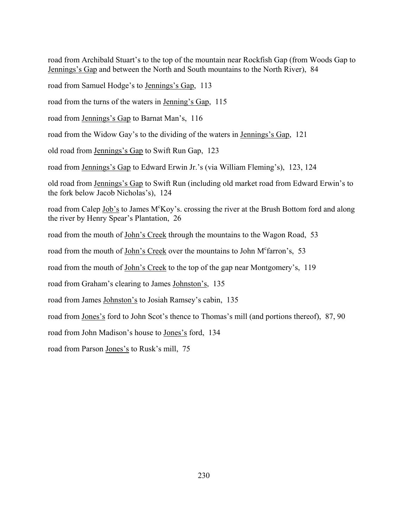road from Archibald Stuart's to the top of the mountain near Rockfish Gap (from Woods Gap to Jennings's Gap and between the North and South mountains to the North River), 84

road from Samuel Hodge's to Jennings's Gap, 113

road from the turns of the waters in Jenning's Gap, 115

road from Jennings's Gap to Barnat Man's, 116

road from the Widow Gay's to the dividing of the waters in Jennings's Gap, 121

old road from Jennings's Gap to Swift Run Gap, 123

road from Jennings's Gap to Edward Erwin Jr.'s (via William Fleming's), 123, 124

old road from Jennings's Gap to Swift Run (including old market road from Edward Erwin's to the fork below Jacob Nicholas's), 124

road from Calep Job's to James M<sup>c</sup>Koy's. crossing the river at the Brush Bottom ford and along the river by Henry Spear's Plantation, 26

road from the mouth of John's Creek through the mountains to the Wagon Road, 53

road from the mouth of John's Creek over the mountains to John M<sup>c</sup>farron's, 53

road from the mouth of John's Creek to the top of the gap near Montgomery's, 119

road from Graham's clearing to James Johnston's, 135

road from James Johnston's to Josiah Ramsey's cabin, 135

road from Jones's ford to John Scot's thence to Thomas's mill (and portions thereof), 87, 90

road from John Madison's house to Jones's ford, 134

road from Parson Jones's to Rusk's mill, 75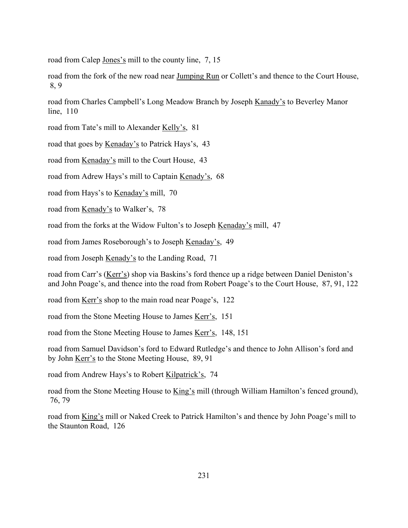road from Calep Jones's mill to the county line, 7, 15

road from the fork of the new road near Jumping Run or Collett's and thence to the Court House, 8, 9

road from Charles Campbell's Long Meadow Branch by Joseph Kanady's to Beverley Manor line, 110

road from Tate's mill to Alexander Kelly's, 81

road that goes by Kenaday's to Patrick Hays's, 43

road from <u>Kenaday's</u> mill to the Court House, 43

road from Adrew Hays's mill to Captain Kenady's, 68

road from Hays's to Kenaday's mill, 70

road from Kenady's to Walker's, 78

road from the forks at the Widow Fulton's to Joseph Kenaday's mill, 47

road from James Roseborough's to Joseph Kenaday's, 49

road from Joseph Kenady's to the Landing Road, 71

road from Carr's (Kerr's) shop via Baskins's ford thence up a ridge between Daniel Deniston's and John Poage's, and thence into the road from Robert Poage's to the Court House, 87, 91, 122

road from Kerr's shop to the main road near Poage's, 122

road from the Stone Meeting House to James Kerr's, 151

road from the Stone Meeting House to James <u>Kerr's</u>, 148, 151

road from Samuel Davidson's ford to Edward Rutledge's and thence to John Allison's ford and by John Kerr's to the Stone Meeting House, 89, 91

road from Andrew Hays's to Robert Kilpatrick's, 74

road from the Stone Meeting House to King's mill (through William Hamilton's fenced ground), 76, 79

road from King's mill or Naked Creek to Patrick Hamilton's and thence by John Poage's mill to the Staunton Road, 126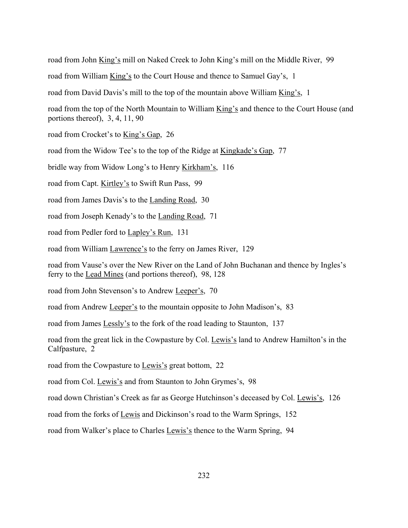road from John King's mill on Naked Creek to John King's mill on the Middle River, 99 road from William King's to the Court House and thence to Samuel Gay's, 1 road from David Davis's mill to the top of the mountain above William King's, 1 road from the top of the North Mountain to William King's and thence to the Court House (and portions thereof), 3, 4, 11, 90 road from Crocket's to King's Gap, 26 road from the Widow Tee's to the top of the Ridge at Kingkade's Gap, 77 bridle way from Widow Long's to Henry Kirkham's, 116 road from Capt. Kirtley's to Swift Run Pass, 99 road from James Davis's to the Landing Road, 30 road from Joseph Kenady's to the Landing Road, 71 road from Pedler ford to Lapley's Run, 131 road from William Lawrence's to the ferry on James River, 129 road from Vause's over the New River on the Land of John Buchanan and thence by Ingles's ferry to the Lead Mines (and portions thereof), 98, 128 road from John Stevenson's to Andrew Leeper's, 70 road from Andrew Leeper's to the mountain opposite to John Madison's, 83 road from James Lessly's to the fork of the road leading to Staunton, 137 road from the great lick in the Cowpasture by Col. Lewis's land to Andrew Hamilton's in the Calfpasture, 2 road from the Cowpasture to Lewis's great bottom, 22 road from Col. Lewis's and from Staunton to John Grymes's, 98 road down Christian's Creek as far as George Hutchinson's deceased by Col. Lewis's, 126

road from the forks of Lewis and Dickinson's road to the Warm Springs, 152

road from Walker's place to Charles Lewis's thence to the Warm Spring, 94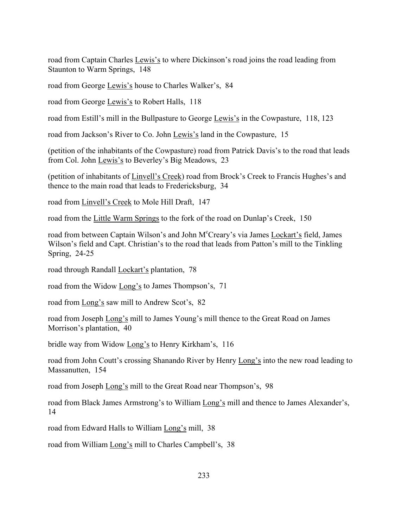road from Captain Charles Lewis's to where Dickinson's road joins the road leading from Staunton to Warm Springs, 148

road from George Lewis's house to Charles Walker's, 84

road from George Lewis's to Robert Halls, 118

road from Estill's mill in the Bullpasture to George Lewis's in the Cowpasture, 118, 123

road from Jackson's River to Co. John Lewis's land in the Cowpasture, 15

(petition of the inhabitants of the Cowpasture) road from Patrick Davis's to the road that leads from Col. John Lewis's to Beverley's Big Meadows, 23

(petition of inhabitants of Linvell's Creek) road from Brock's Creek to Francis Hughes's and thence to the main road that leads to Fredericksburg, 34

road from Linvell's Creek to Mole Hill Draft, 147

road from the Little Warm Springs to the fork of the road on Dunlap's Creek, 150

road from between Captain Wilson's and John M°Creary's via James Lockart's field, James Wilson's field and Capt. Christian's to the road that leads from Patton's mill to the Tinkling Spring, 24-25

road through Randall Lockart's plantation, 78

road from the Widow Long's to James Thompson's, 71

road from Long's saw mill to Andrew Scot's, 82

road from Joseph Long's mill to James Young's mill thence to the Great Road on James Morrison's plantation, 40

bridle way from Widow Long's to Henry Kirkham's, 116

road from John Coutt's crossing Shanando River by Henry Long's into the new road leading to Massanutten, 154

road from Joseph Long's mill to the Great Road near Thompson's, 98

road from Black James Armstrong's to William Long's mill and thence to James Alexander's, 14

road from Edward Halls to William Long's mill, 38

road from William Long's mill to Charles Campbell's, 38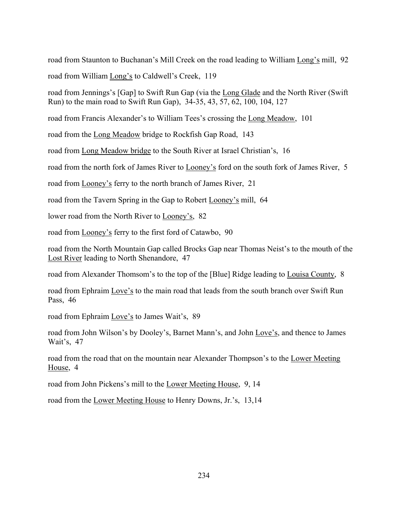road from Staunton to Buchanan's Mill Creek on the road leading to William Long's mill, 92 road from William Long's to Caldwell's Creek, 119

road from Jenningsís [Gap] to Swift Run Gap (via the Long Glade and the North River (Swift Run) to the main road to Swift Run Gap), 34-35, 43, 57, 62, 100, 104, 127

road from Francis Alexander's to William Tees's crossing the Long Meadow, 101

road from the Long Meadow bridge to Rockfish Gap Road, 143

road from Long Meadow bridge to the South River at Israel Christian's, 16

road from the north fork of James River to <u>Looney's</u> ford on the south fork of James River, 5

road from Looney's ferry to the north branch of James River, 21

road from the Tavern Spring in the Gap to Robert Looney's mill, 64

lower road from the North River to Looney's, 82

road from Looney's ferry to the first ford of Catawbo, 90

road from the North Mountain Gap called Brocks Gap near Thomas Neist's to the mouth of the Lost River leading to North Shenandore, 47

road from Alexander Thomsom's to the top of the [Blue] Ridge leading to Louisa County, 8

road from Ephraim Love's to the main road that leads from the south branch over Swift Run Pass, 46

road from Ephraim Love's to James Wait's, 89

road from John Wilson's by Dooley's, Barnet Mann's, and John Love's, and thence to James Wait's, 47

road from the road that on the mountain near Alexander Thompson's to the Lower Meeting House, 4

road from John Pickens's mill to the Lower Meeting House, 9, 14

road from the Lower Meeting House to Henry Downs, Jr.'s, 13,14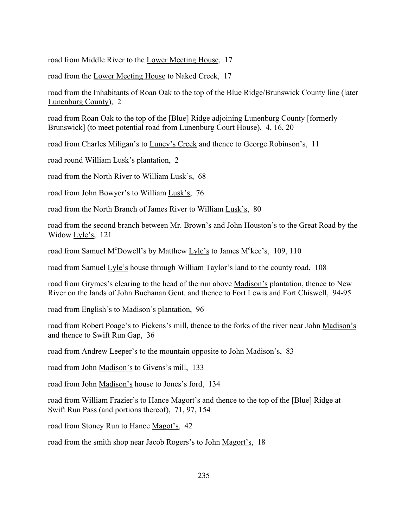road from Middle River to the Lower Meeting House, 17

road from the Lower Meeting House to Naked Creek, 17

road from the Inhabitants of Roan Oak to the top of the Blue Ridge/Brunswick County line (later Lunenburg County), 2

road from Roan Oak to the top of the [Blue] Ridge adjoining Lunenburg County [formerly Brunswick] (to meet potential road from Lunenburg Court House), 4, 16, 20

road from Charles Miligan's to Luney's Creek and thence to George Robinson's, 11

road round William Lusk's plantation, 2

road from the North River to William Lusk's, 68

road from John Bowyer's to William Lusk's, 76

road from the North Branch of James River to William Lusk's, 80

road from the second branch between Mr. Brown's and John Houston's to the Great Road by the Widow Lyle's, 121

road from Samuel M<sup>c</sup>Dowell's by Matthew Lyle's to James M<sup>c</sup>kee's, 109, 110

road from Samuel  $Lyle's$  house through William Taylor's land to the county road, 108

road from Grymes's clearing to the head of the run above Madison's plantation, thence to New River on the lands of John Buchanan Gent. and thence to Fort Lewis and Fort Chiswell, 94-95

road from English's to Madison's plantation, 96

road from Robert Poage's to Pickens's mill, thence to the forks of the river near John Madison's and thence to Swift Run Gap, 36

road from Andrew Leeper's to the mountain opposite to John Madison's, 83

road from John Madison's to Givens's mill, 133

road from John Madison's house to Jones's ford, 134

road from William Frazier's to Hance Magort's and thence to the top of the [Blue] Ridge at Swift Run Pass (and portions thereof), 71, 97, 154

road from Stoney Run to Hance Magot's, 42

road from the smith shop near Jacob Rogers's to John Magort's, 18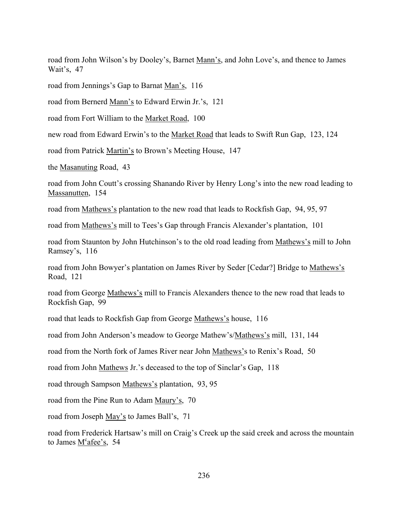road from John Wilson's by Dooley's, Barnet Mann's, and John Love's, and thence to James Wait's, 47

road from Jennings's Gap to Barnat Man's, 116

road from Bernerd Mann's to Edward Erwin Jr.'s, 121

road from Fort William to the Market Road, 100

new road from Edward Erwin's to the Market Road that leads to Swift Run Gap, 123, 124

road from Patrick Martin's to Brown's Meeting House, 147

the Masanuting Road, 43

road from John Coutt's crossing Shanando River by Henry Long's into the new road leading to Massanutten, 154

road from Mathews's plantation to the new road that leads to Rockfish Gap, 94, 95, 97

road from Mathews's mill to Tees's Gap through Francis Alexander's plantation, 101

road from Staunton by John Hutchinson's to the old road leading from Mathews's mill to John Ramsey's, 116

road from John Bowyer's plantation on James River by Seder [Cedar?] Bridge to Mathews's Road, 121

road from George Mathews's mill to Francis Alexanders thence to the new road that leads to Rockfish Gap, 99

road that leads to Rockfish Gap from George Mathews's house, 116

road from John Anderson's meadow to George Mathew's/Mathews's mill, 131, 144

road from the North fork of James River near John Mathews's to Renix's Road, 50

road from John Mathews Jr.'s deceased to the top of Sinclar's Gap, 118

road through Sampson Mathews's plantation, 93, 95

road from the Pine Run to Adam Maury's, 70

road from Joseph May's to James Ball's, 71

road from Frederick Hartsaw's mill on Craig's Creek up the said creek and across the mountain to James  $M<sup>c</sup>$ afee's, 54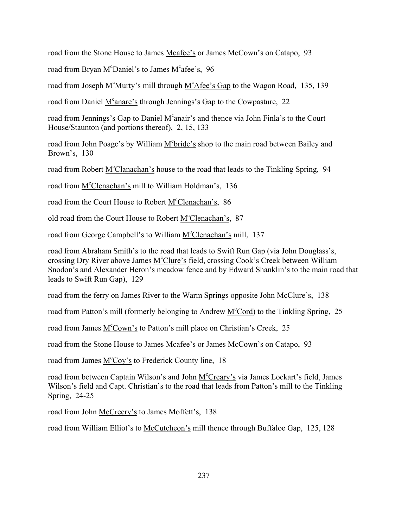road from the Stone House to James Mcafee's or James McCown's on Catapo, 93

road from Bryan M<sup>c</sup>Daniel's to James M<sup>c</sup>afee's, 96

road from Joseph M<sup>c</sup>Murty's mill through  $M<sup>c</sup>$ Afee's Gap to the Wagon Road, 135, 139

road from Daniel M<sup>c</sup>anare's through Jennings's Gap to the Cowpasture, 22

road from Jennings's Gap to Daniel M<sup>c</sup>anair's and thence via John Finla's to the Court House/Staunton (and portions thereof), 2, 15, 133

road from John Poage's by William M<sup>c</sup>bride's shop to the main road between Bailey and Brown's,  $130$ 

road from Robert M<sup>c</sup>Clanachan's house to the road that leads to the Tinkling Spring, 94

road from M<sup>c</sup>Clenachan's mill to William Holdman's, 136

road from the Court House to Robert M<sup>c</sup>Clenachan's, 86

old road from the Court House to Robert M<sup>c</sup>Clenachan's, 87

road from George Campbell's to William M<sup>c</sup>Clenachan's mill, 137

road from Abraham Smith's to the road that leads to Swift Run Gap (via John Douglass's, crossing Dry River above James M<sup>c</sup>Clure's field, crossing Cook's Creek between William Snodon's and Alexander Heron's meadow fence and by Edward Shanklin's to the main road that leads to Swift Run Gap), 129

road from the ferry on James River to the Warm Springs opposite John McClure's, 138  $\overline{\phantom{a}}$ 

road from Patton's mill (formerly belonging to Andrew M<sup>c</sup>Cord) to the Tinkling Spring, 25

road from James M<sup>c</sup>Cown's to Patton's mill place on Christian's Creek, 25

road from the Stone House to James Mcafee's or James McCown's on Catapo, 93

road from James M<sup>c</sup>Coy's to Frederick County line, 18

road from between Captain Wilson's and John M<sup>c</sup>Creary's via James Lockart's field, James Wilson's field and Capt. Christian's to the road that leads from Patton's mill to the Tinkling Spring, 24-25

road from John McCreery's to James Moffett's, 138

road from William Elliot's to McCutcheon's mill thence through Buffaloe Gap, 125, 128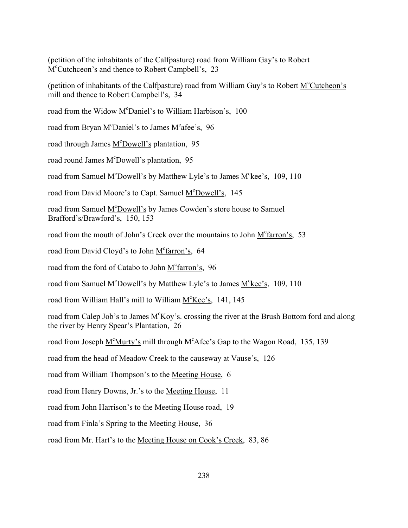(petition of the inhabitants of the Calfpasture) road from William Gayís to Robert M<sup>c</sup>Cutchceon's and thence to Robert Campbell's, 23

(petition of inhabitants of the Calfpasture) road from William Guy's to Robert M<sup>c</sup>Cutcheon's mill and thence to Robert Campbell's, 34

road from the Widow M<sup>c</sup>Daniel's to William Harbison's, 100

road from Bryan M<sup>c</sup>Daniel's to James M<sup>c</sup>afee's, 96

road through James M°Dowell's plantation, 95

road round James M<sup>c</sup>Dowell's plantation, 95

road from Samuel M<sup>c</sup>Dowell's by Matthew Lyle's to James M<sup>c</sup>kee's, 109, 110

road from David Moore's to Capt. Samuel M<sup>c</sup>Dowell's, 145

road from Samuel M<sup>c</sup>Dowell's by James Cowden's store house to Samuel Brafford's/Brawford's, 150, 153

road from the mouth of John's Creek over the mountains to John M<sup>c</sup>farron's, 53

road from David Cloyd's to John M<sup>c</sup>farron's, 64

road from the ford of Catabo to John M<sup>c</sup>farron's, 96

road from Samuel M<sup>c</sup>Dowell's by Matthew Lyle's to James M<sup>c</sup>kee's, 109, 110

road from William Hall's mill to William M<sup>c</sup>Kee's, 141, 145

road from Calep Job's to James  $M^{c}Koy's$ . crossing the river at the Brush Bottom ford and along the river by Henry Spear's Plantation, 26

road from Joseph M<sup>c</sup>Murty's mill through M<sup>c</sup>Afee's Gap to the Wagon Road, 135, 139

road from the head of Meadow Creek to the causeway at Vause's, 126

road from William Thompson's to the Meeting House, 6

road from Henry Downs, Jr.'s to the Meeting House, 11

road from John Harrison's to the Meeting House road, 19

road from Finla's Spring to the Meeting House, 36

road from Mr. Hart's to the Meeting House on Cook's Creek, 83, 86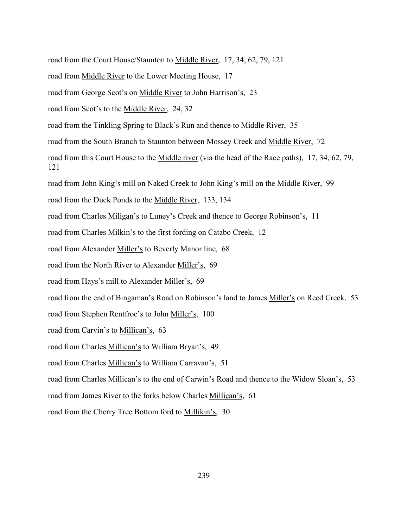- road from the Court House/Staunton to Middle River, 17, 34, 62, 79, 121
- road from Middle River to the Lower Meeting House, 17
- road from George Scot's on Middle River to John Harrison's, 23
- road from Scot's to the Middle River, 24, 32
- road from the Tinkling Spring to Black's Run and thence to Middle River, 35
- road from the South Branch to Staunton between Mossey Creek and Middle River, 72 Ī
- road from this Court House to the Middle river (via the head of the Race paths), 17, 34, 62, 79, 121
- road from John King's mill on Naked Creek to John King's mill on the Middle River, 99
- road from the Duck Ponds to the Middle River, 133, 134
- road from Charles Miligan's to Luney's Creek and thence to George Robinson's, 11
- road from Charles Milkin's to the first fording on Catabo Creek, 12
- road from Alexander Miller's to Beverly Manor line, 68
- road from the North River to Alexander Miller's, 69
- road from Hays's mill to Alexander Miller's, 69
- road from the end of Bingaman's Road on Robinson's land to James Miller's on Reed Creek, 53
- road from Stephen Rentfroe's to John Miller's, 100
- road from Carvin's to Millican's, 63
- road from Charles Millican's to William Bryan's, 49
- road from Charles Millican's to William Carravan's, 51
- road from Charles Millican's to the end of Carwin's Road and thence to the Widow Sloan's, 53
- road from James River to the forks below Charles Millican's, 61
- road from the Cherry Tree Bottom ford to Millikin's, 30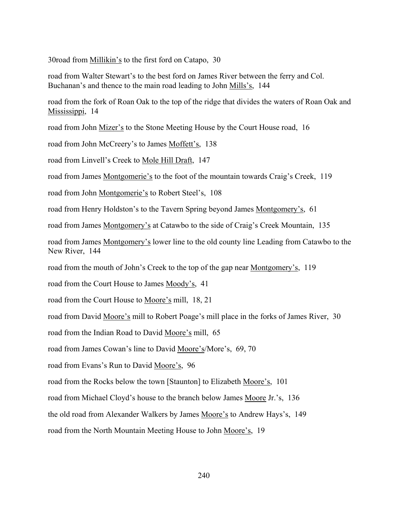30road from Millikin's to the first ford on Catapo, 30

road from Walter Stewart's to the best ford on James River between the ferry and Col. Buchanan's and thence to the main road leading to John Mills's, 144

road from the fork of Roan Oak to the top of the ridge that divides the waters of Roan Oak and Mississippi, 14

road from John Mizer's to the Stone Meeting House by the Court House road, 16

road from John McCreery's to James Moffett's, 138

road from Linvell's Creek to Mole Hill Draft, 147

road from James Montgomerie's to the foot of the mountain towards Craig's Creek, 119

road from John Montgomerie's to Robert Steel's, 108

road from Henry Holdston's to the Tavern Spring beyond James Montgomery's, 61

road from James Montgomery's at Catawbo to the side of Craig's Creek Mountain, 135

road from James Montgomery's lower line to the old county line Leading from Catawbo to the New River, 144

road from the mouth of John's Creek to the top of the gap near <u>Montgomery's</u>, 119

road from the Court House to James Moody's, 41

road from the Court House to Moore's mill, 18, 21

road from David Moore's mill to Robert Poage's mill place in the forks of James River, 30

road from the Indian Road to David Moore's mill, 65

road from James Cowan's line to David Moore's/More's, 69, 70

road from Evans's Run to David Moore's, 96

road from the Rocks below the town [Staunton] to Elizabeth Moore's, 101

road from Michael Cloyd's house to the branch below James Moore Jr.'s, 136

the old road from Alexander Walkers by James Moore's to Andrew Hays's, 149

road from the North Mountain Meeting House to John Moore's, 19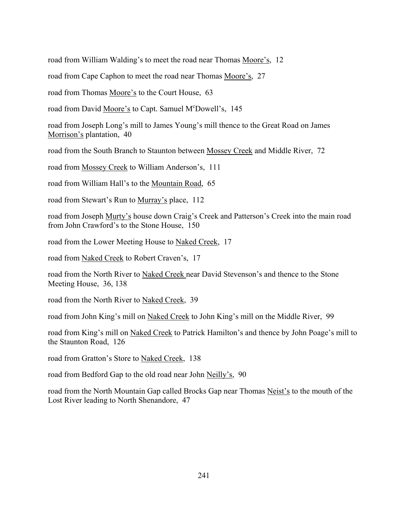road from William Walding's to meet the road near Thomas Moore's, 12

road from Cape Caphon to meet the road near Thomas Moore's, 27

road from Thomas Moore's to the Court House, 63

road from David Moore's to Capt. Samuel M°Dowell's, 145

road from Joseph Long's mill to James Young's mill thence to the Great Road on James Morrison's plantation, 40

road from the South Branch to Staunton between Mossey Creek and Middle River, 72

road from Mossey Creek to William Anderson's, 111

road from William Hall's to the Mountain Road, 65

road from Stewart's Run to Murray's place, 112

road from Joseph Murty's house down Craig's Creek and Patterson's Creek into the main road from John Crawford's to the Stone House, 150

road from the Lower Meeting House to Naked Creek, 17

road from Naked Creek to Robert Craven's, 17

road from the North River to Naked Creek near David Stevenson's and thence to the Stone Meeting House, 36, 138

road from the North River to Naked Creek, 39

road from John King's mill on Naked Creek to John King's mill on the Middle River, 99

road from King's mill on Naked Creek to Patrick Hamilton's and thence by John Poage's mill to the Staunton Road, 126

road from Gratton's Store to Naked Creek, 138

road from Bedford Gap to the old road near John Neilly's, 90

road from the North Mountain Gap called Brocks Gap near Thomas Neist's to the mouth of the Lost River leading to North Shenandore, 47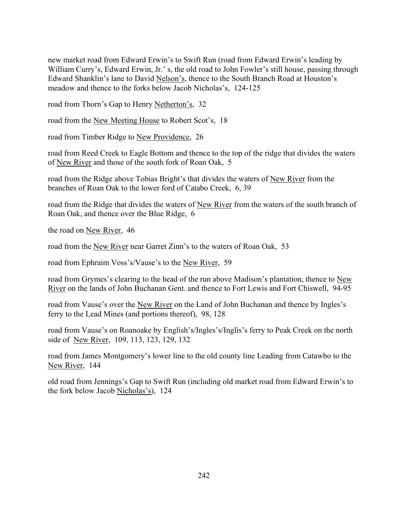new market road from Edward Erwin's to Swift Run (road from Edward Erwin's leading by William Curry's, Edward Erwin, Jr.'s, the old road to John Fowler's still house, passing through Edward Shanklin's lane to David Nelson's, thence to the South Branch Road at Houston's meadow and thence to the forks below Jacob Nicholas's, 124-125

road from Thorn's Gap to Henry Netherton's, 32

road from the New Meeting House to Robert Scot's, 18

road from Timber Ridge to New Providence, 26

road from Reed Creek to Eagle Bottom and thence to the top of the ridge that divides the waters of New River and those of the south fork of Roan Oak, 5

road from the Ridge above Tobias Bright's that divides the waters of New River from the branches of Roan Oak to the lower ford of Catabo Creek, 6, 39

road from the Ridge that divides the waters of New River from the waters of the south branch of Roan Oak, and thence over the Blue Ridge, 6

the road on New River, 46

road from the New River near Garret Zinn's to the waters of Roan Oak, 53

road from Ephraim Voss's/Vause's to the New River, 59

road from Grymes's clearing to the head of the run above Madison's plantation, thence to New River on the lands of John Buchanan Gent. and thence to Fort Lewis and Fort Chiswell, 94-95

road from Vause's over the New River on the Land of John Buchanan and thence by Ingles's ferry to the Lead Mines (and portions thereof), 98, 128

road from Vause's on Roanoake by English's/Ingles's/Inglis's ferry to Peak Creek on the north side of New River, 109, 113, 123, 129, 132

road from James Montgomeryís lower line to the old county line Leading from Catawbo to the New River, 144

old road from Jennings's Gap to Swift Run (including old market road from Edward Erwin's to the fork below Jacob Nicholas's), 124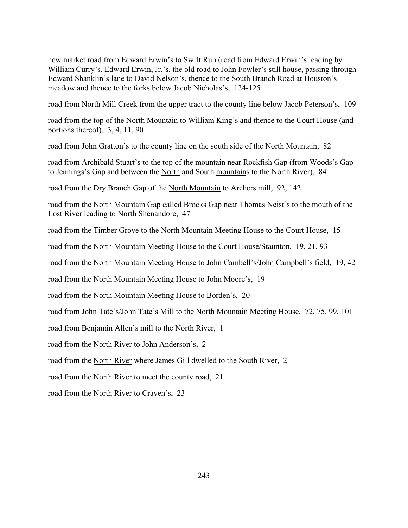new market road from Edward Erwin's to Swift Run (road from Edward Erwin's leading by William Curry's, Edward Erwin, Jr.'s, the old road to John Fowler's still house, passing through Edward Shanklin's lane to David Nelson's, thence to the South Branch Road at Houston's meadow and thence to the forks below Jacob Nicholas's, 124-125

road from North Mill Creek from the upper tract to the county line below Jacob Peterson's, 109

road from the top of the North Mountain to William King's and thence to the Court House (and portions thereof), 3, 4, 11, 90

road from John Gratton's to the county line on the south side of the North Mountain, 82

road from Archibald Stuart's to the top of the mountain near Rockfish Gap (from Woods's Gap to Jennings's Gap and between the North and South mountains to the North River), 84

road from the Dry Branch Gap of the North Mountain to Archers mill, 92, 142

road from the North Mountain Gap called Brocks Gap near Thomas Neist's to the mouth of the Lost River leading to North Shenandore, 47

road from the Timber Grove to the North Mountain Meeting House to the Court House, 15

road from the North Mountain Meeting House to the Court House/Staunton, 19, 21, 93

road from the North Mountain Meeting House to John Cambell's/John Campbell's field, 19, 42

road from the North Mountain Meeting House to John Moore's, 19

road from the North Mountain Meeting House to Borden's, 20

road from John Tate's/John Tate's Mill to the North Mountain Meeting House, 72, 75, 99, 101

road from Benjamin Allen's mill to the North River, 1

road from the North River to John Anderson's, 2

road from the North River where James Gill dwelled to the South River, 2

road from the North River to meet the county road, 21

road from the North River to Craven's, 23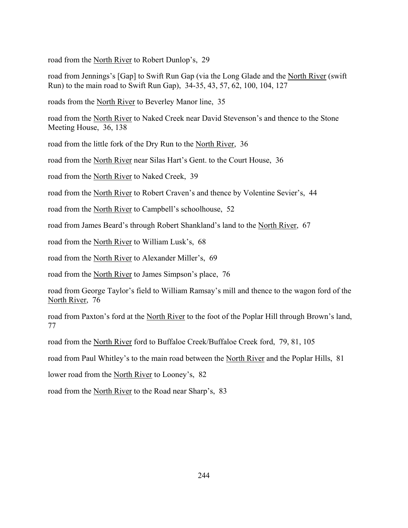road from the North River to Robert Dunlop's, 29

road from Jennings's [Gap] to Swift Run Gap (via the Long Glade and the North River (swift Run) to the main road to Swift Run Gap), 34-35, 43, 57, 62, 100, 104, 127

roads from the North River to Beverley Manor line, 35

road from the North River to Naked Creek near David Stevenson's and thence to the Stone Meeting House, 36, 138

road from the little fork of the Dry Run to the North River, 36

road from the North River near Silas Hart's Gent. to the Court House, 36

road from the North River to Naked Creek, 39

road from the North River to Robert Craven's and thence by Volentine Sevier's, 44

road from the North River to Campbell's schoolhouse, 52

road from James Beard's through Robert Shankland's land to the North River, 67

road from the North River to William Lusk's, 68

road from the North River to Alexander Miller's, 69

road from the North River to James Simpson's place, 76

road from George Taylor's field to William Ramsay's mill and thence to the wagon ford of the North River, 76

road from Paxton's ford at the North River to the foot of the Poplar Hill through Brown's land, 77

road from the North River ford to Buffaloe Creek/Buffaloe Creek ford, 79, 81, 105

road from Paul Whitley's to the main road between the North River and the Poplar Hills, 81

lower road from the North River to Looney's, 82

road from the North River to the Road near Sharp's, 83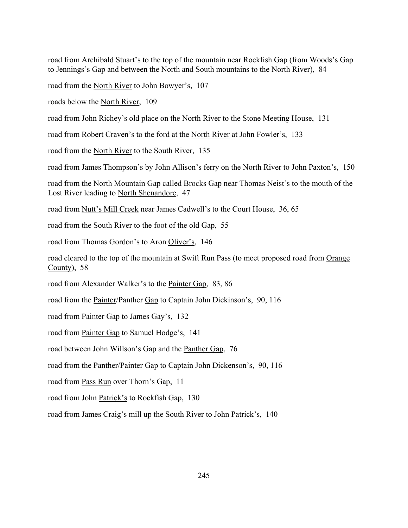road from Archibald Stuart's to the top of the mountain near Rockfish Gap (from Woods's Gap to Jennings's Gap and between the North and South mountains to the North River), 84 Í

road from the North River to John Bowyer's, 107

roads below the North River, 109

road from John Richey's old place on the North River to the Stone Meeting House, 131

road from Robert Craven's to the ford at the North River at John Fowler's, 133

road from the North River to the South River, 135

road from James Thompson's by John Allison's ferry on the North River to John Paxton's, 150

road from the North Mountain Gap called Brocks Gap near Thomas Neist's to the mouth of the Lost River leading to North Shenandore, 47

road from Nutt's Mill Creek near James Cadwell's to the Court House, 36, 65

road from the South River to the foot of the old Gap, 55

road from Thomas Gordon's to Aron Oliver's, 146

road cleared to the top of the mountain at Swift Run Pass (to meet proposed road from Orange County), 58

road from Alexander Walker's to the Painter Gap, 83, 86

road from the Painter/Panther Gap to Captain John Dickinson's, 90, 116

road from Painter Gap to James Gay's, 132

road from Painter Gap to Samuel Hodge's, 141

road between John Willson's Gap and the Panther Gap, 76

road from the Panther/Painter Gap to Captain John Dickenson's, 90, 116

road from Pass Run over Thorn's Gap, 11

road from John Patrick's to Rockfish Gap, 130

road from James Craig's mill up the South River to John Patrick's, 140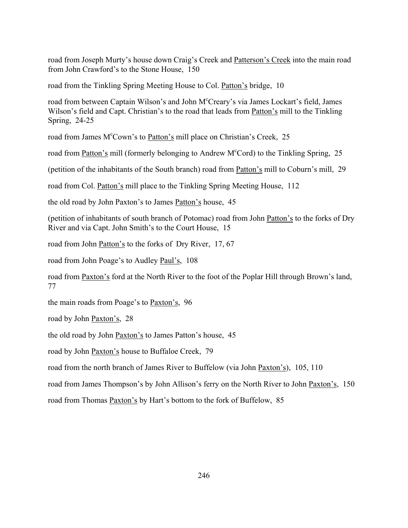road from Joseph Murty's house down Craig's Creek and Patterson's Creek into the main road from John Crawford's to the Stone House, 150

road from the Tinkling Spring Meeting House to Col. Patton's bridge, 10

road from between Captain Wilson's and John M°Creary's via James Lockart's field, James Wilson's field and Capt. Christian's to the road that leads from Patton's mill to the Tinkling Spring, 24-25

road from James M<sup>c</sup>Cown's to Patton's mill place on Christian's Creek, 25

road from Patton's mill (formerly belonging to Andrew M<sup>c</sup>Cord) to the Tinkling Spring, 25

(petition of the inhabitants of the South branch) road from Patton's mill to Coburn's mill, 29

road from Col. Patton's mill place to the Tinkling Spring Meeting House, 112

the old road by John Paxton's to James Patton's house, 45

(petition of inhabitants of south branch of Potomac) road from John Patton's to the forks of Dry River and via Capt. John Smith's to the Court House, 15

road from John Patton's to the forks of Dry River, 17, 67

road from John Poage's to Audley Paul's, 108

road from Paxton's ford at the North River to the foot of the Poplar Hill through Brown's land, 77

the main roads from Poage's to Paxton's, 96

road by John Paxton's, 28

the old road by John Paxton's to James Patton's house, 45

road by John Paxton's house to Buffaloe Creek, 79

road from the north branch of James River to Buffelow (via John Paxton's), 105, 110

road from James Thompson's by John Allison's ferry on the North River to John Paxton's, 150

road from Thomas Paxton's by Hart's bottom to the fork of Buffelow, 85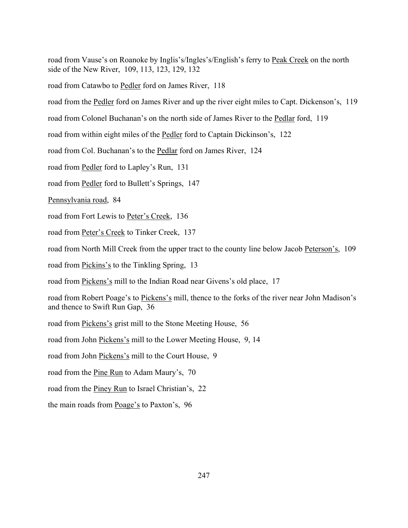road from Vause's on Roanoke by Inglis's/Ingles's/English's ferry to Peak Creek on the north side of the New River, 109, 113, 123, 129, 132

road from Catawbo to Pedler ford on James River, 118

road from the <u>Pedler</u> ford on James River and up the river eight miles to Capt. Dickenson's, 119

road from Colonel Buchanan's on the north side of James River to the Pedlar ford, 119

road from within eight miles of the Pedler ford to Captain Dickinson's, 122

road from Col. Buchanan's to the Pedlar ford on James River, 124

road from Pedler ford to Lapley's Run, 131

road from Pedler ford to Bullett's Springs, 147

Pennsylvania road, 84

road from Fort Lewis to Peter's Creek, 136

road from Peter's Creek to Tinker Creek, 137

road from North Mill Creek from the upper tract to the county line below Jacob Peterson's, 109

road from Pickins's to the Tinkling Spring, 13

road from Pickens's mill to the Indian Road near Givens's old place, 17

road from Robert Poage's to Pickens's mill, thence to the forks of the river near John Madison's and thence to Swift Run Gap, 36

road from Pickens's grist mill to the Stone Meeting House, 56

road from John Pickens's mill to the Lower Meeting House, 9, 14

road from John Pickens's mill to the Court House, 9

road from the Pine Run to Adam Maury's, 70

road from the Piney Run to Israel Christian's, 22

the main roads from Poage's to Paxton's, 96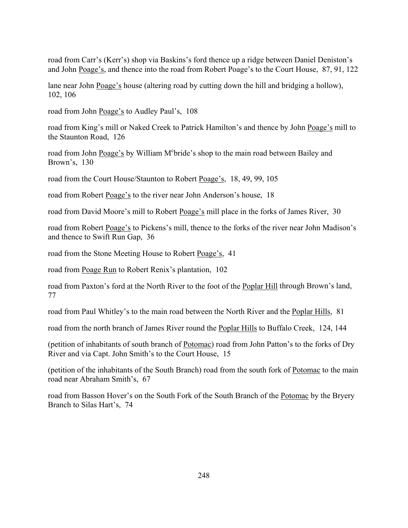road from Carr's (Kerr's) shop via Baskins's ford thence up a ridge between Daniel Deniston's and John Poage's, and thence into the road from Robert Poage's to the Court House, 87, 91, 122

lane near John Poage's house (altering road by cutting down the hill and bridging a hollow), 102, 106

road from John Poage's to Audley Paul's, 108

road from King's mill or Naked Creek to Patrick Hamilton's and thence by John Poage's mill to the Staunton Road, 126

road from John Poage's by William M°bride's shop to the main road between Bailey and Brown's, 130

road from the Court House/Staunton to Robert Poage's, 18, 49, 99, 105

road from Robert Poage's to the river near John Anderson's house, 18

road from David Moore's mill to Robert Poage's mill place in the forks of James River, 30

road from Robert Poage's to Pickens's mill, thence to the forks of the river near John Madison's and thence to Swift Run Gap, 36

road from the Stone Meeting House to Robert Poage's, 41

road from Poage Run to Robert Renix's plantation, 102

road from Paxton's ford at the North River to the foot of the Poplar Hill through Brown's land, 77

road from Paul Whitley's to the main road between the North River and the Poplar Hills, 81

road from the north branch of James River round the Poplar Hills to Buffalo Creek, 124, 144

(petition of inhabitants of south branch of Potomac) road from John Patton's to the forks of Dry River and via Capt. John Smith's to the Court House, 15

(petition of the inhabitants of the South Branch) road from the south fork of Potomac to the main road near Abraham Smith's, 67

road from Basson Hover's on the South Fork of the South Branch of the Potomac by the Bryery Branch to Silas Hart's, 74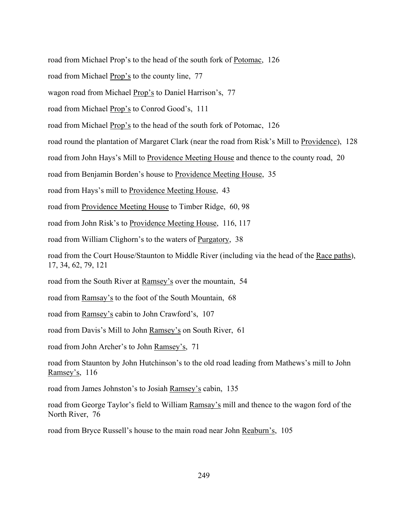road from Michael Prop's to the head of the south fork of Potomac, 126

road from Michael Prop's to the county line, 77

wagon road from Michael Prop's to Daniel Harrison's, 77

road from Michael Prop's to Conrod Good's, 111

road from Michael Prop's to the head of the south fork of Potomac, 126

road round the plantation of Margaret Clark (near the road from Risk's Mill to Providence), 128

road from John Hays's Mill to Providence Meeting House and thence to the county road, 20

road from Benjamin Borden's house to Providence Meeting House, 35

road from Hays's mill to Providence Meeting House, 43

road from Providence Meeting House to Timber Ridge, 60, 98

road from John Risk's to Providence Meeting House, 116, 117

road from William Clighorn's to the waters of Purgatory, 38

road from the Court House/Staunton to Middle River (including via the head of the Race paths), 17, 34, 62, 79, 121

road from the South River at Ramsey's over the mountain, 54

road from Ramsay's to the foot of the South Mountain, 68

road from Ramsey's cabin to John Crawford's, 107

road from Davis's Mill to John Ramsey's on South River, 61

road from John Archer's to John Ramsey's, 71

road from Staunton by John Hutchinson's to the old road leading from Mathews's mill to John Ramsey's, 116

road from James Johnston's to Josiah Ramsey's cabin, 135

road from George Taylor's field to William Ramsay's mill and thence to the wagon ford of the North River, 76

road from Bryce Russell's house to the main road near John Reaburn's, 105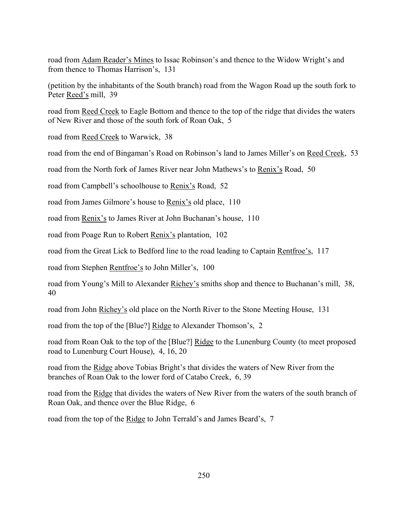road from Adam Reader's Mines to Issac Robinson's and thence to the Widow Wright's and from thence to Thomas Harrison's, 131

(petition by the inhabitants of the South branch) road from the Wagon Road up the south fork to Peter Reed's mill, 39

road from Reed Creek to Eagle Bottom and thence to the top of the ridge that divides the waters of New River and those of the south fork of Roan Oak, 5

road from Reed Creek to Warwick, 38

road from the end of Bingaman's Road on Robinson's land to James Miller's on Reed Creek, 53

road from the North fork of James River near John Mathews's to Renix's Road, 50

road from Campbell's schoolhouse to Renix's Road, 52

road from James Gilmore's house to Renix's old place, 110

road from Renix's to James River at John Buchanan's house, 110

road from Poage Run to Robert Renix's plantation, 102

road from the Great Lick to Bedford line to the road leading to Captain Rentfroe's, 117  $\overline{\phantom{a}}$ 

road from Stephen Rentfroe's to John Miller's, 100

road from Young's Mill to Alexander Richey's smiths shop and thence to Buchanan's mill, 38, 40

road from John Richey's old place on the North River to the Stone Meeting House, 131

road from the top of the [Blue?] Ridge to Alexander Thomson's, 2

road from Roan Oak to the top of the [Blue?] Ridge to the Lunenburg County (to meet proposed road to Lunenburg Court House), 4, 16, 20

road from the Ridge above Tobias Bright's that divides the waters of New River from the branches of Roan Oak to the lower ford of Catabo Creek, 6, 39

road from the Ridge that divides the waters of New River from the waters of the south branch of Roan Oak, and thence over the Blue Ridge, 6

road from the top of the Ridge to John Terrald's and James Beard's, 7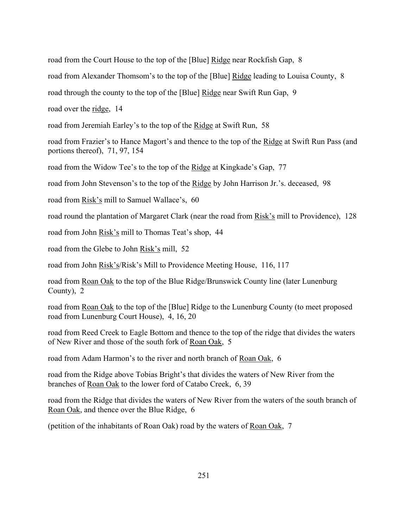road from the Court House to the top of the [Blue] Ridge near Rockfish Gap, 8

road from Alexander Thomsom's to the top of the [Blue] Ridge leading to Louisa County, 8

road through the county to the top of the [Blue] Ridge near Swift Run Gap, 9

road over the <u>ridge</u>, 14

road from Jeremiah Earley's to the top of the Ridge at Swift Run, 58

road from Frazier's to Hance Magort's and thence to the top of the Ridge at Swift Run Pass (and portions thereof), 71, 97, 154

road from the Widow Tee's to the top of the Ridge at Kingkade's Gap, 77

road from John Stevenson's to the top of the Ridge by John Harrison Jr.'s. deceased, 98

road from Risk's mill to Samuel Wallace's, 60

road round the plantation of Margaret Clark (near the road from Risk's mill to Providence), 128

road from John Risk's mill to Thomas Teat's shop, 44

road from the Glebe to John Risk's mill, 52

road from John Risk's/Risk's Mill to Providence Meeting House, 116, 117

road from Roan Oak to the top of the Blue Ridge/Brunswick County line (later Lunenburg County), 2

road from Roan Oak to the top of the [Blue] Ridge to the Lunenburg County (to meet proposed road from Lunenburg Court House), 4, 16, 20

road from Reed Creek to Eagle Bottom and thence to the top of the ridge that divides the waters of New River and those of the south fork of Roan Oak, 5

road from Adam Harmon's to the river and north branch of Roan Oak, 6

road from the Ridge above Tobias Bright's that divides the waters of New River from the branches of Roan Oak to the lower ford of Catabo Creek, 6, 39

road from the Ridge that divides the waters of New River from the waters of the south branch of Roan Oak, and thence over the Blue Ridge, 6

(petition of the inhabitants of Roan Oak) road by the waters of Roan Oak, 7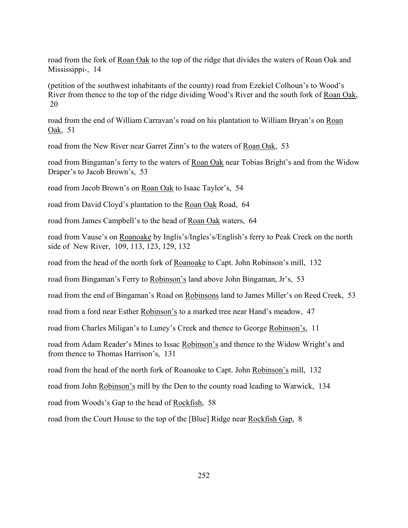road from the fork of Roan Oak to the top of the ridge that divides the waters of Roan Oak and Mississippi-, 14

(petition of the southwest inhabitants of the county) road from Ezekiel Colhoun's to Wood's River from thence to the top of the ridge dividing Wood's River and the south fork of Roan Oak, 20

road from the end of William Carravan's road on his plantation to William Bryan's on Roan Oak, 51

road from the New River near Garret Zinn's to the waters of Roan Oak, 53

road from Bingaman's ferry to the waters of Roan Oak near Tobias Bright's and from the Widow Draper's to Jacob Brown's, 53

road from Jacob Brown's on Roan Oak to Isaac Taylor's, 54

road from David Cloyd's plantation to the Roan Oak Road, 64

road from James Campbell's to the head of Roan Oak waters, 64

road from Vause's on Roanoake by Inglis's/Ingles's/English's ferry to Peak Creek on the north side of New River, 109, 113, 123, 129, 132

road from the head of the north fork of Roanoake to Capt. John Robinson's mill, 132

road from Bingaman's Ferry to Robinson's land above John Bingaman, Jr's, 53

road from the end of Bingaman's Road on Robinsons land to James Miller's on Reed Creek, 53

road from a ford near Esther Robinson's to a marked tree near Hand's meadow, 47

road from Charles Miligan's to Luney's Creek and thence to George Robinson's, 11

road from Adam Reader's Mines to Issac Robinson's and thence to the Widow Wright's and from thence to Thomas Harrison's, 131

road from the head of the north fork of Roanoake to Capt. John Robinson's mill, 132

road from John Robinson's mill by the Den to the county road leading to Warwick, 134

road from Woods's Gap to the head of Rockfish, 58

road from the Court House to the top of the [Blue] Ridge near Rockfish Gap, 8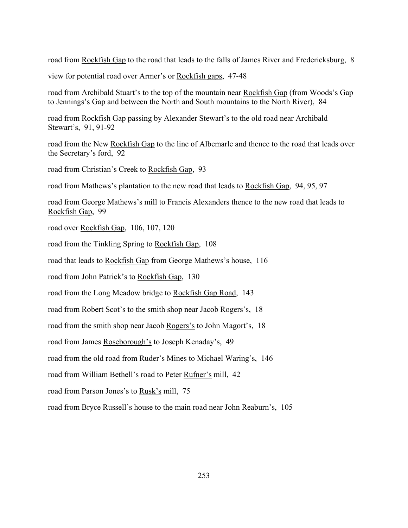road from Rockfish Gap to the road that leads to the falls of James River and Fredericksburg, 8

view for potential road over Armer's or Rockfish gaps, 47-48

road from Archibald Stuart's to the top of the mountain near Rockfish Gap (from Woods's Gap to Jennings's Gap and between the North and South mountains to the North River), 84

road from Rockfish Gap passing by Alexander Stewart's to the old road near Archibald Stewart's, 91, 91-92

road from the New Rockfish Gap to the line of Albemarle and thence to the road that leads over the Secretary's ford, 92

road from Christian's Creek to Rockfish Gap, 93

road from Mathews's plantation to the new road that leads to Rockfish Gap, 94, 95, 97

road from George Mathews's mill to Francis Alexanders thence to the new road that leads to Rockfish Gap, 99

road over Rockfish Gap, 106, 107, 120

road from the Tinkling Spring to Rockfish Gap, 108

road that leads to Rockfish Gap from George Mathews's house, 116

road from John Patrick's to Rockfish Gap, 130

road from the Long Meadow bridge to Rockfish Gap Road, 143

road from Robert Scot's to the smith shop near Jacob Rogers's, 18

road from the smith shop near Jacob Rogers's to John Magort's, 18

road from James Roseborough's to Joseph Kenaday's, 49

road from the old road from Ruder's Mines to Michael Waring's, 146

road from William Bethell's road to Peter Rufner's mill, 42

road from Parson Jones's to Rusk's mill, 75

road from Bryce Russell's house to the main road near John Reaburn's, 105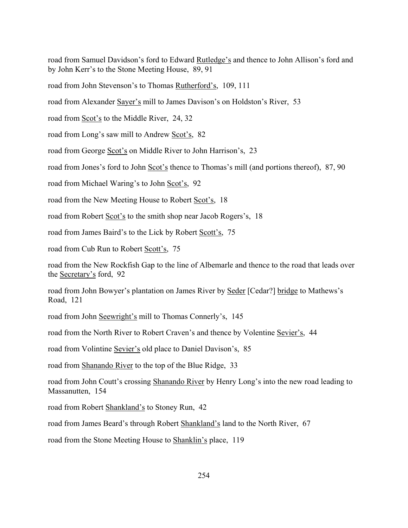road from Samuel Davidson's ford to Edward Rutledge's and thence to John Allison's ford and by John Kerr's to the Stone Meeting House, 89, 91

road from John Stevenson's to Thomas Rutherford's, 109, 111

road from Alexander Sayer's mill to James Davison's on Holdston's River, 53

road from Scot's to the Middle River, 24, 32

road from Long's saw mill to Andrew Scot's, 82

road from George Scot's on Middle River to John Harrison's, 23

road from Jones's ford to John Scot's thence to Thomas's mill (and portions thereof), 87, 90

road from Michael Waring's to John Scot's, 92

road from the New Meeting House to Robert Scot's, 18

road from Robert Scot's to the smith shop near Jacob Rogers's, 18

road from James Baird's to the Lick by Robert Scott's, 75

road from Cub Run to Robert Scott's, 75

road from the New Rockfish Gap to the line of Albemarle and thence to the road that leads over the Secretary's ford, 92

road from John Bowyer's plantation on James River by Seder [Cedar?] bridge to Mathews's Road, 121

road from John Seewright's mill to Thomas Connerly's, 145

road from the North River to Robert Craven's and thence by Volentine Sevier's, 44

road from Volintine Sevier's old place to Daniel Davison's, 85

road from Shanando River to the top of the Blue Ridge, 33

road from John Coutt's crossing Shanando River by Henry Long's into the new road leading to Massanutten, 154

road from Robert Shankland's to Stoney Run, 42

road from James Beard's through Robert Shankland's land to the North River, 67

road from the Stone Meeting House to Shanklin's place, 119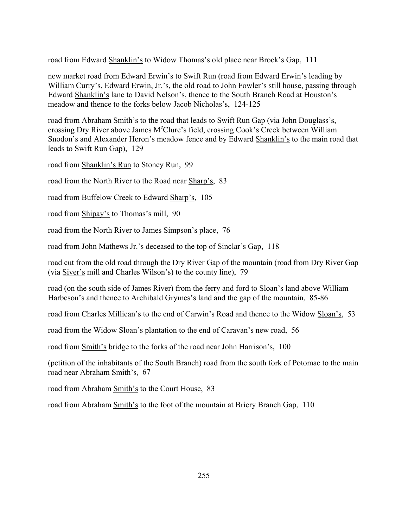road from Edward Shanklin's to Widow Thomas's old place near Brock's Gap, 111

new market road from Edward Erwin's to Swift Run (road from Edward Erwin's leading by William Curry's, Edward Erwin, Jr.'s, the old road to John Fowler's still house, passing through Edward Shanklin's lane to David Nelson's, thence to the South Branch Road at Houston's meadow and thence to the forks below Jacob Nicholas's, 124-125

road from Abraham Smith's to the road that leads to Swift Run Gap (via John Douglass's, crossing Dry River above James M°Clure's field, crossing Cook's Creek between William Snodon's and Alexander Heron's meadow fence and by Edward Shanklin's to the main road that leads to Swift Run Gap), 129

road from Shanklin's Run to Stoney Run, 99

road from the North River to the Road near Sharp's, 83

road from Buffelow Creek to Edward Sharp's, 105

road from Shipay's to Thomas's mill, 90

road from the North River to James Simpson's place, 76

road from John Mathews Jr.'s deceased to the top of Sinclar's Gap, 118

road cut from the old road through the Dry River Gap of the mountain (road from Dry River Gap (via Siver's mill and Charles Wilson's) to the county line), 79

road (on the south side of James River) from the ferry and ford to Sloan's land above William Harbeson's and thence to Archibald Grymes's land and the gap of the mountain, 85-86

road from Charles Millican's to the end of Carwin's Road and thence to the Widow Sloan's, 53

road from the Widow Sloan's plantation to the end of Caravan's new road, 56

road from Smith's bridge to the forks of the road near John Harrison's, 100

(petition of the inhabitants of the South Branch) road from the south fork of Potomac to the main road near Abraham Smith's, 67

road from Abraham Smith's to the Court House, 83

road from Abraham Smith's to the foot of the mountain at Briery Branch Gap, 110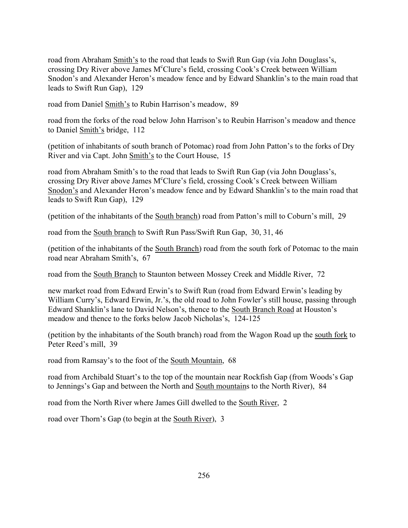road from Abraham Smith's to the road that leads to Swift Run Gap (via John Douglass's, crossing Dry River above James M°Clure's field, crossing Cook's Creek between William Snodon's and Alexander Heron's meadow fence and by Edward Shanklin's to the main road that leads to Swift Run Gap), 129

road from Daniel Smith's to Rubin Harrison's meadow, 89

road from the forks of the road below John Harrison's to Reubin Harrison's meadow and thence to Daniel Smith's bridge, 112

(petition of inhabitants of south branch of Potomac) road from John Patton's to the forks of Dry River and via Capt. John Smith's to the Court House, 15

road from Abraham Smith's to the road that leads to Swift Run Gap (via John Douglass's, crossing Dry River above James M<sup>c</sup>Clure's field, crossing Cook's Creek between William Snodon's and Alexander Heron's meadow fence and by Edward Shanklin's to the main road that leads to Swift Run Gap), 129

(petition of the inhabitants of the South branch) road from Patton's mill to Coburn's mill, 29

road from the South branch to Swift Run Pass/Swift Run Gap, 30, 31, 46

(petition of the inhabitants of the South Branch) road from the south fork of Potomac to the main road near Abraham Smith's, 67

road from the South Branch to Staunton between Mossey Creek and Middle River, 72

new market road from Edward Erwin's to Swift Run (road from Edward Erwin's leading by William Curry's, Edward Erwin, Jr.'s, the old road to John Fowler's still house, passing through Edward Shanklin's lane to David Nelson's, thence to the South Branch Road at Houston's meadow and thence to the forks below Jacob Nicholas's, 124-125

(petition by the inhabitants of the South branch) road from the Wagon Road up the south fork to Peter Reed's mill, 39

road from Ramsay's to the foot of the South Mountain, 68

road from Archibald Stuart's to the top of the mountain near Rockfish Gap (from Woods's Gap to Jennings's Gap and between the North and South mountains to the North River), 84

road from the North River where James Gill dwelled to the South River, 2

road over Thorn's Gap (to begin at the South River), 3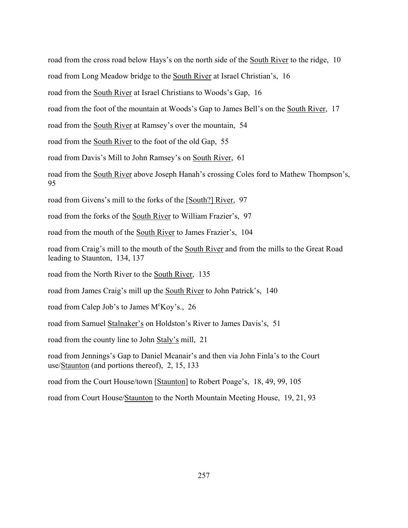road from the cross road below Hays's on the north side of the South River to the ridge, 10

road from Long Meadow bridge to the South River at Israel Christian's, 16

road from the South River at Israel Christians to Woods's Gap, 16

road from the foot of the mountain at Woods's Gap to James Bell's on the <u>South River</u>, 17

road from the South River at Ramsey's over the mountain, 54

road from the South River to the foot of the old Gap, 55

road from Davis's Mill to John Ramsey's on South River, 61

road from the South River above Joseph Hanah's crossing Coles ford to Mathew Thompson's, 95

road from Givens's mill to the forks of the [South?] River, 97

road from the forks of the South River to William Frazier's, 97

road from the mouth of the South River to James Frazier's, 104

road from Craig's mill to the mouth of the South River and from the mills to the Great Road leading to Staunton, 134, 137

road from the North River to the South River, 135

road from James Craig's mill up the South River to John Patrick's, 140

road from Calep Job's to James M<sup>c</sup>Koy's., 26

road from Samuel Stalnaker's on Holdston's River to James Davis's, 51

road from the county line to John Staly's mill, 21

road from Jennings's Gap to Daniel Mcanair's and then via John Finla's to the Court use/Staunton (and portions thereof), 2, 15, 133

road from the Court House/town [Staunton] to Robert Poage's, 18, 49, 99, 105

road from Court House/Staunton to the North Mountain Meeting House, 19, 21, 93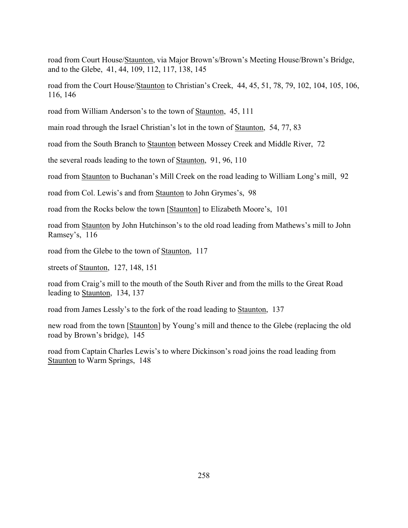road from Court House/Staunton, via Major Brown's/Brown's Meeting House/Brown's Bridge, and to the Glebe, 41, 44, 109, 112, 117, 138, 145

road from the Court House/Staunton to Christian's Creek, 44, 45, 51, 78, 79, 102, 104, 105, 106, 116, 146

road from William Anderson's to the town of Staunton, 45, 111

main road through the Israel Christian's lot in the town of Staunton, 54, 77, 83

road from the South Branch to Staunton between Mossey Creek and Middle River, 72

the several roads leading to the town of Staunton, 91, 96, 110

road from Staunton to Buchanan's Mill Creek on the road leading to William Long's mill, 92

road from Col. Lewis's and from Staunton to John Grymes's, 98

road from the Rocks below the town [Staunton] to Elizabeth Moore's, 101

road from Staunton by John Hutchinson's to the old road leading from Mathews's mill to John Ramsey's, 116

road from the Glebe to the town of Staunton, 117

streets of Staunton, 127, 148, 151

road from Craig's mill to the mouth of the South River and from the mills to the Great Road leading to Staunton, 134, 137

road from James Lessly's to the fork of the road leading to Staunton, 137

new road from the town [Staunton] by Young's mill and thence to the Glebe (replacing the old road by Brown's bridge), 145

road from Captain Charles Lewis's to where Dickinson's road joins the road leading from Staunton to Warm Springs, 148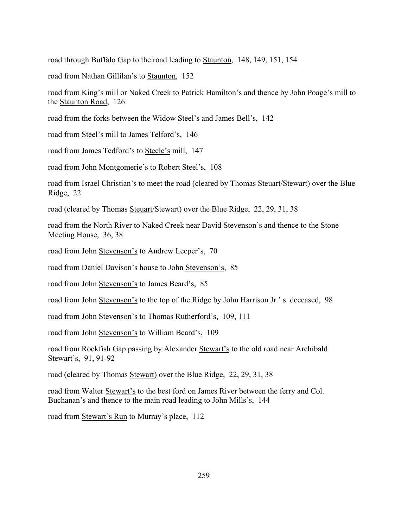road through Buffalo Gap to the road leading to Staunton, 148, 149, 151, 154

road from Nathan Gillilan's to Staunton, 152

road from King's mill or Naked Creek to Patrick Hamilton's and thence by John Poage's mill to the Staunton Road, 126

road from the forks between the Widow Steel's and James Bell's, 142

road from Steel's mill to James Telford's, 146

road from James Tedford's to Steele's mill, 147

road from John Montgomerie's to Robert Steel's, 108

road from Israel Christian's to meet the road (cleared by Thomas Steuart/Stewart) over the Blue Ridge, 22

road (cleared by Thomas Steuart/Stewart) over the Blue Ridge, 22, 29, 31, 38

road from the North River to Naked Creek near David Stevenson's and thence to the Stone Meeting House, 36, 38

road from John Stevenson's to Andrew Leeper's, 70

road from Daniel Davison's house to John Stevenson's, 85

road from John Stevenson's to James Beard's, 85

road from John Stevenson's to the top of the Ridge by John Harrison Jr.'s. deceased, 98

road from John Stevenson's to Thomas Rutherford's, 109, 111

road from John Stevenson's to William Beard's, 109

road from Rockfish Gap passing by Alexander Stewart's to the old road near Archibald Stewart's, 91, 91-92

road (cleared by Thomas Stewart) over the Blue Ridge, 22, 29, 31, 38

road from Walter Stewart's to the best ford on James River between the ferry and Col. Buchanan's and thence to the main road leading to John Mills's, 144

road from Stewart's Run to Murray's place, 112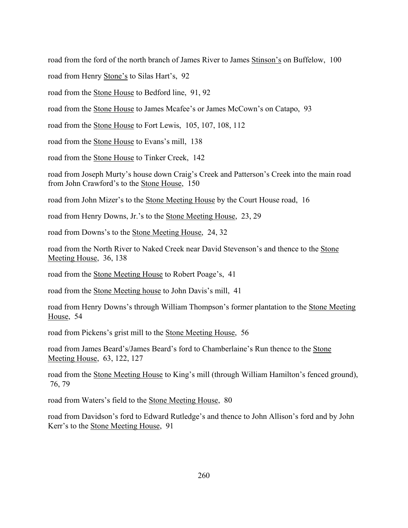road from the ford of the north branch of James River to James Stinson's on Buffelow, 100

road from Henry Stone's to Silas Hart's, 92

road from the Stone House to Bedford line, 91, 92

road from the <u>Stone House</u> to James Mcafee's or James McCown's on Catapo, 93

road from the Stone House to Fort Lewis, 105, 107, 108, 112

road from the Stone House to Evans's mill, 138

road from the Stone House to Tinker Creek, 142

road from Joseph Murty's house down Craig's Creek and Patterson's Creek into the main road from John Crawford's to the Stone House, 150

road from John Mizer's to the Stone Meeting House by the Court House road, 16

road from Henry Downs, Jr.'s to the Stone Meeting House, 23, 29

road from Downs's to the Stone Meeting House, 24, 32

road from the North River to Naked Creek near David Stevenson's and thence to the Stone Meeting House, 36, 138

road from the Stone Meeting House to Robert Poage's, 41

road from the Stone Meeting house to John Davis's mill, 41

road from Henry Downs's through William Thompson's former plantation to the Stone Meeting House, 54

road from Pickens's grist mill to the <u>Stone Meeting House</u>, 56

road from James Beard's/James Beard's ford to Chamberlaine's Run thence to the Stone Meeting House, 63, 122, 127

road from the Stone Meeting House to King's mill (through William Hamilton's fenced ground), 76, 79

road from Waters's field to the Stone Meeting House, 80

road from Davidson's ford to Edward Rutledge's and thence to John Allison's ford and by John Kerr's to the Stone Meeting House, 91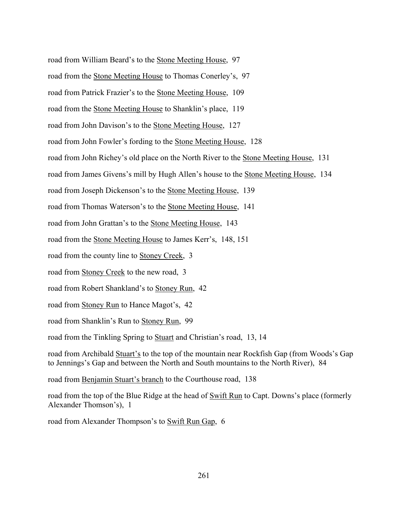road from William Beard's to the Stone Meeting House, 97 road from the Stone Meeting House to Thomas Conerley's, 97 road from Patrick Frazier's to the Stone Meeting House, 109 road from the <u>Stone Meeting House</u> to Shanklin's place, 119 road from John Davison's to the Stone Meeting House, 127 road from John Fowler's fording to the Stone Meeting House, 128 road from John Richey's old place on the North River to the Stone Meeting House, 131  $\overline{\phantom{a}}$ road from James Givens's mill by Hugh Allen's house to the Stone Meeting House, 134 road from Joseph Dickenson's to the Stone Meeting House, 139 road from Thomas Waterson's to the Stone Meeting House, 141 road from John Grattan's to the Stone Meeting House, 143 road from the Stone Meeting House to James Kerr's, 148, 151 road from the county line to Stoney Creek, 3 road from Stoney Creek to the new road, 3 road from Robert Shankland's to Stoney Run, 42 road from Stoney Run to Hance Magot's, 42 road from Shanklin's Run to Stoney Run, 99 road from the Tinkling Spring to Stuart and Christian's road, 13, 14 road from Archibald Stuart's to the top of the mountain near Rockfish Gap (from Woods's Gap

road from Benjamin Stuart's branch to the Courthouse road, 138

road from the top of the Blue Ridge at the head of Swift Run to Capt. Downs's place (formerly Alexander Thomson's), 1

to Jennings's Gap and between the North and South mountains to the North River), 84

road from Alexander Thompson's to Swift Run Gap, 6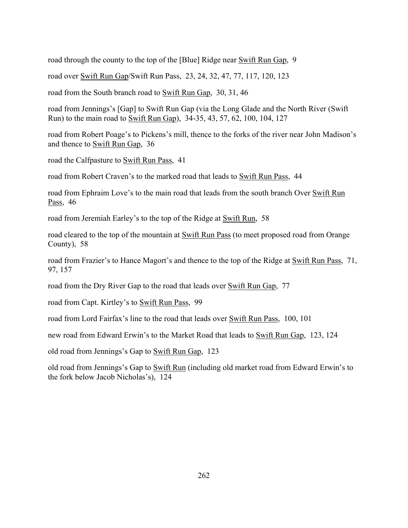road through the county to the top of the [Blue] Ridge near Swift Run Gap, 9

road over Swift Run Gap/Swift Run Pass, 23, 24, 32, 47, 77, 117, 120, 123

road from the South branch road to Swift Run Gap, 30, 31, 46

road from Jennings's [Gap] to Swift Run Gap (via the Long Glade and the North River (Swift) Run) to the main road to Swift Run Gap), 34-35, 43, 57, 62, 100, 104, 127

road from Robert Poage's to Pickens's mill, thence to the forks of the river near John Madison's and thence to Swift Run Gap, 36

road the Calfpasture to Swift Run Pass, 41

road from Robert Craven's to the marked road that leads to Swift Run Pass, 44

road from Ephraim Love's to the main road that leads from the south branch Over Swift Run Pass, 46

road from Jeremiah Earley's to the top of the Ridge at Swift Run, 58

road cleared to the top of the mountain at Swift Run Pass (to meet proposed road from Orange County), 58

road from Frazier's to Hance Magort's and thence to the top of the Ridge at Swift Run Pass, 71, 97, 157

road from the Dry River Gap to the road that leads over Swift Run Gap, 77

road from Capt. Kirtley's to Swift Run Pass, 99

road from Lord Fairfax's line to the road that leads over Swift Run Pass, 100, 101

new road from Edward Erwin's to the Market Road that leads to Swift Run Gap, 123, 124

old road from Jennings's Gap to Swift Run Gap, 123

old road from Jennings's Gap to Swift Run (including old market road from Edward Erwin's to the fork below Jacob Nicholas's), 124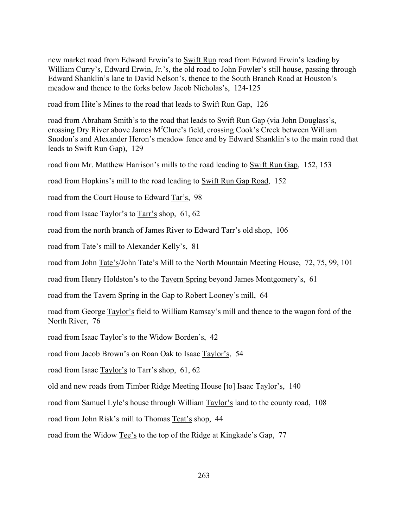new market road from Edward Erwin's to Swift Run road from Edward Erwin's leading by William Curry's, Edward Erwin, Jr.'s, the old road to John Fowler's still house, passing through Edward Shanklin's lane to David Nelson's, thence to the South Branch Road at Houston's meadow and thence to the forks below Jacob Nicholas's, 124-125

road from Hite's Mines to the road that leads to Swift Run Gap, 126

road from Abraham Smith's to the road that leads to Swift Run Gap (via John Douglass's, crossing Dry River above James M<sup>c</sup>Clure's field, crossing Cook's Creek between William Snodon's and Alexander Heron's meadow fence and by Edward Shanklin's to the main road that leads to Swift Run Gap), 129

road from Mr. Matthew Harrison's mills to the road leading to Swift Run Gap, 152, 153

road from Hopkins's mill to the road leading to Swift Run Gap Road, 152

road from the Court House to Edward Tar's, 98

road from Isaac Taylor's to Tarr's shop, 61, 62

road from the north branch of James River to Edward Tarr's old shop, 106

road from Tate's mill to Alexander Kelly's, 81

road from John Tate's/John Tate's Mill to the North Mountain Meeting House, 72, 75, 99, 101

road from Henry Holdston's to the Tavern Spring beyond James Montgomery's, 61

road from the Tavern Spring in the Gap to Robert Looney's mill, 64

road from George Taylor's field to William Ramsay's mill and thence to the wagon ford of the North River, 76

road from Isaac Taylor's to the Widow Borden's, 42

road from Jacob Brown's on Roan Oak to Isaac Taylor's, 54

road from Isaac Taylor's to Tarr's shop, 61, 62

old and new roads from Timber Ridge Meeting House [to] Isaac Taylor's, 140

road from Samuel Lyle's house through William Taylor's land to the county road, 108

road from John Risk's mill to Thomas Teat's shop, 44

road from the Widow Tee's to the top of the Ridge at Kingkade's Gap, 77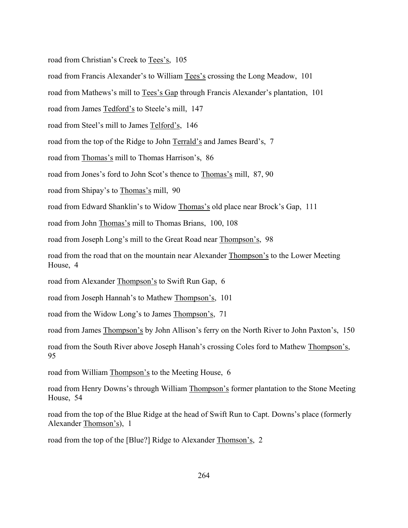road from Christian's Creek to Tees's, 105

road from Francis Alexander's to William Tees's crossing the Long Meadow, 101

road from Mathews's mill to Tees's Gap through Francis Alexander's plantation, 101

road from James Tedford's to Steele's mill, 147

road from Steel's mill to James Telford's, 146

road from the top of the Ridge to John Terrald's and James Beard's, 7

road from Thomas's mill to Thomas Harrison's, 86

road from Jones's ford to John Scot's thence to Thomas's mill, 87, 90

road from Shipay's to Thomas's mill, 90

road from Edward Shanklin's to Widow Thomas's old place near Brock's Gap, 111

road from John Thomas's mill to Thomas Brians, 100, 108

road from Joseph Long's mill to the Great Road near Thompson's, 98

road from the road that on the mountain near Alexander Thompson's to the Lower Meeting House, 4

road from Alexander Thompson's to Swift Run Gap, 6

road from Joseph Hannah's to Mathew Thompson's, 101

road from the Widow Long's to James Thompson's, 71

road from James Thompson's by John Allison's ferry on the North River to John Paxton's, 150

road from the South River above Joseph Hanah's crossing Coles ford to Mathew Thompson's, 95

road from William Thompson's to the Meeting House, 6

road from Henry Downs's through William Thompson's former plantation to the Stone Meeting House, 54

road from the top of the Blue Ridge at the head of Swift Run to Capt. Downs's place (formerly Alexander Thomson's), 1

road from the top of the [Blue?] Ridge to Alexander Thomson's, 2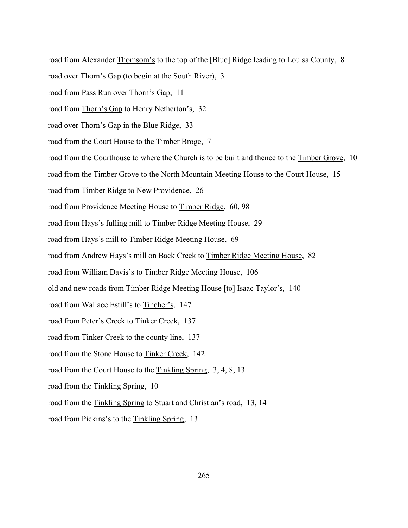road from Alexander Thomsom's to the top of the [Blue] Ridge leading to Louisa County, 8

road over Thorn's Gap (to begin at the South River), 3

road from Pass Run over Thorn's Gap, 11

road from Thorn's Gap to Henry Netherton's, 32

road over Thorn's Gap in the Blue Ridge, 33

road from the Court House to the Timber Broge, 7

road from the Courthouse to where the Church is to be built and thence to the Timber Grove, 10

road from the Timber Grove to the North Mountain Meeting House to the Court House, 15

road from Timber Ridge to New Providence, 26

road from Providence Meeting House to Timber Ridge, 60, 98

road from Hays's fulling mill to Timber Ridge Meeting House, 29

road from Hays's mill to Timber Ridge Meeting House, 69

road from Andrew Hays's mill on Back Creek to Timber Ridge Meeting House, 82

road from William Davis's to Timber Ridge Meeting House, 106

old and new roads from Timber Ridge Meeting House [to] Isaac Taylor's, 140

road from Wallace Estill's to Tincher's, 147

road from Peter's Creek to Tinker Creek, 137

road from Tinker Creek to the county line, 137

road from the Stone House to Tinker Creek, 142

road from the Court House to the Tinkling Spring, 3, 4, 8, 13

road from the Tinkling Spring, 10

road from the Tinkling Spring to Stuart and Christian's road, 13, 14

road from Pickins's to the Tinkling Spring, 13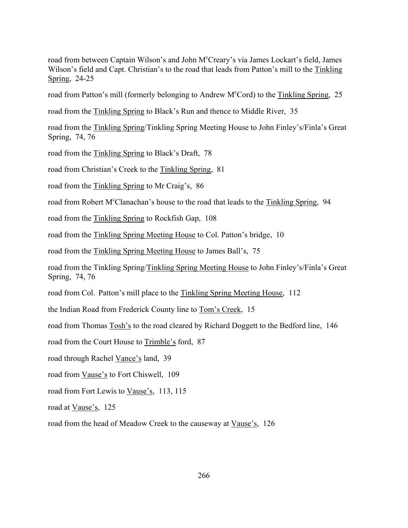road from between Captain Wilson's and John M°Creary's via James Lockart's field, James Wilson's field and Capt. Christian's to the road that leads from Patton's mill to the Tinkling Spring, 24-25

road from Patton's mill (formerly belonging to Andrew M<sup>c</sup>Cord) to the Tinkling Spring, 25

road from the Tinkling Spring to Black's Run and thence to Middle River, 35

road from the Tinkling Spring/Tinkling Spring Meeting House to John Finley's/Finla's Great Spring, 74, 76

road from the Tinkling Spring to Black's Draft, 78

road from Christian's Creek to the Tinkling Spring, 81

road from the Tinkling Spring to Mr Craig's, 86

road from Robert M<sup>c</sup>Clanachan's house to the road that leads to the Tinkling Spring, 94

road from the Tinkling Spring to Rockfish Gap, 108

road from the Tinkling Spring Meeting House to Col. Patton's bridge, 10

road from the Tinkling Spring Meeting House to James Ball's, 75

road from the Tinkling Spring/Tinkling Spring Meeting House to John Finley's/Finla's Great Spring, 74, 76

road from Col. Patton's mill place to the Tinkling Spring Meeting House, 112

the Indian Road from Frederick County line to Tom's Creek, 15

road from Thomas Tosh's to the road cleared by Richard Doggett to the Bedford line, 146

road from the Court House to Trimble's ford, 87

road through Rachel Vance's land, 39

road from Vause's to Fort Chiswell, 109

road from Fort Lewis to Vause's, 113, 115

road at Vause's, 125

road from the head of Meadow Creek to the causeway at Vause's, 126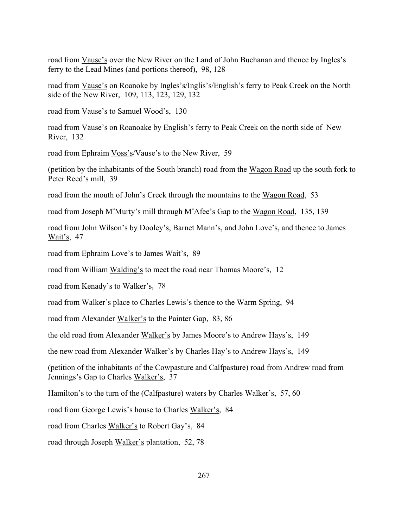road from Vause's over the New River on the Land of John Buchanan and thence by Ingles's ferry to the Lead Mines (and portions thereof), 98, 128

road from Vause's on Roanoke by Ingles's/Inglis's/English's ferry to Peak Creek on the North side of the New River, 109, 113, 123, 129, 132

road from Vause's to Samuel Wood's, 130

road from Vause's on Roanoake by English's ferry to Peak Creek on the north side of New River, 132

road from Ephraim Voss's/Vause's to the New River, 59

(petition by the inhabitants of the South branch) road from the Wagon Road up the south fork to Peter Reed's mill, 39

road from the mouth of John's Creek through the mountains to the Wagon Road, 53

road from Joseph M<sup>c</sup>Murty's mill through M<sup>c</sup>Afee's Gap to the Wagon Road, 135, 139

road from John Wilson's by Dooley's, Barnet Mann's, and John Love's, and thence to James Wait's, 47

road from Ephraim Love's to James Wait's, 89

road from William Walding's to meet the road near Thomas Moore's, 12

road from Kenady's to Walker's, 78

road from Walker's place to Charles Lewis's thence to the Warm Spring, 94

road from Alexander Walker's to the Painter Gap, 83, 86

the old road from Alexander Walker's by James Moore's to Andrew Hays's, 149

the new road from Alexander Walker's by Charles Hay's to Andrew Hays's, 149

(petition of the inhabitants of the Cowpasture and Calfpasture) road from Andrew road from Jennings's Gap to Charles Walker's, 37

Hamilton's to the turn of the (Calfpasture) waters by Charles Walker's, 57, 60

road from George Lewis's house to Charles Walker's, 84

road from Charles Walker's to Robert Gay's, 84

road through Joseph Walker's plantation, 52, 78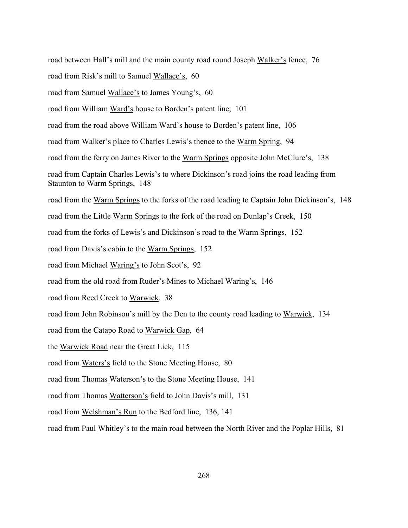road between Hall's mill and the main county road round Joseph Walker's fence, 76 road from Risk's mill to Samuel Wallace's, 60 road from Samuel Wallace's to James Young's, 60 road from William Ward's house to Borden's patent line, 101 road from the road above William Ward's house to Borden's patent line, 106 road from Walker's place to Charles Lewis's thence to the Warm Spring, 94 road from the ferry on James River to the Warm Springs opposite John McClure's, 138 road from Captain Charles Lewis's to where Dickinson's road joins the road leading from Staunton to Warm Springs, 148 road from the Warm Springs to the forks of the road leading to Captain John Dickinson's, 148 road from the Little Warm Springs to the fork of the road on Dunlap's Creek, 150 road from the forks of Lewis's and Dickinson's road to the Warm Springs, 152 road from Davis's cabin to the Warm Springs, 152 road from Michael Waring's to John Scot's, 92 road from the old road from Ruder's Mines to Michael Waring's, 146 road from Reed Creek to Warwick, 38 road from John Robinson's mill by the Den to the county road leading to Warwick, 134  $\overline{\phantom{a}}$ road from the Catapo Road to Warwick Gap, 64 the Warwick Road near the Great Lick, 115 road from Waters's field to the Stone Meeting House, 80 road from Thomas Waterson's to the Stone Meeting House, 141 road from Thomas Watterson's field to John Davis's mill, 131 road from Welshman's Run to the Bedford line, 136, 141 road from Paul Whitley's to the main road between the North River and the Poplar Hills, 81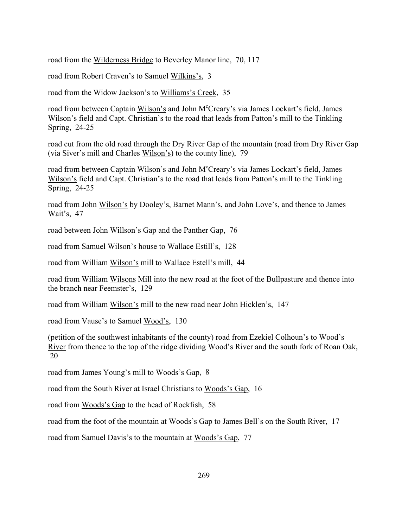road from the Wilderness Bridge to Beverley Manor line, 70, 117

road from Robert Craven's to Samuel Wilkins's, 3

road from the Widow Jackson's to Williams's Creek, 35

road from between Captain Wilson's and John M°Creary's via James Lockart's field, James Wilson's field and Capt. Christian's to the road that leads from Patton's mill to the Tinkling Spring, 24-25

road cut from the old road through the Dry River Gap of the mountain (road from Dry River Gap (via Siver's mill and Charles  $Wilson's$ ) to the county line), 79

road from between Captain Wilson's and John M°Creary's via James Lockart's field, James Wilson's field and Capt. Christian's to the road that leads from Patton's mill to the Tinkling Spring, 24-25

road from John Wilson's by Dooley's, Barnet Mann's, and John Love's, and thence to James Wait's, 47

road between John Willson's Gap and the Panther Gap, 76

road from Samuel Wilson's house to Wallace Estill's, 128

road from William Wilson's mill to Wallace Estell's mill, 44

road from William Wilsons Mill into the new road at the foot of the Bullpasture and thence into the branch near Feemster's, 129

road from William Wilson's mill to the new road near John Hicklen's, 147

road from Vause's to Samuel Wood's, 130

(petition of the southwest inhabitants of the county) road from Ezekiel Colhoun's to Wood's River from thence to the top of the ridge dividing Wood's River and the south fork of Roan Oak, 20

road from James Young's mill to Woods's Gap, 8

road from the South River at Israel Christians to Woods's Gap, 16

road from Woods's Gap to the head of Rockfish, 58

road from the foot of the mountain at Woods's Gap to James Bell's on the South River, 17

road from Samuel Davis's to the mountain at Woods's Gap, 77